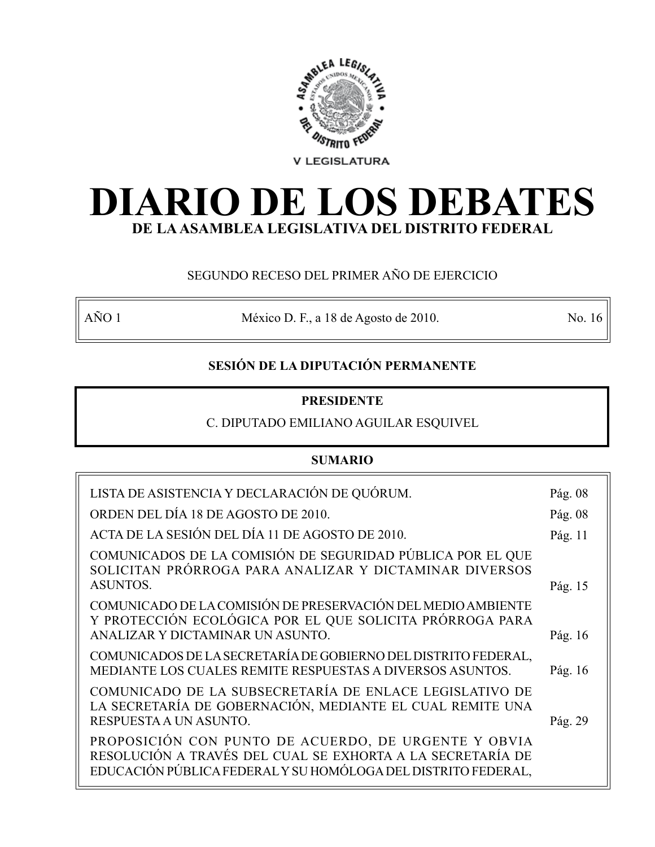

# **DIARIO DE LOS DEBATES DE LA ASAMBLEA LEGISLATIVA DEL DISTRITO FEDERAL**

# SEGUNDO RECESO DEL PRIMER AÑO DE EJERCICIO

AÑO 1 México D. F., a 18 de Agosto de 2010. No. 16

# **SESIÓN DE LA DIPUTACIÓN PERMANENTE**

## **PRESIDENTE**

# C. DIPUTADO EMILIANO AGUILAR ESQUIVEL

# **SUMARIO**

| LISTA DE ASISTENCIA Y DECLARACIÓN DE QUÓRUM.                                                                                                                                        | Pág. 08 |
|-------------------------------------------------------------------------------------------------------------------------------------------------------------------------------------|---------|
| ORDEN DEL DÍA 18 DE AGOSTO DE 2010.                                                                                                                                                 | Pág. 08 |
| ACTA DE LA SESIÓN DEL DÍA 11 DE AGOSTO DE 2010.                                                                                                                                     | Pág. 11 |
| COMUNICADOS DE LA COMISIÓN DE SEGURIDAD PÚBLICA POR EL QUE<br>SOLICITAN PRÓRROGA PARA ANALIZAR Y DICTAMINAR DIVERSOS                                                                |         |
| <b>ASUNTOS.</b>                                                                                                                                                                     | Pág. 15 |
| COMUNICADO DE LA COMISIÓN DE PRESERVACIÓN DEL MEDIO AMBIENTE<br>Y PROTECCIÓN ECOLÓGICA POR EL QUE SOLICITA PRÓRROGA PARA                                                            |         |
| ANALIZAR Y DICTAMINAR UN ASUNTO.                                                                                                                                                    | Pág. 16 |
| COMUNICADOS DE LA SECRETARÍA DE GOBIERNO DEL DISTRITO FEDERAL,<br>MEDIANTE LOS CUALES REMITE RESPUESTAS A DIVERSOS ASUNTOS.                                                         | Pág. 16 |
| COMUNICADO DE LA SUBSECRETARÍA DE ENLACE LEGISLATIVO DE<br>LA SECRETARÍA DE GOBERNACIÓN, MEDIANTE EL CUAL REMITE UNA                                                                |         |
| RESPUESTA A UN ASUNTO.                                                                                                                                                              | Pág. 29 |
| PROPOSICIÓN CON PUNTO DE ACUERDO, DE URGENTE Y OBVIA<br>RESOLUCIÓN A TRAVÉS DEL CUAL SE EXHORTA A LA SECRETARÍA DE<br>EDUCACIÓN PÚBLICA FEDERAL Y SU HOMÓLOGA DEL DISTRITO FEDERAL, |         |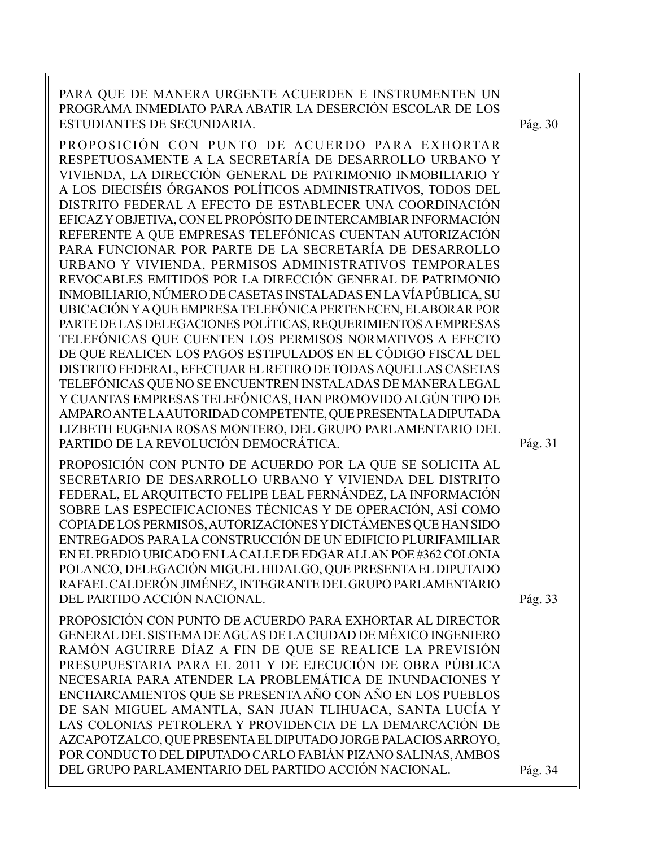PARA QUE DE MANERA URGENTE ACUERDEN E INSTRUMENTEN UN PROGRAMA INMEDIATO PARA ABATIR LA DESERCIÓN ESCOLAR DE LOS ESTUDIANTES DE SECUNDARIA. PROPOSICIÓN CON PUNTO DE ACUERDO PARA EXHORTAR RESPETUOSAMENTE A LA SECRETARÍA DE DESARROLLO URBANO Y VIVIENDA, LA DIRECCIÓN GENERAL DE PATRIMONIO INMOBILIARIO Y A LOS DIECISÉIS ÓRGANOS POLÍTICOS ADMINISTRATIVOS, TODOS DEL DISTRITO FEDERAL A EFECTO DE ESTABLECER UNA COORDINACIÓN EFICAZ Y OBJETIVA, CON EL PROPÓSITO DE INTERCAMBIAR INFORMACIÓN REFERENTE A QUE EMPRESAS TELEFÓNICAS CUENTAN AUTORIZACIÓN PARA FUNCIONAR POR PARTE DE LA SECRETARÍA DE DESARROLLO URBANO Y VIVIENDA, PERMISOS ADMINISTRATIVOS TEMPORALES REVOCABLES EMITIDOS POR LA DIRECCIÓN GENERAL DE PATRIMONIO INMOBILIARIO, NÚMERO DE CASETAS INSTALADAS EN LA VÍA PÚBLICA, SU UBICACIÓN Y A QUE EMPRESA TELEFÓNICA PERTENECEN, ELABORAR POR PARTE DE LAS DELEGACIONES POLÍTICAS, REQUERIMIENTOS A EMPRESAS TELEFÓNICAS QUE CUENTEN LOS PERMISOS NORMATIVOS A EFECTO DE QUE REALICEN LOS PAGOS ESTIPULADOS EN EL CÓDIGO FISCAL DEL DISTRITO FEDERAL, EFECTUAR EL RETIRO DE TODAS AQUELLAS CASETAS TELEFÓNICAS QUE NO SE ENCUENTREN INSTALADAS DE MANERA LEGAL Y CUANTAS EMPRESAS TELEFÓNICAS, HAN PROMOVIDO ALGÚN TIPO DE AMPARO ANTE LA AUTORIDAD COMPETENTE, QUE PRESENTA LA DIPUTADA LIZBETH EUGENIA ROSAS MONTERO, DEL GRUPO PARLAMENTARIO DEL PARTIDO DE LA REVOLUCIÓN DEMOCRÁTICA. PROPOSICIÓN CON PUNTO DE ACUERDO POR LA QUE SE SOLICITA AL SECRETARIO DE DESARROLLO URBANO Y VIVIENDA DEL DISTRITO FEDERAL, EL ARQUITECTO FELIPE LEAL FERNÁNDEZ, LA INFORMACIÓN SOBRE LAS ESPECIFICACIONES TÉCNICAS Y DE OPERACIÓN, ASÍ COMO COPIA DE LOS PERMISOS, AUTORIZACIONES Y DICTÁMENES QUE HAN SIDO ENTREGADOS PARA LA CONSTRUCCIÓN DE UN EDIFICIO PLURIFAMILIAR EN EL PREDIO UBICADO EN LA CALLE DE EDGAR ALLAN POE #362 COLONIA POLANCO, DELEGACIÓN MIGUEL HIDALGO, QUE PRESENTA EL DIPUTADO RAFAEL CALDERÓN JIMÉNEZ, INTEGRANTE DEL GRUPO PARLAMENTARIO DEL PARTIDO ACCIÓN NACIONAL. PROPOSICIÓN CON PUNTO DE ACUERDO PARA EXHORTAR AL DIRECTOR GENERAL DEL SISTEMA DE AGUAS DE LA CIUDAD DE MÉXICO INGENIERO RAMÓN AGUIRRE DÍAZ A FIN DE QUE SE REALICE LA PREVISIÓN PRESUPUESTARIA PARA EL 2011 Y DE EJECUCIÓN DE OBRA PÚBLICA NECESARIA PARA ATENDER LA PROBLEMÁTICA DE INUNDACIONES Y ENCHARCAMIENTOS QUE SE PRESENTA AÑO CON AÑO EN LOS PUEBLOS DE SAN MIGUEL AMANTLA, SAN JUAN TLIHUACA, SANTA LUCÍA Y LAS COLONIAS PETROLERA Y PROVIDENCIA DE LA DEMARCACIÓN DE AZCAPOTZALCO, QUE PRESENTA EL DIPUTADO JORGE PALACIOS ARROYO, POR CONDUCTO DEL DIPUTADO CARLO FABIÁN PIZANO SALINAS, AMBOS Pág. 30 Pág. 31 Pág. 33

DEL GRUPO PARLAMENTARIO DEL PARTIDO ACCIÓN NACIONAL.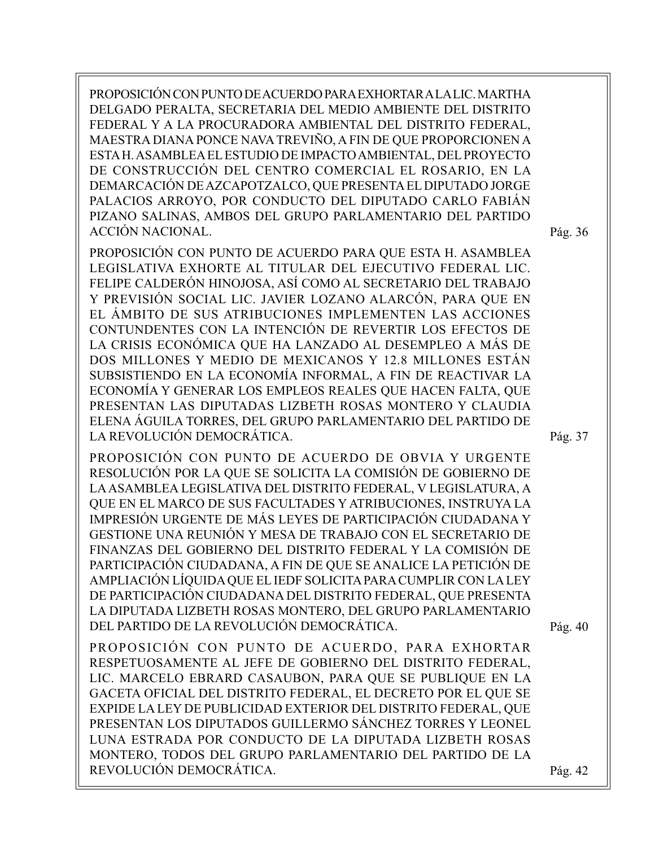PROPOSICIÓN CON PUNTO DE ACUERDO PARA EXHORTAR A LA LIC. MARTHA DELGADO PERALTA, SECRETARIA DEL MEDIO AMBIENTE DEL DISTRITO FEDERAL Y A LA PROCURADORA AMBIENTAL DEL DISTRITO FEDERAL, MAESTRA DIANA PONCE NAVA TREVIÑO, A FIN DE QUE PROPORCIONEN A ESTA H. ASAMBLEA EL ESTUDIO DE IMPACTO AMBIENTAL, DEL PROYECTO DE CONSTRUCCIÓN DEL CENTRO COMERCIAL EL ROSARIO, EN LA DEMARCACIÓN DE AZCAPOTZALCO, QUE PRESENTA EL DIPUTADO JORGE PALACIOS ARROYO, POR CONDUCTO DEL DIPUTADO CARLO FABIÁN PIZANO SALINAS, AMBOS DEL GRUPO PARLAMENTARIO DEL PARTIDO ACCIÓN NACIONAL.

PROPOSICIÓN CON PUNTO DE ACUERDO PARA QUE ESTA H. ASAMBLEA LEGISLATIVA EXHORTE AL TITULAR DEL EJECUTIVO FEDERAL LIC. FELIPE CALDERÓN HINOJOSA, ASÍ COMO AL SECRETARIO DEL TRABAJO Y PREVISIÓN SOCIAL LIC. JAVIER LOZANO ALARCÓN, PARA QUE EN EL ÁMBITO DE SUS ATRIBUCIONES IMPLEMENTEN LAS ACCIONES CONTUNDENTES CON LA INTENCIÓN DE REVERTIR LOS EFECTOS DE LA CRISIS ECONÓMICA QUE HA LANZADO AL DESEMPLEO A MÁS DE DOS MILLONES Y MEDIO DE MEXICANOS Y 12.8 MILLONES ESTÁN SUBSISTIENDO EN LA ECONOMÍA INFORMAL, A FIN DE REACTIVAR LA ECONOMÍA Y GENERAR LOS EMPLEOS REALES QUE HACEN FALTA, QUE PRESENTAN LAS DIPUTADAS LIZBETH ROSAS MONTERO Y CLAUDIA ELENA ÁGUILA TORRES, DEL GRUPO PARLAMENTARIO DEL PARTIDO DE LA REVOLUCIÓN DEMOCRÁTICA.

PROPOSICIÓN CON PUNTO DE ACUERDO DE OBVIA Y URGENTE RESOLUCIÓN POR LA QUE SE SOLICITA LA COMISIÓN DE GOBIERNO DE LA ASAMBLEA LEGISLATIVA DEL DISTRITO FEDERAL, V LEGISLATURA, A QUE EN EL MARCO DE SUS FACULTADES Y ATRIBUCIONES, INSTRUYA LA IMPRESIÓN URGENTE DE MÁS LEYES DE PARTICIPACIÓN CIUDADANA Y GESTIONE UNA REUNIÓN Y MESA DE TRABAJO CON EL SECRETARIO DE FINANZAS DEL GOBIERNO DEL DISTRITO FEDERAL Y LA COMISIÓN DE PARTICIPACIÓN CIUDADANA, A FIN DE QUE SE ANALICE LA PETICIÓN DE AMPLIACIÓN LÍQUIDA QUE EL IEDF SOLICITA PARA CUMPLIR CON LA LEY DE PARTICIPACIÓN CIUDADANA DEL DISTRITO FEDERAL, QUE PRESENTA LA DIPUTADA LIZBETH ROSAS MONTERO, DEL GRUPO PARLAMENTARIO DEL PARTIDO DE LA REVOLUCIÓN DEMOCRÁTICA.

Pág. 40

PROPOSICIÓN CON PUNTO DE ACUERDO, PARA EXHORTAR RESPETUOSAMENTE AL JEFE DE GOBIERNO DEL DISTRITO FEDERAL, LIC. MARCELO EBRARD CASAUBON, PARA QUE SE PUBLIQUE EN LA GACETA OFICIAL DEL DISTRITO FEDERAL, EL DECRETO POR EL QUE SE EXPIDE LA LEY DE PUBLICIDAD EXTERIOR DEL DISTRITO FEDERAL, QUE PRESENTAN LOS DIPUTADOS GUILLERMO SÁNCHEZ TORRES Y LEONEL LUNA ESTRADA POR CONDUCTO DE LA DIPUTADA LIZBETH ROSAS MONTERO, TODOS DEL GRUPO PARLAMENTARIO DEL PARTIDO DE LA REVOLUCIÓN DEMOCRÁTICA.

Pág. 36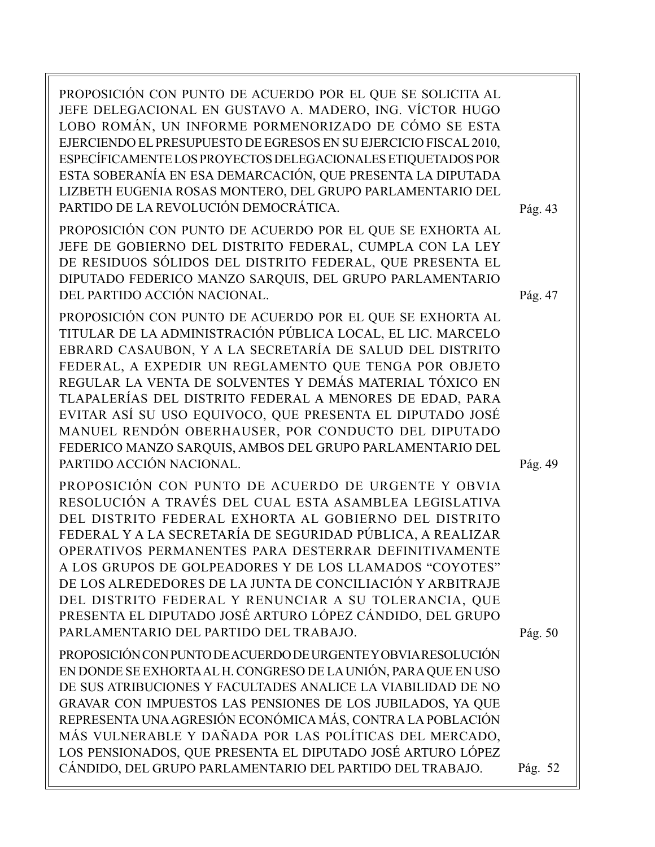PROPOSICIÓN CON PUNTO DE ACUERDO POR EL QUE SE SOLICITA AL JEFE DELEGACIONAL EN GUSTAVO A. MADERO, ING. VÍCTOR HUGO LOBO ROMÁN, UN INFORME PORMENORIZADO DE CÓMO SE ESTA EJERCIENDO EL PRESUPUESTO DE EGRESOS EN SU EJERCICIO FISCAL 2010, ESPECÍFICAMENTE LOS PROYECTOS DELEGACIONALES ETIQUETADOS POR ESTA SOBERANÍA EN ESA DEMARCACIÓN, QUE PRESENTA LA DIPUTADA LIZBETH EUGENIA ROSAS MONTERO, DEL GRUPO PARLAMENTARIO DEL PARTIDO DE LA REVOLUCIÓN DEMOCRÁTICA.

PROPOSICIÓN CON PUNTO DE ACUERDO POR EL QUE SE EXHORTA AL JEFE DE GOBIERNO DEL DISTRITO FEDERAL, CUMPLA CON LA LEY DE RESIDUOS SÓLIDOS DEL DISTRITO FEDERAL, QUE PRESENTA EL DIPUTADO FEDERICO MANZO SARQUIS, DEL GRUPO PARLAMENTARIO DEL PARTIDO ACCIÓN NACIONAL.

PROPOSICIÓN CON PUNTO DE ACUERDO POR EL QUE SE EXHORTA AL TITULAR DE LA ADMINISTRACIÓN PÚBLICA LOCAL, EL LIC. MARCELO EBRARD CASAUBON, Y A LA SECRETARÍA DE SALUD DEL DISTRITO FEDERAL, A EXPEDIR UN REGLAMENTO QUE TENGA POR OBJETO REGULAR LA VENTA DE SOLVENTES Y DEMÁS MATERIAL TÓXICO EN TLAPALERÍAS DEL DISTRITO FEDERAL A MENORES DE EDAD, PARA EVITAR ASÍ SU USO EQUIVOCO, QUE PRESENTA EL DIPUTADO JOSÉ MANUEL RENDÓN OBERHAUSER, POR CONDUCTO DEL DIPUTADO FEDERICO MANZO SARQUIS, AMBOS DEL GRUPO PARLAMENTARIO DEL PARTIDO ACCIÓN NACIONAL.

PROPOSICIÓN CON PUNTO DE ACUERDO DE URGENTE Y OBVIA RESOLUCIÓN A TRAVÉS DEL CUAL ESTA ASAMBLEA LEGISLATIVA DEL DISTRITO FEDERAL EXHORTA AL GOBIERNO DEL DISTRITO FEDERAL Y A LA SECRETARÍA DE SEGURIDAD PÚBLICA, A REALIZAR OPERATIVOS PERMANENTES PARA DESTERRAR DEFINITIVAMENTE A LOS GRUPOS DE GOLPEADORES Y DE LOS LLAMADOS "COYOTES" DE LOS ALREDEDORES DE LA JUNTA DE CONCILIACIÓN Y ARBITRAJE DEL DISTRITO FEDERAL Y RENUNCIAR A SU TOLERANCIA, QUE PRESENTA EL DIPUTADO JOSÉ ARTURO LÓPEZ CÁNDIDO, DEL GRUPO PARLAMENTARIO DEL PARTIDO DEL TRABAJO.

PROPOSICIÓN CON PUNTO DE ACUERDO DE URGENTE Y OBVIA RESOLUCIÓN EN DONDE SE EXHORTA AL H. CONGRESO DE LA UNIÓN, PARA QUE EN USO DE SUS ATRIBUCIONES Y FACULTADES ANALICE LA VIABILIDAD DE NO GRAVAR CON IMPUESTOS LAS PENSIONES DE LOS JUBILADOS, YA QUE REPRESENTA UNA AGRESIÓN ECONÓMICA MÁS, CONTRA LA POBLACIÓN MÁS VULNERABLE Y DAÑADA POR LAS POLÍTICAS DEL MERCADO, LOS PENSIONADOS, QUE PRESENTA EL DIPUTADO JOSÉ ARTURO LÓPEZ CÁNDIDO, DEL GRUPO PARLAMENTARIO DEL PARTIDO DEL TRABAJO.

Pág. 43

Pág. 47

Pág. 49

Pág. 50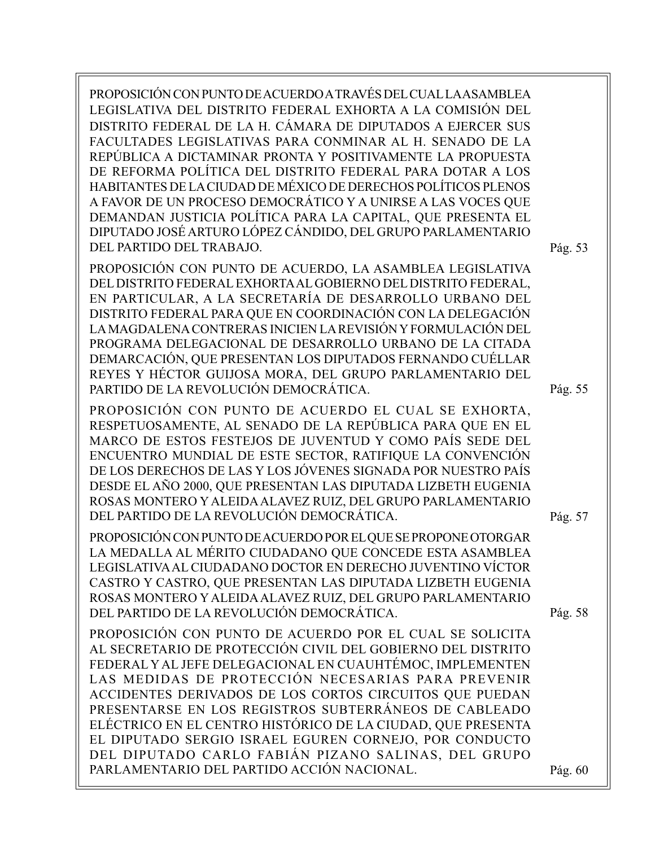PROPOSICIÓN CON PUNTO DE ACUERDO A TRAVÉS DEL CUAL LA ASAMBLEA LEGISLATIVA DEL DISTRITO FEDERAL EXHORTA A LA COMISIÓN DEL DISTRITO FEDERAL DE LA H. CÁMARA DE DIPUTADOS A EJERCER SUS FACULTADES LEGISLATIVAS PARA CONMINAR AL H. SENADO DE LA REPÚBLICA A DICTAMINAR PRONTA Y POSITIVAMENTE LA PROPUESTA DE REFORMA POLÍTICA DEL DISTRITO FEDERAL PARA DOTAR A LOS HABITANTES DE LA CIUDAD DE MÉXICO DE DERECHOS POLÍTICOS PLENOS A FAVOR DE UN PROCESO DEMOCRÁTICO Y A UNIRSE A LAS VOCES QUE DEMANDAN JUSTICIA POLÍTICA PARA LA CAPITAL, QUE PRESENTA EL DIPUTADO JOSÉ ARTURO LÓPEZ CÁNDIDO, DEL GRUPO PARLAMENTARIO DEL PARTIDO DEL TRABAJO.

PROPOSICIÓN CON PUNTO DE ACUERDO, LA ASAMBLEA LEGISLATIVA DEL DISTRITO FEDERAL EXHORTA AL GOBIERNO DEL DISTRITO FEDERAL, EN PARTICULAR, A LA SECRETARÍA DE DESARROLLO URBANO DEL DISTRITO FEDERAL PARA QUE EN COORDINACIÓN CON LA DELEGACIÓN LA MAGDALENA CONTRERAS INICIEN LA REVISIÓN Y FORMULACIÓN DEL PROGRAMA DELEGACIONAL DE DESARROLLO URBANO DE LA CITADA DEMARCACIÓN, QUE PRESENTAN LOS DIPUTADOS FERNANDO CUÉLLAR REYES Y HÉCTOR GUIJOSA MORA, DEL GRUPO PARLAMENTARIO DEL PARTIDO DE LA REVOLUCIÓN DEMOCRÁTICA.

PROPOSICIÓN CON PUNTO DE ACUERDO EL CUAL SE EXHORTA, RESPETUOSAMENTE, AL SENADO DE LA REPÚBLICA PARA QUE EN EL MARCO DE ESTOS FESTEJOS DE JUVENTUD Y COMO PAÍS SEDE DEL ENCUENTRO MUNDIAL DE ESTE SECTOR, RATIFIQUE LA CONVENCIÓN DE LOS DERECHOS DE LAS Y LOS JÓVENES SIGNADA POR NUESTRO PAÍS DESDE EL AÑO 2000, QUE PRESENTAN LAS DIPUTADA LIZBETH EUGENIA ROSAS MONTERO Y ALEIDA ALAVEZ RUIZ, DEL GRUPO PARLAMENTARIO DEL PARTIDO DE LA REVOLUCIÓN DEMOCRÁTICA.

PROPOSICIÓN CON PUNTO DE ACUERDO POR EL QUE SE PROPONE OTORGAR LA MEDALLA AL MÉRITO CIUDADANO QUE CONCEDE ESTA ASAMBLEA LEGISLATIVA AL CIUDADANO DOCTOR EN DERECHO JUVENTINO VÍCTOR CASTRO Y CASTRO, QUE PRESENTAN LAS DIPUTADA LIZBETH EUGENIA ROSAS MONTERO Y ALEIDA ALAVEZ RUIZ, DEL GRUPO PARLAMENTARIO DEL PARTIDO DE LA REVOLUCIÓN DEMOCRÁTICA.

PROPOSICIÓN CON PUNTO DE ACUERDO POR EL CUAL SE SOLICITA AL SECRETARIO DE PROTECCIÓN CIVIL DEL GOBIERNO DEL DISTRITO FEDERAL Y AL JEFE DELEGACIONAL EN CUAUHTÉMOC, IMPLEMENTEN LAS MEDIDAS DE PROTECCIÓN NECESARIAS PARA PREVENIR ACCIDENTES DERIVADOS DE LOS CORTOS CIRCUITOS QUE PUEDAN PRESENTARSE EN LOS REGISTROS SUBTERRÁNEOS DE CABLEADO ELÉCTRICO EN EL CENTRO HISTÓRICO DE LA CIUDAD, QUE PRESENTA EL DIPUTADO SERGIO ISRAEL EGUREN CORNEJO, POR CONDUCTO DEL DIPUTADO CARLO FABIÁN PIZANO SALINAS, DEL GRUPO PARLAMENTARIO DEL PARTIDO ACCIÓN NACIONAL.

Pág. 53

Pág. 55

Pág. 57

Pág. 58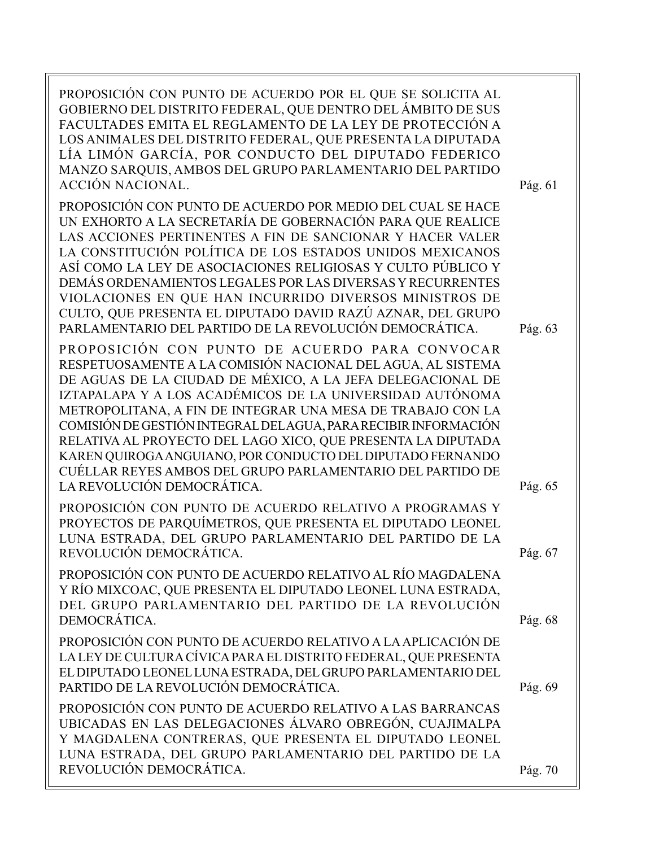| PROPOSICIÓN CON PUNTO DE ACUERDO POR EL QUE SE SOLICITA AL<br>GOBIERNO DEL DISTRITO FEDERAL, QUE DENTRO DEL ÁMBITO DE SUS<br>FACULTADES EMITA EL REGLAMENTO DE LA LEY DE PROTECCIÓN A<br>LOS ANIMALES DEL DISTRITO FEDERAL, QUE PRESENTA LA DIPUTADA<br>LÍA LIMÓN GARCÍA, POR CONDUCTO DEL DIPUTADO FEDERICO<br>MANZO SARQUIS, AMBOS DEL GRUPO PARLAMENTARIO DEL PARTIDO<br><b>ACCIÓN NACIONAL.</b>                                                                                                                                                                                                | Pág. 61 |
|----------------------------------------------------------------------------------------------------------------------------------------------------------------------------------------------------------------------------------------------------------------------------------------------------------------------------------------------------------------------------------------------------------------------------------------------------------------------------------------------------------------------------------------------------------------------------------------------------|---------|
| PROPOSICIÓN CON PUNTO DE ACUERDO POR MEDIO DEL CUAL SE HACE<br>UN EXHORTO A LA SECRETARÍA DE GOBERNACIÓN PARA QUE REALICE<br>LAS ACCIONES PERTINENTES A FIN DE SANCIONAR Y HACER VALER<br>LA CONSTITUCIÓN POLÍTICA DE LOS ESTADOS UNIDOS MEXICANOS<br>ASÍ COMO LA LEY DE ASOCIACIONES RELIGIOSAS Y CULTO PÚBLICO Y<br>DEMÁS ORDENAMIENTOS LEGALES POR LAS DIVERSAS Y RECURRENTES<br>VIOLACIONES EN QUE HAN INCURRIDO DIVERSOS MINISTROS DE<br>CULTO, QUE PRESENTA EL DIPUTADO DAVID RAZÚ AZNAR, DEL GRUPO<br>PARLAMENTARIO DEL PARTIDO DE LA REVOLUCIÓN DEMOCRÁTICA.                               | Pág. 63 |
| PROPOSICIÓN CON PUNTO DE ACUERDO PARA CONVOCAR<br>RESPETUOSAMENTE A LA COMISIÓN NACIONAL DEL AGUA, AL SISTEMA<br>DE AGUAS DE LA CIUDAD DE MÉXICO, A LA JEFA DELEGACIONAL DE<br>IZTAPALAPA Y A LOS ACADÉMICOS DE LA UNIVERSIDAD AUTÓNOMA<br>METROPOLITANA, A FIN DE INTEGRAR UNA MESA DE TRABAJO CON LA<br>COMISIÓN DE GESTIÓN INTEGRAL DELAGUA, PARA RECIBIR INFORMACIÓN<br>RELATIVA AL PROYECTO DEL LAGO XICO, QUE PRESENTA LA DIPUTADA<br>KAREN QUIROGA ANGUIANO, POR CONDUCTO DEL DIPUTADO FERNANDO<br>CUÉLLAR REYES AMBOS DEL GRUPO PARLAMENTARIO DEL PARTIDO DE<br>LA REVOLUCIÓN DEMOCRÁTICA. | Pág. 65 |
| PROPOSICIÓN CON PUNTO DE ACUERDO RELATIVO A PROGRAMAS Y<br>PROYECTOS DE PARQUÍMETROS, QUE PRESENTA EL DIPUTADO LEONEL<br>LUNA ESTRADA, DEL GRUPO PARLAMENTARIO DEL PARTIDO DE LA<br>REVOLUCIÓN DEMOCRÁTICA                                                                                                                                                                                                                                                                                                                                                                                         | Pág. 67 |
| PROPOSICIÓN CON PUNTO DE ACUERDO RELATIVO AL RÍO MAGDALENA<br>Y RÍO MIXCOAC, QUE PRESENTA EL DIPUTADO LEONEL LUNA ESTRADA,<br>DEL GRUPO PARLAMENTARIO DEL PARTIDO DE LA REVOLUCIÓN<br>DEMOCRÁTICA.                                                                                                                                                                                                                                                                                                                                                                                                 | Pág. 68 |
| PROPOSICIÓN CON PUNTO DE ACUERDO RELATIVO A LA APLICACIÓN DE<br>LA LEY DE CULTURA CÍVICA PARA EL DISTRITO FEDERAL, QUE PRESENTA<br>EL DIPUTADO LEONEL LUNA ESTRADA, DEL GRUPO PARLAMENTARIO DEL<br>PARTIDO DE LA REVOLUCIÓN DEMOCRÁTICA.                                                                                                                                                                                                                                                                                                                                                           | Pág. 69 |
| PROPOSICIÓN CON PUNTO DE ACUERDO RELATIVO A LAS BARRANCAS<br>UBICADAS EN LAS DELEGACIONES ÁLVARO OBREGÓN, CUAJIMALPA<br>Y MAGDALENA CONTRERAS, QUE PRESENTA EL DIPUTADO LEONEL<br>LUNA ESTRADA, DEL GRUPO PARLAMENTARIO DEL PARTIDO DE LA<br>REVOLUCIÓN DEMOCRÁTICA.                                                                                                                                                                                                                                                                                                                               | Pág. 70 |
|                                                                                                                                                                                                                                                                                                                                                                                                                                                                                                                                                                                                    |         |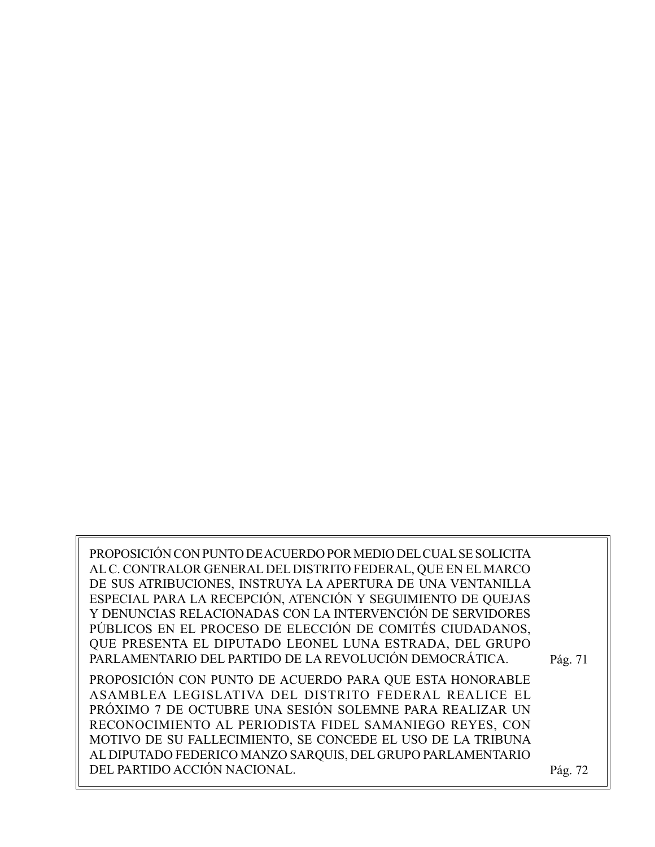PROPOSICIÓN CON PUNTO DE ACUERDO POR MEDIO DEL CUAL SE SOLICITA AL C. CONTRALOR GENERAL DEL DISTRITO FEDERAL, QUE EN EL MARCO DE SUS ATRIBUCIONES, INSTRUYA LA APERTURA DE UNA VENTANILLA ESPECIAL PARA LA RECEPCIÓN, ATENCIÓN Y SEGUIMIENTO DE QUEJAS Y DENUNCIAS RELACIONADAS CON LA INTERVENCIÓN DE SERVIDORES PÚBLICOS EN EL PROCESO DE ELECCIÓN DE COMITÉS CIUDADANOS, QUE PRESENTA EL DIPUTADO LEONEL LUNA ESTRADA, DEL GRUPO PARLAMENTARIO DEL PARTIDO DE LA REVOLUCIÓN DEMOCRÁTICA. PROPOSICIÓN CON PUNTO DE ACUERDO PARA QUE ESTA HONORABLE ASAMBLEA LEGISLATIVA DEL DISTRITO FEDERAL REALICE EL PRÓXIMO 7 DE OCTUBRE UNA SESIÓN SOLEMNE PARA REALIZAR UN RECONOCIMIENTO AL PERIODISTA FIDEL SAMANIEGO REYES, CON MOTIVO DE SU FALLECIMIENTO, SE CONCEDE EL USO DE LA TRIBUNA AL DIPUTADO FEDERICO MANZO SARQUIS, DEL GRUPO PARLAMENTARIO DEL PARTIDO ACCIÓN NACIONAL. Pág. 72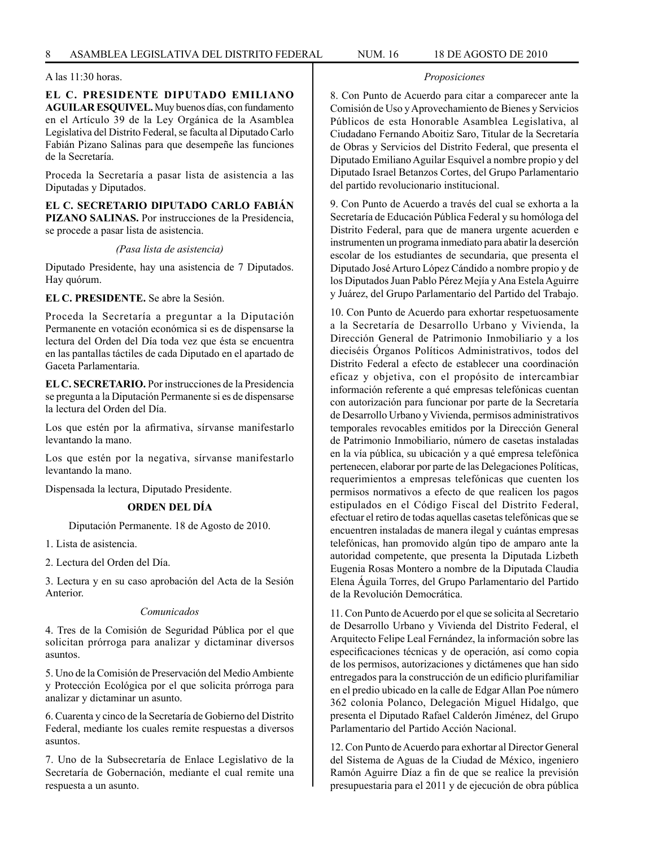**EL C. PRESIDENTE DIPUTADO EMILIANO AGUILAR ESQUIVEL.** Muy buenos días, con fundamento en el Artículo 39 de la Ley Orgánica de la Asamblea Legislativa del Distrito Federal, se faculta al Diputado Carlo Fabián Pizano Salinas para que desempeñe las funciones de la Secretaría.

Proceda la Secretaría a pasar lista de asistencia a las Diputadas y Diputados.

**EL C. SECRETARIO DIPUTADO CARLO FABIÁN PIZANO SALINAS.** Por instrucciones de la Presidencia, se procede a pasar lista de asistencia.

*(Pasa lista de asistencia)*

Diputado Presidente, hay una asistencia de 7 Diputados. Hay quórum.

**EL C. PRESIDENTE.** Se abre la Sesión.

Proceda la Secretaría a preguntar a la Diputación Permanente en votación económica si es de dispensarse la lectura del Orden del Día toda vez que ésta se encuentra en las pantallas táctiles de cada Diputado en el apartado de Gaceta Parlamentaria.

**EL C. SECRETARIO.** Por instrucciones de la Presidencia se pregunta a la Diputación Permanente si es de dispensarse la lectura del Orden del Día.

Los que estén por la afirmativa, sírvanse manifestarlo levantando la mano.

Los que estén por la negativa, sírvanse manifestarlo levantando la mano.

Dispensada la lectura, Diputado Presidente.

#### **ORDEN DEL DÍA**

Diputación Permanente. 18 de Agosto de 2010.

1. Lista de asistencia.

2. Lectura del Orden del Día.

3. Lectura y en su caso aprobación del Acta de la Sesión Anterior.

#### *Comunicados*

4. Tres de la Comisión de Seguridad Pública por el que solicitan prórroga para analizar y dictaminar diversos asuntos.

5. Uno de la Comisión de Preservación del Medio Ambiente y Protección Ecológica por el que solicita prórroga para analizar y dictaminar un asunto.

6. Cuarenta y cinco de la Secretaría de Gobierno del Distrito Federal, mediante los cuales remite respuestas a diversos asuntos.

7. Uno de la Subsecretaría de Enlace Legislativo de la Secretaría de Gobernación, mediante el cual remite una respuesta a un asunto.

## *Proposiciones*

8. Con Punto de Acuerdo para citar a comparecer ante la Comisión de Uso y Aprovechamiento de Bienes y Servicios Públicos de esta Honorable Asamblea Legislativa, al Ciudadano Fernando Aboitiz Saro, Titular de la Secretaría de Obras y Servicios del Distrito Federal, que presenta el Diputado Emiliano Aguilar Esquivel a nombre propio y del Diputado Israel Betanzos Cortes, del Grupo Parlamentario del partido revolucionario institucional.

9. Con Punto de Acuerdo a través del cual se exhorta a la Secretaría de Educación Pública Federal y su homóloga del Distrito Federal, para que de manera urgente acuerden e instrumenten un programa inmediato para abatir la deserción escolar de los estudiantes de secundaria, que presenta el Diputado José Arturo López Cándido a nombre propio y de los Diputados Juan Pablo Pérez Mejía y Ana Estela Aguirre y Juárez, del Grupo Parlamentario del Partido del Trabajo.

10. Con Punto de Acuerdo para exhortar respetuosamente a la Secretaría de Desarrollo Urbano y Vivienda, la Dirección General de Patrimonio Inmobiliario y a los dieciséis Órganos Políticos Administrativos, todos del Distrito Federal a efecto de establecer una coordinación eficaz y objetiva, con el propósito de intercambiar información referente a qué empresas telefónicas cuentan con autorización para funcionar por parte de la Secretaría de Desarrollo Urbano y Vivienda, permisos administrativos temporales revocables emitidos por la Dirección General de Patrimonio Inmobiliario, número de casetas instaladas en la vía pública, su ubicación y a qué empresa telefónica pertenecen, elaborar por parte de las Delegaciones Políticas, requerimientos a empresas telefónicas que cuenten los permisos normativos a efecto de que realicen los pagos estipulados en el Código Fiscal del Distrito Federal, efectuar el retiro de todas aquellas casetas telefónicas que se encuentren instaladas de manera ilegal y cuántas empresas telefónicas, han promovido algún tipo de amparo ante la autoridad competente, que presenta la Diputada Lizbeth Eugenia Rosas Montero a nombre de la Diputada Claudia Elena Águila Torres, del Grupo Parlamentario del Partido de la Revolución Democrática.

11. Con Punto de Acuerdo por el que se solicita al Secretario de Desarrollo Urbano y Vivienda del Distrito Federal, el Arquitecto Felipe Leal Fernández, la información sobre las especificaciones técnicas y de operación, así como copia de los permisos, autorizaciones y dictámenes que han sido entregados para la construcción de un edificio plurifamiliar en el predio ubicado en la calle de Edgar Allan Poe número 362 colonia Polanco, Delegación Miguel Hidalgo, que presenta el Diputado Rafael Calderón Jiménez, del Grupo Parlamentario del Partido Acción Nacional.

12. Con Punto de Acuerdo para exhortar al Director General del Sistema de Aguas de la Ciudad de México, ingeniero Ramón Aguirre Díaz a fin de que se realice la previsión presupuestaria para el 2011 y de ejecución de obra pública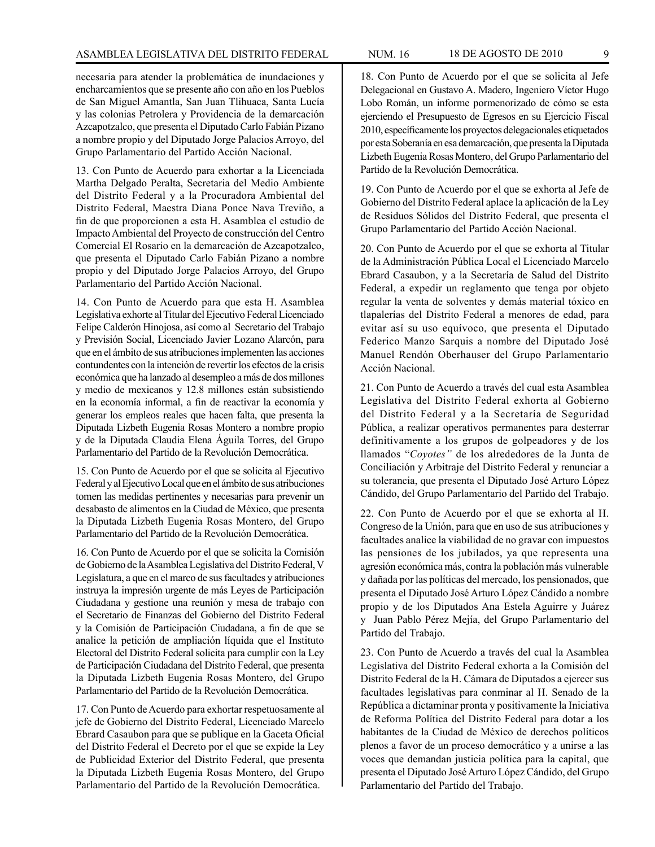necesaria para atender la problemática de inundaciones y encharcamientos que se presente año con año en los Pueblos de San Miguel Amantla, San Juan Tlihuaca, Santa Lucía y las colonias Petrolera y Providencia de la demarcación Azcapotzalco, que presenta el Diputado Carlo Fabián Pizano a nombre propio y del Diputado Jorge Palacios Arroyo, del Grupo Parlamentario del Partido Acción Nacional.

13. Con Punto de Acuerdo para exhortar a la Licenciada Martha Delgado Peralta, Secretaria del Medio Ambiente del Distrito Federal y a la Procuradora Ambiental del Distrito Federal, Maestra Diana Ponce Nava Treviño, a fin de que proporcionen a esta H. Asamblea el estudio de Impacto Ambiental del Proyecto de construcción del Centro Comercial El Rosario en la demarcación de Azcapotzalco, que presenta el Diputado Carlo Fabián Pizano a nombre propio y del Diputado Jorge Palacios Arroyo, del Grupo Parlamentario del Partido Acción Nacional.

14. Con Punto de Acuerdo para que esta H. Asamblea Legislativa exhorte al Titular del Ejecutivo Federal Licenciado Felipe Calderón Hinojosa, así como al Secretario del Trabajo y Previsión Social, Licenciado Javier Lozano Alarcón, para que en el ámbito de sus atribuciones implementen las acciones contundentes con la intención de revertir los efectos de la crisis económica que ha lanzado al desempleo a más de dos millones y medio de mexicanos y 12.8 millones están subsistiendo en la economía informal, a fin de reactivar la economía y generar los empleos reales que hacen falta, que presenta la Diputada Lizbeth Eugenia Rosas Montero a nombre propio y de la Diputada Claudia Elena Águila Torres, del Grupo Parlamentario del Partido de la Revolución Democrática.

15. Con Punto de Acuerdo por el que se solicita al Ejecutivo Federal y al Ejecutivo Local que en el ámbito de sus atribuciones tomen las medidas pertinentes y necesarias para prevenir un desabasto de alimentos en la Ciudad de México, que presenta la Diputada Lizbeth Eugenia Rosas Montero, del Grupo Parlamentario del Partido de la Revolución Democrática.

16. Con Punto de Acuerdo por el que se solicita la Comisión de Gobierno de la Asamblea Legislativa del Distrito Federal, V Legislatura, a que en el marco de sus facultades y atribuciones instruya la impresión urgente de más Leyes de Participación Ciudadana y gestione una reunión y mesa de trabajo con el Secretario de Finanzas del Gobierno del Distrito Federal y la Comisión de Participación Ciudadana, a fin de que se analice la petición de ampliación líquida que el Instituto Electoral del Distrito Federal solicita para cumplir con la Ley de Participación Ciudadana del Distrito Federal, que presenta la Diputada Lizbeth Eugenia Rosas Montero, del Grupo Parlamentario del Partido de la Revolución Democrática.

17. Con Punto de Acuerdo para exhortar respetuosamente al jefe de Gobierno del Distrito Federal, Licenciado Marcelo Ebrard Casaubon para que se publique en la Gaceta Oficial del Distrito Federal el Decreto por el que se expide la Ley de Publicidad Exterior del Distrito Federal, que presenta la Diputada Lizbeth Eugenia Rosas Montero, del Grupo Parlamentario del Partido de la Revolución Democrática.

18. Con Punto de Acuerdo por el que se solicita al Jefe Delegacional en Gustavo A. Madero, Ingeniero Víctor Hugo Lobo Román, un informe pormenorizado de cómo se esta ejerciendo el Presupuesto de Egresos en su Ejercicio Fiscal 2010, específicamente los proyectos delegacionales etiquetados por esta Soberanía en esa demarcación, que presenta la Diputada Lizbeth Eugenia Rosas Montero, del Grupo Parlamentario del Partido de la Revolución Democrática.

19. Con Punto de Acuerdo por el que se exhorta al Jefe de Gobierno del Distrito Federal aplace la aplicación de la Ley de Residuos Sólidos del Distrito Federal, que presenta el Grupo Parlamentario del Partido Acción Nacional.

20. Con Punto de Acuerdo por el que se exhorta al Titular de la Administración Pública Local el Licenciado Marcelo Ebrard Casaubon, y a la Secretaría de Salud del Distrito Federal, a expedir un reglamento que tenga por objeto regular la venta de solventes y demás material tóxico en tlapalerías del Distrito Federal a menores de edad, para evitar así su uso equívoco, que presenta el Diputado Federico Manzo Sarquis a nombre del Diputado José Manuel Rendón Oberhauser del Grupo Parlamentario Acción Nacional.

21. Con Punto de Acuerdo a través del cual esta Asamblea Legislativa del Distrito Federal exhorta al Gobierno del Distrito Federal y a la Secretaría de Seguridad Pública, a realizar operativos permanentes para desterrar definitivamente a los grupos de golpeadores y de los llamados "*Coyotes"* de los alrededores de la Junta de Conciliación y Arbitraje del Distrito Federal y renunciar a su tolerancia, que presenta el Diputado José Arturo López Cándido, del Grupo Parlamentario del Partido del Trabajo.

22. Con Punto de Acuerdo por el que se exhorta al H. Congreso de la Unión, para que en uso de sus atribuciones y facultades analice la viabilidad de no gravar con impuestos las pensiones de los jubilados, ya que representa una agresión económica más, contra la población más vulnerable y dañada por las políticas del mercado, los pensionados, que presenta el Diputado José Arturo López Cándido a nombre propio y de los Diputados Ana Estela Aguirre y Juárez y Juan Pablo Pérez Mejía, del Grupo Parlamentario del Partido del Trabajo.

23. Con Punto de Acuerdo a través del cual la Asamblea Legislativa del Distrito Federal exhorta a la Comisión del Distrito Federal de la H. Cámara de Diputados a ejercer sus facultades legislativas para conminar al H. Senado de la República a dictaminar pronta y positivamente la Iniciativa de Reforma Política del Distrito Federal para dotar a los habitantes de la Ciudad de México de derechos políticos plenos a favor de un proceso democrático y a unirse a las voces que demandan justicia política para la capital, que presenta el Diputado José Arturo López Cándido, del Grupo Parlamentario del Partido del Trabajo.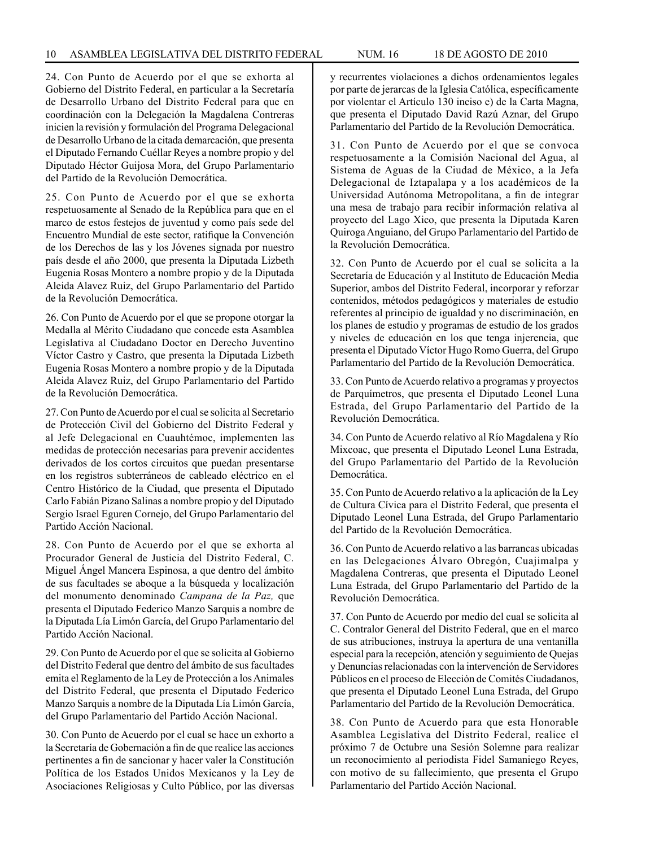24. Con Punto de Acuerdo por el que se exhorta al Gobierno del Distrito Federal, en particular a la Secretaría de Desarrollo Urbano del Distrito Federal para que en coordinación con la Delegación la Magdalena Contreras inicien la revisión y formulación del Programa Delegacional de Desarrollo Urbano de la citada demarcación, que presenta el Diputado Fernando Cuéllar Reyes a nombre propio y del Diputado Héctor Guijosa Mora, del Grupo Parlamentario del Partido de la Revolución Democrática.

25. Con Punto de Acuerdo por el que se exhorta respetuosamente al Senado de la República para que en el marco de estos festejos de juventud y como país sede del Encuentro Mundial de este sector, ratifique la Convención de los Derechos de las y los Jóvenes signada por nuestro país desde el año 2000, que presenta la Diputada Lizbeth Eugenia Rosas Montero a nombre propio y de la Diputada Aleida Alavez Ruiz, del Grupo Parlamentario del Partido de la Revolución Democrática.

26. Con Punto de Acuerdo por el que se propone otorgar la Medalla al Mérito Ciudadano que concede esta Asamblea Legislativa al Ciudadano Doctor en Derecho Juventino Víctor Castro y Castro, que presenta la Diputada Lizbeth Eugenia Rosas Montero a nombre propio y de la Diputada Aleida Alavez Ruiz, del Grupo Parlamentario del Partido de la Revolución Democrática.

27. Con Punto de Acuerdo por el cual se solicita al Secretario de Protección Civil del Gobierno del Distrito Federal y al Jefe Delegacional en Cuauhtémoc, implementen las medidas de protección necesarias para prevenir accidentes derivados de los cortos circuitos que puedan presentarse en los registros subterráneos de cableado eléctrico en el Centro Histórico de la Ciudad, que presenta el Diputado Carlo Fabián Pizano Salinas a nombre propio y del Diputado Sergio Israel Eguren Cornejo, del Grupo Parlamentario del Partido Acción Nacional.

28. Con Punto de Acuerdo por el que se exhorta al Procurador General de Justicia del Distrito Federal, C. Miguel Ángel Mancera Espinosa, a que dentro del ámbito de sus facultades se aboque a la búsqueda y localización del monumento denominado *Campana de la Paz,* que presenta el Diputado Federico Manzo Sarquis a nombre de la Diputada Lía Limón García, del Grupo Parlamentario del Partido Acción Nacional.

29. Con Punto de Acuerdo por el que se solicita al Gobierno del Distrito Federal que dentro del ámbito de sus facultades emita el Reglamento de la Ley de Protección a los Animales del Distrito Federal, que presenta el Diputado Federico Manzo Sarquis a nombre de la Diputada Lía Limón García, del Grupo Parlamentario del Partido Acción Nacional.

30. Con Punto de Acuerdo por el cual se hace un exhorto a la Secretaría de Gobernación a fin de que realice las acciones pertinentes a fin de sancionar y hacer valer la Constitución Política de los Estados Unidos Mexicanos y la Ley de Asociaciones Religiosas y Culto Público, por las diversas y recurrentes violaciones a dichos ordenamientos legales por parte de jerarcas de la Iglesia Católica, específicamente por violentar el Artículo 130 inciso e) de la Carta Magna, que presenta el Diputado David Razú Aznar, del Grupo Parlamentario del Partido de la Revolución Democrática.

31. Con Punto de Acuerdo por el que se convoca respetuosamente a la Comisión Nacional del Agua, al Sistema de Aguas de la Ciudad de México, a la Jefa Delegacional de Iztapalapa y a los académicos de la Universidad Autónoma Metropolitana, a fin de integrar una mesa de trabajo para recibir información relativa al proyecto del Lago Xico, que presenta la Diputada Karen Quiroga Anguiano, del Grupo Parlamentario del Partido de la Revolución Democrática.

32. Con Punto de Acuerdo por el cual se solicita a la Secretaría de Educación y al Instituto de Educación Media Superior, ambos del Distrito Federal, incorporar y reforzar contenidos, métodos pedagógicos y materiales de estudio referentes al principio de igualdad y no discriminación, en los planes de estudio y programas de estudio de los grados y niveles de educación en los que tenga injerencia, que presenta el Diputado Víctor Hugo Romo Guerra, del Grupo Parlamentario del Partido de la Revolución Democrática.

33. Con Punto de Acuerdo relativo a programas y proyectos de Parquímetros, que presenta el Diputado Leonel Luna Estrada, del Grupo Parlamentario del Partido de la Revolución Democrática.

34. Con Punto de Acuerdo relativo al Río Magdalena y Río Mixcoac, que presenta el Diputado Leonel Luna Estrada, del Grupo Parlamentario del Partido de la Revolución Democrática.

35. Con Punto de Acuerdo relativo a la aplicación de la Ley de Cultura Cívica para el Distrito Federal, que presenta el Diputado Leonel Luna Estrada, del Grupo Parlamentario del Partido de la Revolución Democrática.

36. Con Punto de Acuerdo relativo a las barrancas ubicadas en las Delegaciones Álvaro Obregón, Cuajimalpa y Magdalena Contreras, que presenta el Diputado Leonel Luna Estrada, del Grupo Parlamentario del Partido de la Revolución Democrática.

37. Con Punto de Acuerdo por medio del cual se solicita al C. Contralor General del Distrito Federal, que en el marco de sus atribuciones, instruya la apertura de una ventanilla especial para la recepción, atención y seguimiento de Quejas y Denuncias relacionadas con la intervención de Servidores Públicos en el proceso de Elección de Comités Ciudadanos, que presenta el Diputado Leonel Luna Estrada, del Grupo Parlamentario del Partido de la Revolución Democrática.

38. Con Punto de Acuerdo para que esta Honorable Asamblea Legislativa del Distrito Federal, realice el próximo 7 de Octubre una Sesión Solemne para realizar un reconocimiento al periodista Fidel Samaniego Reyes, con motivo de su fallecimiento, que presenta el Grupo Parlamentario del Partido Acción Nacional.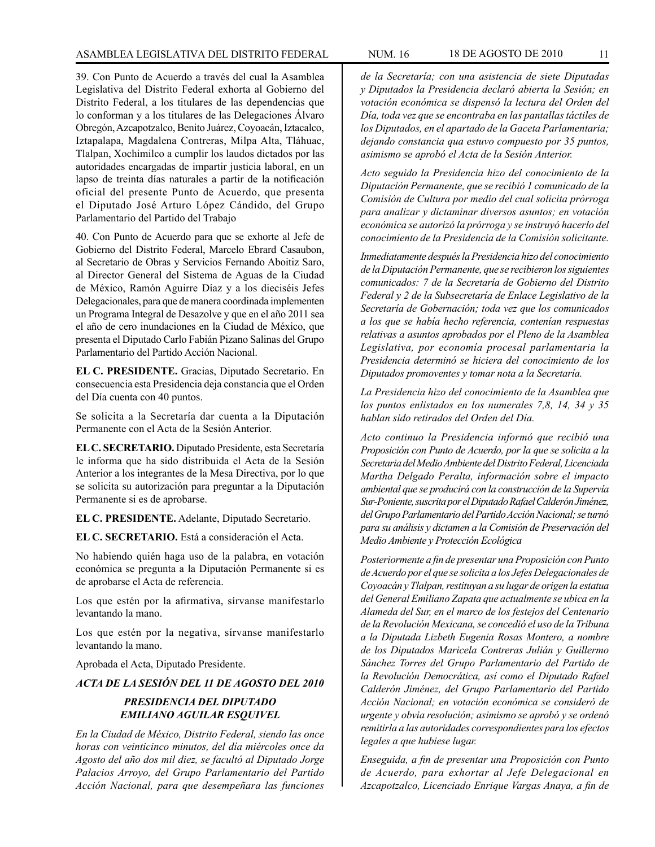39. Con Punto de Acuerdo a través del cual la Asamblea Legislativa del Distrito Federal exhorta al Gobierno del Distrito Federal, a los titulares de las dependencias que lo conforman y a los titulares de las Delegaciones Álvaro Obregón, Azcapotzalco, Benito Juárez, Coyoacán, Iztacalco, Iztapalapa, Magdalena Contreras, Milpa Alta, Tláhuac, Tlalpan, Xochimilco a cumplir los laudos dictados por las autoridades encargadas de impartir justicia laboral, en un lapso de treinta días naturales a partir de la notificación oficial del presente Punto de Acuerdo, que presenta el Diputado José Arturo López Cándido, del Grupo Parlamentario del Partido del Trabajo

40. Con Punto de Acuerdo para que se exhorte al Jefe de Gobierno del Distrito Federal, Marcelo Ebrard Casaubon, al Secretario de Obras y Servicios Fernando Aboitiz Saro, al Director General del Sistema de Aguas de la Ciudad de México, Ramón Aguirre Díaz y a los dieciséis Jefes Delegacionales, para que de manera coordinada implementen un Programa Integral de Desazolve y que en el año 2011 sea el año de cero inundaciones en la Ciudad de México, que presenta el Diputado Carlo Fabián Pizano Salinas del Grupo Parlamentario del Partido Acción Nacional.

**EL C. PRESIDENTE.** Gracias, Diputado Secretario. En consecuencia esta Presidencia deja constancia que el Orden del Día cuenta con 40 puntos.

Se solicita a la Secretaría dar cuenta a la Diputación Permanente con el Acta de la Sesión Anterior.

**EL C. SECRETARIO.** Diputado Presidente, esta Secretaría le informa que ha sido distribuida el Acta de la Sesión Anterior a los integrantes de la Mesa Directiva, por lo que se solicita su autorización para preguntar a la Diputación Permanente si es de aprobarse.

**EL C. PRESIDENTE.** Adelante, Diputado Secretario.

**EL C. SECRETARIO.** Está a consideración el Acta.

No habiendo quién haga uso de la palabra, en votación económica se pregunta a la Diputación Permanente si es de aprobarse el Acta de referencia.

Los que estén por la afirmativa, sírvanse manifestarlo levantando la mano.

Los que estén por la negativa, sírvanse manifestarlo levantando la mano.

Aprobada el Acta, Diputado Presidente.

*ACTA DE LA SESIÓN DEL 11 DE AGOSTO DEL 2010*

## *PRESIDENCIA DEL DIPUTADO EMILIANO AGUILAR ESQUIVEL*

*En la Ciudad de México, Distrito Federal, siendo las once horas con veinticinco minutos, del día miércoles once da Agosto del año dos mil diez, se facultó al Diputado Jorge Palacios Arroyo, del Grupo Parlamentario del Partido Acción Nacional, para que desempeñara las funciones* 

*Acto seguido la Presidencia hizo del conocimiento de la Diputación Permanente, que se recibió 1 comunicado de la Comisión de Cultura por medio del cual solicita prórroga para analizar y dictaminar diversos asuntos; en votación económica se autorizó la prórroga y se instruyó hacerlo del conocimiento de la Presidencia de la Comisión solicitante.*

*Inmediatamente después la Presidencia hizo del conocimiento de la Diputación Permanente, que se recibieron los siguientes comunicados: 7 de la Secretaría de Gobierno del Distrito Federal y 2 de la Subsecretaría de Enlace Legislativo de la Secretaría de Gobernación; toda vez que los comunicados a los que se había hecho referencia, contenían respuestas relativas a asuntos aprobados por el Pleno de la Asamblea Legislativa, por economía procesal parlamentaria la Presidencia determinó se hiciera del conocimiento de los Diputados promoventes y tomar nota a la Secretaría.*

*La Presidencia hizo del conocimiento de la Asamblea que los puntos enlistados en los numerales 7,8, 14, 34 y 35 hablan sido retirados del Orden del Día.*

*Acto continuo la Presidencia informó que recibió una Proposición con Punto de Acuerdo, por la que se solicita a la Secretaria del Medio Ambiente del Distrito Federal, Licenciada Martha Delgado Peralta, información sobre el impacto ambiental que se producirá con la construcción de la Supervía Sur-Poniente, suscrita por el Diputado Rafael Calderón Jiménez, del Grupo Parlamentario del Partido Acción Nacional; se turnó para su análisis y dictamen a la Comisión de Preservación del Medio Ambiente y Protección Ecológica*

*Posteriormente a fin de presentar una Proposición con Punto de Acuerdo por el que se solicita a los Jefes Delegacionales de Coyoacán y Tlalpan, restituyan a su lugar de origen la estatua del General Emiliano Zapata que actualmente se ubica en la Alameda del Sur, en el marco de los festejos del Centenario de la Revolución Mexicana, se concedió el uso de la Tribuna a la Diputada Lizbeth Eugenia Rosas Montero, a nombre de los Diputados Maricela Contreras Julián y Guillermo Sánchez Torres del Grupo Parlamentario del Partido de la Revolución Democrática, así como el Diputado Rafael Calderón Jiménez, del Grupo Parlamentario del Partido Acción Nacional; en votación económica se consideró de urgente y obvia resolución; asimismo se aprobó y se ordenó remitirla a las autoridades correspondientes para los efectos legales a que hubiese lugar.*

*Enseguida, a fin de presentar una Proposición con Punto de Acuerdo, para exhortar al Jefe Delegacional en Azcapotzalco, Licenciado Enrique Vargas Anaya, a fin de*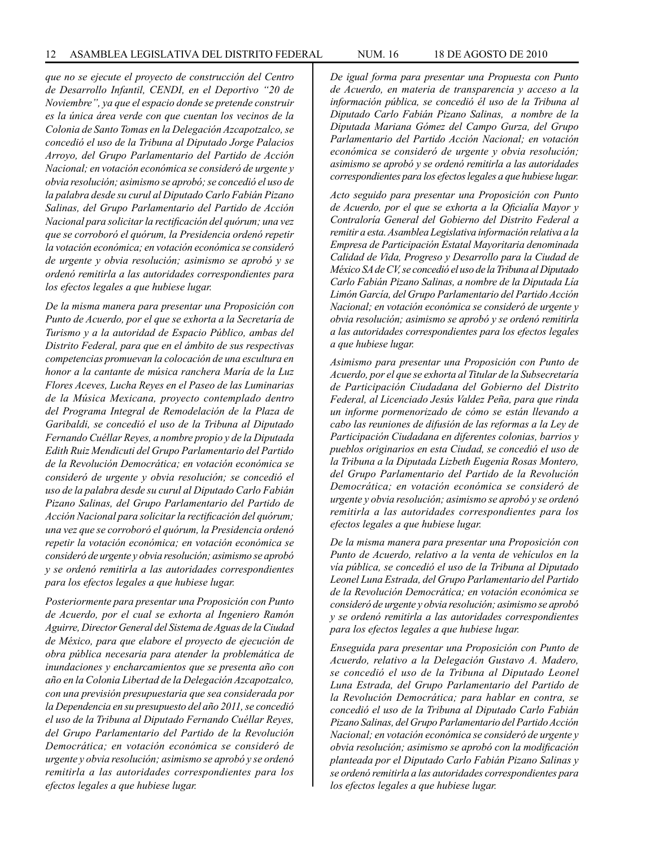*que no se ejecute el proyecto de construcción del Centro de Desarrollo Infantil, CENDI, en el Deportivo "20 de Noviembre", ya que el espacio donde se pretende construir es la única área verde con que cuentan los vecinos de la Colonia de Santo Tomas en la Delegación Azcapotzalco, se concedió el uso de la Tribuna al Diputado Jorge Palacios Arroyo, del Grupo Parlamentario del Partido de Acción Nacional; en votación económica se consideró de urgente y obvia resolución; asimismo se aprobó; se concedió el uso de la palabra desde su curul al Diputado Carlo Fabián Pizano Salinas, del Grupo Parlamentario del Partido de Acción Nacional para solicitar la rectificación del quórum; una vez que se corroboró el quórum, la Presidencia ordenó repetir la votación económica; en votación económica se consideró de urgente y obvia resolución; asimismo se aprobó y se ordenó remitirla a las autoridades correspondientes para los efectos legales a que hubiese lugar.*

*De la misma manera para presentar una Proposición con Punto de Acuerdo, por el que se exhorta a la Secretaría de Turismo y a la autoridad de Espacio Público, ambas del Distrito Federal, para que en el ámbito de sus respectivas competencias promuevan la colocación de una escultura en honor a la cantante de música ranchera María de la Luz Flores Aceves, Lucha Reyes en el Paseo de las Luminarias de la Música Mexicana, proyecto contemplado dentro del Programa Integral de Remodelación de la Plaza de Garibaldi, se concedió el uso de la Tribuna al Diputado Fernando Cuéllar Reyes, a nombre propio y de la Diputada Edith Ruiz Mendicuti del Grupo Parlamentario del Partido de la Revolución Democrática; en votación económica se consideró de urgente y obvia resolución; se concedió el uso de la palabra desde su curul al Diputado Carlo Fabián Pizano Salinas, del Grupo Parlamentario del Partido de Acción Nacional para solicitar la rectificación del quórum; una vez que se corroboró el quórum, la Presidencia ordenó repetir la votación económica; en votación económica se consideró de urgente y obvia resolución; asimismo se aprobó y se ordenó remitirla a las autoridades correspondientes para los efectos legales a que hubiese lugar.*

*Posteriormente para presentar una Proposición con Punto de Acuerdo, por el cual se exhorta al Ingeniero Ramón Aguirre, Director General del Sistema de Aguas de la Ciudad de México, para que elabore el proyecto de ejecución de obra pública necesaria para atender la problemática de inundaciones y encharcamientos que se presenta año con año en la Colonia Libertad de la Delegación Azcapotzalco, con una previsión presupuestaria que sea considerada por la Dependencia en su presupuesto del año 2011, se concedió el uso de la Tribuna al Diputado Fernando Cuéllar Reyes, del Grupo Parlamentario del Partido de la Revolución Democrática; en votación económica se consideró de urgente y obvia resolución; asimismo se aprobó y se ordenó remitirla a las autoridades correspondientes para los efectos legales a que hubiese lugar.*

*De igual forma para presentar una Propuesta con Punto de Acuerdo, en materia de transparencia y acceso a la información pública, se concedió él uso de la Tribuna al Diputado Carlo Fabián Pizano Salinas, a nombre de la Diputada Mariana Gómez del Campo Gurza, del Grupo Parlamentario del Partido Acción Nacional; en votación económica se consideró de urgente y obvia resolución; asimismo se aprobó y se ordenó remitirla a las autoridades correspondientes para los efectos legales a que hubiese lugar.*

*Acto seguido para presentar una Proposición con Punto de Acuerdo, por el que se exhorta a la Oficialía Mayor y Contraloría General del Gobierno del Distrito Federal a remitir a esta. Asamblea Legislativa información relativa a la Empresa de Participación Estatal Mayoritaria denominada Calidad de Vida, Progreso y Desarrollo para la Ciudad de México SA de CV, se concedió el uso de la Tribuna al Diputado Carlo Fabián Pizano Salinas, a nombre de la Diputada Lía Limón García, del Grupo Parlamentario del Partido Acción Nacional; en votación económica se consideró de urgente y obvia resolución; asimismo se aprobó y se ordenó remitirla a las autoridades correspondientes para los efectos legales a que hubiese lugar.*

*Asimismo para presentar una Proposición con Punto de Acuerdo, por el que se exhorta al Titular de la Subsecretaría de Participación Ciudadana del Gobierno del Distrito Federal, al Licenciado Jesús Valdez Peña, para que rinda un informe pormenorizado de cómo se están llevando a cabo las reuniones de difusión de las reformas a la Ley de Participación Ciudadana en diferentes colonias, barrios y pueblos originarios en esta Ciudad, se concedió el uso de la Tribuna a la Diputada Lizbeth Eugenia Rosas Montero, del Grupo Parlamentario del Partido de la Revolución Democrática; en votación económica se consideró de urgente y obvia resolución; asimismo se aprobó y se ordenó remitirla a las autoridades correspondientes para los efectos legales a que hubiese lugar.*

*De la misma manera para presentar una Proposición con Punto de Acuerdo, relativo a la venta de vehículos en la vía pública, se concedió el uso de la Tribuna al Diputado Leonel Luna Estrada, del Grupo Parlamentario del Partido de la Revolución Democrática; en votación económica se consideró de urgente y obvia resolución; asimismo se aprobó y se ordenó remitirla a las autoridades correspondientes para los efectos legales a que hubiese lugar.*

*Enseguida para presentar una Proposición con Punto de Acuerdo, relativo a la Delegación Gustavo A. Madero, se concedió el uso de la Tribuna al Diputado Leonel Luna Estrada, del Grupo Parlamentario del Partido de la Revolución Democrática; para hablar en contra, se concedió el uso de la Tribuna al Diputado Carlo Fabián Pizano Salinas, del Grupo Parlamentario del Partido Acción Nacional; en votación económica se consideró de urgente y obvia resolución; asimismo se aprobó con la modificación planteada por el Diputado Carlo Fabián Pizano Salinas y se ordenó remitirla a las autoridades correspondientes para los efectos legales a que hubiese lugar.*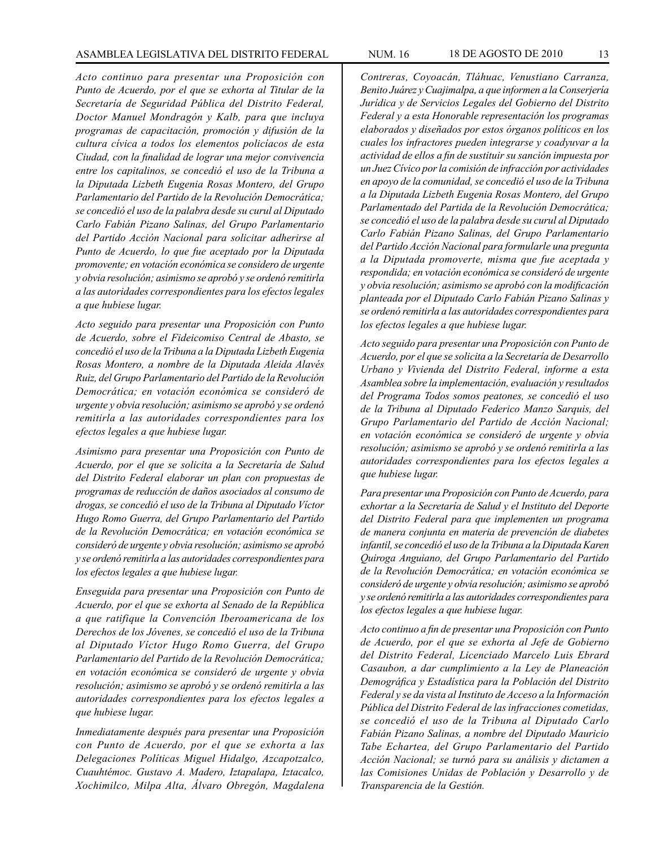*Acto continuo para presentar una Proposición con Punto de Acuerdo, por el que se exhorta al Titular de la Secretaría de Seguridad Pública del Distrito Federal, Doctor Manuel Mondragón y Kalb, para que incluya programas de capacitación, promoción y difusión de la cultura cívica a todos los elementos policíacos de esta Ciudad, con la finalidad de lograr una mejor convivencia entre los capitalinos, se concedió el uso de la Tribuna a la Diputada Lizbeth Eugenia Rosas Montero, del Grupo Parlamentario del Partido de la Revolución Democrática; se concedió el uso de la palabra desde su curul al Diputado Carlo Fabián Pizano Salinas, del Grupo Parlamentario del Partido Acción Nacional para solicitar adherirse al Punto de Acuerdo, lo que fue aceptado por la Diputada promovente; en votación económica se considero de urgente y obvia resolución; asimismo se aprobó y se ordenó remitirla a las autoridades correspondientes para los efectos legales a que hubiese lugar.*

*Acto seguido para presentar una Proposición con Punto de Acuerdo, sobre el Fideicomiso Central de Abasto, se concedió el uso de la Tribuna a la Diputada Lizbeth Eugenia Rosas Montero, a nombre de la Diputada Aleida Alavés Ruiz, del Grupo Parlamentario del Partido de la Revolución Democrática; en votación económica se consideró de urgente y obvia resolución; asimismo se aprobó y se ordenó remitirla a las autoridades correspondientes para los efectos legales a que hubiese lugar.*

*Asimismo para presentar una Proposición con Punto de Acuerdo, por el que se solicita a la Secretaría de Salud del Distrito Federal elaborar un plan con propuestas de programas de reducción de daños asociados al consumo de drogas, se concedió el uso de la Tribuna al Diputado Víctor Hugo Romo Guerra, del Grupo Parlamentario del Partido de la Revolución Democrática; en votación económica se consideró de urgente y obvia resolución; asimismo se aprobó y se ordenó remitirla a las autoridades correspondientes para los efectos legales a que hubiese lugar.*

*Enseguida para presentar una Proposición con Punto de Acuerdo, por el que se exhorta al Senado de la República a que ratifique la Convención Iberoamericana de los Derechos de los Jóvenes, se concedió el uso de la Tribuna al Diputado Víctor Hugo Romo Guerra, del Grupo Parlamentario del Partido de la Revolución Democrática; en votación económica se consideró de urgente y obvia resolución; asimismo se aprobó y se ordenó remitirla a las autoridades correspondientes para los efectos legales a que hubiese lugar.*

*Inmediatamente después para presentar una Proposición con Punto de Acuerdo, por el que se exhorta a las Delegaciones Políticas Miguel Hidalgo, Azcapotzalco, Cuauhtémoc. Gustavo A. Madero, Iztapalapa, Iztacalco, Xochimilco, Milpa Alta, Álvaro Obregón, Magdalena*  *Contreras, Coyoacán, Tláhuac, Venustiano Carranza, Benito Juárez y Cuajimalpa, a que informen a la Conserjería Jurídica y de Servicios Legales del Gobierno del Distrito Federal y a esta Honorable representación los programas elaborados y diseñados por estos órganos políticos en los cuales los infractores pueden integrarse y coadyuvar a la actividad de ellos a fin de sustituir su sanción impuesta por un Juez Cívico por la comisión de infracción por actividades en apoyo de la comunidad, se concedió el uso de la Tribuna a la Diputada Lizbeth Eugenia Rosas Montero, del Grupo Parlamentado del Partida de la Revolución Democrática; se concedió el uso de la palabra desde su curul al Diputado Carlo Fabián Pizano Salinas, del Grupo Parlamentario del Partido Acción Nacional para formularle una pregunta a la Diputada promoverte, misma que fue aceptada y respondida; en votación económica se consideró de urgente y obvia resolución; asimismo se aprobó con la modificación planteada por el Diputado Carlo Fabián Pizano Salinas y se ordenó remitirla a las autoridades correspondientes para los efectos legales a que hubiese lugar.*

*Acto seguido para presentar una Proposición con Punto de Acuerdo, por el que se solicita a la Secretaría de Desarrollo Urbano y Vivienda del Distrito Federal, informe a esta Asamblea sobre la implementación, evaluación y resultados del Programa Todos somos peatones, se concedió el uso de la Tribuna al Diputado Federico Manzo Sarquis, del Grupo Parlamentario del Partido de Acción Nacional; en votación económica se consideró de urgente y obvia resolución; asimismo se aprobó y se ordenó remitirla a las autoridades correspondientes para los efectos legales a que hubiese lugar.*

*Para presentar una Proposición con Punto de Acuerdo, para exhortar a la Secretaría de Salud y el Instituto del Deporte del Distrito Federal para que implementen un programa de manera conjunta en materia de prevención de diabetes infantil, se concedió el uso de la Tribuna a la Diputada Karen Quiroga Anguiano, del Grupo Parlamentario del Partido de la Revolución Democrática; en votación económica se consideró de urgente y obvia resolución; asimismo se aprobó y se ordenó remitirla a las autoridades correspondientes para los efectos legales a que hubiese lugar.*

*Acto continuo a fin de presentar una Proposición con Punto de Acuerdo, por el que se exhorta al Jefe de Gobierno del Distrito Federal, Licenciado Marcelo Luis Ebrard Casaubon, a dar cumplimiento a la Ley de Planeación Demográfica y Estadística para la Población del Distrito Federal y se da vista al Instituto de Acceso a la Información Pública del Distrito Federal de las infracciones cometidas, se concedió el uso de la Tribuna al Diputado Carlo Fabián Pizano Salinas, a nombre del Diputado Mauricio Tabe Echartea, del Grupo Parlamentario del Partido Acción Nacional; se turnó para su análisis y dictamen a las Comisiones Unidas de Población y Desarrollo y de Transparencia de la Gestión.*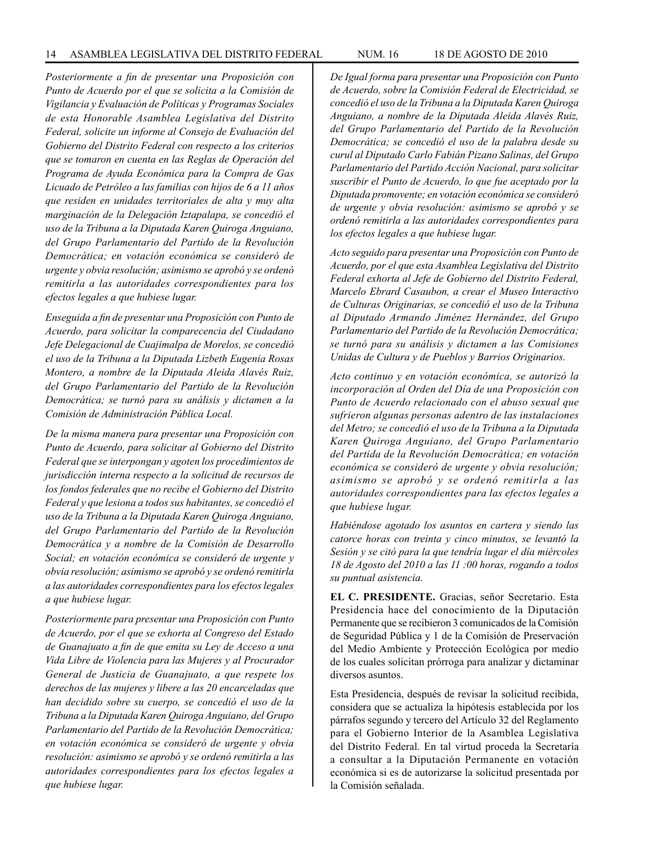*Posteriormente a fin de presentar una Proposición con Punto de Acuerdo por el que se solicita a la Comisión de Vigilancia y Evaluación de Políticas y Programas Sociales de esta Honorable Asamblea Legislativa del Distrito Federal, solicite un informe al Consejo de Evaluación del Gobierno del Distrito Federal con respecto a los criterios que se tomaron en cuenta en las Reglas de Operación del Programa de Ayuda Económica para la Compra de Gas Licuado de Petróleo a las familias con hijos de 6 a 11 años que residen en unidades territoriales de alta y muy alta marginación de la Delegación Iztapalapa, se concedió el uso de la Tribuna a la Diputada Karen Quiroga Anguiano, del Grupo Parlamentario del Partido de la Revolución Democrática; en votación económica se consideró de urgente y obvia resolución; asimismo se aprobó y se ordenó remitirla a las autoridades correspondientes para los efectos legales a que hubiese lugar.*

*Enseguida a fin de presentar una Proposición con Punto de Acuerdo, para solicitar la comparecencia del Ciudadano Jefe Delegacional de Cuajimalpa de Morelos, se concedió el uso de la Tribuna a la Diputada Lizbeth Eugenia Rosas Montero, a nombre de la Diputada Aleida Alavés Ruiz, del Grupo Parlamentario del Partido de la Revolución Democrática; se turnó para su análisis y dictamen a la Comisión de Administración Pública Local.*

*De la misma manera para presentar una Proposición con Punto de Acuerdo, para solicitar al Gobierno del Distrito Federal que se interpongan y agoten los procedimientos de jurisdicción interna respecto a la solicitud de recursos de los fondos federales que no recibe el Gobierno del Distrito Federal y que lesiona a todos sus habitantes, se concedió el uso de la Tribuna a la Diputada Karen Quiroga Anguiano, del Grupo Parlamentario del Partido de la Revolución Democrática y a nombre de la Comisión de Desarrollo Social; en votación económica se consideró de urgente y obvia resolución; asimismo se aprobó y se ordenó remitirla a las autoridades correspondientes para los efectos legales a que hubiese lugar.*

*Posteriormente para presentar una Proposición con Punto de Acuerdo, por el que se exhorta al Congreso del Estado de Guanajuato a fin de que emita su Ley de Acceso a una Vida Libre de Violencia para las Mujeres y al Procurador General de Justicia de Guanajuato, a que respete los derechos de las mujeres y libere a las 20 encarceladas que han decidido sobre su cuerpo, se concedió el uso de la Tribuna a la Diputada Karen Quiroga Anguiano, del Grupo Parlamentario del Partido de la Revolución Democrática; en votación económica se consideró de urgente y obvia resolución: asimismo se aprobó y se ordenó remitirla a las autoridades correspondientes para los efectos legales a que hubiese lugar.*

*De Igual forma para presentar una Proposición con Punto de Acuerdo, sobre la Comisión Federal de Electricidad, se concedió el uso de la Tribuna a la Diputada Karen Quiroga Anguiano, a nombre de la Diputada Aleida Alavés Ruiz, del Grupo Parlamentario del Partido de la Revolución Democrática; se concedió el uso de la palabra desde su curul al Diputado Carlo Fabián Pizano Salinas, del Grupo Parlamentario del Partido Acción Nacional, para solicitar suscribir el Punto de Acuerdo, lo que fue aceptado por la Diputada promovente; en votación económica se consideró de urgente y obvia resolución: asimismo se aprobó y se ordenó remitirla a las autoridades correspondientes para los efectos legales a que hubiese lugar.*

*Acto seguido para presentar una Proposición con Punto de Acuerdo, por el que esta Asamblea Legislativa del Distrito Federal exhorta al Jefe de Gobierno del Distrito Federal, Marcelo Ebrard Casaubon, a crear el Museo Interactivo de Culturas Originarias, se concedió el uso de la Tribuna al Diputado Armando Jiménez Hernández, del Grupo Parlamentario del Partido de la Revolución Democrática; se turnó para su análisis y dictamen a las Comisiones Unidas de Cultura y de Pueblos y Barrios Originarios.*

*Acto continuo y en votación económica, se autorizó la incorporación al Orden del Día de una Proposición con Punto de Acuerdo relacionado con el abuso sexual que sufrieron algunas personas adentro de las instalaciones del Metro; se concedió el uso de la Tribuna a la Diputada Karen Quiroga Anguiano, del Grupo Parlamentario del Partida de la Revolución Democrática; en votación económica se consideró de urgente y obvia resolución; asimismo se aprobó y se ordenó remitirla a las autoridades correspondientes para las efectos legales a que hubiese lugar.*

*Habiéndose agotado los asuntos en cartera y siendo las catorce horas con treinta y cinco minutos, se levantó la Sesión y se citó para la que tendría lugar el día miércoles 18 de Agosto del 2010 a las 11 :00 horas, rogando a todos su puntual asistencia.* 

**EL C. PRESIDENTE.** Gracias, señor Secretario. Esta Presidencia hace del conocimiento de la Diputación Permanente que se recibieron 3 comunicados de la Comisión de Seguridad Pública y 1 de la Comisión de Preservación del Medio Ambiente y Protección Ecológica por medio de los cuales solicitan prórroga para analizar y dictaminar diversos asuntos.

Esta Presidencia, después de revisar la solicitud recibida, considera que se actualiza la hipótesis establecida por los párrafos segundo y tercero del Artículo 32 del Reglamento para el Gobierno Interior de la Asamblea Legislativa del Distrito Federal. En tal virtud proceda la Secretaría a consultar a la Diputación Permanente en votación económica si es de autorizarse la solicitud presentada por la Comisión señalada.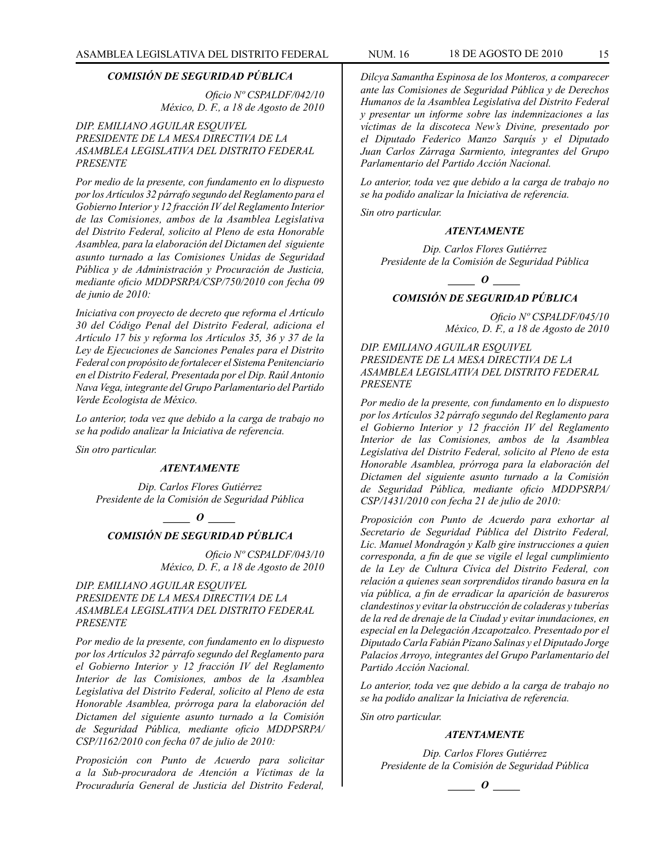#### *COMISIÓN DE SEGURIDAD PÚBLICA*

*Oficio Nº CSPALDF/042/10 México, D. F., a 18 de Agosto de 2010*

#### *DIP. EMILIANO AGUILAR ESQUIVEL PRESIDENTE DE LA MESA DIRECTIVA DE LA ASAMBLEA LEGISLATIVA DEL DISTRITO FEDERAL PRESENTE*

*Por medio de la presente, con fundamento en lo dispuesto por los Artículos 32 párrafo segundo del Reglamento para el Gobierno Interior y 12 fracción IV del Reglamento Interior de las Comisiones, ambos de la Asamblea Legislativa del Distrito Federal, solicito al Pleno de esta Honorable Asamblea, para la elaboración del Dictamen del siguiente asunto turnado a las Comisiones Unidas de Seguridad Pública y de Administración y Procuración de Justicia, mediante oficio MDDPSRPA/CSP/750/2010 con fecha 09 de junio de 2010:*

*Iniciativa con proyecto de decreto que reforma el Artículo 30 del Código Penal del Distrito Federal, adiciona el Artículo 17 bis y reforma los Artículos 35, 36 y 37 de la Ley de Ejecuciones de Sanciones Penales para el Distrito Federal con propósito de fortalecer el Sistema Penitenciario en el Distrito Federal, Presentada por el Dip. Raúl Antonio Nava Vega, integrante del Grupo Parlamentario del Partido Verde Ecologista de México.*

*Lo anterior, toda vez que debido a la carga de trabajo no se ha podido analizar la Iniciativa de referencia.*

*Sin otro particular.*

#### *ATENTAMENTE*

*Dip. Carlos Flores Gutiérrez Presidente de la Comisión de Seguridad Pública*

*\_\_\_\_\_ O \_\_\_\_\_*

## *COMISIÓN DE SEGURIDAD PÚBLICA*

*Oficio Nº CSPALDF/043/10 México, D. F., a 18 de Agosto de 2010*

*DIP. EMILIANO AGUILAR ESQUIVEL PRESIDENTE DE LA MESA DIRECTIVA DE LA ASAMBLEA LEGISLATIVA DEL DISTRITO FEDERAL PRESENTE*

*Por medio de la presente, con fundamento en lo dispuesto por los Artículos 32 párrafo segundo del Reglamento para el Gobierno Interior y 12 fracción IV del Reglamento Interior de las Comisiones, ambos de la Asamblea Legislativa del Distrito Federal, solicito al Pleno de esta Honorable Asamblea, prórroga para la elaboración del Dictamen del siguiente asunto turnado a la Comisión de Seguridad Pública, mediante oficio MDDPSRPA/ CSP/1162/2010 con fecha 07 de julio de 2010:* 

*Proposición con Punto de Acuerdo para solicitar a la Sub-procuradora de Atención a Víctimas de la Procuraduría General de Justicia del Distrito Federal,* 

*Dilcya Samantha Espinosa de los Monteros, a comparecer ante las Comisiones de Seguridad Pública y de Derechos Humanos de la Asamblea Legislativa del Distrito Federal y presentar un informe sobre las indemnizaciones a las víctimas de la discoteca New's Divine, presentado por el Diputado Federico Manzo Sarquís y el Diputado Juan Carlos Zárraga Sarmiento, integrantes del Grupo Parlamentario del Partido Acción Nacional.* 

*Lo anterior, toda vez que debido a la carga de trabajo no se ha podido analizar la Iniciativa de referencia.* 

*Sin otro particular.* 

#### *ATENTAMENTE*

*Dip. Carlos Flores Gutiérrez Presidente de la Comisión de Seguridad Pública*

*\_\_\_\_\_ O \_\_\_\_\_*

## *COMISIÓN DE SEGURIDAD PÚBLICA*

*Oficio Nº CSPALDF/045/10 México, D. F., a 18 de Agosto de 2010*

*DIP. EMILIANO AGUILAR ESQUIVEL PRESIDENTE DE LA MESA DIRECTIVA DE LA ASAMBLEA LEGISLATIVA DEL DISTRITO FEDERAL PRESENTE*

*Por medio de la presente, con fundamento en lo dispuesto por los Artículos 32 párrafo segundo del Reglamento para el Gobierno Interior y 12 fracción IV del Reglamento Interior de las Comisiones, ambos de la Asamblea Legislativa del Distrito Federal, solicito al Pleno de esta Honorable Asamblea, prórroga para la elaboración del Dictamen del siguiente asunto turnado a la Comisión de Seguridad Pública, mediante oficio MDDPSRPA/ CSP/1431/2010 con fecha 21 de julio de 2010:* 

*Proposición con Punto de Acuerdo para exhortar al Secretario de Seguridad Pública del Distrito Federal, Lic. Manuel Mondragón y Kalb gire instrucciones a quien corresponda, a fin de que se vigile el legal cumplimiento de la Ley de Cultura Cívica del Distrito Federal, con relación a quienes sean sorprendidos tirando basura en la vía pública, a fin de erradicar la aparición de basureros clandestinos y evitar la obstrucción de coladeras y tuberías de la red de drenaje de la Ciudad y evitar inundaciones, en especial en la Delegación Azcapotzalco. Presentado por el Diputado Carla Fabián Pizano Salinas y el Diputado Jorge Palacios Arroyo, integrantes del Grupo Parlamentario del Partido Acción Nacional.* 

*Lo anterior, toda vez que debido a la carga de trabajo no se ha podido analizar la Iniciativa de referencia.* 

*Sin otro particular.*

## *ATENTAMENTE*

*Dip. Carlos Flores Gutiérrez Presidente de la Comisión de Seguridad Pública*

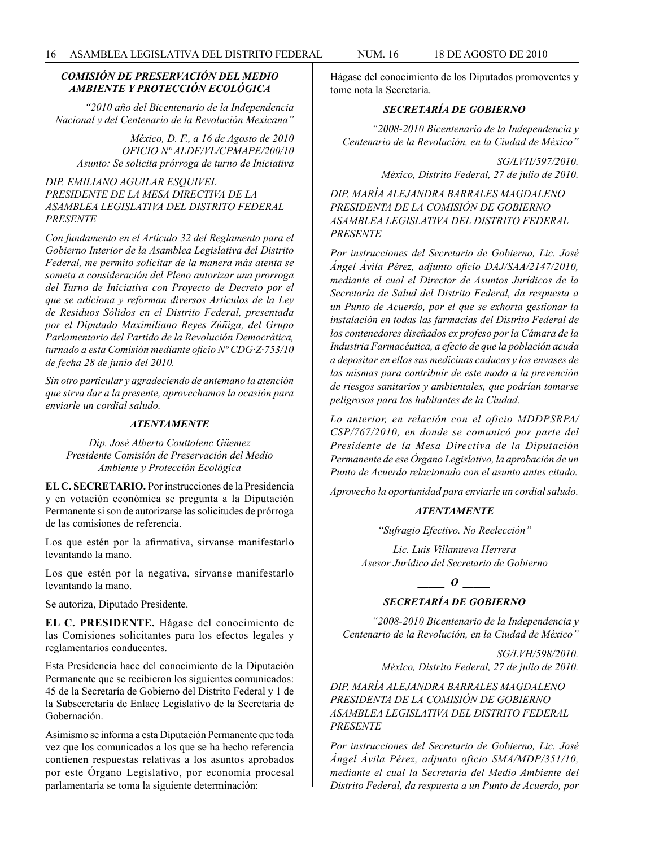#### *COMISIÓN DE PRESERVACIÓN DEL MEDIO AMBIENTE Y PROTECCIÓN ECOLÓGICA*

*"2010 año del Bicentenario de la Independencia Nacional y del Centenario de la Revolución Mexicana"*

*México, D. F., a 16 de Agosto de 2010 OFICIO Nº ALDF/VL/CPMAPE/200/10 Asunto: Se solicita prórroga de turno de Iniciativa*

## *DIP. EMILIANO AGUILAR ESQUIVEL PRESIDENTE DE LA MESA DIRECTIVA DE LA ASAMBLEA LEGISLATIVA DEL DISTRITO FEDERAL PRESENTE*

*Con fundamento en el Artículo 32 del Reglamento para el Gobierno Interior de la Asamblea Legislativa del Distrito Federal, me permito solicitar de la manera más atenta se someta a consideración del Pleno autorizar una prorroga del Turno de Iniciativa con Proyecto de Decreto por el que se adiciona y reforman diversos Artículos de la Ley de Residuos Sólidos en el Distrito Federal, presentada por el Diputado Maximiliano Reyes Zúñiga, del Grupo Parlamentario del Partido de la Revolución Democrática, turnado a esta Comisión mediante oficio Nº CDG·Z·753/10 de fecha 28 de junio del 2010.*

*Sin otro particular y agradeciendo de antemano la atención que sirva dar a la presente, aprovechamos la ocasión para enviarle un cordial saludo.*

#### *ATENTAMENTE*

#### *Dip. José Alberto Couttolenc Güemez Presidente Comisión de Preservación del Medio Ambiente y Protección Ecológica*

**EL C. SECRETARIO.** Por instrucciones de la Presidencia y en votación económica se pregunta a la Diputación Permanente si son de autorizarse las solicitudes de prórroga de las comisiones de referencia.

Los que estén por la afirmativa, sírvanse manifestarlo levantando la mano.

Los que estén por la negativa, sírvanse manifestarlo levantando la mano.

Se autoriza, Diputado Presidente.

**EL C. PRESIDENTE.** Hágase del conocimiento de las Comisiones solicitantes para los efectos legales y reglamentarios conducentes.

Esta Presidencia hace del conocimiento de la Diputación Permanente que se recibieron los siguientes comunicados: 45 de la Secretaría de Gobierno del Distrito Federal y 1 de la Subsecretaría de Enlace Legislativo de la Secretaría de Gobernación.

Asimismo se informa a esta Diputación Permanente que toda vez que los comunicados a los que se ha hecho referencia contienen respuestas relativas a los asuntos aprobados por este Órgano Legislativo, por economía procesal parlamentaria se toma la siguiente determinación:

Hágase del conocimiento de los Diputados promoventes y tome nota la Secretaría.

## *SECRETARÍA DE GOBIERNO*

*"2008-2010 Bicentenario de la Independencia y Centenario de la Revolución, en la Ciudad de México"*

> *SG/LVH/597/2010. México, Distrito Federal, 27 de julio de 2010.*

*DIP. MARÍA ALEJANDRA BARRALES MAGDALENO PRESIDENTA DE LA COMISIÓN DE GOBIERNO ASAMBLEA LEGISLATIVA DEL DISTRITO FEDERAL PRESENTE*

*Por instrucciones del Secretario de Gobierno, Lic. José Ángel Ávila Pérez, adjunto oficio DAJ/SAA/2147/2010, mediante el cual el Director de Asuntos Jurídicos de la Secretaría de Salud del Distrito Federal, da respuesta a un Punto de Acuerdo, por el que se exhorta gestionar la instalación en todas las farmacias del Distrito Federal de los contenedores diseñados ex profeso por la Cámara de la Industria Farmacéutica, a efecto de que la población acuda a depositar en ellos sus medicinas caducas y los envases de las mismas para contribuir de este modo a la prevención de riesgos sanitarios y ambientales, que podrían tomarse peligrosos para los habitantes de la Ciudad.*

*Lo anterior, en relación con el oficio MDDPSRPA/ CSP/767/2010, en donde se comunicó por parte del Presidente de la Mesa Directiva de la Diputación Permanente de ese Órgano Legislativo, la aprobación de un Punto de Acuerdo relacionado con el asunto antes citado.*

*Aprovecho la oportunidad para enviarle un cordial saludo.*

#### *ATENTAMENTE*

*"Sufragio Efectivo. No Reelección"*

*Lic. Luis Villanueva Herrera Asesor Jurídico del Secretario de Gobierno*

*SECRETARÍA DE GOBIERNO*

*"2008-2010 Bicentenario de la Independencia y Centenario de la Revolución, en la Ciudad de México"*

*\_\_\_\_\_ O \_\_\_\_\_*

*SG/LVH/598/2010. México, Distrito Federal, 27 de julio de 2010.*

*DIP. MARÍA ALEJANDRA BARRALES MAGDALENO PRESIDENTA DE LA COMISIÓN DE GOBIERNO ASAMBLEA LEGISLATIVA DEL DISTRITO FEDERAL PRESENTE*

*Por instrucciones del Secretario de Gobierno, Lic. José Ángel Ávila Pérez, adjunto oficio SMA/MDP/351/10, mediante el cual la Secretaría del Medio Ambiente del Distrito Federal, da respuesta a un Punto de Acuerdo, por*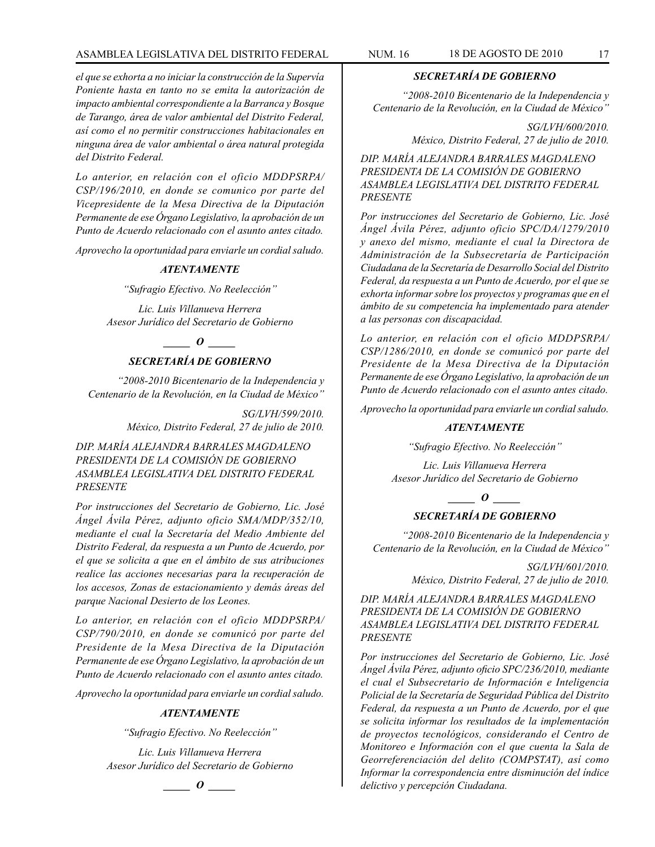## ASAMBLEA LEGISLATIVA DEL DISTRITO FEDERAL NUM. 16 18 DE AGOSTO DE 2010 17

*el que se exhorta a no iniciar la construcción de la Supervía Poniente hasta en tanto no se emita la autorización de impacto ambiental correspondiente a la Barranca y Bosque de Tarango, área de valor ambiental del Distrito Federal, así como el no permitir construcciones habitacionales en ninguna área de valor ambiental o área natural protegida del Distrito Federal.*

*Lo anterior, en relación con el oficio MDDPSRPA/ CSP/196/2010, en donde se comunico por parte del Vicepresidente de la Mesa Directiva de la Diputación Permanente de ese Órgano Legislativo, la aprobación de un Punto de Acuerdo relacionado con el asunto antes citado.*

*Aprovecho la oportunidad para enviarle un cordial saludo.*

## *ATENTAMENTE*

*"Sufragio Efectivo. No Reelección"*

*Lic. Luis Villanueva Herrera Asesor Jurídico del Secretario de Gobierno*

*\_\_\_\_\_ O \_\_\_\_\_*

## *SECRETARÍA DE GOBIERNO*

*"2008-2010 Bicentenario de la Independencia y Centenario de la Revolución, en la Ciudad de México"*

> *SG/LVH/599/2010. México, Distrito Federal, 27 de julio de 2010.*

*DIP. MARÍA ALEJANDRA BARRALES MAGDALENO PRESIDENTA DE LA COMISIÓN DE GOBIERNO ASAMBLEA LEGISLATIVA DEL DISTRITO FEDERAL PRESENTE*

*Por instrucciones del Secretario de Gobierno, Lic. José Ángel Ávila Pérez, adjunto oficio SMA/MDP/352/10, mediante el cual la Secretaría del Medio Ambiente del Distrito Federal, da respuesta a un Punto de Acuerdo, por el que se solicita a que en el ámbito de sus atribuciones realice las acciones necesarias para la recuperación de los accesos, Zonas de estacionamiento y demás áreas del parque Nacional Desierto de los Leones.*

*Lo anterior, en relación con el oficio MDDPSRPA/ CSP/790/2010, en donde se comunicó por parte del Presidente de la Mesa Directiva de la Diputación Permanente de ese Órgano Legislativo, la aprobación de un Punto de Acuerdo relacionado con el asunto antes citado.*

*Aprovecho la oportunidad para enviarle un cordial saludo.*

#### *ATENTAMENTE*

*"Sufragio Efectivo. No Reelección"*

*Lic. Luis Villanueva Herrera Asesor Jurídico del Secretario de Gobierno*

*\_\_\_\_\_ O \_\_\_\_\_*

## *SECRETARÍA DE GOBIERNO*

*"2008-2010 Bicentenario de la Independencia y Centenario de la Revolución, en la Ciudad de México"*

> *SG/LVH/600/2010. México, Distrito Federal, 27 de julio de 2010.*

*DIP. MARÍA ALEJANDRA BARRALES MAGDALENO PRESIDENTA DE LA COMISIÓN DE GOBIERNO ASAMBLEA LEGISLATIVA DEL DISTRITO FEDERAL PRESENTE*

*Por instrucciones del Secretario de Gobierno, Lic. José Ángel Ávila Pérez, adjunto oficio SPC/DA/1279/2010 y anexo del mismo, mediante el cual la Directora de Administración de la Subsecretaría de Participación Ciudadana de la Secretaría de Desarrollo Social del Distrito Federal, da respuesta a un Punto de Acuerdo, por el que se exhorta informar sobre los proyectos y programas que en el ámbito de su competencia ha implementado para atender a las personas con discapacidad.*

*Lo anterior, en relación con el oficio MDDPSRPA/ CSP/1286/2010, en donde se comunicó por parte del Presidente de la Mesa Directiva de la Diputación Permanente de ese Órgano Legislativo, la aprobación de un Punto de Acuerdo relacionado con el asunto antes citado.*

*Aprovecho la oportunidad para enviarle un cordial saludo.*

#### *ATENTAMENTE*

*"Sufragio Efectivo. No Reelección"*

*Lic. Luis Villanueva Herrera Asesor Jurídico del Secretario de Gobierno*

*\_\_\_\_\_ O \_\_\_\_\_*

## *SECRETARÍA DE GOBIERNO*

*"2008-2010 Bicentenario de la Independencia y Centenario de la Revolución, en la Ciudad de México"*

> *SG/LVH/601/2010. México, Distrito Federal, 27 de julio de 2010.*

*DIP. MARÍA ALEJANDRA BARRALES MAGDALENO PRESIDENTA DE LA COMISIÓN DE GOBIERNO ASAMBLEA LEGISLATIVA DEL DISTRITO FEDERAL PRESENTE*

*Por instrucciones del Secretario de Gobierno, Lic. José Ángel Ávila Pérez, adjunto oficio SPC/236/2010, mediante el cual el Subsecretario de Información e Inteligencia Policial de la Secretaría de Seguridad Pública del Distrito Federal, da respuesta a un Punto de Acuerdo, por el que se solicita informar los resultados de la implementación de proyectos tecnológicos, considerando el Centro de Monitoreo e Información con el que cuenta la Sala de Georreferenciación del delito (COMPSTAT), así como Informar la correspondencia entre disminución del índice delictivo y percepción Ciudadana.*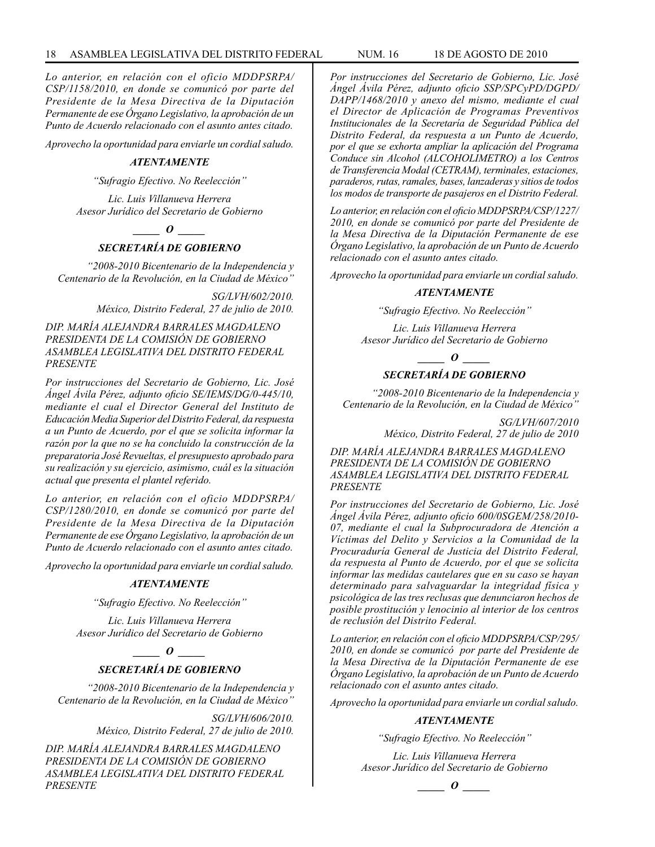#### 18 ASAMBLEA LEGISLATIVA DEL DISTRITO FEDERAL NUM. 16 18 de AGOSTO de 2010

*Lo anterior, en relación con el oficio MDDPSRPA/ CSP/1158/2010, en donde se comunicó por parte del Presidente de la Mesa Directiva de la Diputación Permanente de ese Órgano Legislativo, la aprobación de un Punto de Acuerdo relacionado con el asunto antes citado.*

*Aprovecho la oportunidad para enviarle un cordial saludo.*

#### *ATENTAMENTE*

*"Sufragio Efectivo. No Reelección"*

*Lic. Luis Villanueva Herrera Asesor Jurídico del Secretario de Gobierno*

*\_\_\_\_\_ O \_\_\_\_\_*

## *SECRETARÍA DE GOBIERNO*

*"2008-2010 Bicentenario de la Independencia y Centenario de la Revolución, en la Ciudad de México"*

> *SG/LVH/602/2010. México, Distrito Federal, 27 de julio de 2010.*

#### *DIP. MARÍA ALEJANDRA BARRALES MAGDALENO PRESIDENTA DE LA COMISIÓN DE GOBIERNO ASAMBLEA LEGISLATIVA DEL DISTRITO FEDERAL PRESENTE*

*Por instrucciones del Secretario de Gobierno, Lic. José Ángel Ávila Pérez, adjunto oficio SE/IEMS/DG/0-445/10, mediante el cual el Director General del Instituto de Educación Media Superior del Distrito Federal, da respuesta a un Punto de Acuerdo, por el que se solicita informar la razón por la que no se ha concluido la construcción de la preparatoria José Revueltas, el presupuesto aprobado para su realización y su ejercicio, asimismo, cuál es la situación actual que presenta el plantel referido.*

*Lo anterior, en relación con el oficio MDDPSRPA/ CSP/1280/2010, en donde se comunicó por parte del Presidente de la Mesa Directiva de la Diputación Permanente de ese Órgano Legislativo, la aprobación de un Punto de Acuerdo relacionado con el asunto antes citado.*

*Aprovecho la oportunidad para enviarle un cordial saludo.*

#### *ATENTAMENTE*

*"Sufragio Efectivo. No Reelección"*

*Lic. Luis Villanueva Herrera Asesor Jurídico del Secretario de Gobierno*

> *\_\_\_\_\_ O \_\_\_\_\_ SECRETARÍA DE GOBIERNO*

*"2008-2010 Bicentenario de la Independencia y Centenario de la Revolución, en la Ciudad de México"*

> *SG/LVH/606/2010. México, Distrito Federal, 27 de julio de 2010.*

*DIP. MARÍA ALEJANDRA BARRALES MAGDALENO PRESIDENTA DE LA COMISIÓN DE GOBIERNO ASAMBLEA LEGISLATIVA DEL DISTRITO FEDERAL PRESENTE*

*Por instrucciones del Secretario de Gobierno, Lic. José Ángel Ávila Pérez, adjunto oficio SSP/SPCyPD/DGPD/ DAPP/1468/2010 y anexo del mismo, mediante el cual el Director de Aplicación de Programas Preventivos Institucionales de la Secretaría de Seguridad Pública del Distrito Federal, da respuesta a un Punto de Acuerdo, por el que se exhorta ampliar la aplicación del Programa Conduce sin Alcohol (ALCOHOLIMETRO) a los Centros de Transferencia Modal (CETRAM), terminales, estaciones, paraderos, rutas, ramales, bases, lanzaderas y sitios de todos los modos de transporte de pasajeros en el Distrito Federal.*

*Lo anterior, en relación con el oficio MDDPSRPA/CSP/1227/ 2010, en donde se comunicó por parte del Presidente de la Mesa Directiva de la Diputación Permanente de ese Órgano Legislativo, la aprobación de un Punto de Acuerdo relacionado con el asunto antes citado.*

*Aprovecho la oportunidad para enviarle un cordial saludo.*

#### *ATENTAMENTE*

*"Sufragio Efectivo. No Reelección"*

*Lic. Luis Villanueva Herrera Asesor Jurídico del Secretario de Gobierno*

*\_\_\_\_\_ O \_\_\_\_\_*

## *SECRETARÍA DE GOBIERNO*

*"2008-2010 Bicentenario de la Independencia y Centenario de la Revolución, en la Ciudad de México"*

> *SG/LVH/607/2010 México, Distrito Federal, 27 de julio de 2010*

*DIP. MARÍA ALEJANDRA BARRALES MAGDALENO PRESIDENTA DE LA COMISIÓN DE GOBIERNO ASAMBLEA LEGISLATIVA DEL DISTRITO FEDERAL PRESENTE*

*Por instrucciones del Secretario de Gobierno, Lic. José Ángel Ávila Pérez, adjunto oficio 600/0SGEM/258/2010- 07, mediante el cual la Subprocuradora de Atención a Víctimas del Delito y Servicios a la Comunidad de la Procuraduría General de Justicia del Distrito Federal, da respuesta al Punto de Acuerdo, por el que se solicita informar las medidas cautelares que en su caso se hayan determinado para salvaguardar la integridad física y psicológica de las tres reclusas que denunciaron hechos de posible prostitución y lenocinio al interior de los centros de reclusión del Distrito Federal.*

*Lo anterior, en relación con el oficio MDDPSRPA/CSP/295/ 2010, en donde se comunicó por parte del Presidente de la Mesa Directiva de la Diputación Permanente de ese Órgano Legislativo, la aprobación de un Punto de Acuerdo relacionado con el asunto antes citado.*

*Aprovecho la oportunidad para enviarle un cordial saludo.*

#### *ATENTAMENTE*

*"Sufragio Efectivo. No Reelección"*

*Lic. Luis Villanueva Herrera Asesor Jurídico del Secretario de Gobierno*

*\_\_\_\_\_ O \_\_\_\_\_*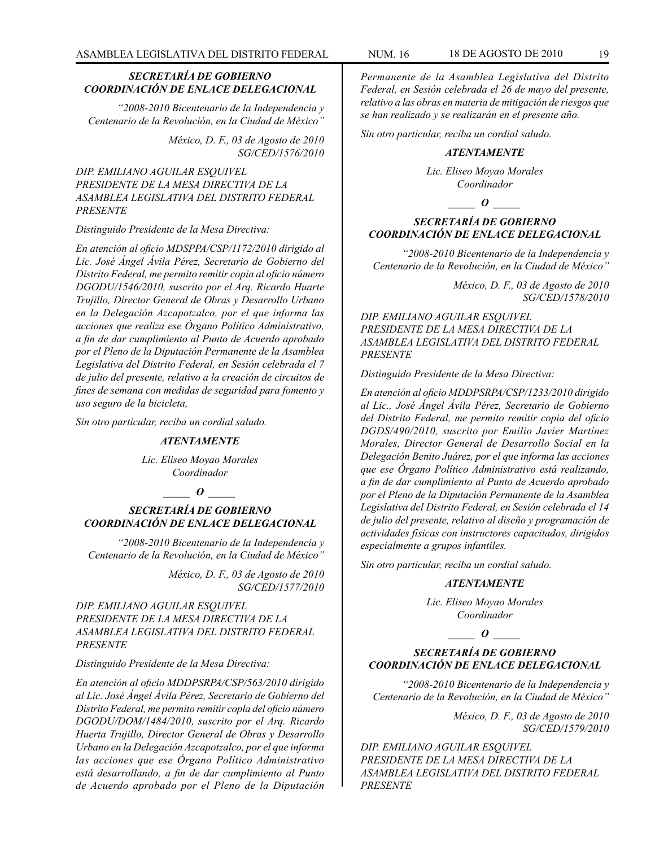## *SECRETARÍA DE GOBIERNO COORDINACIÓN DE ENLACE DELEGACIONAL*

*"2008-2010 Bicentenario de la Independencia y Centenario de la Revolución, en la Ciudad de México"*

> *México, D. F., 03 de Agosto de 2010 SG/CED/1576/2010*

*DIP. EMILIANO AGUILAR ESQUIVEL PRESIDENTE DE LA MESA DIRECTIVA DE LA ASAMBLEA LEGISLATIVA DEL DISTRITO FEDERAL PRESENTE*

#### *Distinguido Presidente de la Mesa Directiva:*

*En atención al oficio MDSPPA/CSP/1172/2010 dirigido al Lic. José Ángel Ávila Pérez, Secretario de Gobierno del Distrito Federal, me permito remitir copia al oficio número DGODU/1546/2010, suscrito por el Arq. Ricardo Huarte Trujillo, Director General de Obras y Desarrollo Urbano en la Delegación Azcapotzalco, por el que informa las acciones que realiza ese Órgano Político Administrativo, a fin de dar cumplimiento al Punto de Acuerdo aprobado por el Pleno de la Diputación Permanente de la Asamblea Legislativa del Distrito Federal, en Sesión celebrada el 7 de julio del presente, relativo a la creación de circuitos de fines de semana con medidas de seguridad para fomento y uso seguro de la bicicleta,*

*Sin otro particular, reciba un cordial saludo.*

#### *ATENTAMENTE*

*Lic. Eliseo Moyao Morales Coordinador*

#### *\_\_\_\_\_ O \_\_\_\_\_*

#### *SECRETARÍA DE GOBIERNO COORDINACIÓN DE ENLACE DELEGACIONAL*

*"2008-2010 Bicentenario de la Independencia y Centenario de la Revolución, en la Ciudad de México"*

> *México, D. F., 03 de Agosto de 2010 SG/CED/1577/2010*

*DIP. EMILIANO AGUILAR ESQUIVEL PRESIDENTE DE LA MESA DIRECTIVA DE LA ASAMBLEA LEGISLATIVA DEL DISTRITO FEDERAL PRESENTE*

#### *Distinguido Presidente de la Mesa Directiva:*

*En atención al oficio MDDPSRPA/CSP/563/2010 dirigido al Lic. José Ángel Ávila Pérez, Secretario de Gobierno del Distrito Federal, me permito remitir copla del oficio número DGODU/DOM/1484/2010, suscrito por el Arq. Ricardo Huerta Trujillo, Director General de Obras y Desarrollo Urbano en la Delegación Azcapotzalco, por el que informa las acciones que ese Órgano Político Administrativo está desarrollando, a fin de dar cumplimiento al Punto de Acuerdo aprobado por el Pleno de la Diputación* 

*Permanente de la Asamblea Legislativa del Distrito Federal, en Sesión celebrada el 26 de mayo del presente, relativo a las obras en materia de mitigación de riesgos que se han realizado y se realizarán en el presente año.*

*Sin otro particular, reciba un cordial saludo.*

#### *ATENTAMENTE*

*Lic. Eliseo Moyao Morales Coordinador*

#### *\_\_\_\_\_ O \_\_\_\_\_*

## *SECRETARÍA DE GOBIERNO COORDINACIÓN DE ENLACE DELEGACIONAL*

*"2008-2010 Bicentenario de la Independencia y Centenario de la Revolución, en la Ciudad de México"*

> *México, D. F., 03 de Agosto de 2010 SG/CED/1578/2010*

## *DIP. EMILIANO AGUILAR ESQUIVEL PRESIDENTE DE LA MESA DIRECTIVA DE LA ASAMBLEA LEGISLATIVA DEL DISTRITO FEDERAL PRESENTE*

*Distinguido Presidente de la Mesa Directiva:*

*En atención al oficio MDDPSRPA/CSP/1233/2010 dirigido al Lic., José Ángel Ávila Pérez, Secretario de Gobierno del Distrito Federal, me permito remitir copia del oficio DGDS/490/2010, suscrito por Emilio Javier Martínez Morales, Director General de Desarrollo Social en la Delegación Benito Juárez, por el que informa las acciones que ese Órgano Político Administrativo está realizando, a fin de dar cumplimiento al Punto de Acuerdo aprobado por el Pleno de la Diputación Permanente de la Asamblea Legislativa del Distrito Federal, en Sesión celebrada el 14 de julio del presente, relativo al diseño y programación de actividades físicas con instructores capacitados, dirigidos especialmente a grupos infantiles.*

*Sin otro particular, reciba un cordial saludo.*

#### *ATENTAMENTE*

*Lic. Eliseo Moyao Morales Coordinador*

#### *\_\_\_\_\_ O \_\_\_\_\_*

## *SECRETARÍA DE GOBIERNO COORDINACIÓN DE ENLACE DELEGACIONAL*

*"2008-2010 Bicentenario de la Independencia y Centenario de la Revolución, en la Ciudad de México"*

> *México, D. F., 03 de Agosto de 2010 SG/CED/1579/2010*

*DIP. EMILIANO AGUILAR ESQUIVEL PRESIDENTE DE LA MESA DIRECTIVA DE LA ASAMBLEA LEGISLATIVA DEL DISTRITO FEDERAL PRESENTE*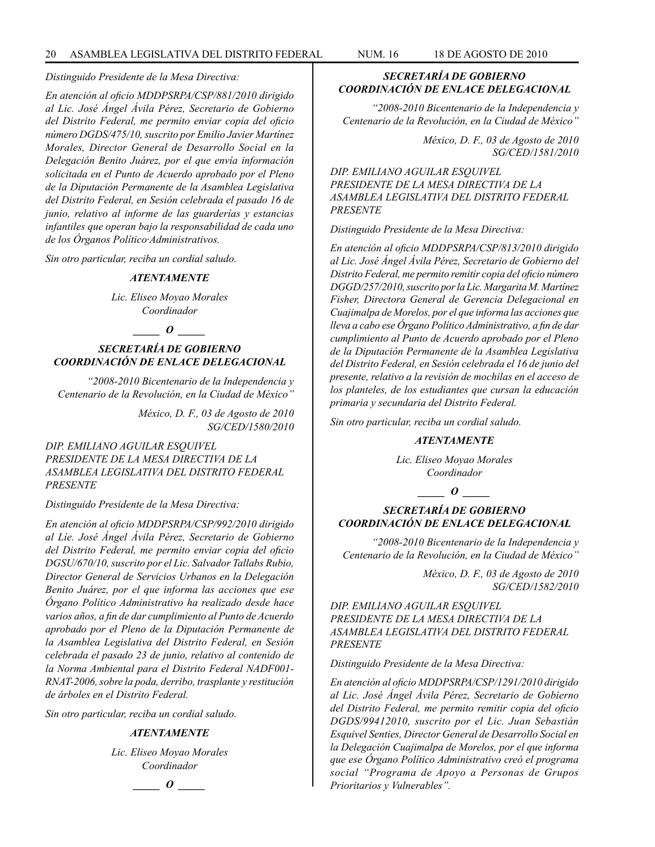*Distinguido Presidente de la Mesa Directiva:*

*En atención al oficio MDDPSRPA/CSP/881/2010 dirigido al Lic. José Ángel Ávila Pérez, Secretario de Gobierno del Distrito Federal, me permito enviar copia del oficio número DGDS/475/10, suscrito por Emilio Javier Martínez Morales, Director General de Desarrollo Social en la Delegación Benito Juárez, por el que envía información solicitada en el Punto de Acuerdo aprobado por el Pleno de la Diputación Permanente de la Asamblea Legislativa del Distrito Federal, en Sesión celebrada el pasado 16 de junio, relativo al informe de las guarderías y estancias infantiles que operan bajo la responsabilidad de cada uno de los Órganos Político·Administrativos.*

*Sin otro particular, reciba un cordial saludo.*

#### *ATENTAMENTE*

*Lic. Eliseo Moyao Morales Coordinador*

## *\_\_\_\_\_ O \_\_\_\_\_*

## *SECRETARÍA DE GOBIERNO COORDINACIÓN DE ENLACE DELEGACIONAL*

*"2008-2010 Bicentenario de la Independencia y Centenario de la Revolución, en la Ciudad de México"*

> *México, D. F., 03 de Agosto de 2010 SG/CED/1580/2010*

*DIP. EMILIANO AGUILAR ESQUIVEL PRESIDENTE DE LA MESA DIRECTIVA DE LA ASAMBLEA LEGISLATIVA DEL DISTRITO FEDERAL PRESENTE*

*Distinguido Presidente de la Mesa Directiva:*

*En atención al oficio MDDPSRPA/CSP/992/2010 dirigido al Líe. José Ángel Ávila Pérez, Secretario de Gobierno del Distrito Federal, me permito enviar copia del oficio DGSU/670/10, suscrito por el Lic. Salvador Tallabs Rubio, Director General de Servicios Urbanos en la Delegación Benito Juárez, por el que informa las acciones que ese Órgano Político Administrativo ha realizado desde hace varios años, a fin de dar cumplimiento al Punto de Acuerdo aprobado por el Pleno de la Diputación Permanente de la Asamblea Legislativa del Distrito Federal, en Sesión celebrada el pasado 23 de junio, relativo al contenido de la Norma Ambiental para el Distrito Federal NADF001- RNAT-2006, sobre la poda, derribo, trasplante y restitución de árboles en el Distrito Federal.*

*Sin otro particular, reciba un cordial saludo.*

#### *ATENTAMENTE*

*Lic. Eliseo Moyao Morales Coordinador*

*\_\_\_\_\_ O \_\_\_\_\_*

## *SECRETARÍA DE GOBIERNO COORDINACIÓN DE ENLACE DELEGACIONAL*

*"2008-2010 Bicentenario de la Independencia y Centenario de la Revolución, en la Ciudad de México"*

> *México, D. F., 03 de Agosto de 2010 SG/CED/1581/2010*

*DIP. EMILIANO AGUILAR ESQUIVEL PRESIDENTE DE LA MESA DIRECTIVA DE LA ASAMBLEA LEGISLATIVA DEL DISTRITO FEDERAL PRESENTE*

*Distinguido Presidente de la Mesa Directiva:*

*En atención al oficio MDDPSRPA/CSP/813/2010 dirigido al Lic. José Ángel Ávila Pérez, Secretario de Gobierno del Distrito Federal, me permito remitir copia del oficio número DGGD/257/2010, suscrito por la Lic. Margarita M. Martínez Fisher, Directora General de Gerencia Delegacional en Cuajimalpa de Morelos, por el que informa las acciones que lleva a cabo ese Órgano Político Administrativo, a fin de dar cumplimiento al Punto de Acuerdo aprobado por el Pleno de la Diputación Permanente de la Asamblea Legislativa del Distrito Federal, en Sesión celebrada el 16 de junio del presente, relativo a la revisión de mochilas en el acceso de los planteles, de los estudiantes que cursan la educación primaria y secundaria del Distrito Federal.*

*Sin otro particular, reciba un cordial saludo.*

#### *ATENTAMENTE*

*Lic. Eliseo Moyao Morales Coordinador*

*\_\_\_\_\_ O \_\_\_\_\_*

## *SECRETARÍA DE GOBIERNO COORDINACIÓN DE ENLACE DELEGACIONAL*

*"2008-2010 Bicentenario de la Independencia y Centenario de la Revolución, en la Ciudad de México"*

> *México, D. F., 03 de Agosto de 2010 SG/CED/1582/2010*

*DIP. EMILIANO AGUILAR ESQUIVEL PRESIDENTE DE LA MESA DIRECTIVA DE LA ASAMBLEA LEGISLATIVA DEL DISTRITO FEDERAL PRESENTE*

*Distinguido Presidente de la Mesa Directiva:*

*En atención al oficio MDDPSRPA/CSP/1291/2010 dirigido al Lic. José Ángel Ávila Pérez, Secretario de Gobierno del Distrito Federal, me permito remitir copia del oficio DGDS/99412010, suscrito por el Lic. Juan Sebastián Esquivel Senties, Director General de Desarrollo Social en la Delegación Cuajimalpa de Morelos, por el que informa que ese Órgano Político Administrativo creó el programa social "Programa de Apoyo a Personas de Grupos Prioritarios y Vulnerables".*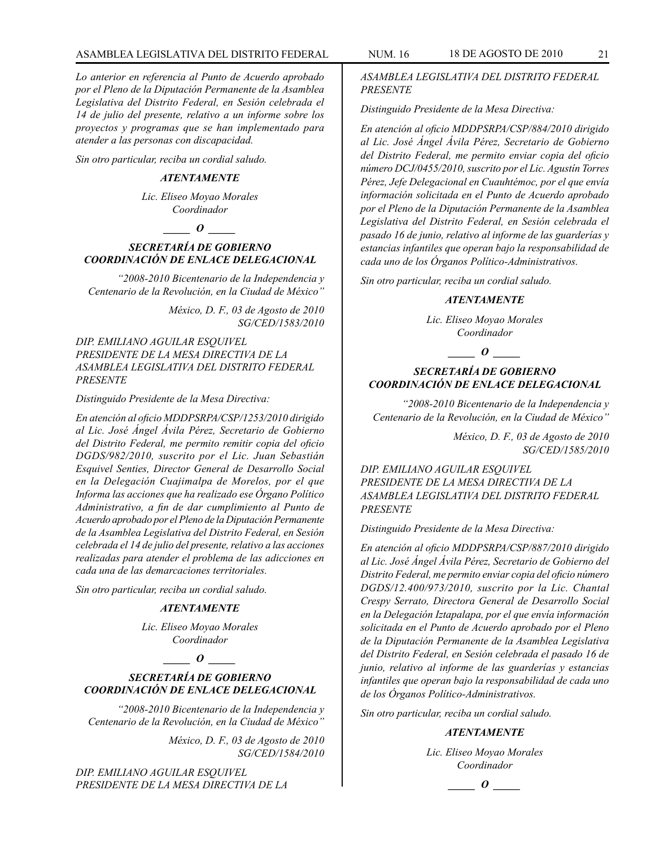## ASAMBLEA LEGISLATIVA DEL DISTRITO FEDERAL NUM. 16 18 DE AGOSTO DE 2010 21

*Lo anterior en referencia al Punto de Acuerdo aprobado por el Pleno de la Diputación Permanente de la Asamblea Legislativa del Distrito Federal, en Sesión celebrada el 14 de julio del presente, relativo a un informe sobre los proyectos y programas que se han implementado para atender a las personas con discapacidad.*

*Sin otro particular, reciba un cordial saludo.*

#### *ATENTAMENTE*

*Lic. Eliseo Moyao Morales Coordinador*

*\_\_\_\_\_ O \_\_\_\_\_*

## *SECRETARÍA DE GOBIERNO COORDINACIÓN DE ENLACE DELEGACIONAL*

*"2008-2010 Bicentenario de la Independencia y Centenario de la Revolución, en la Ciudad de México"*

> *México, D. F., 03 de Agosto de 2010 SG/CED/1583/2010*

*DIP. EMILIANO AGUILAR ESQUIVEL PRESIDENTE DE LA MESA DIRECTIVA DE LA ASAMBLEA LEGISLATIVA DEL DISTRITO FEDERAL PRESENTE*

## *Distinguido Presidente de la Mesa Directiva:*

*En atención al oficio MDDPSRPA/CSP/1253/2010 dirigido al Lic. José Ángel Ávila Pérez, Secretario de Gobierno del Distrito Federal, me permito remitir copia del oficio DGDS/982/2010, suscrito por el Lic. Juan Sebastián Esquivel Senties, Director General de Desarrollo Social en la Delegación Cuajimalpa de Morelos, por el que Informa las acciones que ha realizado ese Órgano Político Administrativo, a fin de dar cumplimiento al Punto de Acuerdo aprobado por el Pleno de la Diputación Permanente de la Asamblea Legislativa del Distrito Federal, en Sesión celebrada el 14 de julio del presente, relativo a las acciones realizadas para atender el problema de las adicciones en cada una de las demarcaciones territoriales.*

*Sin otro particular, reciba un cordial saludo.*

## *ATENTAMENTE*

*Lic. Eliseo Moyao Morales Coordinador*

## *\_\_\_\_\_ O \_\_\_\_\_*

## *SECRETARÍA DE GOBIERNO COORDINACIÓN DE ENLACE DELEGACIONAL*

*"2008-2010 Bicentenario de la Independencia y Centenario de la Revolución, en la Ciudad de México"*

> *México, D. F., 03 de Agosto de 2010 SG/CED/1584/2010*

*DIP. EMILIANO AGUILAR ESQUIVEL PRESIDENTE DE LA MESA DIRECTIVA DE LA*  *ASAMBLEA LEGISLATIVA DEL DISTRITO FEDERAL PRESENTE*

*Distinguido Presidente de la Mesa Directiva:*

*En atención al oficio MDDPSRPA/CSP/884/2010 dirigido al Lic. José Ángel Ávila Pérez, Secretario de Gobierno del Distrito Federal, me permito enviar copia del oficio número DCJ/0455/2010, suscrito por el Lic. Agustín Torres Pérez, Jefe Delegacional en Cuauhtémoc, por el que envía información solicitada en el Punto de Acuerdo aprobado por el Pleno de la Diputación Permanente de la Asamblea Legislativa del Distrito Federal, en Sesión celebrada el pasado 16 de junio, relativo al informe de las guarderías y estancias infantiles que operan bajo la responsabilidad de cada uno de los Órganos Político-Administrativos.*

*Sin otro particular, reciba un cordial saludo.*

## *ATENTAMENTE*

*Lic. Eliseo Moyao Morales Coordinador*

*\_\_\_\_\_ O \_\_\_\_\_*

## *SECRETARÍA DE GOBIERNO COORDINACIÓN DE ENLACE DELEGACIONAL*

*"2008-2010 Bicentenario de la Independencia y Centenario de la Revolución, en la Ciudad de México"*

> *México, D. F., 03 de Agosto de 2010 SG/CED/1585/2010*

*DIP. EMILIANO AGUILAR ESQUIVEL PRESIDENTE DE LA MESA DIRECTIVA DE LA ASAMBLEA LEGISLATIVA DEL DISTRITO FEDERAL PRESENTE*

*Distinguido Presidente de la Mesa Directiva:*

*En atención al oficio MDDPSRPA/CSP/887/2010 dirigido al Lic. José Ángel Ávila Pérez, Secretario de Gobierno del Distrito Federal, me permito enviar copia del oficio número DGDS/12.400/973/2010, suscrito por la Lic. Chantal Crespy Serrato, Directora General de Desarrollo Social en la Delegación Iztapalapa, por el que envía información solicitada en el Punto de Acuerdo aprobado por el Pleno de la Diputación Permanente de la Asamblea Legislativa del Distrito Federal, en Sesión celebrada el pasado 16 de junio, relativo al informe de las guarderías y estancias infantiles que operan bajo la responsabilidad de cada uno de los Órganos Político-Administrativos.*

*Sin otro particular, reciba un cordial saludo.*

#### *ATENTAMENTE*

*Lic. Eliseo Moyao Morales Coordinador*

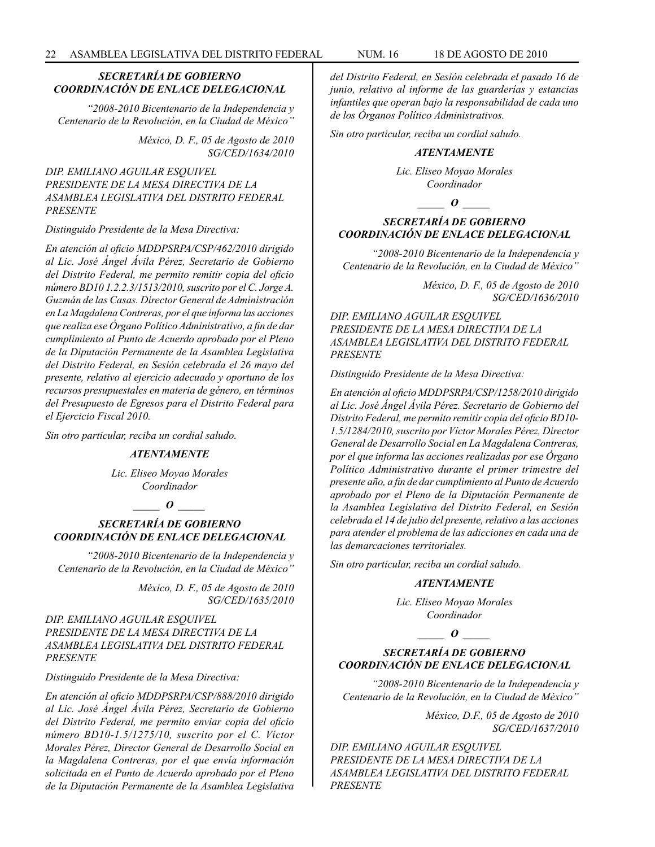## *SECRETARÍA DE GOBIERNO COORDINACIÓN DE ENLACE DELEGACIONAL*

*"2008-2010 Bicentenario de la Independencia y Centenario de la Revolución, en la Ciudad de México"*

> *México, D. F., 05 de Agosto de 2010 SG/CED/1634/2010*

## *DIP. EMILIANO AGUILAR ESQUIVEL PRESIDENTE DE LA MESA DIRECTIVA DE LA ASAMBLEA LEGISLATIVA DEL DISTRITO FEDERAL PRESENTE*

*Distinguido Presidente de la Mesa Directiva:*

*En atención al oficio MDDPSRPA/CSP/462/2010 dirigido al Lic. José Ángel Ávila Pérez, Secretario de Gobierno del Distrito Federal, me permito remitir copia del oficio número BD10 1.2.2.3/1513/2010, suscrito por el C. Jorge A. Guzmán de las Casas. Director General de Administración en La Magdalena Contreras, por el que informa las acciones que realiza ese Órgano Político Administrativo, a fin de dar cumplimiento al Punto de Acuerdo aprobado por el Pleno de la Diputación Permanente de la Asamblea Legislativa del Distrito Federal, en Sesión celebrada el 26 mayo del presente, relativo al ejercicio adecuado y oportuno de los recursos presupuestales en materia de género, en términos del Presupuesto de Egresos para el Distrito Federal para el Ejercicio Fiscal 2010.*

*Sin otro particular, reciba un cordial saludo.*

#### *ATENTAMENTE*

*Lic. Eliseo Moyao Morales Coordinador*

## *\_\_\_\_\_ O \_\_\_\_\_*

## *SECRETARÍA DE GOBIERNO COORDINACIÓN DE ENLACE DELEGACIONAL*

*"2008-2010 Bicentenario de la Independencia y Centenario de la Revolución, en la Ciudad de México"*

> *México, D. F., 05 de Agosto de 2010 SG/CED/1635/2010*

## *DIP. EMILIANO AGUILAR ESQUIVEL PRESIDENTE DE LA MESA DIRECTIVA DE LA ASAMBLEA LEGISLATIVA DEL DISTRITO FEDERAL PRESENTE*

*Distinguido Presidente de la Mesa Directiva:*

*En atención al oficio MDDPSRPA/CSP/888/2010 dirigido al Lic. José Ángel Ávila Pérez, Secretario de Gobierno del Distrito Federal, me permito enviar copia del oficio número BD10-1.5/1275/10, suscrito por el C. Víctor Morales Pérez, Director General de Desarrollo Social en la Magdalena Contreras, por el que envía información solicitada en el Punto de Acuerdo aprobado por el Pleno de la Diputación Permanente de la Asamblea Legislativa* 

*del Distrito Federal, en Sesión celebrada el pasado 16 de junio, relativo al informe de las guarderías y estancias infantiles que operan bajo la responsabilidad de cada uno de los Órganos Político Administrativos.*

*Sin otro particular, reciba un cordial saludo.*

#### *ATENTAMENTE*

*Lic. Eliseo Moyao Morales Coordinador*

*\_\_\_\_\_ O \_\_\_\_\_*

## *SECRETARÍA DE GOBIERNO COORDINACIÓN DE ENLACE DELEGACIONAL*

*"2008-2010 Bicentenario de la Independencia y Centenario de la Revolución, en la Ciudad de México"*

> *México, D. F., 05 de Agosto de 2010 SG/CED/1636/2010*

*DIP. EMILIANO AGUILAR ESQUIVEL PRESIDENTE DE LA MESA DIRECTIVA DE LA ASAMBLEA LEGISLATIVA DEL DISTRITO FEDERAL PRESENTE*

*Distinguido Presidente de la Mesa Directiva:*

*En atención al oficio MDDPSRPA/CSP/1258/2010 dirigido al Lic. José Ángel Ávila Pérez. Secretario de Gobierno del Distrito Federal, me permito remitir copia del oficio BD10- 1.5/1284/2010, suscrito por Víctor Morales Pérez, Director General de Desarrollo Social en La Magdalena Contreras, por el que informa las acciones realizadas por ese Órgano Político Administrativo durante el primer trimestre del presente año, a fin de dar cumplimiento al Punto de Acuerdo aprobado por el Pleno de la Diputación Permanente de la Asamblea Legislativa del Distrito Federal, en Sesión celebrada el 14 de julio del presente, relativo a las acciones para atender el problema de las adicciones en cada una de las demarcaciones territoriales.*

*Sin otro particular, reciba un cordial saludo.*

#### *ATENTAMENTE*

*Lic. Eliseo Moyao Morales Coordinador*

#### *\_\_\_\_\_ O \_\_\_\_\_*

## *SECRETARÍA DE GOBIERNO COORDINACIÓN DE ENLACE DELEGACIONAL*

*"2008-2010 Bicentenario de la Independencia y Centenario de la Revolución, en la Ciudad de México"*

> *México, D.F., 05 de Agosto de 2010 SG/CED/1637/2010*

*DIP. EMILIANO AGUILAR ESQUIVEL PRESIDENTE DE LA MESA DIRECTIVA DE LA ASAMBLEA LEGISLATIVA DEL DISTRITO FEDERAL PRESENTE*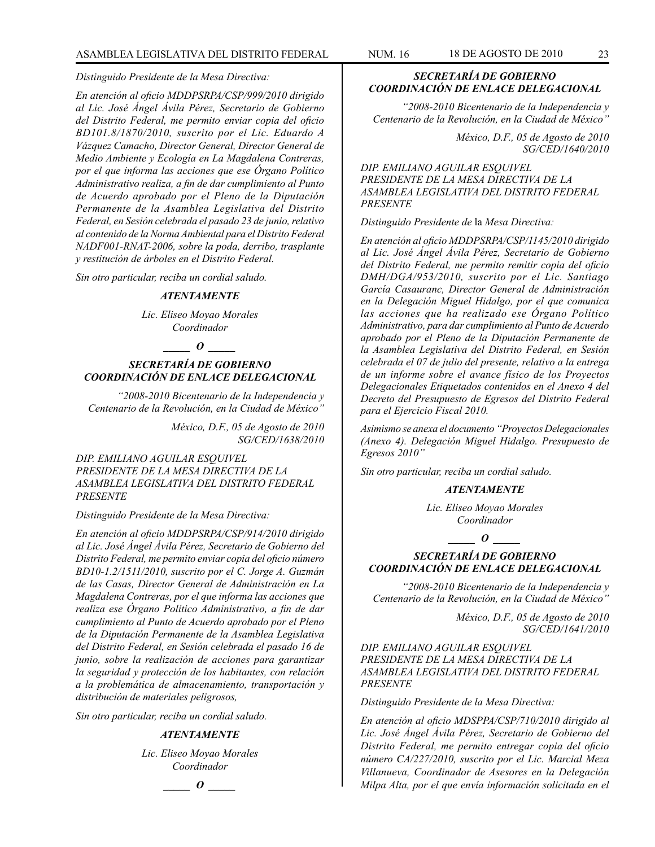## *Distinguido Presidente de la Mesa Directiva:*

*En atención al oficio MDDPSRPA/CSP/999/2010 dirigido al Lic. José Ángel Ávila Pérez, Secretario de Gobierno del Distrito Federal, me permito enviar copia del oficio BD101.8/1870/2010, suscrito por el Lic. Eduardo A Vázquez Camacho, Director General, Director General de Medio Ambiente y Ecología en La Magdalena Contreras, por el que informa las acciones que ese Órgano Político Administrativo realiza, a fin de dar cumplimiento al Punto de Acuerdo aprobado por el Pleno de la Diputación Permanente de la Asamblea Legislativa del Distrito Federal, en Sesión celebrada el pasado 23 de junio, relativo al contenido de la Norma Ambiental para el Distrito Federal NADF001-RNAT-2006, sobre la poda, derribo, trasplante y restitución de árboles en el Distrito Federal.*

*Sin otro particular, reciba un cordial saludo.*

#### *ATENTAMENTE*

*Lic. Eliseo Moyao Morales Coordinador*

#### *\_\_\_\_\_ O \_\_\_\_\_*

## *SECRETARÍA DE GOBIERNO COORDINACIÓN DE ENLACE DELEGACIONAL*

*"2008-2010 Bicentenario de la Independencia y Centenario de la Revolución, en la Ciudad de México"*

> *México, D.F., 05 de Agosto de 2010 SG/CED/1638/2010*

*DIP. EMILIANO AGUILAR ESQUIVEL PRESIDENTE DE LA MESA DIRECTIVA DE LA ASAMBLEA LEGISLATIVA DEL DISTRITO FEDERAL PRESENTE*

#### *Distinguido Presidente de la Mesa Directiva:*

*En atención al oficio MDDPSRPA/CSP/914/2010 dirigido al Lic. José Ángel Ávila Pérez, Secretario de Gobierno del Distrito Federal, me permito enviar copia del oficio número BD10-1.2/1511/2010, suscrito por el C. Jorge A. Guzmán de las Casas, Director General de Administración en La Magdalena Contreras, por el que informa las acciones que realiza ese Órgano Político Administrativo, a fin de dar cumplimiento al Punto de Acuerdo aprobado por el Pleno de la Diputación Permanente de la Asamblea Legislativa del Distrito Federal, en Sesión celebrada el pasado 16 de junio, sobre la realización de acciones para garantizar la seguridad y protección de los habitantes, con relación a la problemática de almacenamiento, transportación y distribución de materiales peligrosos,*

*Sin otro particular, reciba un cordial saludo.*

#### *ATENTAMENTE*

*Lic. Eliseo Moyao Morales Coordinador*

*\_\_\_\_\_ O \_\_\_\_\_*

## *SECRETARÍA DE GOBIERNO COORDINACIÓN DE ENLACE DELEGACIONAL*

*"2008-2010 Bicentenario de la Independencia y Centenario de la Revolución, en la Ciudad de México"*

> *México, D.F., 05 de Agosto de 2010 SG/CED/1640/2010*

*DIP. EMILIANO AGUILAR ESQUIVEL PRESIDENTE DE LA MESA DIRECTIVA DE LA ASAMBLEA LEGISLATIVA DEL DISTRITO FEDERAL PRESENTE*

*Distinguido Presidente de* la *Mesa Directiva:*

*En atención al oficio MDDPSRPA/CSP/1145/2010 dirigido al Lic. José Ángel Ávila Pérez, Secretario de Gobierno del Distrito Federal, me permito remitir copia del oficio DMH/DGA/953/2010, suscrito por el Lic. Santiago García Casauranc, Director General de Administración en la Delegación Miguel Hidalgo, por el que comunica las acciones que ha realizado ese Órgano Político Administrativo, para dar cumplimiento al Punto de Acuerdo aprobado por el Pleno de la Diputación Permanente de la Asamblea Legislativa del Distrito Federal, en Sesión celebrada el 07 de julio del presente, relativo a la entrega de un informe sobre el avance físico de los Proyectos Delegacionales Etiquetados contenidos en el Anexo 4 del Decreto del Presupuesto de Egresos del Distrito Federal para el Ejercicio Fiscal 2010.*

*Asimismo se anexa el documento "Proyectos Delegacionales (Anexo 4). Delegación Miguel Hidalgo. Presupuesto de Egresos 2010"*

*Sin otro particular, reciba un cordial saludo.*

## *ATENTAMENTE*

*Lic. Eliseo Moyao Morales Coordinador*

*\_\_\_\_\_ O \_\_\_\_\_*

#### *SECRETARÍA DE GOBIERNO COORDINACIÓN DE ENLACE DELEGACIONAL*

*"2008-2010 Bicentenario de la Independencia y Centenario de la Revolución, en la Ciudad de México"*

> *México, D.F., 05 de Agosto de 2010 SG/CED/1641/2010*

*DIP. EMILIANO AGUILAR ESQUIVEL PRESIDENTE DE LA MESA DIRECTIVA DE LA ASAMBLEA LEGISLATIVA DEL DISTRITO FEDERAL PRESENTE*

*Distinguido Presidente de la Mesa Directiva:*

*En atención al oficio MDSPPA/CSP/710/2010 dirigido al Lic. José Ángel Ávila Pérez, Secretario de Gobierno del Distrito Federal, me permito entregar copia del oficio número CA/227/2010, suscrito por el Lic. Marcial Meza Villanueva, Coordinador de Asesores en la Delegación Milpa Alta, por el que envía información solicitada en el*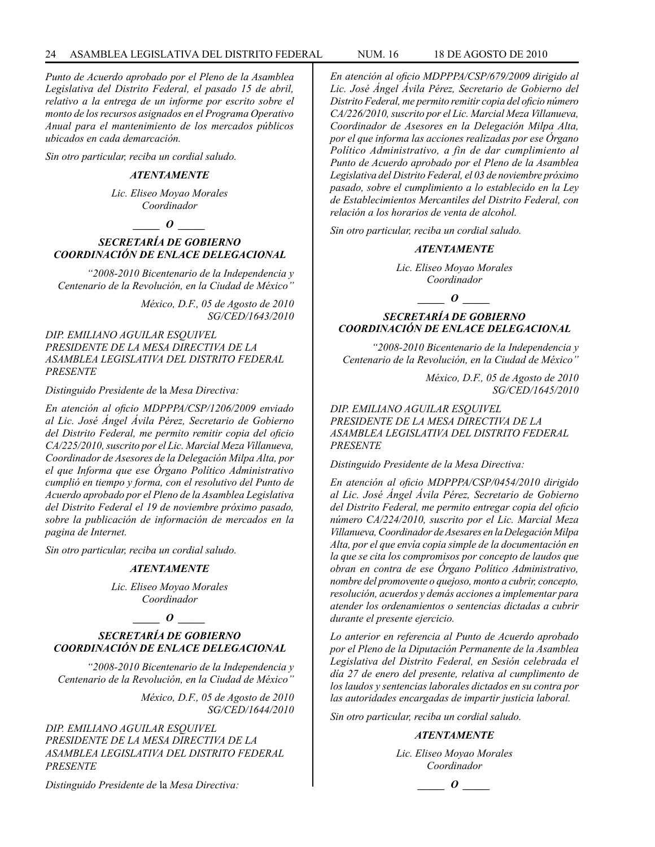*Punto de Acuerdo aprobado por el Pleno de la Asamblea Legislativa del Distrito Federal, el pasado 15 de abril, relativo a la entrega de un informe por escrito sobre el monto de los recursos asignados en el Programa Operativo Anual para el mantenimiento de los mercados públicos ubicados en cada demarcación.*

*Sin otro particular, reciba un cordial saludo.*

#### *ATENTAMENTE*

*Lic. Eliseo Moyao Morales Coordinador*

## *\_\_\_\_\_ O \_\_\_\_\_*

## *SECRETARÍA DE GOBIERNO COORDINACIÓN DE ENLACE DELEGACIONAL*

*"2008-2010 Bicentenario de la Independencia y Centenario de la Revolución, en la Ciudad de México"*

> *México, D.F., 05 de Agosto de 2010 SG/CED/1643/2010*

*DIP. EMILIANO AGUILAR ESQUIVEL PRESIDENTE DE LA MESA DIRECTIVA DE LA ASAMBLEA LEGISLATIVA DEL DISTRITO FEDERAL PRESENTE*

*Distinguido Presidente de* la *Mesa Directiva:*

*En atención al oficio MDPPPA/CSP/1206/2009 enviado al Lic. José Ángel Ávila Pérez, Secretario de Gobierno del Distrito Federal, me permito remitir copia del oficio CA/225/2010, suscrito por el Lic. Marcial Meza Villanueva, Coordinador de Asesores de la Delegación Milpa Alta, por el que Informa que ese Órgano Político Administrativo cumplió en tiempo y forma, con el resolutivo del Punto de Acuerdo aprobado por el Pleno de la Asamblea Legislativa del Distrito Federal el 19 de noviembre próximo pasado, sobre la publicación de información de mercados en la pagina de Internet.*

*Sin otro particular, reciba un cordial saludo.*

#### *ATENTAMENTE*

*Lic. Eliseo Moyao Morales Coordinador*

*\_\_\_\_\_ O \_\_\_\_\_*

## *SECRETARÍA DE GOBIERNO COORDINACIÓN DE ENLACE DELEGACIONAL*

*"2008-2010 Bicentenario de la Independencia y Centenario de la Revolución, en la Ciudad de México"*

> *México, D.F., 05 de Agosto de 2010 SG/CED/1644/2010*

*DIP. EMILIANO AGUILAR ESQUIVEL PRESIDENTE DE LA MESA DIRECTIVA DE LA ASAMBLEA LEGISLATIVA DEL DISTRITO FEDERAL PRESENTE*

*Distinguido Presidente de* la *Mesa Directiva:*

*En atención al oficio MDPPPA/CSP/679/2009 dirigido al Lic. José Ángel Ávila Pérez, Secretario de Gobierno del Distrito Federal, me permito remitir copia del oficio número CA/226/2010, suscrito por el Lic. Marcial Meza Villanueva, Coordinador de Asesores en la Delegación Milpa Alta, por el que informa las acciones realizadas por ese Órgano Político Administrativo, a fin de dar cumplimiento al Punto de Acuerdo aprobado por el Pleno de la Asamblea Legislativa del Distrito Federal, el 03 de noviembre próximo pasado, sobre el cumplimiento a lo establecido en la Ley de Establecimientos Mercantiles del Distrito Federal, con relación a los horarios de venta de alcohol.*

*Sin otro particular, reciba un cordial saludo.*

#### *ATENTAMENTE*

*Lic. Eliseo Moyao Morales Coordinador*

*o*  $\theta$ 

## *SECRETARÍA DE GOBIERNO COORDINACIÓN DE ENLACE DELEGACIONAL*

*"2008-2010 Bicentenario de la Independencia y Centenario de la Revolución, en la Ciudad de México"*

> *México, D.F., 05 de Agosto de 2010 SG/CED/1645/2010*

*DIP. EMILIANO AGUILAR ESQUIVEL PRESIDENTE DE LA MESA DIRECTIVA DE LA ASAMBLEA LEGISLATIVA DEL DISTRITO FEDERAL PRESENTE*

*Distinguido Presidente de la Mesa Directiva:*

*En atención al oficio MDPPPA/CSP/0454/2010 dirigido al Lic. José Ángel Ávila Pérez, Secretario de Gobierno del Distrito Federal, me permito entregar copia del oficio número CA/224/2010, suscrito por el Lic. Marcial Meza Villanueva, Coordinador de Asesares en la Delegación Milpa Alta, por el que envía copia simple de la documentación en la que se cita los compromisos por concepto de laudos que obran en contra de ese Órgano Político Administrativo, nombre del promovente o quejoso, monto a cubrir, concepto, resolución, acuerdos y demás acciones a implementar para atender los ordenamientos o sentencias dictadas a cubrir durante el presente ejercicio.*

*Lo anterior en referencia al Punto de Acuerdo aprobado por el Pleno de la Diputación Permanente de la Asamblea Legislativa del Distrito Federal, en Sesión celebrada el día 27 de enero del presente, relativa al cumplimento de los laudos y sentencias laborales dictados en su contra por las autoridades encargadas de impartir justicia laboral.*

*Sin otro particular, reciba un cordial saludo.*

## *ATENTAMENTE*

*Lic. Eliseo Moyao Morales Coordinador*

*\_\_\_\_\_ O \_\_\_\_\_*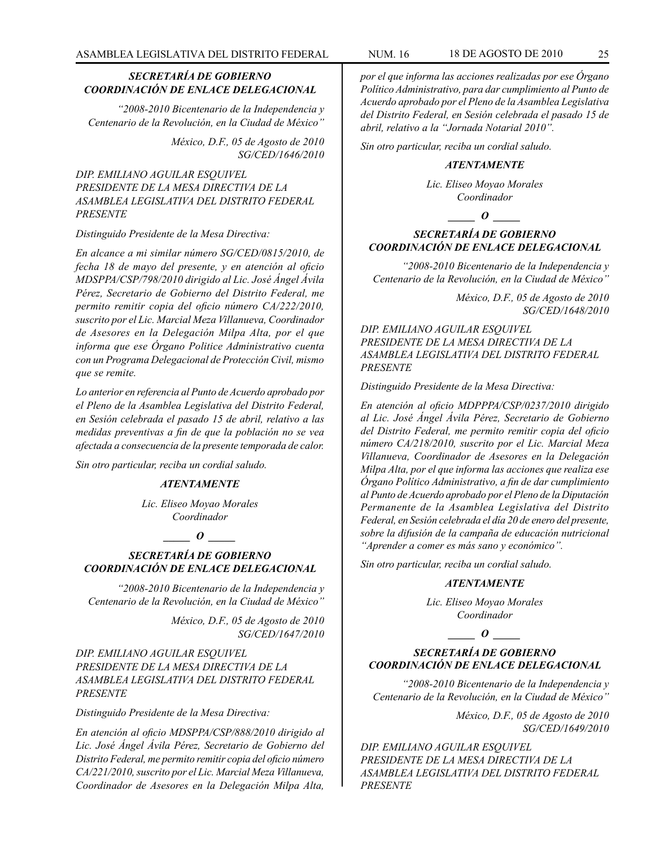## *SECRETARÍA DE GOBIERNO COORDINACIÓN DE ENLACE DELEGACIONAL*

*"2008-2010 Bicentenario de la Independencia y Centenario de la Revolución, en la Ciudad de México"*

> *México, D.F., 05 de Agosto de 2010 SG/CED/1646/2010*

*DIP. EMILIANO AGUILAR ESQUIVEL PRESIDENTE DE LA MESA DIRECTIVA DE LA ASAMBLEA LEGISLATIVA DEL DISTRITO FEDERAL PRESENTE*

#### *Distinguido Presidente de la Mesa Directiva:*

*En alcance a mi similar número SG/CED/0815/2010, de fecha 18 de mayo del presente, y en atención al oficio MDSPPA/CSP/798/2010 dirigido al Lic. José Ángel Ávila Pérez, Secretario de Gobierno del Distrito Federal, me permito remitir copia del oficio número CA/222/2010, suscrito por el Lic. Marcial Meza Villanueva, Coordinador de Asesores en la Delegación Milpa Alta, por el que informa que ese Órgano Politice Administrativo cuenta con un Programa Delegacional de Protección Civil, mismo que se remite.*

*Lo anterior en referencia al Punto de Acuerdo aprobado por el Pleno de la Asamblea Legislativa del Distrito Federal, en Sesión celebrada el pasado 15 de abril, relativo a las medidas preventivas a fin de que la población no se vea afectada a consecuencia de la presente temporada de calor.*

*Sin otro particular, reciba un cordial saludo.*

## *ATENTAMENTE*

*Lic. Eliseo Moyao Morales Coordinador*

## *\_\_\_\_\_ O \_\_\_\_\_*

## *SECRETARÍA DE GOBIERNO COORDINACIÓN DE ENLACE DELEGACIONAL*

*"2008-2010 Bicentenario de la Independencia y Centenario de la Revolución, en la Ciudad de México"*

> *México, D.F., 05 de Agosto de 2010 SG/CED/1647/2010*

*DIP. EMILIANO AGUILAR ESQUIVEL PRESIDENTE DE LA MESA DIRECTIVA DE LA ASAMBLEA LEGISLATIVA DEL DISTRITO FEDERAL PRESENTE*

*Distinguido Presidente de la Mesa Directiva:*

*En atención al oficio MDSPPA/CSP/888/2010 dirigido al Lic. José Ángel Ávila Pérez, Secretario de Gobierno del Distrito Federal, me permito remitir copia del oficio número CA/221/2010, suscrito por el Lic. Marcial Meza Villanueva, Coordinador de Asesores en la Delegación Milpa Alta,* 

*por el que informa las acciones realizadas por ese Órgano Político Administrativo, para dar cumplimiento al Punto de Acuerdo aprobado por el Pleno de la Asamblea Legislativa del Distrito Federal, en Sesión celebrada el pasado 15 de abril, relativo a la "Jornada Notarial 2010".*

*Sin otro particular, reciba un cordial saludo.*

#### *ATENTAMENTE*

*Lic. Eliseo Moyao Morales Coordinador*

*o*  $\theta$ 

## *SECRETARÍA DE GOBIERNO COORDINACIÓN DE ENLACE DELEGACIONAL*

*"2008-2010 Bicentenario de la Independencia y Centenario de la Revolución, en la Ciudad de México"*

> *México, D.F., 05 de Agosto de 2010 SG/CED/1648/2010*

*DIP. EMILIANO AGUILAR ESQUIVEL PRESIDENTE DE LA MESA DIRECTIVA DE LA ASAMBLEA LEGISLATIVA DEL DISTRITO FEDERAL PRESENTE*

*Distinguido Presidente de la Mesa Directiva:*

*En atención al oficio MDPPPA/CSP/0237/2010 dirigido al Lic. José Ángel Ávila Pérez, Secretario de Gobierno del Distrito Federal, me permito remitir copia del oficio número CA/218/2010, suscrito por el Lic. Marcial Meza Villanueva, Coordinador de Asesores en la Delegación Milpa Alta, por el que informa las acciones que realiza ese Órgano Político Administrativo, a fin de dar cumplimiento al Punto de Acuerdo aprobado por el Pleno de la Diputación Permanente de la Asamblea Legislativa del Distrito Federal, en Sesión celebrada el día 20 de enero del presente, sobre la difusión de la campaña de educación nutricional "Aprender a comer es más sano y económico".*

*Sin otro particular, reciba un cordial saludo.*

#### *ATENTAMENTE*

*Lic. Eliseo Moyao Morales Coordinador*

*\_\_\_\_\_ O \_\_\_\_\_*

## *SECRETARÍA DE GOBIERNO COORDINACIÓN DE ENLACE DELEGACIONAL*

*"2008-2010 Bicentenario de la Independencia y Centenario de la Revolución, en la Ciudad de México"*

> *México, D.F., 05 de Agosto de 2010 SG/CED/1649/2010*

*DIP. EMILIANO AGUILAR ESQUIVEL PRESIDENTE DE LA MESA DIRECTIVA DE LA ASAMBLEA LEGISLATIVA DEL DISTRITO FEDERAL PRESENTE*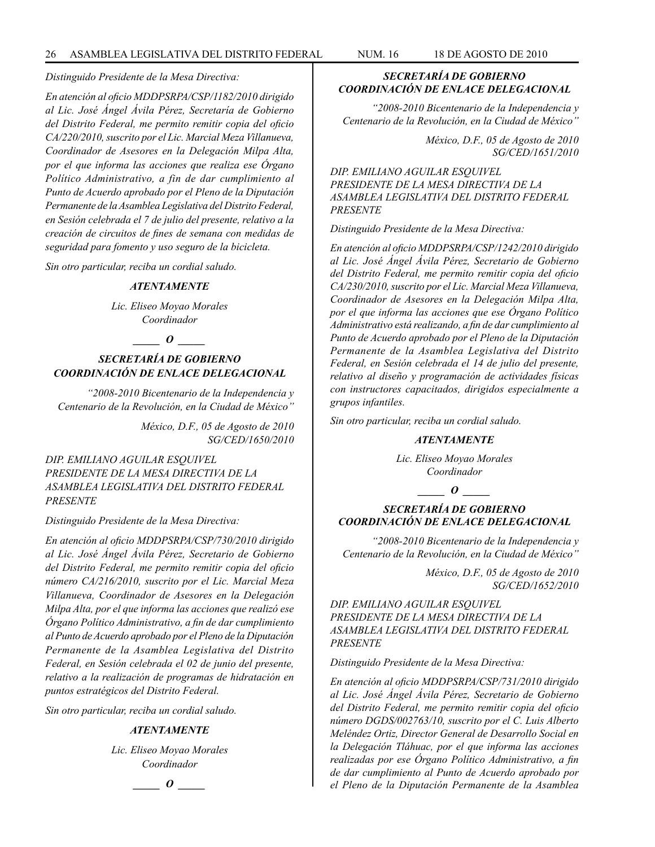#### *Distinguido Presidente de la Mesa Directiva:*

*En atención al oficio MDDPSRPA/CSP/1182/2010 dirigido al Lic. José Ángel Ávila Pérez, Secretaría de Gobierno del Distrito Federal, me permito remitir copia del oficio CA/220/2010, suscrito por el Lic. Marcial Meza Villanueva, Coordinador de Asesores en la Delegación Milpa Alta, por el que informa las acciones que realiza ese Órgano Político Administrativo, a fin de dar cumplimiento al Punto de Acuerdo aprobado por el Pleno de la Diputación Permanente de la Asamblea Legislativa del Distrito Federal, en Sesión celebrada el 7 de julio del presente, relativo a la creación de circuitos de fines de semana con medidas de seguridad para fomento y uso seguro de la bicicleta.*

*Sin otro particular, reciba un cordial saludo.*

#### *ATENTAMENTE*

*Lic. Eliseo Moyao Morales Coordinador*

#### *\_\_\_\_\_ O \_\_\_\_\_*

## *SECRETARÍA DE GOBIERNO COORDINACIÓN DE ENLACE DELEGACIONAL*

*"2008-2010 Bicentenario de la Independencia y Centenario de la Revolución, en la Ciudad de México"*

> *México, D.F., 05 de Agosto de 2010 SG/CED/1650/2010*

*DIP. EMILIANO AGUILAR ESQUIVEL PRESIDENTE DE LA MESA DIRECTIVA DE LA ASAMBLEA LEGISLATIVA DEL DISTRITO FEDERAL PRESENTE*

*Distinguido Presidente de la Mesa Directiva:*

*En atención al oficio MDDPSRPA/CSP/730/2010 dirigido al Lic. José Ángel Ávila Pérez, Secretario de Gobierno del Distrito Federal, me permito remitir copia del oficio número CA/216/2010, suscrito por el Lic. Marcial Meza Villanueva, Coordinador de Asesores en la Delegación Milpa Alta, por el que informa las acciones que realizó ese Órgano Político Administrativo, a fin de dar cumplimiento al Punto de Acuerdo aprobado por el Pleno de la Diputación Permanente de la Asamblea Legislativa del Distrito Federal, en Sesión celebrada el 02 de junio del presente, relativo a la realización de programas de hidratación en puntos estratégicos del Distrito Federal.*

*Sin otro particular, reciba un cordial saludo.*

#### *ATENTAMENTE*

*Lic. Eliseo Moyao Morales Coordinador*

*\_\_\_\_\_ O \_\_\_\_\_*

## *SECRETARÍA DE GOBIERNO COORDINACIÓN DE ENLACE DELEGACIONAL*

*"2008-2010 Bicentenario de la Independencia y Centenario de la Revolución, en la Ciudad de México"*

> *México, D.F., 05 de Agosto de 2010 SG/CED/1651/2010*

*DIP. EMILIANO AGUILAR ESQUIVEL PRESIDENTE DE LA MESA DIRECTIVA DE LA ASAMBLEA LEGISLATIVA DEL DISTRITO FEDERAL PRESENTE*

*Distinguido Presidente de la Mesa Directiva:*

*En atención al oficio MDDPSRPA/CSP/1242/2010 dirigido al Lic. José Ángel Ávila Pérez, Secretario de Gobierno del Distrito Federal, me permito remitir copia del oficio CA/230/2010, suscrito por el Lic. Marcial Meza Villanueva, Coordinador de Asesores en la Delegación Milpa Alta, por el que informa las acciones que ese Órgano Político Administrativo está realizando, a fin de dar cumplimiento al Punto de Acuerdo aprobado por el Pleno de la Diputación Permanente de la Asamblea Legislativa del Distrito Federal, en Sesión celebrada el 14 de julio del presente, relativo al diseño y programación de actividades físicas con instructores capacitados, dirigidos especialmente a grupos infantiles.*

*Sin otro particular, reciba un cordial saludo.*

#### *ATENTAMENTE*

*Lic. Eliseo Moyao Morales Coordinador*

#### *\_\_\_\_\_ O \_\_\_\_\_*

#### *SECRETARÍA DE GOBIERNO COORDINACIÓN DE ENLACE DELEGACIONAL*

*"2008-2010 Bicentenario de la Independencia y Centenario de la Revolución, en la Ciudad de México"*

> *México, D.F., 05 de Agosto de 2010 SG/CED/1652/2010*

*DIP. EMILIANO AGUILAR ESQUIVEL PRESIDENTE DE LA MESA DIRECTIVA DE LA ASAMBLEA LEGISLATIVA DEL DISTRITO FEDERAL PRESENTE*

*Distinguido Presidente de la Mesa Directiva:*

*En atención al oficio MDDPSRPA/CSP/731/2010 dirigido al Lic. José Ángel Ávila Pérez, Secretario de Gobierno del Distrito Federal, me permito remitir copia del oficio número DGDS/002763/10, suscrito por el C. Luis Alberto Meléndez Ortiz, Director General de Desarrollo Social en la Delegación Tláhuac, por el que informa las acciones realizadas por ese Órgano Político Administrativo, a fin de dar cumplimiento al Punto de Acuerdo aprobado por el Pleno de la Diputación Permanente de la Asamblea*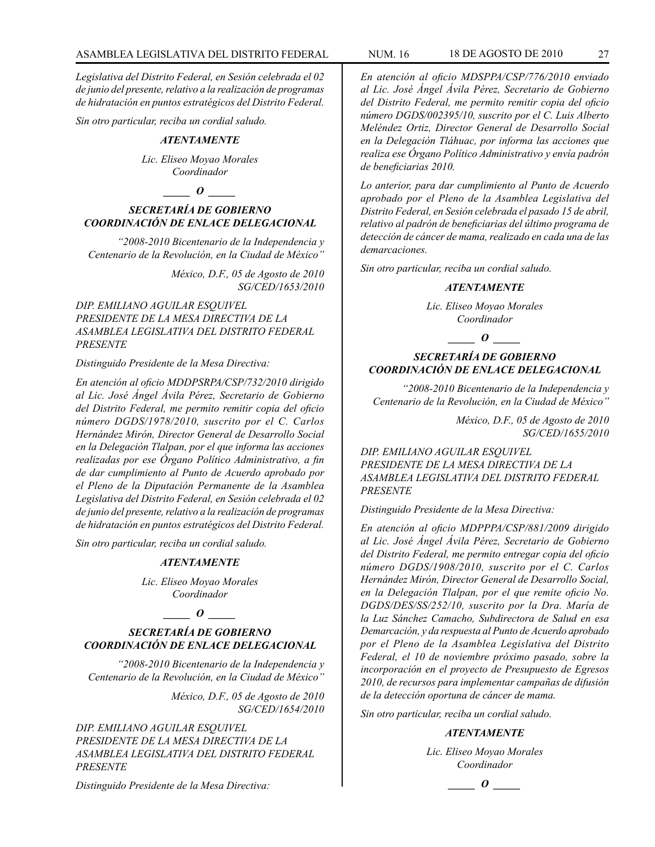*Legislativa del Distrito Federal, en Sesión celebrada el 02 de junio del presente, relativo a la realización de programas de hidratación en puntos estratégicos del Distrito Federal.*

*Sin otro particular, reciba un cordial saludo.*

#### *ATENTAMENTE*

*Lic. Eliseo Moyao Morales Coordinador*

*\_\_\_\_\_ O \_\_\_\_\_*

## *SECRETARÍA DE GOBIERNO COORDINACIÓN DE ENLACE DELEGACIONAL*

*"2008-2010 Bicentenario de la Independencia y Centenario de la Revolución, en la Ciudad de México"*

> *México, D.F., 05 de Agosto de 2010 SG/CED/1653/2010*

## *DIP. EMILIANO AGUILAR ESQUIVEL PRESIDENTE DE LA MESA DIRECTIVA DE LA ASAMBLEA LEGISLATIVA DEL DISTRITO FEDERAL PRESENTE*

#### *Distinguido Presidente de la Mesa Directiva:*

*En atención al oficio MDDPSRPA/CSP/732/2010 dirigido al Lic. José Ángel Ávila Pérez, Secretario de Gobierno del Distrito Federal, me permito remitir copia del oficio número DGDS/1978/2010, suscrito por el C. Carlos Hernández Mirón, Director General de Desarrollo Social en la Delegación Tlalpan, por el que informa las acciones realizadas por ese Órgano Político Administrativo, a fin de dar cumplimiento al Punto de Acuerdo aprobado por el Pleno de la Diputación Permanente de la Asamblea Legislativa del Distrito Federal, en Sesión celebrada el 02 de junio del presente, relativo a la realización de programas de hidratación en puntos estratégicos del Distrito Federal.*

*Sin otro particular, reciba un cordial saludo.*

#### *ATENTAMENTE*

*Lic. Eliseo Moyao Morales Coordinador*

## *\_\_\_\_\_ O \_\_\_\_\_*

## *SECRETARÍA DE GOBIERNO COORDINACIÓN DE ENLACE DELEGACIONAL*

*"2008-2010 Bicentenario de la Independencia y Centenario de la Revolución, en la Ciudad de México"*

> *México, D.F., 05 de Agosto de 2010 SG/CED/1654/2010*

*DIP. EMILIANO AGUILAR ESQUIVEL PRESIDENTE DE LA MESA DIRECTIVA DE LA ASAMBLEA LEGISLATIVA DEL DISTRITO FEDERAL PRESENTE*

*Distinguido Presidente de la Mesa Directiva:*

*En atención al oficio MDSPPA/CSP/776/2010 enviado al Lic. José Ángel Ávila Pérez, Secretario de Gobierno del Distrito Federal, me permito remitir copia del oficio número DGDS/002395/10, suscrito por el C. Luis Alberto Meléndez Ortiz, Director General de Desarrollo Social en la Delegación Tláhuac, por informa las acciones que realiza ese Órgano Político Administrativo y envía padrón de beneficiarias 2010.*

*Lo anterior, para dar cumplimiento al Punto de Acuerdo aprobado por el Pleno de la Asamblea Legislativa del Distrito Federal, en Sesión celebrada el pasado 15 de abril, relativo al padrón de beneficiarias del último programa de detección de cáncer de mama, realizado en cada una de las demarcaciones.*

*Sin otro particular, reciba un cordial saludo.*

#### *ATENTAMENTE*

*Lic. Eliseo Moyao Morales Coordinador*

#### *\_\_\_\_\_ O \_\_\_\_\_*

## *SECRETARÍA DE GOBIERNO COORDINACIÓN DE ENLACE DELEGACIONAL*

*"2008-2010 Bicentenario de la Independencia y Centenario de la Revolución, en la Ciudad de México"*

> *México, D.F., 05 de Agosto de 2010 SG/CED/1655/2010*

## *DIP. EMILIANO AGUILAR ESQUIVEL PRESIDENTE DE LA MESA DIRECTIVA DE LA ASAMBLEA LEGISLATIVA DEL DISTRITO FEDERAL PRESENTE*

#### *Distinguido Presidente de la Mesa Directiva:*

*En atención al oficio MDPPPA/CSP/881/2009 dirigido al Lic. José Ángel Ávila Pérez, Secretario de Gobierno del Distrito Federal, me permito entregar copia del oficio número DGDS/1908/2010, suscrito por el C. Carlos Hernández Mirón, Director General de Desarrollo Social, en la Delegación Tlalpan, por el que remite oficio No. DGDS/DES/SS/252/10, suscrito por la Dra. María de la Luz Sánchez Camacho, Subdirectora de Salud en esa Demarcación, y da respuesta al Punto de Acuerdo aprobado por el Pleno de la Asamblea Legislativa del Distrito Federal, el 10 de noviembre próximo pasado, sobre la incorporación en el proyecto de Presupuesto de Egresos 2010, de recursos para implementar campañas de difusión de la detección oportuna de cáncer de mama.*

*Sin otro particular, reciba un cordial saludo.*

#### *ATENTAMENTE*

*Lic. Eliseo Moyao Morales Coordinador*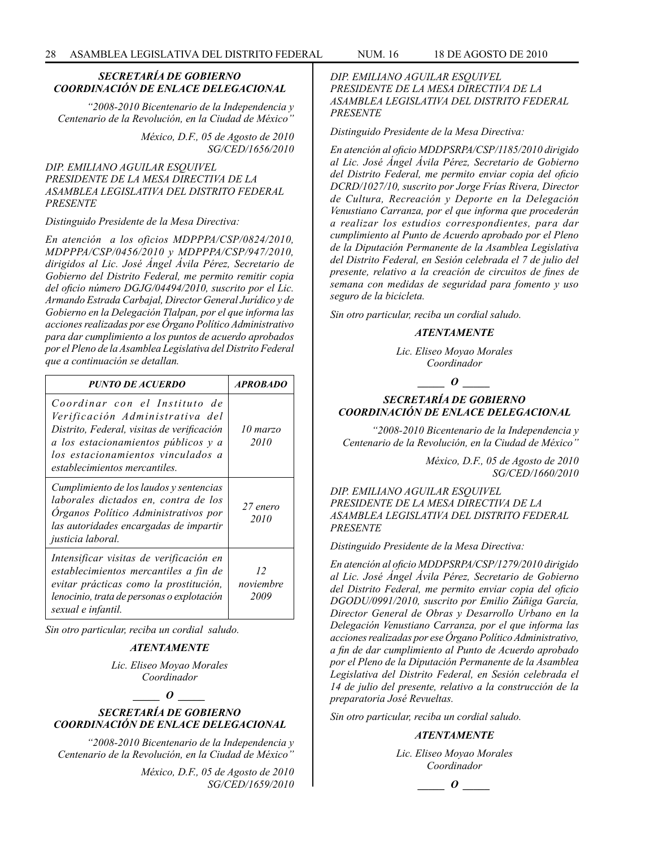## *SECRETARÍA DE GOBIERNO COORDINACIÓN DE ENLACE DELEGACIONAL*

*"2008-2010 Bicentenario de la Independencia y Centenario de la Revolución, en la Ciudad de México"*

> *México, D.F., 05 de Agosto de 2010 SG/CED/1656/2010*

*DIP. EMILIANO AGUILAR ESQUIVEL PRESIDENTE DE LA MESA DIRECTIVA DE LA ASAMBLEA LEGISLATIVA DEL DISTRITO FEDERAL PRESENTE*

#### *Distinguido Presidente de la Mesa Directiva:*

*En atención a los oficios MDPPPA/CSP/0824/2010, MDPPPA/CSP/0456/2010 y MDPPPA/CSP/947/2010, dirigidos al Lic. José Ángel Ávila Pérez, Secretario de Gobierno del Distrito Federal, me permito remitir copia del oficio número DGJG/04494/2010, suscrito por el Lic. Armando Estrada Carbajal, Director General Jurídico y de Gobierno en la Delegación Tlalpan, por el que informa las acciones realizadas por ese Órgano Político Administrativo para dar cumplimiento a los puntos de acuerdo aprobados por el Pleno de la Asamblea Legislativa del Distrito Federal que a continuación se detallan.* 

| <b>PUNTO DE ACUERDO</b>                                                                                                                                                                                                     | <b>APROBADO</b>         |
|-----------------------------------------------------------------------------------------------------------------------------------------------------------------------------------------------------------------------------|-------------------------|
| Coordinar con el Instituto de<br>Verificación Administrativa del<br>Distrito, Federal, visitas de verificación<br>a los estacionamientos públicos y a<br>los estacionamientos vinculados a<br>establecimientos mercantiles. | 10 marzo<br>2010        |
| Cumplimiento de los laudos y sentencias<br>laborales dictados en, contra de los<br>Organos Político Administrativos por<br>las autoridades encargadas de impartir<br>justicia laboral.                                      | 27 enero<br>2010        |
| Intensificar visitas de verificación en<br>establecimientos mercantiles a fin de<br>evitar prácticas como la prostitución,<br>lenocinio, trata de personas o explotación<br>sexual e infantil.                              | 12<br>noviembre<br>2009 |

*Sin otro particular, reciba un cordial saludo.*

## *ATENTAMENTE*

*Lic. Eliseo Moyao Morales Coordinador*

*\_\_\_\_\_ O \_\_\_\_\_*

## *SECRETARÍA DE GOBIERNO COORDINACIÓN DE ENLACE DELEGACIONAL*

*"2008-2010 Bicentenario de la Independencia y Centenario de la Revolución, en la Ciudad de México"*

> *México, D.F., 05 de Agosto de 2010 SG/CED/1659/2010*

*DIP. EMILIANO AGUILAR ESQUIVEL PRESIDENTE DE LA MESA DIRECTIVA DE LA ASAMBLEA LEGISLATIVA DEL DISTRITO FEDERAL PRESENTE*

*Distinguido Presidente de la Mesa Directiva:*

*En atención al oficio MDDPSRPA/CSP/1185/2010 dirigido al Lic. José Ángel Ávila Pérez, Secretario de Gobierno del Distrito Federal, me permito enviar copia del oficio DCRD/1027/10, suscrito por Jorge Frías Rivera, Director de Cultura, Recreación y Deporte en la Delegación Venustiano Carranza, por el que informa que procederán a realizar los estudios correspondientes, para dar cumplimiento al Punto de Acuerdo aprobado por el Pleno de la Diputación Permanente de la Asamblea Legislativa del Distrito Federal, en Sesión celebrada el 7 de julio del presente, relativo a la creación de circuitos de fines de semana con medidas de seguridad para fomento y uso seguro de la bicicleta.*

*Sin otro particular, reciba un cordial saludo.*

#### *ATENTAMENTE*

*Lic. Eliseo Moyao Morales Coordinador*

*\_\_\_\_\_ O \_\_\_\_\_*

## *SECRETARÍA DE GOBIERNO COORDINACIÓN DE ENLACE DELEGACIONAL*

*"2008-2010 Bicentenario de la Independencia y Centenario de la Revolución, en la Ciudad de México"*

> *México, D.F., 05 de Agosto de 2010 SG/CED/1660/2010*

*DIP. EMILIANO AGUILAR ESQUIVEL PRESIDENTE DE LA MESA DIRECTIVA DE LA ASAMBLEA LEGISLATIVA DEL DISTRITO FEDERAL PRESENTE*

*Distinguido Presidente de la Mesa Directiva:*

*En atención al oficio MDDPSRPA/CSP/1279/2010 dirigido al Lic. José Ángel Ávila Pérez, Secretario de Gobierno del Distrito Federal, me permito enviar copia del oficio DGODU/0991/2010, suscrito por Emilio Zúñiga García, Director General de Obras y Desarrollo Urbano en la Delegación Venustiano Carranza, por el que informa las acciones realizadas por ese Órgano Político Administrativo, a fin de dar cumplimiento al Punto de Acuerdo aprobado por el Pleno de la Diputación Permanente de la Asamblea Legislativa del Distrito Federal, en Sesión celebrada el 14 de julio del presente, relativo a la construcción de la preparatoria José Revueltas.*

*Sin otro particular, reciba un cordial saludo.*

## *ATENTAMENTE*

*Lic. Eliseo Moyao Morales Coordinador*

*\_\_\_\_\_ O \_\_\_\_\_*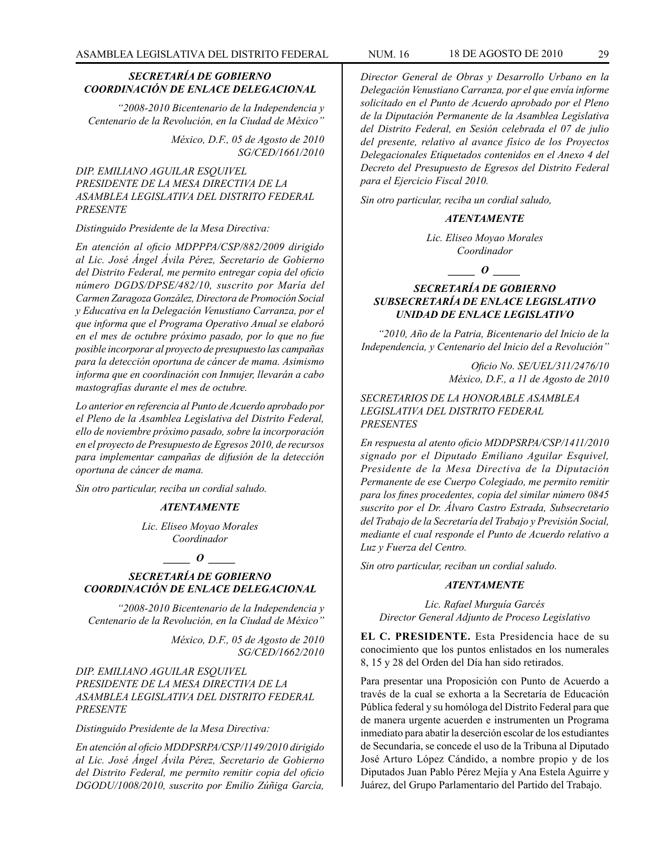## *SECRETARÍA DE GOBIERNO COORDINACIÓN DE ENLACE DELEGACIONAL*

*"2008-2010 Bicentenario de la Independencia y Centenario de la Revolución, en la Ciudad de México"*

> *México, D.F., 05 de Agosto de 2010 SG/CED/1661/2010*

*DIP. EMILIANO AGUILAR ESQUIVEL PRESIDENTE DE LA MESA DIRECTIVA DE LA ASAMBLEA LEGISLATIVA DEL DISTRITO FEDERAL PRESENTE*

#### *Distinguido Presidente de la Mesa Directiva:*

*En atención al oficio MDPPPA/CSP/882/2009 dirigido al Lic. José Ángel Ávila Pérez, Secretario de Gobierno del Distrito Federal, me permito entregar copia del oficio número DGDS/DPSE/482/10, suscrito por María del Carmen Zaragoza González, Directora de Promoción Social y Educativa en la Delegación Venustiano Carranza, por el que informa que el Programa Operativo Anual se elaboró en el mes de octubre próximo pasado, por lo que no fue posible incorporar al proyecto de presupuesto las campañas para la detección oportuna de cáncer de mama. Asimismo informa que en coordinación con Inmujer, llevarán a cabo mastografías durante el mes de octubre.*

*Lo anterior en referencia al Punto de Acuerdo aprobado por el Pleno de la Asamblea Legislativa del Distrito Federal, ello de noviembre próximo pasado, sobre la incorporación en el proyecto de Presupuesto de Egresos 2010, de recursos para implementar campañas de difusión de la detección oportuna de cáncer de mama.*

*Sin otro particular, reciba un cordial saludo.*

#### *ATENTAMENTE*

*Lic. Eliseo Moyao Morales Coordinador*

## *\_\_\_\_\_ O \_\_\_\_\_*

## *SECRETARÍA DE GOBIERNO COORDINACIÓN DE ENLACE DELEGACIONAL*

*"2008-2010 Bicentenario de la Independencia y Centenario de la Revolución, en la Ciudad de México"*

> *México, D.F., 05 de Agosto de 2010 SG/CED/1662/2010*

## *DIP. EMILIANO AGUILAR ESQUIVEL PRESIDENTE DE LA MESA DIRECTIVA DE LA ASAMBLEA LEGISLATIVA DEL DISTRITO FEDERAL PRESENTE*

*Distinguido Presidente de la Mesa Directiva:*

*En atención al oficio MDDPSRPA/CSP/1149/2010 dirigido al Lic. José Ángel Ávila Pérez, Secretario de Gobierno del Distrito Federal, me permito remitir copia del oficio DGODU/1008/2010, suscrito por Emilio Zúñiga García,* 

*Director General de Obras y Desarrollo Urbano en la Delegación Venustiano Carranza, por el que envía informe solicitado en el Punto de Acuerdo aprobado por el Pleno de la Diputación Permanente de la Asamblea Legislativa del Distrito Federal, en Sesión celebrada el 07 de julio del presente, relativo al avance físico de los Proyectos Delegacionales Etiquetados contenidos en el Anexo 4 del Decreto del Presupuesto de Egresos del Distrito Federal para el Ejercicio Fiscal 2010.*

*Sin otro particular, reciba un cordial saludo,*

## *ATENTAMENTE*

*Lic. Eliseo Moyao Morales Coordinador*

*\_\_\_\_\_ O \_\_\_\_\_*

## *SECRETARÍA DE GOBIERNO SUBSECRETARÍA DE ENLACE LEGISLATIVO UNIDAD DE ENLACE LEGISLATIVO*

*"2010, Año de la Patria, Bicentenario del Inicio de la Independencia, y Centenario del Inicio del a Revolución"*

> *Oficio No. SE/UEL/311/2476/10 México, D.F., a 11 de Agosto de 2010*

#### *SECRETARIOS DE LA HONORABLE ASAMBLEA LEGISLATIVA DEL DISTRITO FEDERAL PRESENTES*

*En respuesta al atento oficio MDDPSRPA/CSP/1411/2010 signado por el Diputado Emiliano Aguilar Esquivel, Presidente de la Mesa Directiva de la Diputación Permanente de ese Cuerpo Colegiado, me permito remitir para los fines procedentes, copia del similar número 0845 suscrito por el Dr. Álvaro Castro Estrada, Subsecretario del Trabajo de la Secretaría del Trabajo y Previsión Social, mediante el cual responde el Punto de Acuerdo relativo a Luz y Fuerza del Centro.*

*Sin otro particular, reciban un cordial saludo.*

#### *ATENTAMENTE*

*Lic. Rafael Murguía Garcés Director General Adjunto de Proceso Legislativo*

**EL C. PRESIDENTE.** Esta Presidencia hace de su conocimiento que los puntos enlistados en los numerales 8, 15 y 28 del Orden del Día han sido retirados.

Para presentar una Proposición con Punto de Acuerdo a través de la cual se exhorta a la Secretaría de Educación Pública federal y su homóloga del Distrito Federal para que de manera urgente acuerden e instrumenten un Programa inmediato para abatir la deserción escolar de los estudiantes de Secundaria, se concede el uso de la Tribuna al Diputado José Arturo López Cándido, a nombre propio y de los Diputados Juan Pablo Pérez Mejía y Ana Estela Aguirre y Juárez, del Grupo Parlamentario del Partido del Trabajo.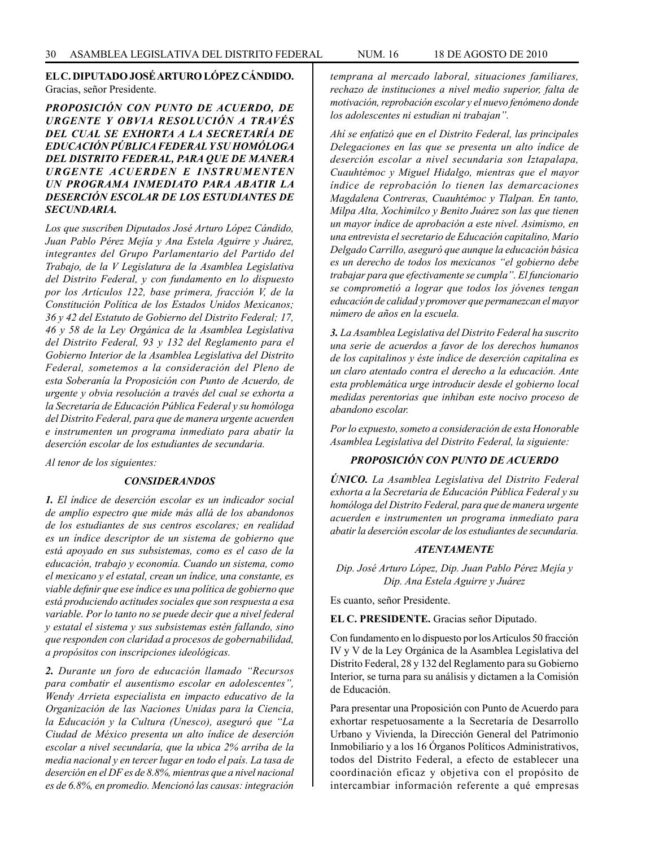## **EL C. DIPUTADO JOSÉ ARTURO LÓPEZ CÁNDIDO.** Gracias, señor Presidente.

*PROPOSICIÓN CON PUNTO DE ACUERDO, DE URGENTE Y OBVIA RESOLUCIÓN A TRAVÉS DEL CUAL SE EXHORTA A LA SECRETARÍA DE EDUCACIÓN PÚBLICA FEDERAL Y SU HOMÓLOGA DEL DISTRITO FEDERAL, PARA QUE DE MANERA URGENTE ACUERDEN E INSTRUMENTEN UN PROGRAMA INMEDIATO PARA ABATIR LA DESERCIÓN ESCOLAR DE LOS ESTUDIANTES DE SECUNDARIA.*

*Los que suscriben Diputados José Arturo López Cándido, Juan Pablo Pérez Mejía y Ana Estela Aguirre y Juárez, integrantes del Grupo Parlamentario del Partido del Trabajo, de la V Legislatura de la Asamblea Legislativa del Distrito Federal, y con fundamento en lo dispuesto por los Artículos 122, base primera, fracción V, de la Constitución Política de los Estados Unidos Mexicanos; 36 y 42 del Estatuto de Gobierno del Distrito Federal; 17, 46 y 58 de la Ley Orgánica de la Asamblea Legislativa del Distrito Federal, 93 y 132 del Reglamento para el Gobierno Interior de la Asamblea Legislativa del Distrito Federal, sometemos a la consideración del Pleno de esta Soberanía la Proposición con Punto de Acuerdo, de urgente y obvia resolución a través del cual se exhorta a la Secretaría de Educación Pública Federal y su homóloga del Distrito Federal, para que de manera urgente acuerden e instrumenten un programa inmediato para abatir la deserción escolar de los estudiantes de secundaria.*

*Al tenor de los siguientes:*

#### *CONSIDERANDOS*

*1. El índice de deserción escolar es un indicador social de amplio espectro que mide más allá de los abandonos de los estudiantes de sus centros escolares; en realidad es un índice descriptor de un sistema de gobierno que está apoyado en sus subsistemas, como es el caso de la educación, trabajo y economía. Cuando un sistema, como el mexicano y el estatal, crean un índice, una constante, es viable definir que ese índice es una política de gobierno que está produciendo actitudes sociales que son respuesta a esa variable. Por lo tanto no se puede decir que a nivel federal y estatal el sistema y sus subsistemas estén fallando, sino que responden con claridad a procesos de gobernabilidad, a propósitos con inscripciones ideológicas.*

*2. Durante un foro de educación llamado "Recursos para combatir el ausentismo escolar en adolescentes", Wendy Arrieta especialista en impacto educativo de la Organización de las Naciones Unidas para la Ciencia, la Educación y la Cultura (Unesco), aseguró que "La Ciudad de México presenta un alto índice de deserción escolar a nivel secundaría, que la ubica 2% arriba de la media nacional y en tercer lugar en todo el país. La tasa de deserción en el DF es de 8.8%, mientras que a nivel nacional es de 6.8%, en promedio. Mencionó las causas: integración* 

*temprana al mercado laboral, situaciones familiares, rechazo de instituciones a nivel medio superior, falta de motivación, reprobación escolar y el nuevo fenómeno donde los adolescentes ni estudian ni trabajan".*

*Ahí se enfatizó que en el Distrito Federal, las principales Delegaciones en las que se presenta un alto índice de deserción escolar a nivel secundaria son Iztapalapa, Cuauhtémoc y Miguel Hidalgo, mientras que el mayor índice de reprobación lo tienen las demarcaciones Magdalena Contreras, Cuauhtémoc y Tlalpan. En tanto, Milpa Alta, Xochimilco y Benito Juárez son las que tienen un mayor índice de aprobación a este nivel. Asimismo, en una entrevista el secretario de Educación capitalino, Mario Delgado Carrillo, aseguró que aunque la educación básica es un derecho de todos los mexicanos "el gobierno debe trabajar para que efectivamente se cumpla". El funcionario se comprometió a lograr que todos los jóvenes tengan educación de calidad y promover que permanezcan el mayor número de años en la escuela.*

*3. La Asamblea Legislativa del Distrito Federal ha suscrito una serie de acuerdos a favor de los derechos humanos de los capitalinos y éste índice de deserción capitalina es un claro atentado contra el derecho a la educación. Ante esta problemática urge introducir desde el gobierno local medidas perentorias que inhiban este nocivo proceso de abandono escolar.*

*Por lo expuesto, someto a consideración de esta Honorable Asamblea Legislativa del Distrito Federal, la siguiente:*

## *PROPOSICIÓN CON PUNTO DE ACUERDO*

*ÚNICO. La Asamblea Legislativa del Distrito Federal exhorta a la Secretaría de Educación Pública Federal y su homóloga del Distrito Federal, para que de manera urgente acuerden e instrumenten un programa inmediato para abatir la deserción escolar de los estudiantes de secundaria.*

#### *ATENTAMENTE*

*Dip. José Arturo López, Dip. Juan Pablo Pérez Mejía y Dip. Ana Estela Aguirre y Juárez*

Es cuanto, señor Presidente.

**EL C. PRESIDENTE.** Gracias señor Diputado.

Con fundamento en lo dispuesto por los Artículos 50 fracción IV y V de la Ley Orgánica de la Asamblea Legislativa del Distrito Federal, 28 y 132 del Reglamento para su Gobierno Interior, se turna para su análisis y dictamen a la Comisión de Educación.

Para presentar una Proposición con Punto de Acuerdo para exhortar respetuosamente a la Secretaría de Desarrollo Urbano y Vivienda, la Dirección General del Patrimonio Inmobiliario y a los 16 Órganos Políticos Administrativos, todos del Distrito Federal, a efecto de establecer una coordinación eficaz y objetiva con el propósito de intercambiar información referente a qué empresas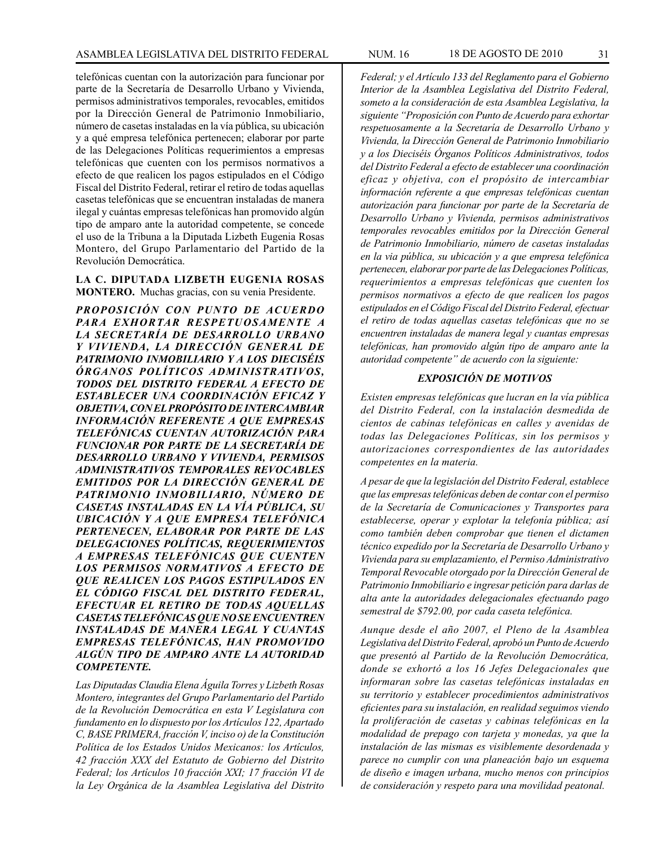telefónicas cuentan con la autorización para funcionar por parte de la Secretaría de Desarrollo Urbano y Vivienda, permisos administrativos temporales, revocables, emitidos por la Dirección General de Patrimonio Inmobiliario, número de casetas instaladas en la vía pública, su ubicación y a qué empresa telefónica pertenecen; elaborar por parte de las Delegaciones Políticas requerimientos a empresas telefónicas que cuenten con los permisos normativos a efecto de que realicen los pagos estipulados en el Código Fiscal del Distrito Federal, retirar el retiro de todas aquellas casetas telefónicas que se encuentran instaladas de manera ilegal y cuántas empresas telefónicas han promovido algún tipo de amparo ante la autoridad competente, se concede el uso de la Tribuna a la Diputada Lizbeth Eugenia Rosas Montero, del Grupo Parlamentario del Partido de la Revolución Democrática.

**LA C. DIPUTADA LIZBETH EUGENIA ROSAS MONTERO.** Muchas gracias, con su venia Presidente.

*PROPOSICIÓN CON PUNTO DE ACUERDO PARA EXHORTAR RESPETUOSAMENTE A LA SECRETARÍA DE DESARROLLO URBANO Y VIVIENDA, LA DIRECCIÓN GENERAL DE PATRIMONIO INMOBILIARIO Y A LOS DIECISÉIS ÓRGANOS POLÍTICOS ADMINISTRATIVOS, TODOS DEL DISTRITO FEDERAL A EFECTO DE ESTABLECER UNA COORDINACIÓN EFICAZ Y OBJETIVA, CON EL PROPÓSITO DE INTERCAMBIAR INFORMACIÓN REFERENTE A QUE EMPRESAS TELEFÓNICAS CUENTAN AUTORIZACIÓN PARA FUNCIONAR POR PARTE DE LA SECRETARÍA DE DESARROLLO URBANO Y VIVIENDA, PERMISOS ADMINISTRATIVOS TEMPORALES REVOCABLES EMITIDOS POR LA DIRECCIÓN GENERAL DE PATRIMONIO INMOBILIARIO, NÚMERO DE CASETAS INSTALADAS EN LA VÍA PÚBLICA, SU UBICACIÓN Y A QUE EMPRESA TELEFÓNICA PERTENECEN, ELABORAR POR PARTE DE LAS DELEGACIONES POLÍTICAS, REQUERIMIENTOS A EMPRESAS TELEFÓNICAS QUE CUENTEN LOS PERMISOS NORMATIVOS A EFECTO DE QUE REALICEN LOS PAGOS ESTIPULADOS EN EL CÓDIGO FISCAL DEL DISTRITO FEDERAL, EFECTUAR EL RETIRO DE TODAS AQUELLAS CASETAS TELEFÓNICAS QUE NO SE ENCUENTREN INSTALADAS DE MANERA LEGAL Y CUANTAS EMPRESAS TELEFÓNICAS, HAN PROMOVIDO ALGÚN TIPO DE AMPARO ANTE LA AUTORIDAD COMPETENTE.*

*Las Diputadas Claudia Elena Águila Torres y Lizbeth Rosas Montero, integrantes del Grupo Parlamentario del Partido de la Revolución Democrática en esta V Legislatura con fundamento en lo dispuesto por los Artículos 122, Apartado C, BASE PRIMERA, fracción V, inciso o) de la Constitución Política de los Estados Unidos Mexicanos: los Artículos, 42 fracción XXX del Estatuto de Gobierno del Distrito Federal; los Artículos 10 fracción XXI; 17 fracción VI de la Ley Orgánica de la Asamblea Legislativa del Distrito*  *someto a la consideración de esta Asamblea Legislativa, la siguiente "Proposición con Punto de Acuerdo para exhortar respetuosamente a la Secretaría de Desarrollo Urbano y Vivienda, la Dirección General de Patrimonio Inmobiliario y a los Dieciséis Órganos Políticos Administrativos, todos del Distrito Federal a efecto de establecer una coordinación eficaz y objetiva, con el propósito de intercambiar información referente a que empresas telefónicas cuentan autorización para funcionar por parte de la Secretaría de Desarrollo Urbano y Vivienda, permisos administrativos temporales revocables emitidos por la Dirección General de Patrimonio Inmobiliario, número de casetas instaladas en la via pública, su ubicación y a que empresa telefónica pertenecen, elaborar por parte de las Delegaciones Políticas, requerimientos a empresas telefónicas que cuenten los permisos normativos a efecto de que realicen los pagos estipulados en el Código Fiscal del Distrito Federal, efectuar el retiro de todas aquellas casetas telefónicas que no se encuentren instaladas de manera legal y cuantas empresas telefónicas, han promovido algún tipo de amparo ante la autoridad competente" de acuerdo con la siguiente:*

#### *EXPOSICIÓN DE MOTIVOS*

*Existen empresas telefónicas que lucran en la vía pública del Distrito Federal, con la instalación desmedida de cientos de cabinas telefónicas en calles y avenidas de todas las Delegaciones Políticas, sin los permisos y autorizaciones correspondientes de las autoridades competentes en la materia.*

*A pesar de que la legislación del Distrito Federal, establece que las empresas telefónicas deben de contar con el permiso de la Secretaría de Comunicaciones y Transportes para establecerse, operar y explotar la telefonía pública; así como también deben comprobar que tienen el dictamen técnico expedido por la Secretaría de Desarrollo Urbano y Vivienda para su emplazamiento, el Permiso Administrativo Temporal Revocable otorgado por la Dirección General de Patrimonio Inmobiliario e ingresar petición para darlas de alta ante la autoridades delegacionales efectuando pago semestral de \$792.00, por cada caseta telefónica.*

*Aunque desde el año 2007, el Pleno de la Asamblea Legislativa del Distrito Federal, aprobó un Punto de Acuerdo que presentó al Partido de la Revolución Democrática, donde se exhortó a los 16 Jefes Delegacionales que informaran sobre las casetas telefónicas instaladas en su territorio y establecer procedimientos administrativos eficientes para su instalación, en realidad seguimos viendo la proliferación de casetas y cabinas telefónicas en la modalidad de prepago con tarjeta y monedas, ya que la instalación de las mismas es visiblemente desordenada y parece no cumplir con una planeación bajo un esquema de diseño e imagen urbana, mucho menos con principios de consideración y respeto para una movilidad peatonal.*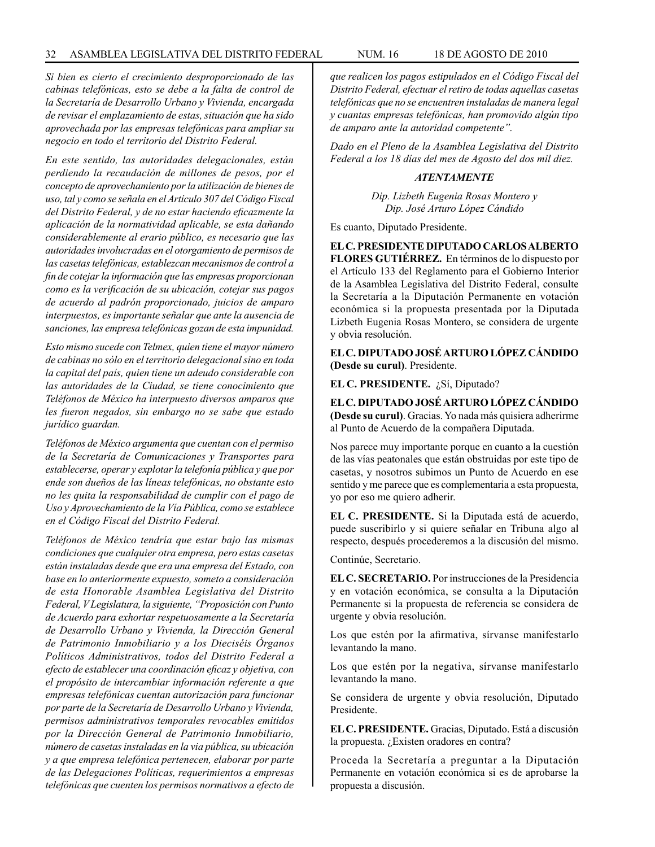*Si bien es cierto el crecimiento desproporcionado de las cabinas telefónicas, esto se debe a la falta de control de la Secretaría de Desarrollo Urbano y Vivienda, encargada de revisar el emplazamiento de estas, situación que ha sido aprovechada por las empresas telefónicas para ampliar su negocio en todo el territorio del Distrito Federal.*

*En este sentido, las autoridades delegacionales, están perdiendo la recaudación de millones de pesos, por el concepto de aprovechamiento por la utilización de bienes de uso, tal y como se señala en el Artículo 307 del Código Fiscal del Distrito Federal, y de no estar haciendo eficazmente la aplicación de la normatividad aplicable, se esta dañando considerablemente al erario público, es necesario que las autoridades involucradas en el otorgamiento de permisos de las casetas telefónicas, establezcan mecanismos de control a fin de cotejar la información que las empresas proporcionan como es la verificación de su ubicación, cotejar sus pagos de acuerdo al padrón proporcionado, juicios de amparo interpuestos, es importante señalar que ante la ausencia de sanciones, las empresa telefónicas gozan de esta impunidad.*

*Esto mismo sucede con Telmex, quien tiene el mayor número de cabinas no sólo en el territorio delegacional sino en toda la capital del país, quien tiene un adeudo considerable con las autoridades de la Ciudad, se tiene conocimiento que Teléfonos de México ha interpuesto diversos amparos que les fueron negados, sin embargo no se sabe que estado jurídico guardan.*

*Teléfonos de México argumenta que cuentan con el permiso de la Secretaría de Comunicaciones y Transportes para establecerse, operar y explotar la telefonía pública y que por ende son dueños de las líneas telefónicas, no obstante esto no les quita la responsabilidad de cumplir con el pago de Uso y Aprovechamiento de la Vía Pública, como se establece en el Código Fiscal del Distrito Federal.*

*Teléfonos de México tendría que estar bajo las mismas condiciones que cualquier otra empresa, pero estas casetas están instaladas desde que era una empresa del Estado, con base en lo anteriormente expuesto, someto a consideración de esta Honorable Asamblea Legislativa del Distrito Federal, V Legislatura, la siguiente, "Proposición con Punto de Acuerdo para exhortar respetuosamente a la Secretaría de Desarrollo Urbano y Vivienda, la Dirección General de Patrimonio Inmobiliario y a los Dieciséis Órganos Políticos Administrativos, todos del Distrito Federal a efecto de establecer una coordinación eficaz y objetiva, con el propósito de intercambiar información referente a que empresas telefónicas cuentan autorización para funcionar por parte de la Secretaría de Desarrollo Urbano y Vivienda, permisos administrativos temporales revocables emitidos por la Dirección General de Patrimonio Inmobiliario, número de casetas instaladas en la via pública, su ubicación y a que empresa telefónica pertenecen, elaborar por parte de las Delegaciones Políticas, requerimientos a empresas telefónicas que cuenten los permisos normativos a efecto de*  *que realicen los pagos estipulados en el Código Fiscal del Distrito Federal, efectuar el retiro de todas aquellas casetas telefónicas que no se encuentren instaladas de manera legal y cuantas empresas telefónicas, han promovido algún tipo de amparo ante la autoridad competente".*

*Dado en el Pleno de la Asamblea Legislativa del Distrito Federal a los 18 días del mes de Agosto del dos mil diez.*

#### *ATENTAMENTE*

*Dip. Lizbeth Eugenia Rosas Montero y Dip. José Arturo López Cándido*

Es cuanto, Diputado Presidente.

**EL C. PRESIDENTE DIPUTADO CARLOS ALBERTO FLORES GUTIÉRREZ.** En términos de lo dispuesto por el Artículo 133 del Reglamento para el Gobierno Interior de la Asamblea Legislativa del Distrito Federal, consulte la Secretaría a la Diputación Permanente en votación económica si la propuesta presentada por la Diputada Lizbeth Eugenia Rosas Montero, se considera de urgente y obvia resolución.

**EL C. DIPUTADO JOSÉ ARTURO LÓPEZ CÁNDIDO (Desde su curul)**. Presidente.

**EL C. PRESIDENTE.** ¿Sí, Diputado?

**EL C. DIPUTADO JOSÉ ARTURO LÓPEZ CÁNDIDO (Desde su curul)**. Gracias. Yo nada más quisiera adherirme al Punto de Acuerdo de la compañera Diputada.

Nos parece muy importante porque en cuanto a la cuestión de las vías peatonales que están obstruidas por este tipo de casetas, y nosotros subimos un Punto de Acuerdo en ese sentido y me parece que es complementaria a esta propuesta, yo por eso me quiero adherir.

**EL C. PRESIDENTE.** Si la Diputada está de acuerdo, puede suscribirlo y si quiere señalar en Tribuna algo al respecto, después procederemos a la discusión del mismo.

Continúe, Secretario.

**EL C. SECRETARIO.** Por instrucciones de la Presidencia y en votación económica, se consulta a la Diputación Permanente si la propuesta de referencia se considera de urgente y obvia resolución.

Los que estén por la afirmativa, sírvanse manifestarlo levantando la mano.

Los que estén por la negativa, sírvanse manifestarlo levantando la mano.

Se considera de urgente y obvia resolución, Diputado Presidente.

**EL C. PRESIDENTE.** Gracias, Diputado. Está a discusión la propuesta. ¿Existen oradores en contra?

Proceda la Secretaría a preguntar a la Diputación Permanente en votación económica si es de aprobarse la propuesta a discusión.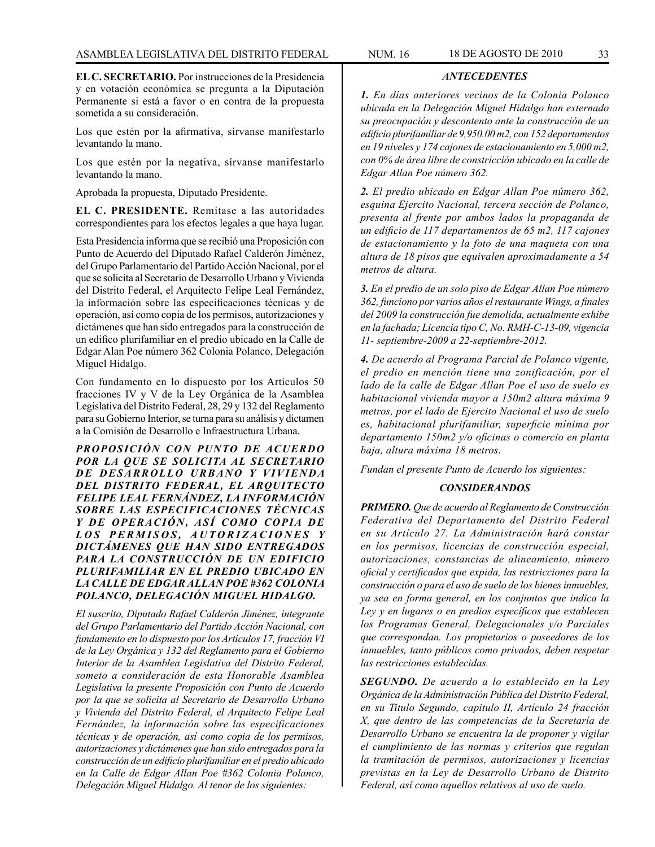**EL C. SECRETARIO.** Por instrucciones de la Presidencia y en votación económica se pregunta a la Diputación Permanente si está a favor o en contra de la propuesta sometida a su consideración.

Los que estén por la afirmativa, sírvanse manifestarlo levantando la mano.

Los que estén por la negativa, sírvanse manifestarlo levantando la mano.

Aprobada la propuesta, Diputado Presidente.

**EL C. PRESIDENTE.** Remítase a las autoridades correspondientes para los efectos legales a que haya lugar.

Esta Presidencia informa que se recibió una Proposición con Punto de Acuerdo del Diputado Rafael Calderón Jiménez, del Grupo Parlamentario del Partido Acción Nacional, por el que se solicita al Secretario de Desarrollo Urbano y Vivienda del Distrito Federal, el Arquitecto Felipe Leal Fernández, la información sobre las especificaciones técnicas y de operación, así como copia de los permisos, autorizaciones y dictámenes que han sido entregados para la construcción de un edifico plurifamiliar en el predio ubicado en la Calle de Edgar Alan Poe número 362 Colonia Polanco, Delegación Miguel Hidalgo.

Con fundamento en lo dispuesto por los Artículos 50 fracciones IV y V de la Ley Orgánica de la Asamblea Legislativa del Distrito Federal, 28, 29 y 132 del Reglamento para su Gobierno Interior, se turna para su análisis y dictamen a la Comisión de Desarrollo e Infraestructura Urbana.

*PROPOSICIÓN CON PUNTO DE ACUERDO POR LA QUE SE SOLICITA AL SECRETARIO DE DESARROLLO URBANO Y VIVIENDA DEL DISTRITO FEDERAL, EL ARQUITECTO FELIPE LEAL FERNÁNDEZ, LA INFORMACIÓN SOBRE LAS ESPECIFICACIONES TÉCNICAS Y DE OPERACIÓN, ASÍ COMO COPIA DE*  LOS PERMISOS, AUTORIZACIONES Y *DICTÁMENES QUE HAN SIDO ENTREGADOS PARA LA CONSTRUCCIÓN DE UN EDIFICIO PLURIFAMILIAR EN EL PREDIO UBICADO EN LA CALLE DE EDGAR ALLAN POE #362 COLONIA POLANCO, DELEGACIÓN MIGUEL HIDALGO.*

*El suscrito, Diputado Rafael Calderón Jiménez, integrante del Grupo Parlamentario del Partido Acción Nacional, con fundamento en lo dispuesto por los Artículos 17, fracción VI de la Ley Orgánica y 132 del Reglamento para el Gobierno Interior de la Asamblea Legislativa del Distrito Federal, someto a consideración de esta Honorable Asamblea Legislativa la presente Proposición con Punto de Acuerdo por la que se solicita al Secretario de Desarrollo Urbano y Vivienda del Distrito Federal, el Arquitecto Felipe Leal Fernández, la información sobre las especificaciones técnicas y de operación, así como copia de los permisos, autorizaciones y dictámenes que han sido entregados para la construcción de un edificio plurifamiliar en el predio ubicado en la Calle de Edgar Allan Poe #362 Colonia Polanco, Delegación Miguel Hidalgo. Al tenor de los siguientes:*

*1. En días anteriores vecinos de la Colonia Polanco ubicada en la Delegación Miguel Hidalgo han externado su preocupación y descontento ante la construcción de un edificio plurifamiliar de 9,950.00 m2, con 152 departamentos en 19 niveles y 174 cajones de estacionamiento en 5,000 m2, con 0% de área libre de constricción ubicado en la calle de Edgar Allan Poe número 362.*

*ANTECEDENTES*

*2. El predio ubicado en Edgar Allan Poe número 362, esquina Ejercito Nacional, tercera sección de Polanco, presenta al frente por ambos lados la propaganda de un edificio de 117 departamentos de 65 m2, 117 cajones de estacionamiento y la foto de una maqueta con una altura de 18 pisos que equivalen aproximadamente a 54 metros de altura.*

*3. En el predio de un solo piso de Edgar Allan Poe número 362, funciono por varios años el restaurante Wings, a finales del 2009 la construcción fue demolida, actualmente exhibe en la fachada; Licencia tipo C, No. RMH-C-13-09, vigencia 11- septiembre-2009 a 22-septiembre-2012.*

*4. De acuerdo al Programa Parcial de Polanco vigente, el predio en mención tiene una zonificación, por el lado de la calle de Edgar Allan Poe el uso de suelo es habitacional vivienda mayor a 150m2 altura máxima 9 metros, por el lado de Ejercito Nacional el uso de suelo es, habitacional plurifamiliar, superficie mínima por departamento 150m2 y/o oficinas o comercio en planta baja, altura máxima 18 metros.*

*Fundan el presente Punto de Acuerdo los siguientes:*

#### *CONSIDERANDOS*

*PRIMERO. Que de acuerdo al Reglamento de Construcción Federativa del Departamento del Distrito Federal en su Artículo 27. La Administración hará constar en los permisos, licencias de construcción especial, autorizaciones, constancias de alineamiento, número oficial y certificados que expida, las restricciones para la construcción o para el uso de suelo de los bienes inmuebles, ya sea en forma general, en los conjuntos que indica la Ley y en lugares o en predios específicos que establecen los Programas General, Delegacionales y/o Parciales que correspondan. Los propietarios o poseedores de los inmuebles, tanto públicos como privados, deben respetar las restricciones establecidas.*

*SEGUNDO. De acuerdo a lo establecido en la Ley Orgánica de la Administración Pública del Distrito Federal, en su Titulo Segundo, capitulo II, Artículo 24 fracción X, que dentro de las competencias de la Secretaría de Desarrollo Urbano se encuentra la de proponer y vigilar el cumplimiento de las normas y criterios que regulan la tramitación de permisos, autorizaciones y licencias previstas en la Ley de Desarrollo Urbano de Distrito Federal, así como aquellos relativos al uso de suelo.*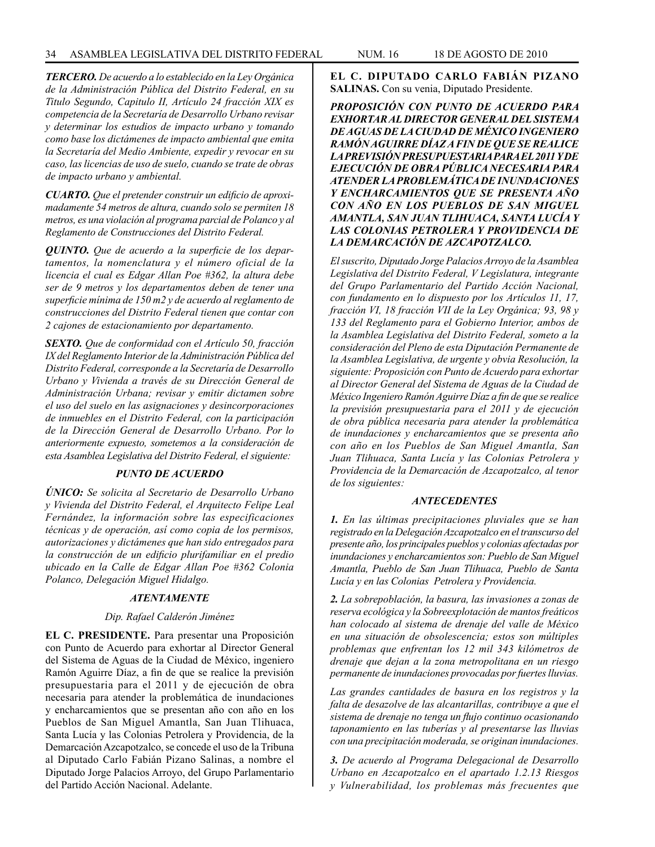*TERCERO. De acuerdo a lo establecido en la Ley Orgánica de la Administración Pública del Distrito Federal, en su Titulo Segundo, Capitulo II, Artículo 24 fracción XIX es competencia de la Secretaría de Desarrollo Urbano revisar y determinar los estudios de impacto urbano y tomando como base los dictámenes de impacto ambiental que emita la Secretaría del Medio Ambiente, expedir y revocar en su caso, las licencias de uso de suelo, cuando se trate de obras de impacto urbano y ambiental.*

*CUARTO. Que el pretender construir un edificio de aproximadamente 54 metros de altura, cuando solo se permiten 18 metros, es una violación al programa parcial de Polanco y al Reglamento de Construcciones del Distrito Federal.*

*QUINTO. Que de acuerdo a la superficie de los departamentos, la nomenclatura y el número oficial de la licencia el cual es Edgar Allan Poe #362, la altura debe ser de 9 metros y los departamentos deben de tener una superficie mínima de 150 m2 y de acuerdo al reglamento de construcciones del Distrito Federal tienen que contar con 2 cajones de estacionamiento por departamento.*

*SEXTO. Que de conformidad con el Artículo 50, fracción IX del Reglamento Interior de la Administración Pública del Distrito Federal, corresponde a la Secretaría de Desarrollo Urbano y Vivienda a través de su Dirección General de Administración Urbana; revisar y emitir dictamen sobre el uso del suelo en las asignaciones y desincorporaciones de inmuebles en el Distrito Federal, con la participación de la Dirección General de Desarrollo Urbano. Por lo anteriormente expuesto, sometemos a la consideración de esta Asamblea Legislativa del Distrito Federal, el siguiente:*

#### *PUNTO DE ACUERDO*

*ÚNICO: Se solicita al Secretario de Desarrollo Urbano y Vivienda del Distrito Federal, el Arquitecto Felipe Leal Fernández, la información sobre las especificaciones técnicas y de operación, así como copia de los permisos, autorizaciones y dictámenes que han sido entregados para la construcción de un edificio plurifamiliar en el predio ubicado en la Calle de Edgar Allan Poe #362 Colonia Polanco, Delegación Miguel Hidalgo.*

#### *ATENTAMENTE*

#### *Dip. Rafael Calderón Jiménez*

**EL C. PRESIDENTE.** Para presentar una Proposición con Punto de Acuerdo para exhortar al Director General del Sistema de Aguas de la Ciudad de México, ingeniero Ramón Aguirre Díaz, a fin de que se realice la previsión presupuestaria para el 2011 y de ejecución de obra necesaria para atender la problemática de inundaciones y encharcamientos que se presentan año con año en los Pueblos de San Miguel Amantla, San Juan Tlihuaca, Santa Lucía y las Colonias Petrolera y Providencia, de la Demarcación Azcapotzalco, se concede el uso de la Tribuna al Diputado Carlo Fabián Pizano Salinas, a nombre el Diputado Jorge Palacios Arroyo, del Grupo Parlamentario del Partido Acción Nacional. Adelante.

**EL C. DIPUTADO CARLO FABIÁN PIZANO SALINAS.** Con su venia, Diputado Presidente.

*PROPOSICIÓN CON PUNTO DE ACUERDO PARA EXHORTAR AL DIRECTOR GENERAL DEL SISTEMA DE AGUAS DE LA CIUDAD DE MÉXICO INGENIERO RAMÓN AGUIRRE DÍAZ A FIN DE QUE SE REALICE LA PREVISIÓN PRESUPUESTARIA PARA EL 2011 Y DE EJECUCIÓN DE OBRA PÚBLICA NECESARIA PARA ATENDER LA PROBLEMÁTICA DE INUNDACIONES Y ENCHARCAMIENTOS QUE SE PRESENTA AÑO CON AÑO EN LOS PUEBLOS DE SAN MIGUEL AMANTLA, SAN JUAN TLIHUACA, SANTA LUCÍA Y LAS COLONIAS PETROLERA Y PROVIDENCIA DE LA DEMARCACIÓN DE AZCAPOTZALCO.*

*El suscrito, Diputado Jorge Palacios Arroyo de la Asamblea Legislativa del Distrito Federal, V Legislatura, integrante del Grupo Parlamentario del Partido Acción Nacional, con fundamento en lo dispuesto por los Artículos 11, 17, fracción VI, 18 fracción VII de la Ley Orgánica; 93, 98 y 133 del Reglamento para el Gobierno Interior, ambos de la Asamblea Legislativa del Distrito Federal, someto a la consideración del Pleno de esta Diputación Permanente de la Asamblea Legislativa, de urgente y obvia Resolución, la siguiente: Proposición con Punto de Acuerdo para exhortar al Director General del Sistema de Aguas de la Ciudad de México Ingeniero Ramón Aguirre Díaz a fin de que se realice la previsión presupuestaria para el 2011 y de ejecución de obra pública necesaria para atender la problemática de inundaciones y encharcamientos que se presenta año con año en los Pueblos de San Miguel Amantla, San Juan Tlihuaca, Santa Lucía y las Colonias Petrolera y Providencia de la Demarcación de Azcapotzalco, al tenor de los siguientes:*

#### *ANTECEDENTES*

*1. En las últimas precipitaciones pluviales que se han registrado en la Delegación Azcapotzalco en el transcurso del presente año, los principales pueblos y colonias afectadas por inundaciones y encharcamientos son: Pueblo de San Miguel Amantla, Pueblo de San Juan Tlihuaca, Pueblo de Santa Lucía y en las Colonias Petrolera y Providencia.*

*2. La sobrepoblación, la basura, las invasiones a zonas de reserva ecológica y la Sobreexplotación de mantos freáticos han colocado al sistema de drenaje del valle de México en una situación de obsolescencia; estos son múltiples problemas que enfrentan los 12 mil 343 kilómetros de drenaje que dejan a la zona metropolitana en un riesgo permanente de inundaciones provocadas por fuertes lluvias.*

*Las grandes cantidades de basura en los registros y la falta de desazolve de las alcantarillas, contribuye a que el sistema de drenaje no tenga un flujo continuo ocasionando taponamiento en las tuberías y al presentarse las lluvias con una precipitación moderada, se originan inundaciones.*

*3. De acuerdo al Programa Delegacional de Desarrollo Urbano en Azcapotzalco en el apartado 1.2.13 Riesgos y Vulnerabilidad, los problemas más frecuentes que*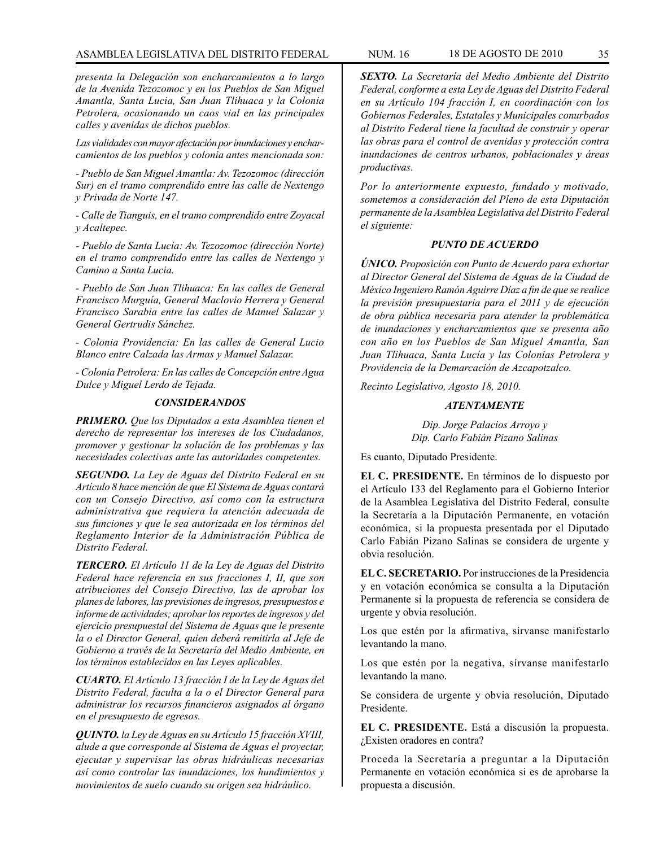## ASAMBLEA LEGISLATIVA DEL DISTRITO FEDERAL NUM. 16 18 DE AGOSTO DE 2010 35

*presenta la Delegación son encharcamientos a lo largo de la Avenida Tezozomoc y en los Pueblos de San Miguel Amantla, Santa Lucia, San Juan Tlihuaca y la Colonia Petrolera, ocasionando un caos vial en las principales calles y avenidas de dichos pueblos.*

*Las vialidades con mayor afectación por inundaciones y encharcamientos de los pueblos y colonia antes mencionada son:*

*- Pueblo de San Miguel Amantla: Av. Tezozomoc (dirección Sur) en el tramo comprendido entre las calle de Nextengo y Privada de Norte 147.*

*- Calle de Tianguis, en el tramo comprendido entre Zoyacal y Acaltepec.*

*- Pueblo de Santa Lucía: Av. Tezozomoc (dirección Norte) en el tramo comprendido entre las calles de Nextengo y Camino a Santa Lucia.*

*- Pueblo de San Juan Tlihuaca: En las calles de General Francisco Murguía, General Maclovio Herrera y General Francisco Sarabia entre las calles de Manuel Salazar y General Gertrudis Sánchez.*

*- Colonia Providencia: En las calles de General Lucio Blanco entre Calzada las Armas y Manuel Salazar.*

*- Colonia Petrolera: En las calles de Concepción entre Agua Dulce y Miguel Lerdo de Tejada.*

#### *CONSIDERANDOS*

*PRIMERO. Que los Diputados a esta Asamblea tienen el derecho de representar los intereses de los Ciudadanos, promover y gestionar la solución de los problemas y las necesidades colectivas ante las autoridades competentes.*

*SEGUNDO. La Ley de Aguas del Distrito Federal en su Artículo 8 hace mención de que El Sistema de Aguas contará con un Consejo Directivo, así como con la estructura administrativa que requiera la atención adecuada de sus funciones y que le sea autorizada en los términos del Reglamento Interior de la Administración Pública de Distrito Federal.*

*TERCERO. El Artículo 11 de la Ley de Aguas del Distrito Federal hace referencia en sus fracciones I, II, que son atribuciones del Consejo Directivo, las de aprobar los planes de labores, las previsiones de ingresos, presupuestos e informe de actividades; aprobar los reportes de ingresos y del ejercicio presupuestal del Sistema de Aguas que le presente la o el Director General, quien deberá remitirla al Jefe de Gobierno a través de la Secretaría del Medio Ambiente, en los términos establecidos en las Leyes aplicables.*

*CUARTO. El Artículo 13 fracción I de la Ley de Aguas del Distrito Federal, faculta a la o el Director General para administrar los recursos financieros asignados al órgano en el presupuesto de egresos.*

*QUINTO. la Ley de Aguas en su Artículo 15 fracción XVIII, alude a que corresponde al Sistema de Aguas el proyectar, ejecutar y supervisar las obras hidráulicas necesarias así como controlar las inundaciones, los hundimientos y movimientos de suelo cuando su origen sea hidráulico.*

*SEXTO. La Secretaría del Medio Ambiente del Distrito Federal, conforme a esta Ley de Aguas del Distrito Federal en su Artículo 104 fracción I, en coordinación con los Gobiernos Federales, Estatales y Municipales conurbados al Distrito Federal tiene la facultad de construir y operar las obras para el control de avenidas y protección contra inundaciones de centros urbanos, poblacionales y áreas productivas.*

*Por lo anteriormente expuesto, fundado y motivado, sometemos a consideración del Pleno de esta Diputación permanente de la Asamblea Legislativa del Distrito Federal el siguiente:*

#### *PUNTO DE ACUERDO*

*ÚNICO. Proposición con Punto de Acuerdo para exhortar al Director General del Sistema de Aguas de la Ciudad de México Ingeniero Ramón Aguirre Díaz a fin de que se realice la previsión presupuestaria para el 2011 y de ejecución de obra pública necesaria para atender la problemática de inundaciones y encharcamientos que se presenta año con año en los Pueblos de San Miguel Amantla, San Juan Tlihuaca, Santa Lucía y las Colonias Petrolera y Providencia de la Demarcación de Azcapotzalco.*

*Recinto Legislativo, Agosto 18, 2010.*

#### *ATENTAMENTE*

*Dip. Jorge Palacios Arroyo y Dip. Carlo Fabián Pizano Salinas*

Es cuanto, Diputado Presidente.

**EL C. PRESIDENTE.** En términos de lo dispuesto por el Artículo 133 del Reglamento para el Gobierno Interior de la Asamblea Legislativa del Distrito Federal, consulte la Secretaría a la Diputación Permanente, en votación económica, si la propuesta presentada por el Diputado Carlo Fabián Pizano Salinas se considera de urgente y obvia resolución.

**EL C. SECRETARIO.** Por instrucciones de la Presidencia y en votación económica se consulta a la Diputación Permanente si la propuesta de referencia se considera de urgente y obvia resolución.

Los que estén por la afirmativa, sírvanse manifestarlo levantando la mano.

Los que estén por la negativa, sírvanse manifestarlo levantando la mano.

Se considera de urgente y obvia resolución, Diputado Presidente.

**EL C. PRESIDENTE.** Está a discusión la propuesta. ¿Existen oradores en contra?

Proceda la Secretaría a preguntar a la Diputación Permanente en votación económica si es de aprobarse la propuesta a discusión.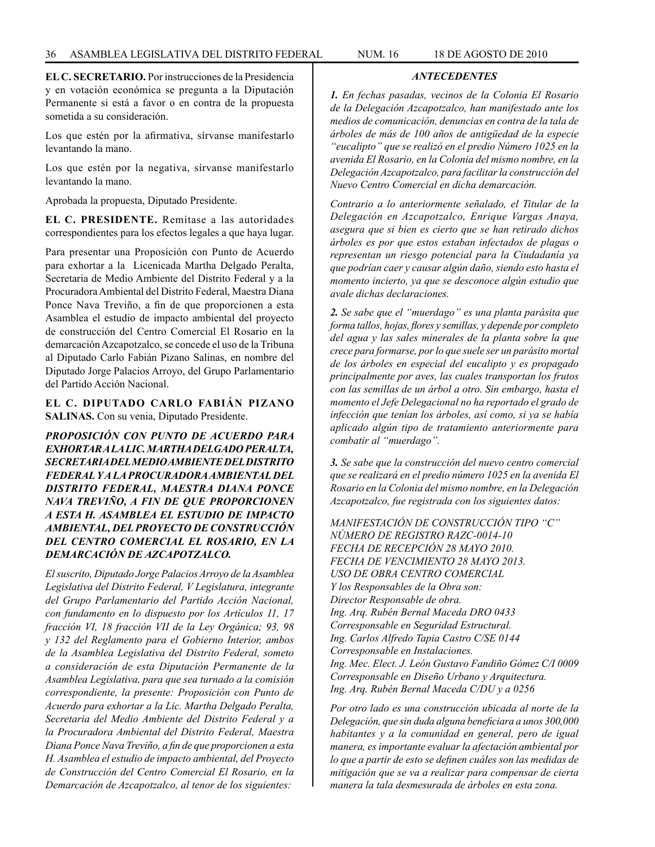*ANTECEDENTES*

**EL C. SECRETARIO.** Por instrucciones de la Presidencia y en votación económica se pregunta a la Diputación Permanente si está a favor o en contra de la propuesta sometida a su consideración.

Los que estén por la afirmativa, sírvanse manifestarlo levantando la mano.

Los que estén por la negativa, sírvanse manifestarlo levantando la mano.

Aprobada la propuesta, Diputado Presidente.

**EL C. PRESIDENTE.** Remítase a las autoridades correspondientes para los efectos legales a que haya lugar.

Para presentar una Proposición con Punto de Acuerdo para exhortar a la Licenicada Martha Delgado Peralta, Secretaria de Medio Ambiente del Distrito Federal y a la Procuradora Ambiental del Distrito Federal, Maestra Diana Ponce Nava Treviño, a fin de que proporcionen a esta Asamblea el estudio de impacto ambiental del proyecto de construcción del Centro Comercial El Rosario en la demarcación Azcapotzalco, se concede el uso de la Tribuna al Diputado Carlo Fabián Pizano Salinas, en nombre del Diputado Jorge Palacios Arroyo, del Grupo Parlamentario del Partido Acción Nacional.

## **EL C. DIPUTADO CARLO FABIÁN PIZANO SALINAS.** Con su venia, Diputado Presidente.

*PROPOSICIÓN CON PUNTO DE ACUERDO PARA EXHORTAR A LA LIC. MARTHA DELGADO PERALTA, SECRETARIA DEL MEDIO AMBIENTE DEL DISTRITO FEDERAL Y A LA PROCURADORA AMBIENTAL DEL DISTRITO FEDERAL, MAESTRA DIANA PONCE NAVA TREVIÑO, A FIN DE QUE PROPORCIONEN A ESTA H. ASAMBLEA EL ESTUDIO DE IMPACTO AMBIENTAL, DEL PROYECTO DE CONSTRUCCIÓN DEL CENTRO COMERCIAL EL ROSARIO, EN LA DEMARCACIÓN DE AZCAPOTZALCO.*

*El suscrito, Diputado Jorge Palacios Arroyo de la Asamblea Legislativa del Distrito Federal, V Legislatura, integrante del Grupo Parlamentario del Partido Acción Nacional, con fundamento en lo dispuesto por los Artículos 11, 17 fracción VI, 18 fracción VII de la Ley Orgánica; 93, 98 y 132 del Reglamento para el Gobierno Interior, ambos de la Asamblea Legislativa del Distrito Federal, someto a consideración de esta Diputación Permanente de la Asamblea Legislativa, para que sea turnado a la comisión correspondiente, la presente: Proposición con Punto de Acuerdo para exhortar a la Lic. Martha Delgado Peralta, Secretaria del Medio Ambiente del Distrito Federal y a la Procuradora Ambiental del Distrito Federal, Maestra Diana Ponce Nava Treviño, a fin de que proporcionen a esta H. Asamblea el estudio de impacto ambiental, del Proyecto de Construcción del Centro Comercial El Rosario, en la Demarcación de Azcapotzalco, al tenor de los siguientes:*

*1. En fechas pasadas, vecinos de la Colonia El Rosario de la Delegación Azcapotzalco, han manifestado ante los medios de comunicación, denuncias en contra de la tala de árboles de más de 100 años de antigüedad de la especie "eucalipto" que se realizó en el predio Número 1025 en la avenida El Rosario, en la Colonia del mismo nombre, en la Delegación Azcapotzalco, para facilitar la construcción del Nuevo Centro Comercial en dicha demarcación.*

*Contrario a lo anteriormente señalado, el Titular de la Delegación en Azcapotzalco, Enrique Vargas Anaya, asegura que si bien es cierto que se han retirado dichos árboles es por que estos estaban infectados de plagas o representan un riesgo potencial para la Ciudadanía ya que podrían caer y causar algún daño, siendo esto hasta el momento incierto, ya que se desconoce algún estudio que avale dichas declaraciones.*

*2. Se sabe que el "muerdago" es una planta parásita que forma tallos, hojas, flores y semillas, y depende por completo del agua y las sales minerales de la planta sobre la que crece para formarse, por lo que suele ser un parásito mortal de los árboles en especial del eucalipto y es propagado principalmente por aves, las cuales transportan los frutos con las semillas de un árbol a otro. Sin embargo, hasta el momento el Jefe Delegacional no ha reportado el grado de infección que tenían los árboles, así como, si ya se había aplicado algún tipo de tratamiento anteriormente para combatir al "muerdago".*

*3. Se sabe que la construcción del nuevo centro comercial que se realizará en el predio número 1025 en la avenida El Rosario en la Colonia del mismo nombre, en la Delegación Azcapotzalco, fue registrada con los siguientes datos:*

*MANIFESTACIÓN DE CONSTRUCCIÓN TIPO "C" NÚMERO DE REGISTRO RAZC-0014-10 FECHA DE RECEPCIÓN 28 MAYO 2010. FECHA DE VENCIMIENTO 28 MAYO 2013. USO DE OBRA CENTRO COMERCIAL Y los Responsables de la Obra son: Director Responsable de obra. Ing. Arq. Rubén Bernal Maceda DRO 0433 Corresponsable en Seguridad Estructural. Ing. Carlos Alfredo Tapia Castro C/SE 0144 Corresponsable en Instalaciones. Ing. Mec. Elect. J. León Gustavo Fandiño Gómez C/I 0009 Corresponsable en Diseño Urbano y Arquitectura. Ing. Arq. Rubén Bernal Maceda C/DU y a 0256*

*Por otro lado es una construcción ubicada al norte de la Delegación, que sin duda alguna beneficiara a unos 300,000 habitantes y a la comunidad en general, pero de igual manera, es importante evaluar la afectación ambiental por lo que a partir de esto se definen cuáles son las medidas de mitigación que se va a realizar para compensar de cierta manera la tala desmesurada de árboles en esta zona.*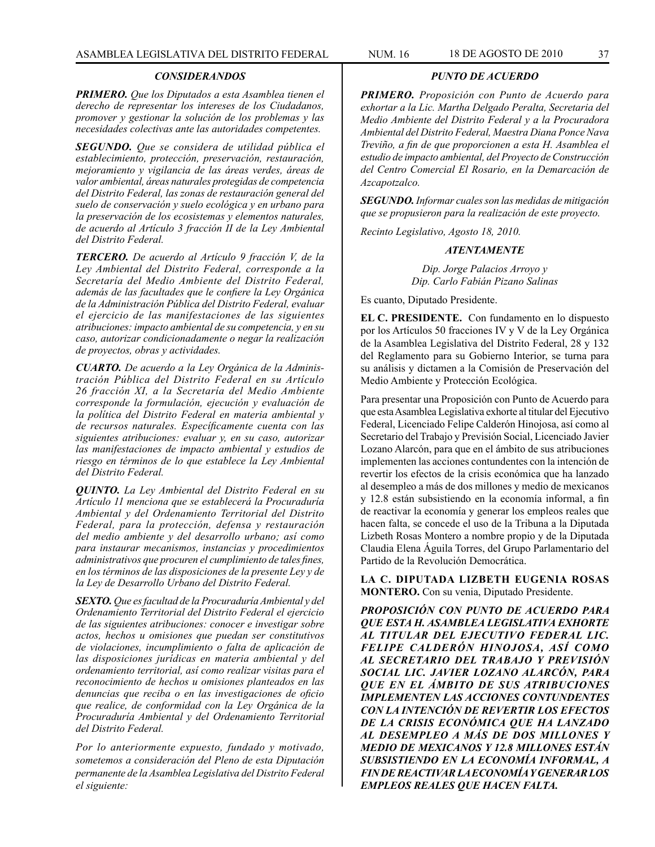#### *CONSIDERANDOS*

*PRIMERO. Que los Diputados a esta Asamblea tienen el derecho de representar los intereses de los Ciudadanos, promover y gestionar la solución de los problemas y las necesidades colectivas ante las autoridades competentes.* 

*SEGUNDO. Que se considera de utilidad pública el establecimiento, protección, preservación, restauración, mejoramiento y vigilancia de las áreas verdes, áreas de valor ambiental, áreas naturales protegidas de competencia del Distrito Federal, las zonas de restauración general del suelo de conservación y suelo ecológica y en urbano para la preservación de los ecosistemas y elementos naturales, de acuerdo al Artículo 3 fracción II de la Ley Ambiental del Distrito Federal.*

*TERCERO. De acuerdo al Artículo 9 fracción V, de la Ley Ambiental del Distrito Federal, corresponde a la Secretaría del Medio Ambiente del Distrito Federal, además de las facultades que le confiere la Ley Orgánica de la Administración Pública del Distrito Federal, evaluar el ejercicio de las manifestaciones de las siguientes atribuciones: impacto ambiental de su competencia, y en su caso, autorizar condicionadamente o negar la realización de proyectos, obras y actividades.*

*CUARTO. De acuerdo a la Ley Orgánica de la Administración Pública del Distrito Federal en su Artículo 26 fracción XI, a la Secretaría del Medio Ambiente corresponde la formulación, ejecución y evaluación de la política del Distrito Federal en materia ambiental y de recursos naturales. Específicamente cuenta con las siguientes atribuciones: evaluar y, en su caso, autorizar las manifestaciones de impacto ambiental y estudios de riesgo en términos de lo que establece la Ley Ambiental del Distrito Federal.*

*QUINTO. La Ley Ambiental del Distrito Federal en su Artículo 11 menciona que se establecerá la Procuraduría Ambiental y del Ordenamiento Territorial del Distrito Federal, para la protección, defensa y restauración del medio ambiente y del desarrollo urbano; así como para instaurar mecanismos, instancias y procedimientos administrativos que procuren el cumplimiento de tales fines, en los términos de las disposiciones de la presente Ley y de la Ley de Desarrollo Urbano del Distrito Federal.*

*SEXTO. Que es facultad de la Procuraduría Ambiental y del Ordenamiento Territorial del Distrito Federal el ejercicio de las siguientes atribuciones: conocer e investigar sobre actos, hechos u omisiones que puedan ser constitutivos de violaciones, incumplimiento o falta de aplicación de las disposiciones jurídicas en materia ambiental y del ordenamiento territorial, así como realizar visitas para el reconocimiento de hechos u omisiones planteados en las denuncias que reciba o en las investigaciones de oficio que realice, de conformidad con la Ley Orgánica de la Procuraduría Ambiental y del Ordenamiento Territorial del Distrito Federal.*

*Por lo anteriormente expuesto, fundado y motivado, sometemos a consideración del Pleno de esta Diputación permanente de la Asamblea Legislativa del Distrito Federal el siguiente:*

#### *PUNTO DE ACUERDO*

*PRIMERO. Proposición con Punto de Acuerdo para exhortar a la Lic. Martha Delgado Peralta, Secretaria del Medio Ambiente del Distrito Federal y a la Procuradora Ambiental del Distrito Federal, Maestra Diana Ponce Nava Treviño, a fin de que proporcionen a esta H. Asamblea el estudio de impacto ambiental, del Proyecto de Construcción del Centro Comercial El Rosario, en la Demarcación de Azcapotzalco.*

*SEGUNDO. Informar cuales son las medidas de mitigación que se propusieron para la realización de este proyecto.*

*Recinto Legislativo, Agosto 18, 2010.*

#### *ATENTAMENTE*

*Dip. Jorge Palacios Arroyo y Dip. Carlo Fabián Pizano Salinas*

Es cuanto, Diputado Presidente.

**EL C. PRESIDENTE.** Con fundamento en lo dispuesto por los Artículos 50 fracciones IV y V de la Ley Orgánica de la Asamblea Legislativa del Distrito Federal, 28 y 132 del Reglamento para su Gobierno Interior, se turna para su análisis y dictamen a la Comisión de Preservación del Medio Ambiente y Protección Ecológica.

Para presentar una Proposición con Punto de Acuerdo para que esta Asamblea Legislativa exhorte al titular del Ejecutivo Federal, Licenciado Felipe Calderón Hinojosa, así como al Secretario del Trabajo y Previsión Social, Licenciado Javier Lozano Alarcón, para que en el ámbito de sus atribuciones implementen las acciones contundentes con la intención de revertir los efectos de la crisis económica que ha lanzado al desempleo a más de dos millones y medio de mexicanos y 12.8 están subsistiendo en la economía informal, a fin de reactivar la economía y generar los empleos reales que hacen falta, se concede el uso de la Tribuna a la Diputada Lizbeth Rosas Montero a nombre propio y de la Diputada Claudia Elena Águila Torres, del Grupo Parlamentario del Partido de la Revolución Democrática.

**LA C. DIPUTADA LIZBETH EUGENIA ROSAS MONTERO.** Con su venia, Diputado Presidente.

*PROPOSICIÓN CON PUNTO DE ACUERDO PARA QUE ESTA H. ASAMBLEA LEGISLATIVA EXHORTE AL TITULAR DEL EJECUTIVO FEDERAL LIC. FELIPE CALDERÓN HINOJOSA, ASÍ COMO AL SECRETARIO DEL TRABAJO Y PREVISIÓN SOCIAL LIC. JAVIER LOZANO ALARCÓN, PARA QUE EN EL ÁMBITO DE SUS ATRIBUCIONES IMPLEMENTEN LAS ACCIONES CONTUNDENTES CON LA INTENCIÓN DE REVERTIR LOS EFECTOS DE LA CRISIS ECONÓMICA QUE HA LANZADO AL DESEMPLEO A MÁS DE DOS MILLONES Y MEDIO DE MEXICANOS Y 12.8 MILLONES ESTÁN SUBSISTIENDO EN LA ECONOMÍA INFORMAL, A FIN DE REACTIVAR LA ECONOMÍA Y GENERAR LOS EMPLEOS REALES QUE HACEN FALTA.*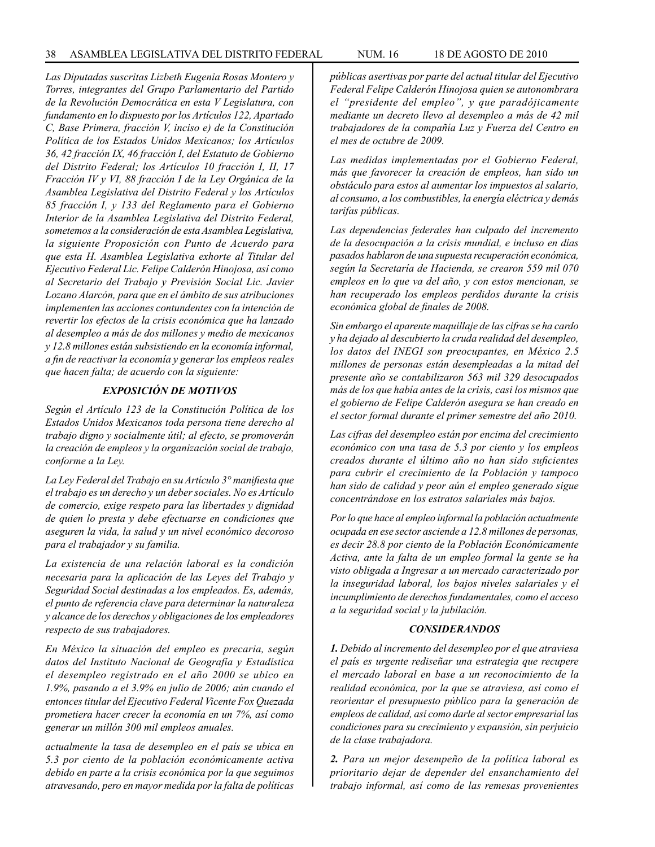*Las Diputadas suscritas Lizbeth Eugenia Rosas Montero y Torres, integrantes del Grupo Parlamentario del Partido de la Revolución Democrática en esta V Legislatura, con fundamento en lo dispuesto por los Artículos 122, Apartado C, Base Primera, fracción V, inciso e) de la Constitución Política de los Estados Unidos Mexicanos; los Artículos 36, 42 fracción IX, 46 fracción I, del Estatuto de Gobierno del Distrito Federal; los Artículos 10 fracción I, II, 17 Fracción IV y VI, 88 fracción I de la Ley Orgánica de la Asamblea Legislativa del Distrito Federal y los Artículos 85 fracción I, y 133 del Reglamento para el Gobierno Interior de la Asamblea Legislativa del Distrito Federal, sometemos a la consideración de esta Asamblea Legislativa, la siguiente Proposición con Punto de Acuerdo para que esta H. Asamblea Legislativa exhorte al Titular del Ejecutivo Federal Lic. Felipe Calderón Hinojosa, así como al Secretario del Trabajo y Previsión Social Lic. Javier Lozano Alarcón, para que en el ámbito de sus atribuciones implementen las acciones contundentes con la intención de revertir los efectos de la crisis económica que ha lanzado al desempleo a más de dos millones y medio de mexicanos y 12.8 millones están subsistiendo en la economía informal, a fin de reactivar la economía y generar los empleos reales que hacen falta; de acuerdo con la siguiente:*

### *EXPOSICIÓN DE MOTIVOS*

*Según el Artículo 123 de la Constitución Política de los Estados Unidos Mexicanos toda persona tiene derecho al trabajo digno y socialmente útil; al efecto, se promoverán la creación de empleos y la organización social de trabajo, conforme a la Ley.*

*La Ley Federal del Trabajo en su Artículo 3° manifiesta que el trabajo es un derecho y un deber sociales. No es Artículo de comercio, exige respeto para las libertades y dignidad de quien lo presta y debe efectuarse en condiciones que aseguren la vida, la salud y un nivel económico decoroso para el trabajador y su familia.*

*La existencia de una relación laboral es la condición necesaria para la aplicación de las Leyes del Trabajo y Seguridad Social destinadas a los empleados. Es, además, el punto de referencia clave para determinar la naturaleza y alcance de los derechos y obligaciones de los empleadores respecto de sus trabajadores.*

*En México la situación del empleo es precaria, según datos del Instituto Nacional de Geografía y Estadística el desempleo registrado en el año 2000 se ubico en 1.9%, pasando a el 3.9% en julio de 2006; aún cuando el entonces titular del Ejecutivo Federal Vicente Fox Quezada prometiera hacer crecer la economía en un 7%, así como generar un millón 300 mil empleos anuales.*

*actualmente la tasa de desempleo en el país se ubica en 5.3 por ciento de la población económicamente activa debido en parte a la crisis económica por la que seguimos atravesando, pero en mayor medida por la falta de políticas* 

*públicas asertivas por parte del actual titular del Ejecutivo Federal Felipe Calderón Hinojosa quien se autonombrara el "presidente del empleo", y que paradójicamente mediante un decreto llevo al desempleo a más de 42 mil trabajadores de la compañía Luz y Fuerza del Centro en el mes de octubre de 2009.*

*Las medidas implementadas por el Gobierno Federal, más que favorecer la creación de empleos, han sido un obstáculo para estos al aumentar los impuestos al salario, al consumo, a los combustibles, la energía eléctrica y demás tarifas públicas.*

*Las dependencias federales han culpado del incremento de la desocupación a la crisis mundial, e incluso en días pasados hablaron de una supuesta recuperación económica, según la Secretaría de Hacienda, se crearon 559 mil 070 empleos en lo que va del año, y con estos mencionan, se han recuperado los empleos perdidos durante la crisis económica global de finales de 2008.* 

*Sin embargo el aparente maquillaje de las cifras se ha cardo y ha dejado al descubierto la cruda realidad del desempleo, los datos del INEGI son preocupantes, en México 2.5 millones de personas están desempleadas a la mitad del presente año se contabilizaron 563 mil 329 desocupados más de los que había antes de la crisis, casi los mismos que el gobierno de Felipe Calderón asegura se han creado en el sector formal durante el primer semestre del año 2010.*

*Las cifras del desempleo están por encima del crecimiento económico con una tasa de 5.3 por ciento y los empleos creados durante el último año no han sido suficientes para cubrir el crecimiento de la Población y tampoco han sido de calidad y peor aún el empleo generado sigue concentrándose en los estratos salariales más bajos.*

*Por lo que hace al empleo informal la población actualmente ocupada en ese sector asciende a 12.8 millones de personas, es decir 28.8 por ciento de la Población Económicamente Activa, ante la falta de un empleo formal la gente se ha visto obligada a Ingresar a un mercado caracterizado por la inseguridad laboral, los bajos niveles salariales y el incumplimiento de derechos fundamentales, como el acceso a la seguridad social y la jubilación.*

### *CONSIDERANDOS*

*1. Debido al incremento del desempleo por el que atraviesa el país es urgente rediseñar una estrategia que recupere el mercado laboral en base a un reconocimiento de la realidad económica, por la que se atraviesa, así como el reorientar el presupuesto público para la generación de empleos de calidad, así como darle al sector empresarial las condiciones para su crecimiento y expansión, sin perjuicio de la clase trabajadora.*

*2. Para un mejor desempeño de la política laboral es prioritario dejar de depender del ensanchamiento del trabajo informal, así como de las remesas provenientes*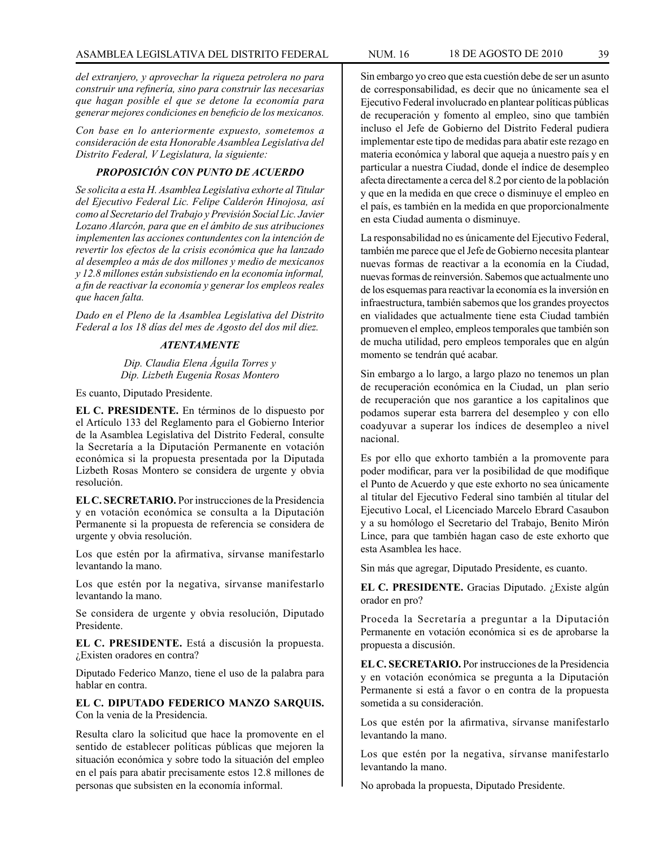*del extranjero, y aprovechar la riqueza petrolera no para construir una refinería, sino para construir las necesarias que hagan posible el que se detone la economía para generar mejores condiciones en beneficio de los mexicanos.*

*Con base en lo anteriormente expuesto, sometemos a consideración de esta Honorable Asamblea Legislativa del Distrito Federal, V Legislatura, la siguiente:*

## *PROPOSICIÓN CON PUNTO DE ACUERDO*

*Se solicita a esta H. Asamblea Legislativa exhorte al Titular del Ejecutivo Federal Lic. Felipe Calderón Hinojosa, así como al Secretario del Trabajo y Previsión Social Lic. Javier Lozano Alarcón, para que en el ámbito de sus atribuciones implementen las acciones contundentes con la intención de revertir los efectos de la crisis económica que ha lanzado al desempleo a más de dos millones y medio de mexicanos y 12.8 millones están subsistiendo en la economía informal, a fin de reactivar la economía y generar los empleos reales que hacen falta.*

*Dado en el Pleno de la Asamblea Legislativa del Distrito Federal a los 18 días del mes de Agosto del dos mil diez.*

# *ATENTAMENTE*

*Dip. Claudia Elena Águila Torres y Dip. Lizbeth Eugenia Rosas Montero*

Es cuanto, Diputado Presidente.

**EL C. PRESIDENTE.** En términos de lo dispuesto por el Artículo 133 del Reglamento para el Gobierno Interior de la Asamblea Legislativa del Distrito Federal, consulte la Secretaría a la Diputación Permanente en votación económica si la propuesta presentada por la Diputada Lizbeth Rosas Montero se considera de urgente y obvia resolución.

**EL C. SECRETARIO.** Por instrucciones de la Presidencia y en votación económica se consulta a la Diputación Permanente si la propuesta de referencia se considera de urgente y obvia resolución.

Los que estén por la afirmativa, sírvanse manifestarlo levantando la mano.

Los que estén por la negativa, sírvanse manifestarlo levantando la mano.

Se considera de urgente y obvia resolución, Diputado Presidente.

**EL C. PRESIDENTE.** Está a discusión la propuesta. ¿Existen oradores en contra?

Diputado Federico Manzo, tiene el uso de la palabra para hablar en contra.

**EL C. DIPUTADO FEDERICO MANZO SARQUIS.** Con la venia de la Presidencia.

Resulta claro la solicitud que hace la promovente en el sentido de establecer políticas públicas que mejoren la situación económica y sobre todo la situación del empleo en el país para abatir precisamente estos 12.8 millones de personas que subsisten en la economía informal.

Sin embargo yo creo que esta cuestión debe de ser un asunto de corresponsabilidad, es decir que no únicamente sea el Ejecutivo Federal involucrado en plantear políticas públicas de recuperación y fomento al empleo, sino que también incluso el Jefe de Gobierno del Distrito Federal pudiera implementar este tipo de medidas para abatir este rezago en materia económica y laboral que aqueja a nuestro país y en particular a nuestra Ciudad, donde el índice de desempleo afecta directamente a cerca del 8.2 por ciento de la población y que en la medida en que crece o disminuye el empleo en el país, es también en la medida en que proporcionalmente en esta Ciudad aumenta o disminuye.

La responsabilidad no es únicamente del Ejecutivo Federal, también me parece que el Jefe de Gobierno necesita plantear nuevas formas de reactivar a la economía en la Ciudad, nuevas formas de reinversión. Sabemos que actualmente uno de los esquemas para reactivar la economía es la inversión en infraestructura, también sabemos que los grandes proyectos en vialidades que actualmente tiene esta Ciudad también promueven el empleo, empleos temporales que también son de mucha utilidad, pero empleos temporales que en algún momento se tendrán qué acabar.

Sin embargo a lo largo, a largo plazo no tenemos un plan de recuperación económica en la Ciudad, un plan serio de recuperación que nos garantice a los capitalinos que podamos superar esta barrera del desempleo y con ello coadyuvar a superar los índices de desempleo a nivel nacional.

Es por ello que exhorto también a la promovente para poder modificar, para ver la posibilidad de que modifique el Punto de Acuerdo y que este exhorto no sea únicamente al titular del Ejecutivo Federal sino también al titular del Ejecutivo Local, el Licenciado Marcelo Ebrard Casaubon y a su homólogo el Secretario del Trabajo, Benito Mirón Lince, para que también hagan caso de este exhorto que esta Asamblea les hace.

Sin más que agregar, Diputado Presidente, es cuanto.

**EL C. PRESIDENTE.** Gracias Diputado. ¿Existe algún orador en pro?

Proceda la Secretaría a preguntar a la Diputación Permanente en votación económica si es de aprobarse la propuesta a discusión.

**EL C. SECRETARIO.** Por instrucciones de la Presidencia y en votación económica se pregunta a la Diputación Permanente si está a favor o en contra de la propuesta sometida a su consideración.

Los que estén por la afirmativa, sírvanse manifestarlo levantando la mano.

Los que estén por la negativa, sírvanse manifestarlo levantando la mano.

No aprobada la propuesta, Diputado Presidente.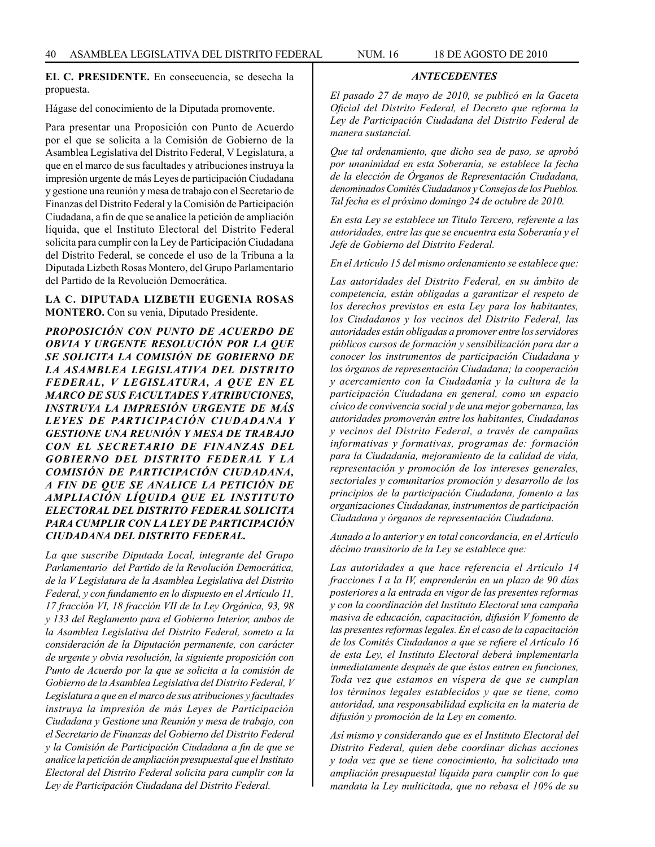**EL C. PRESIDENTE.** En consecuencia, se desecha la propuesta.

Hágase del conocimiento de la Diputada promovente.

Para presentar una Proposición con Punto de Acuerdo por el que se solicita a la Comisión de Gobierno de la Asamblea Legislativa del Distrito Federal, V Legislatura, a que en el marco de sus facultades y atribuciones instruya la impresión urgente de más Leyes de participación Ciudadana y gestione una reunión y mesa de trabajo con el Secretario de Finanzas del Distrito Federal y la Comisión de Participación Ciudadana, a fin de que se analice la petición de ampliación líquida, que el Instituto Electoral del Distrito Federal solicita para cumplir con la Ley de Participación Ciudadana del Distrito Federal, se concede el uso de la Tribuna a la Diputada Lizbeth Rosas Montero, del Grupo Parlamentario del Partido de la Revolución Democrática.

## **LA C. DIPUTADA LIZBETH EUGENIA ROSAS MONTERO.** Con su venia, Diputado Presidente.

*PROPOSICIÓN CON PUNTO DE ACUERDO DE OBVIA Y URGENTE RESOLUCIÓN POR LA QUE SE SOLICITA LA COMISIÓN DE GOBIERNO DE LA ASAMBLEA LEGISLATIVA DEL DISTRITO FEDERAL, V LEGISLATURA, A QUE EN EL MARCO DE SUS FACULTADES Y ATRIBUCIONES, INSTRUYA LA IMPRESIÓN URGENTE DE MÁS LEYES DE PARTICIPACIÓN CIUDADANA Y GESTIONE UNA REUNIÓN Y MESA DE TRABAJO CON EL SECRETARIO DE FINANZAS DEL GOBIERNO DEL DISTRITO FEDERAL Y LA COMISIÓN DE PARTICIPACIÓN CIUDADANA, A FIN DE QUE SE ANALICE LA PETICIÓN DE AMPLIACIÓN LÍQUIDA QUE EL INSTITUTO ELECTORAL DEL DISTRITO FEDERAL SOLICITA PARA CUMPLIR CON LA LEY DE PARTICIPACIÓN CIUDADANA DEL DISTRITO FEDERAL.*

*La que suscribe Diputada Local, integrante del Grupo Parlamentario del Partido de la Revolución Democrática, de la V Legislatura de la Asamblea Legislativa del Distrito Federal, y con fundamento en lo dispuesto en el Artículo 11, 17 fracción VI, 18 fracción VII de la Ley Orgánica, 93, 98 y 133 del Reglamento para el Gobierno Interior, ambos de la Asamblea Legislativa del Distrito Federal, someto a la consideración de la Diputación permanente, con carácter de urgente y obvia resolución, la siguiente proposición con Punto de Acuerdo por la que se solicita a la comisión de Gobierno de la Asamblea Legislativa del Distrito Federal, V Legislatura a que en el marco de sus atribuciones y facultades instruya la impresión de más Leyes de Participación Ciudadana y Gestione una Reunión y mesa de trabajo, con el Secretario de Finanzas del Gobierno del Distrito Federal y la Comisión de Participación Ciudadana a fin de que se analice la petición de ampliación presupuestal que el Instituto Electoral del Distrito Federal solicita para cumplir con la Ley de Participación Ciudadana del Distrito Federal.*

*El pasado 27 de mayo de 2010, se publicó en la Gaceta Oficial del Distrito Federal, el Decreto que reforma la Ley de Participación Ciudadana del Distrito Federal de manera sustancial.*

*Que tal ordenamiento, que dicho sea de paso, se aprobó por unanimidad en esta Soberanía, se establece la fecha de la elección de Órganos de Representación Ciudadana, denominados Comités Ciudadanos y Consejos de los Pueblos. Tal fecha es el próximo domingo 24 de octubre de 2010.*

*En esta Ley se establece un Título Tercero, referente a las autoridades, entre las que se encuentra esta Soberanía y el Jefe de Gobierno del Distrito Federal.*

*En el Artículo 15 del mismo ordenamiento se establece que:*

*Las autoridades del Distrito Federal, en su ámbito de competencia, están obligadas a garantizar el respeto de los derechos previstos en esta Ley para los habitantes, los Ciudadanos y los vecinos del Distrito Federal, las autoridades están obligadas a promover entre los servidores públicos cursos de formación y sensibilización para dar a conocer los instrumentos de participación Ciudadana y los órganos de representación Ciudadana; la cooperación y acercamiento con la Ciudadanía y la cultura de la participación Ciudadana en general, como un espacio cívico de convivencia social y de una mejor gobernanza, las autoridades promoverán entre los habitantes, Ciudadanos y vecinos del Distrito Federal, a través de campañas informativas y formativas, programas de: formación para la Ciudadanía, mejoramiento de la calidad de vida, representación y promoción de los intereses generales, sectoriales y comunitarios promoción y desarrollo de los principios de la participación Ciudadana, fomento a las organizaciones Ciudadanas, instrumentos de participación Ciudadana y órganos de representación Ciudadana.*

*Aunado a lo anterior y en total concordancia, en el Artículo décimo transitorio de la Ley se establece que:*

*Las autoridades a que hace referencia el Artículo 14 fracciones I a la IV, emprenderán en un plazo de 90 días posteriores a la entrada en vigor de las presentes reformas y con la coordinación del Instituto Electoral una campaña masiva de educación, capacitación, difusión V fomento de las presentes reformas legales. En el caso de la capacitación de los Comités Ciudadanos a que se refiere el Artículo 16 de esta Ley, el Instituto Electoral deberá implementarla inmediatamente después de que éstos entren en funciones, Toda vez que estamos en víspera de que se cumplan los términos legales establecidos y que se tiene, como autoridad, una responsabilidad explicita en la materia de difusión y promoción de la Ley en comento.*

*Así mismo y considerando que es el Instituto Electoral del Distrito Federal, quien debe coordinar dichas acciones y toda vez que se tiene conocimiento, ha solicitado una ampliación presupuestal líquida para cumplir con lo que mandata la Ley multicitada, que no rebasa el 10% de su*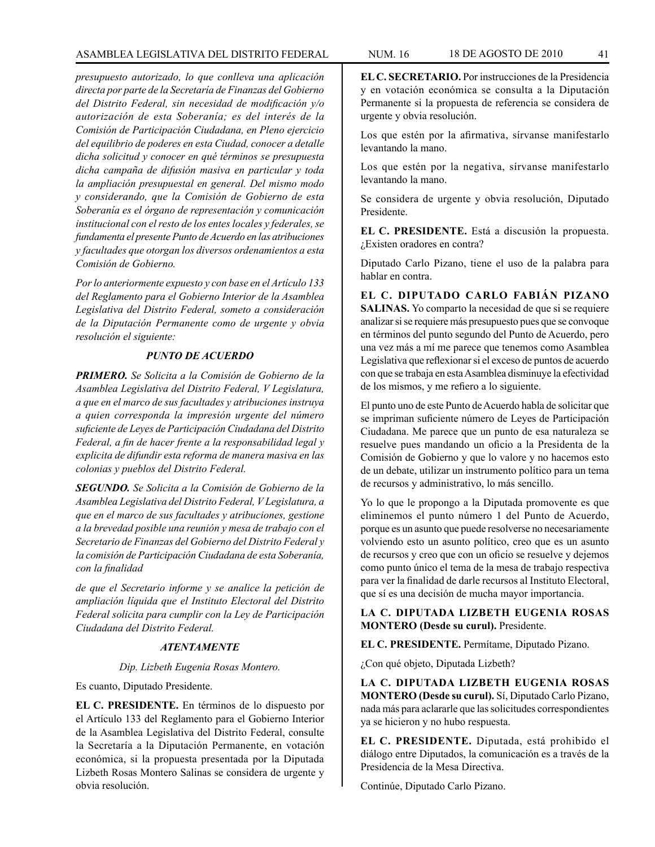*presupuesto autorizado, lo que conlleva una aplicación directa por parte de la Secretaría de Finanzas del Gobierno del Distrito Federal, sin necesidad de modificación y/o autorización de esta Soberanía; es del interés de la Comisión de Participación Ciudadana, en Pleno ejercicio del equilibrio de poderes en esta Ciudad, conocer a detalle dicha solicitud y conocer en qué términos se presupuesta dicha campaña de difusión masiva en particular y toda la ampliación presupuestal en general. Del mismo modo y considerando, que la Comisión de Gobierno de esta Soberanía es el órgano de representación y comunicación institucional con el resto de los entes locales y federales, se fundamenta el presente Punto de Acuerdo en las atribuciones y facultades que otorgan los diversos ordenamientos a esta Comisión de Gobierno.*

*Por lo anteriormente expuesto y con base en el Artículo 133 del Reglamento para el Gobierno Interior de la Asamblea Legislativa del Distrito Federal, someto a consideración de la Diputación Permanente como de urgente y obvia resolución el siguiente:*

## *PUNTO DE ACUERDO*

*PRIMERO. Se Solicita a la Comisión de Gobierno de la Asamblea Legislativa del Distrito Federal, V Legislatura, a que en el marco de sus facultades y atribuciones instruya a quien corresponda la impresión urgente del número suficiente de Leyes de Participación Ciudadana del Distrito Federal, a fin de hacer frente a la responsabilidad legal y explicita de difundir esta reforma de manera masiva en las colonias y pueblos del Distrito Federal.*

*SEGUNDO. Se Solicita a la Comisión de Gobierno de la Asamblea Legislativa del Distrito Federal, V Legislatura, a que en el marco de sus facultades y atribuciones, gestione a la brevedad posible una reunión y mesa de trabajo con el Secretario de Finanzas del Gobierno del Distrito Federal y la comisión de Participación Ciudadana de esta Soberanía, con la finalidad*

*de que el Secretario informe y se analice la petición de ampliación líquida que el Instituto Electoral del Distrito Federal solicita para cumplir con la Ley de Participación Ciudadana del Distrito Federal.*

### *ATENTAMENTE*

#### *Dip. Lizbeth Eugenia Rosas Montero.*

Es cuanto, Diputado Presidente.

**EL C. PRESIDENTE.** En términos de lo dispuesto por el Artículo 133 del Reglamento para el Gobierno Interior de la Asamblea Legislativa del Distrito Federal, consulte la Secretaría a la Diputación Permanente, en votación económica, si la propuesta presentada por la Diputada Lizbeth Rosas Montero Salinas se considera de urgente y obvia resolución.

**EL C. SECRETARIO.** Por instrucciones de la Presidencia y en votación económica se consulta a la Diputación Permanente si la propuesta de referencia se considera de urgente y obvia resolución.

Los que estén por la afirmativa, sírvanse manifestarlo levantando la mano.

Los que estén por la negativa, sírvanse manifestarlo levantando la mano.

Se considera de urgente y obvia resolución, Diputado Presidente.

**EL C. PRESIDENTE.** Está a discusión la propuesta. ¿Existen oradores en contra?

Diputado Carlo Pizano, tiene el uso de la palabra para hablar en contra.

**EL C. DIPUTADO CARLO FABIÁN PIZANO SALINAS.** Yo comparto la necesidad de que si se requiere analizar si se requiere más presupuesto pues que se convoque en términos del punto segundo del Punto de Acuerdo, pero una vez más a mí me parece que tenemos como Asamblea Legislativa que reflexionar si el exceso de puntos de acuerdo con que se trabaja en esta Asamblea disminuye la efectividad de los mismos, y me refiero a lo siguiente.

El punto uno de este Punto de Acuerdo habla de solicitar que se impriman suficiente número de Leyes de Participación Ciudadana. Me parece que un punto de esa naturaleza se resuelve pues mandando un oficio a la Presidenta de la Comisión de Gobierno y que lo valore y no hacemos esto de un debate, utilizar un instrumento político para un tema de recursos y administrativo, lo más sencillo.

Yo lo que le propongo a la Diputada promovente es que eliminemos el punto número 1 del Punto de Acuerdo, porque es un asunto que puede resolverse no necesariamente volviendo esto un asunto político, creo que es un asunto de recursos y creo que con un oficio se resuelve y dejemos como punto único el tema de la mesa de trabajo respectiva para ver la finalidad de darle recursos al Instituto Electoral, que sí es una decisión de mucha mayor importancia.

### **LA C. DIPUTADA LIZBETH EUGENIA ROSAS MONTERO (Desde su curul).** Presidente.

**EL C. PRESIDENTE.** Permítame, Diputado Pizano.

¿Con qué objeto, Diputada Lizbeth?

**LA C. DIPUTADA LIZBETH EUGENIA ROSAS MONTERO (Desde su curul).** Sí, Diputado Carlo Pizano, nada más para aclararle que las solicitudes correspondientes ya se hicieron y no hubo respuesta.

**EL C. PRESIDENTE.** Diputada, está prohibido el diálogo entre Diputados, la comunicación es a través de la Presidencia de la Mesa Directiva.

Continúe, Diputado Carlo Pizano.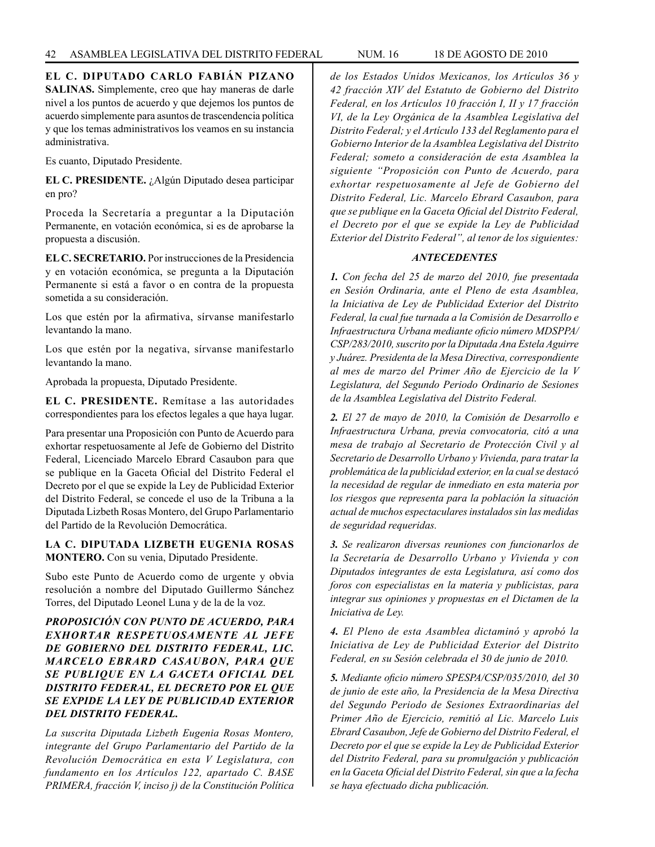**EL C. DIPUTADO CARLO FABIÁN PIZANO SALINAS.** Simplemente, creo que hay maneras de darle nivel a los puntos de acuerdo y que dejemos los puntos de acuerdo simplemente para asuntos de trascendencia política y que los temas administrativos los veamos en su instancia administrativa.

Es cuanto, Diputado Presidente.

**EL C. PRESIDENTE.** ¿Algún Diputado desea participar en pro?

Proceda la Secretaría a preguntar a la Diputación Permanente, en votación económica, si es de aprobarse la propuesta a discusión.

**EL C. SECRETARIO.** Por instrucciones de la Presidencia y en votación económica, se pregunta a la Diputación Permanente si está a favor o en contra de la propuesta sometida a su consideración.

Los que estén por la afirmativa, sírvanse manifestarlo levantando la mano.

Los que estén por la negativa, sírvanse manifestarlo levantando la mano.

Aprobada la propuesta, Diputado Presidente.

**EL C. PRESIDENTE.** Remítase a las autoridades correspondientes para los efectos legales a que haya lugar.

Para presentar una Proposición con Punto de Acuerdo para exhortar respetuosamente al Jefe de Gobierno del Distrito Federal, Licenciado Marcelo Ebrard Casaubon para que se publique en la Gaceta Oficial del Distrito Federal el Decreto por el que se expide la Ley de Publicidad Exterior del Distrito Federal, se concede el uso de la Tribuna a la Diputada Lizbeth Rosas Montero, del Grupo Parlamentario del Partido de la Revolución Democrática.

### **LA C. DIPUTADA LIZBETH EUGENIA ROSAS MONTERO.** Con su venia, Diputado Presidente.

Subo este Punto de Acuerdo como de urgente y obvia resolución a nombre del Diputado Guillermo Sánchez Torres, del Diputado Leonel Luna y de la de la voz.

# *PROPOSICIÓN CON PUNTO DE ACUERDO, PARA EXHORTAR RESPETUOSAMENTE AL JEFE DE GOBIERNO DEL DISTRITO FEDERAL, LIC. MARCELO EBRARD CASAUBON, PARA QUE SE PUBLIQUE EN LA GACETA OFICIAL DEL DISTRITO FEDERAL, EL DECRETO POR EL QUE SE EXPIDE LA LEY DE PUBLICIDAD EXTERIOR DEL DISTRITO FEDERAL.*

*La suscrita Diputada Lizbeth Eugenia Rosas Montero, integrante del Grupo Parlamentario del Partido de la Revolución Democrática en esta V Legislatura, con fundamento en los Artículos 122, apartado C. BASE PRIMERA, fracción V, inciso j) de la Constitución Política*  *de los Estados Unidos Mexicanos, los Artículos 36 y 42 fracción XIV del Estatuto de Gobierno del Distrito Federal, en los Artículos 10 fracción I, II y 17 fracción VI, de la Ley Orgánica de la Asamblea Legislativa del Distrito Federal; y el Artículo 133 del Reglamento para el Gobierno Interior de la Asamblea Legislativa del Distrito Federal; someto a consideración de esta Asamblea la siguiente "Proposición con Punto de Acuerdo, para exhortar respetuosamente al Jefe de Gobierno del Distrito Federal, Lic. Marcelo Ebrard Casaubon, para que se publique en la Gaceta Oficial del Distrito Federal, el Decreto por el que se expide la Ley de Publicidad Exterior del Distrito Federal", al tenor de los siguientes:*

### *ANTECEDENTES*

*1. Con fecha del 25 de marzo del 2010, fue presentada en Sesión Ordinaria, ante el Pleno de esta Asamblea, la Iniciativa de Ley de Publicidad Exterior del Distrito Federal, la cual fue turnada a la Comisión de Desarrollo e Infraestructura Urbana mediante oficio número MDSPPA/ CSP/283/2010, suscrito por la Diputada Ana Estela Aguirre y Juárez. Presidenta de la Mesa Directiva, correspondiente al mes de marzo del Primer Año de Ejercicio de la V Legislatura, del Segundo Periodo Ordinario de Sesiones de la Asamblea Legislativa del Distrito Federal.* 

*2. El 27 de mayo de 2010, la Comisión de Desarrollo e Infraestructura Urbana, previa convocatoria, citó a una mesa de trabajo al Secretario de Protección Civil y al Secretario de Desarrollo Urbano y Vivienda, para tratar la problemática de la publicidad exterior, en la cual se destacó la necesidad de regular de inmediato en esta materia por los riesgos que representa para la población la situación actual de muchos espectaculares instalados sin las medidas de seguridad requeridas.*

*3. Se realizaron diversas reuniones con funcionarlos de la Secretaría de Desarrollo Urbano y Vivienda y con Diputados integrantes de esta Legislatura, así como dos foros con especialistas en la materia y publicistas, para integrar sus opiniones y propuestas en el Dictamen de la Iniciativa de Ley.*

*4. El Pleno de esta Asamblea dictaminó y aprobó la Iniciativa de Ley de Publicidad Exterior del Distrito Federal, en su Sesión celebrada el 30 de junio de 2010.*

*5. Mediante oficio número SPESPA/CSP/035/2010, del 30 de junio de este año, la Presidencia de la Mesa Directiva del Segundo Periodo de Sesiones Extraordinarias del Primer Año de Ejercicio, remitió al Lic. Marcelo Luis Ebrard Casaubon, Jefe de Gobierno del Distrito Federal, el Decreto por el que se expide la Ley de Publicidad Exterior del Distrito Federal, para su promulgación y publicación en la Gaceta Oficial del Distrito Federal, sin que a la fecha se haya efectuado dicha publicación.*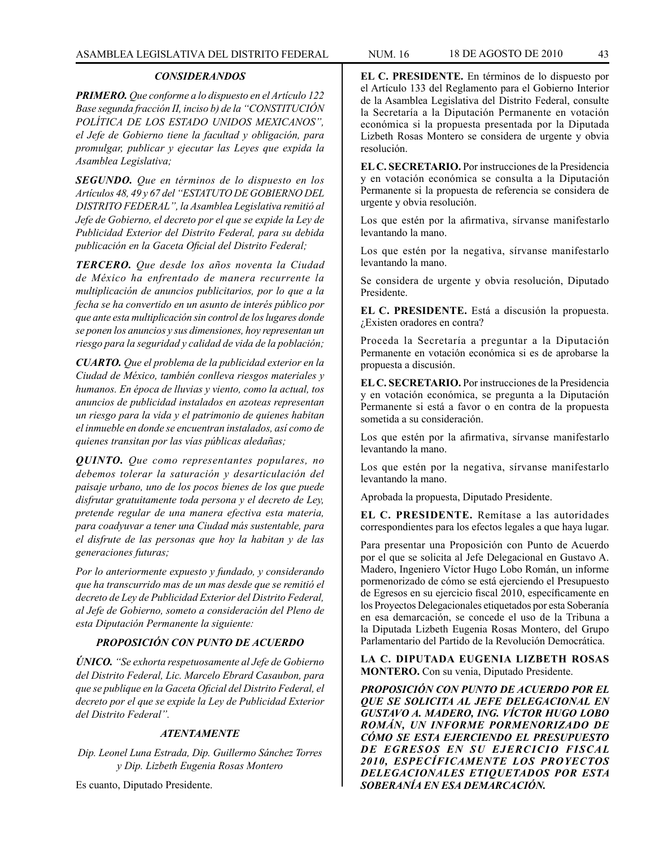#### *CONSIDERANDOS*

*PRIMERO. Que conforme a lo dispuesto en el Artículo 122 Base segunda fracción II, inciso b) de la "CONSTITUCIÓN POLÍTICA DE LOS ESTADO UNIDOS MEXICANOS", el Jefe de Gobierno tiene la facultad y obligación, para promulgar, publicar y ejecutar las Leyes que expida la Asamblea Legislativa;* 

*SEGUNDO. Que en términos de lo dispuesto en los Artículos 48, 49 y 67 del "ESTATUTO DE GOBIERNO DEL DISTRITO FEDERAL", la Asamblea Legislativa remitió al Jefe de Gobierno, el decreto por el que se expide la Ley de Publicidad Exterior del Distrito Federal, para su debida publicación en la Gaceta Oficial del Distrito Federal;*

*TERCERO. Que desde los años noventa la Ciudad de México ha enfrentado de manera recurrente la multiplicación de anuncios publicitarios, por lo que a la fecha se ha convertido en un asunto de interés público por que ante esta multiplicación sin control de los lugares donde se ponen los anuncios y sus dimensiones, hoy representan un riesgo para la seguridad y calidad de vida de la población;*

*CUARTO. Que el problema de la publicidad exterior en la Ciudad de México, también conlleva riesgos materiales y humanos. En época de lluvias y viento, como la actual, tos anuncios de publicidad instalados en azoteas representan un riesgo para la vida y el patrimonio de quienes habitan el inmueble en donde se encuentran instalados, así como de quienes transitan por las vías públicas aledañas;*

*QUINTO. Que como representantes populares, no debemos tolerar la saturación y desarticulación del paisaje urbano, uno de los pocos bienes de los que puede disfrutar gratuitamente toda persona y el decreto de Ley, pretende regular de una manera efectiva esta materia, para coadyuvar a tener una Ciudad más sustentable, para el disfrute de las personas que hoy la habitan y de las generaciones futuras;*

*Por lo anteriormente expuesto y fundado, y considerando que ha transcurrido mas de un mas desde que se remitió el decreto de Ley de Publicidad Exterior del Distrito Federal, al Jefe de Gobierno, someto a consideración del Pleno de esta Diputación Permanente la siguiente:*

## *PROPOSICIÓN CON PUNTO DE ACUERDO*

*ÚNICO. "Se exhorta respetuosamente al Jefe de Gobierno del Distrito Federal, Lic. Marcelo Ebrard Casaubon, para que se publique en la Gaceta Oficial del Distrito Federal, el decreto por el que se expide la Ley de Publicidad Exterior del Distrito Federal".*

## *ATENTAMENTE*

*Dip. Leonel Luna Estrada, Dip. Guillermo Sánchez Torres y Dip. Lizbeth Eugenia Rosas Montero*

Es cuanto, Diputado Presidente.

**EL C. PRESIDENTE.** En términos de lo dispuesto por el Artículo 133 del Reglamento para el Gobierno Interior de la Asamblea Legislativa del Distrito Federal, consulte la Secretaría a la Diputación Permanente en votación económica si la propuesta presentada por la Diputada Lizbeth Rosas Montero se considera de urgente y obvia resolución.

**EL C. SECRETARIO.** Por instrucciones de la Presidencia y en votación económica se consulta a la Diputación Permanente si la propuesta de referencia se considera de urgente y obvia resolución.

Los que estén por la afirmativa, sírvanse manifestarlo levantando la mano.

Los que estén por la negativa, sírvanse manifestarlo levantando la mano.

Se considera de urgente y obvia resolución, Diputado Presidente.

**EL C. PRESIDENTE.** Está a discusión la propuesta. ¿Existen oradores en contra?

Proceda la Secretaría a preguntar a la Diputación Permanente en votación económica si es de aprobarse la propuesta a discusión.

**EL C. SECRETARIO.** Por instrucciones de la Presidencia y en votación económica, se pregunta a la Diputación Permanente si está a favor o en contra de la propuesta sometida a su consideración.

Los que estén por la afirmativa, sírvanse manifestarlo levantando la mano.

Los que estén por la negativa, sírvanse manifestarlo levantando la mano.

Aprobada la propuesta, Diputado Presidente.

**EL C. PRESIDENTE.** Remítase a las autoridades correspondientes para los efectos legales a que haya lugar.

Para presentar una Proposición con Punto de Acuerdo por el que se solicita al Jefe Delegacional en Gustavo A. Madero, Ingeniero Víctor Hugo Lobo Román, un informe pormenorizado de cómo se está ejerciendo el Presupuesto de Egresos en su ejercicio fiscal 2010, específicamente en los Proyectos Delegacionales etiquetados por esta Soberanía en esa demarcación, se concede el uso de la Tribuna a la Diputada Lizbeth Eugenia Rosas Montero, del Grupo Parlamentario del Partido de la Revolución Democrática.

**LA C. DIPUTADA EUGENIA LIZBETH ROSAS MONTERO.** Con su venia, Diputado Presidente.

*PROPOSICIÓN CON PUNTO DE ACUERDO POR EL QUE SE SOLICITA AL JEFE DELEGACIONAL EN GUSTAVO A. MADERO, ING. VÍCTOR HUGO LOBO ROMÁN, UN INFORME PORMENORIZADO DE CÓMO SE ESTA EJERCIENDO EL PRESUPUESTO DE EGRESOS EN SU EJERCICIO FISCAL 2010, ESPECÍFICAMENTE LOS PROYECTOS DELEGACIONALES ETIQUETADOS POR ESTA SOBERANÍA EN ESA DEMARCACIÓN.*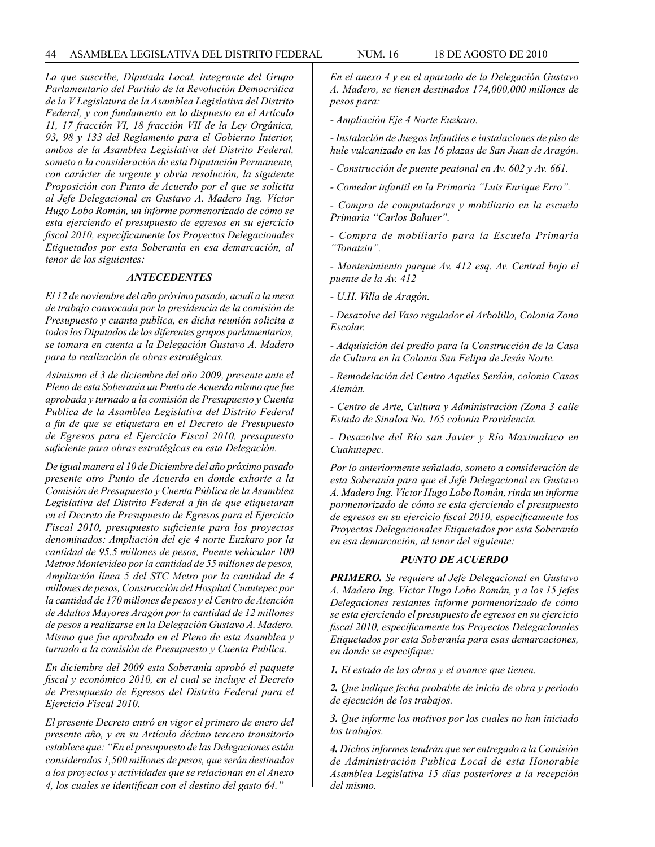*La que suscribe, Diputada Local, integrante del Grupo Parlamentario del Partido de la Revolución Democrática de la V Legislatura de la Asamblea Legislativa del Distrito Federal, y con fundamento en lo dispuesto en el Artículo 11, 17 fracción VI, 18 fracción VII de la Ley Orgánica, 93, 98 y 133 del Reglamento para el Gobierno Interior, ambos de la Asamblea Legislativa del Distrito Federal, someto a la consideración de esta Diputación Permanente, con carácter de urgente y obvia resolución, la siguiente Proposición con Punto de Acuerdo por el que se solicita al Jefe Delegacional en Gustavo A. Madero Ing. Víctor Hugo Lobo Román, un informe pormenorizado de cómo se esta ejerciendo el presupuesto de egresos en su ejercicio fiscal 2010, específicamente los Proyectos Delegacionales Etiquetados por esta Soberanía en esa demarcación, al tenor de los siguientes:*

#### *ANTECEDENTES*

*El 12 de noviembre del año próximo pasado, acudí a la mesa de trabajo convocada por la presidencia de la comisión de Presupuesto y cuanta publica, en dicha reunión solicita a todos los Diputados de los diferentes grupos parlamentarios, se tomara en cuenta a la Delegación Gustavo A. Madero para la realización de obras estratégicas.*

*Asimismo el 3 de diciembre del año 2009, presente ante el Pleno de esta Soberanía un Punto de Acuerdo mismo que fue aprobada y turnado a la comisión de Presupuesto y Cuenta Publica de la Asamblea Legislativa del Distrito Federal a fin de que se etiquetara en el Decreto de Presupuesto de Egresos para el Ejercicio Fiscal 2010, presupuesto suficiente para obras estratégicas en esta Delegación.*

*De igual manera el 10 de Diciembre del año próximo pasado presente otro Punto de Acuerdo en donde exhorte a la Comisión de Presupuesto y Cuenta Pública de la Asamblea Legislativa del Distrito Federal a fin de que etiquetaran en el Decreto de Presupuesto de Egresos para el Ejercicio Fiscal 2010, presupuesto suficiente para los proyectos denominados: Ampliación del eje 4 norte Euzkaro por la cantidad de 95.5 millones de pesos, Puente vehicular 100 Metros Montevideo por la cantidad de 55 millones de pesos, Ampliación línea 5 del STC Metro por la cantidad de 4 millones de pesos, Construcción del Hospital Cuautepec por la cantidad de 170 millones de pesos y el Centro de Atención de Adultos Mayores Aragón por la cantidad de 12 millones de pesos a realizarse en la Delegación Gustavo A. Madero. Mismo que fue aprobado en el Pleno de esta Asamblea y turnado a la comisión de Presupuesto y Cuenta Publica.*

*En diciembre del 2009 esta Soberanía aprobó el paquete fiscal y económico 2010, en el cual se incluye el Decreto de Presupuesto de Egresos del Distrito Federal para el Ejercicio Fiscal 2010.*

*El presente Decreto entró en vigor el primero de enero del presente año, y en su Artículo décimo tercero transitorio establece que: "En el presupuesto de las Delegaciones están considerados 1,500 millones de pesos, que serán destinados a los proyectos y actividades que se relacionan en el Anexo 4, los cuales se identifican con el destino del gasto 64."*

*En el anexo 4 y en el apartado de la Delegación Gustavo A. Madero, se tienen destinados 174,000,000 millones de pesos para:*

*- Ampliación Eje 4 Norte Euzkaro.*

*- Instalación de Juegos infantiles e instalaciones de piso de hule vulcanizado en las 16 plazas de San Juan de Aragón.*

*- Construcción de puente peatonal en Av. 602 y Av. 661.*

*- Comedor infantil en la Primaria "Luis Enrique Erro".*

*- Compra de computadoras y mobiliario en la escuela Primaria "Carlos Bahuer".*

*- Compra de mobiliario para la Escuela Primaria "Tonatzin".*

*- Mantenimiento parque Av. 412 esq. Av. Central bajo el puente de la Av. 412*

*- U.H. Villa de Aragón.*

*- Desazolve del Vaso regulador el Arbolillo, Colonia Zona Escolar.*

*- Adquisición del predio para la Construcción de la Casa de Cultura en la Colonia San Felipa de Jesús Norte.*

*- Remodelación del Centro Aquiles Serdán, colonia Casas Alemán.*

*- Centro de Arte, Cultura y Administración (Zona 3 calle Estado de Sinaloa No. 165 colonia Providencia.*

*- Desazolve del Río san Javier y Río Maximalaco en Cuahutepec.*

*Por lo anteriormente señalado, someto a consideración de esta Soberanía para que el Jefe Delegacional en Gustavo A. Madero Ing. Víctor Hugo Lobo Román, rinda un informe pormenorizado de cómo se esta ejerciendo el presupuesto de egresos en su ejercicio fiscal 2010, específicamente los Proyectos Delegacionales Etiquetados por esta Soberanía en esa demarcación, al tenor del siguiente:*

## *PUNTO DE ACUERDO*

*PRIMERO. Se requiere al Jefe Delegacional en Gustavo A. Madero Ing. Víctor Hugo Lobo Román, y a los 15 jefes Delegaciones restantes informe pormenorizado de cómo se esta ejerciendo el presupuesto de egresos en su ejercicio fiscal 2010, específicamente los Proyectos Delegacionales Etiquetados por esta Soberanía para esas demarcaciones, en donde se especifique:*

*1. El estado de las obras y el avance que tienen.*

*2. Que indique fecha probable de inicio de obra y periodo de ejecución de los trabajos.*

*3. Que informe los motivos por los cuales no han iniciado los trabajos.*

*4. Dichos informes tendrán que ser entregado a la Comisión de Administración Publica Local de esta Honorable Asamblea Legislativa 15 días posteriores a la recepción del mismo.*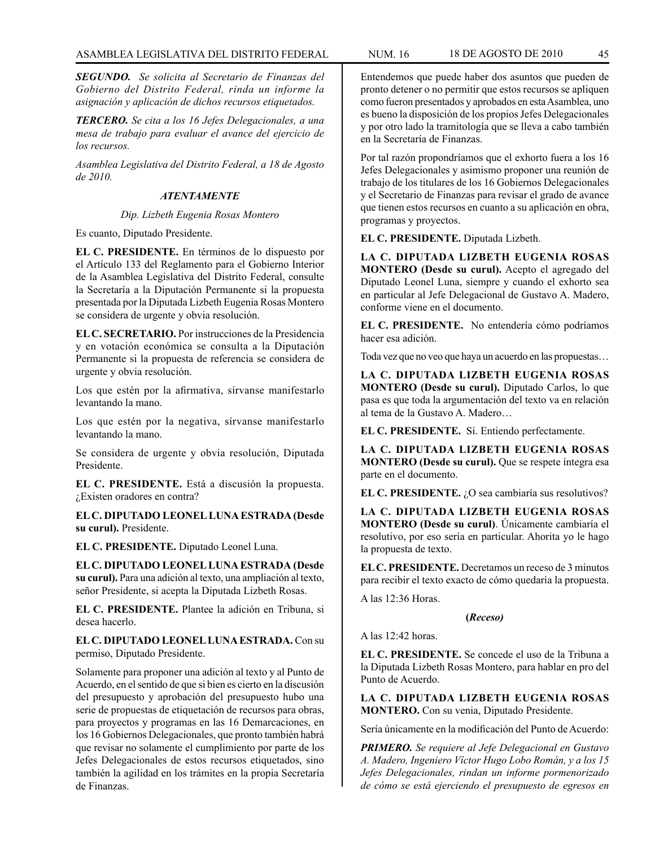*SEGUNDO. Se solicita al Secretario de Finanzas del Gobierno del Distrito Federal, rinda un informe la asignación y aplicación de dichos recursos etiquetados.*

*TERCERO. Se cita a los 16 Jefes Delegacionales, a una mesa de trabajo para evaluar el avance del ejercicio de los recursos.* 

*Asamblea Legislativa del Distrito Federal, a 18 de Agosto de 2010.*

#### *ATENTAMENTE*

### *Dip. Lizbeth Eugenia Rosas Montero*

Es cuanto, Diputado Presidente.

**EL C. PRESIDENTE.** En términos de lo dispuesto por el Artículo 133 del Reglamento para el Gobierno Interior de la Asamblea Legislativa del Distrito Federal, consulte la Secretaría a la Diputación Permanente si la propuesta presentada por la Diputada Lizbeth Eugenia Rosas Montero se considera de urgente y obvia resolución.

**EL C. SECRETARIO.** Por instrucciones de la Presidencia y en votación económica se consulta a la Diputación Permanente si la propuesta de referencia se considera de urgente y obvia resolución.

Los que estén por la afirmativa, sírvanse manifestarlo levantando la mano.

Los que estén por la negativa, sírvanse manifestarlo levantando la mano.

Se considera de urgente y obvia resolución, Diputada Presidente.

**EL C. PRESIDENTE.** Está a discusión la propuesta. ¿Existen oradores en contra?

**EL C. DIPUTADO LEONEL LUNA ESTRADA (Desde su curul).** Presidente.

**EL C. PRESIDENTE.** Diputado Leonel Luna.

**EL C. DIPUTADO LEONEL LUNA ESTRADA (Desde su curul).** Para una adición al texto, una ampliación al texto, señor Presidente, si acepta la Diputada Lizbeth Rosas.

**EL C. PRESIDENTE.** Plantee la adición en Tribuna, si desea hacerlo.

**EL C. DIPUTADO LEONEL LUNA ESTRADA.** Con su permiso, Diputado Presidente.

Solamente para proponer una adición al texto y al Punto de Acuerdo, en el sentido de que si bien es cierto en la discusión del presupuesto y aprobación del presupuesto hubo una serie de propuestas de etiquetación de recursos para obras, para proyectos y programas en las 16 Demarcaciones, en los 16 Gobiernos Delegacionales, que pronto también habrá que revisar no solamente el cumplimiento por parte de los Jefes Delegacionales de estos recursos etiquetados, sino también la agilidad en los trámites en la propia Secretaría de Finanzas.

Entendemos que puede haber dos asuntos que pueden de pronto detener o no permitir que estos recursos se apliquen como fueron presentados y aprobados en esta Asamblea, uno es bueno la disposición de los propios Jefes Delegacionales y por otro lado la tramitología que se lleva a cabo también en la Secretaría de Finanzas.

Por tal razón propondríamos que el exhorto fuera a los 16 Jefes Delegacionales y asimismo proponer una reunión de trabajo de los titulares de los 16 Gobiernos Delegacionales y el Secretario de Finanzas para revisar el grado de avance que tienen estos recursos en cuanto a su aplicación en obra, programas y proyectos.

**EL C. PRESIDENTE.** Diputada Lizbeth.

**LA C. DIPUTADA LIZBETH EUGENIA ROSAS MONTERO (Desde su curul).** Acepto el agregado del Diputado Leonel Luna, siempre y cuando el exhorto sea en particular al Jefe Delegacional de Gustavo A. Madero, conforme viene en el documento.

**EL C. PRESIDENTE.** No entendería cómo podríamos hacer esa adición.

Toda vez que no veo que haya un acuerdo en las propuestas…

**LA C. DIPUTADA LIZBETH EUGENIA ROSAS MONTERO (Desde su curul).** Diputado Carlos, lo que pasa es que toda la argumentación del texto va en relación al tema de la Gustavo A. Madero…

**EL C. PRESIDENTE.** Sí. Entiendo perfectamente.

**LA C. DIPUTADA LIZBETH EUGENIA ROSAS MONTERO (Desde su curul).** Que se respete íntegra esa parte en el documento.

**EL C. PRESIDENTE.** ¿O sea cambiaría sus resolutivos?

**LA C. DIPUTADA LIZBETH EUGENIA ROSAS MONTERO (Desde su curul)**. Únicamente cambiaría el resolutivo, por eso sería en particular. Ahorita yo le hago la propuesta de texto.

**EL C. PRESIDENTE.** Decretamos un receso de 3 minutos para recibir el texto exacto de cómo quedaría la propuesta.

A las 12:36 Horas.

#### **(***Receso)*

A las 12:42 horas.

**EL C. PRESIDENTE.** Se concede el uso de la Tribuna a la Diputada Lizbeth Rosas Montero, para hablar en pro del Punto de Acuerdo.

**LA C. DIPUTADA LIZBETH EUGENIA ROSAS MONTERO.** Con su venia, Diputado Presidente.

Sería únicamente en la modificación del Punto de Acuerdo:

*PRIMERO. Se requiere al Jefe Delegacional en Gustavo A. Madero, Ingeniero Víctor Hugo Lobo Román, y a los 15 Jefes Delegacionales, rindan un informe pormenorizado de cómo se está ejerciendo el presupuesto de egresos en*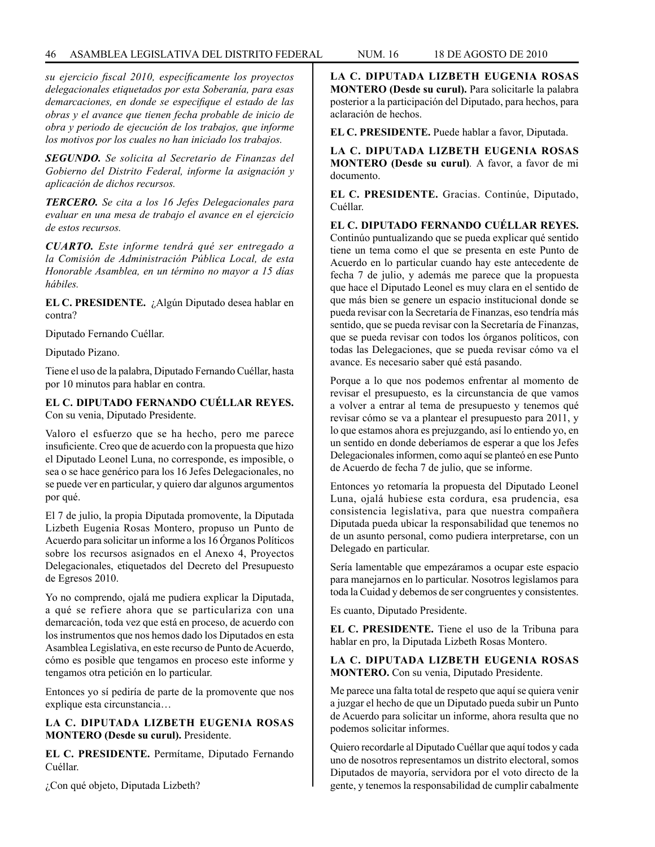### 46 ASAMBLEA LEGISLATIVA DEL DISTRITO FEDERAL NUM. 16 18 de AGOSTO de 2010

*su ejercicio fiscal 2010, específicamente los proyectos delegacionales etiquetados por esta Soberanía, para esas demarcaciones, en donde se especifique el estado de las obras y el avance que tienen fecha probable de inicio de obra y periodo de ejecución de los trabajos, que informe los motivos por los cuales no han iniciado los trabajos.*

*SEGUNDO. Se solicita al Secretario de Finanzas del Gobierno del Distrito Federal, informe la asignación y aplicación de dichos recursos.* 

*TERCERO. Se cita a los 16 Jefes Delegacionales para evaluar en una mesa de trabajo el avance en el ejercicio de estos recursos.* 

*CUARTO. Este informe tendrá qué ser entregado a la Comisión de Administración Pública Local, de esta Honorable Asamblea, en un término no mayor a 15 días hábiles.* 

**EL C. PRESIDENTE.** ¿Algún Diputado desea hablar en contra?

Diputado Fernando Cuéllar.

Diputado Pizano.

Tiene el uso de la palabra, Diputado Fernando Cuéllar, hasta por 10 minutos para hablar en contra.

## **EL C. DIPUTADO FERNANDO CUÉLLAR REYES.** Con su venia, Diputado Presidente.

Valoro el esfuerzo que se ha hecho, pero me parece insuficiente. Creo que de acuerdo con la propuesta que hizo el Diputado Leonel Luna, no corresponde, es imposible, o sea o se hace genérico para los 16 Jefes Delegacionales, no se puede ver en particular, y quiero dar algunos argumentos por qué.

El 7 de julio, la propia Diputada promovente, la Diputada Lizbeth Eugenia Rosas Montero, propuso un Punto de Acuerdo para solicitar un informe a los 16 Órganos Políticos sobre los recursos asignados en el Anexo 4, Proyectos Delegacionales, etiquetados del Decreto del Presupuesto de Egresos 2010.

Yo no comprendo, ojalá me pudiera explicar la Diputada, a qué se refiere ahora que se particulariza con una demarcación, toda vez que está en proceso, de acuerdo con los instrumentos que nos hemos dado los Diputados en esta Asamblea Legislativa, en este recurso de Punto de Acuerdo, cómo es posible que tengamos en proceso este informe y tengamos otra petición en lo particular.

Entonces yo sí pediría de parte de la promovente que nos explique esta circunstancia…

### **LA C. DIPUTADA LIZBETH EUGENIA ROSAS MONTERO (Desde su curul).** Presidente.

**EL C. PRESIDENTE.** Permítame, Diputado Fernando Cuéllar.

¿Con qué objeto, Diputada Lizbeth?

**LA C. DIPUTADA LIZBETH EUGENIA ROSAS MONTERO (Desde su curul).** Para solicitarle la palabra posterior a la participación del Diputado, para hechos, para aclaración de hechos.

**EL C. PRESIDENTE.** Puede hablar a favor, Diputada.

**LA C. DIPUTADA LIZBETH EUGENIA ROSAS MONTERO (Desde su curul)***.* A favor, a favor de mi documento.

**EL C. PRESIDENTE.** Gracias. Continúe, Diputado, Cuéllar.

**EL C. DIPUTADO FERNANDO CUÉLLAR REYES.**  Continúo puntualizando que se pueda explicar qué sentido tiene un tema como el que se presenta en este Punto de Acuerdo en lo particular cuando hay este antecedente de fecha 7 de julio, y además me parece que la propuesta que hace el Diputado Leonel es muy clara en el sentido de que más bien se genere un espacio institucional donde se pueda revisar con la Secretaría de Finanzas, eso tendría más sentido, que se pueda revisar con la Secretaría de Finanzas, que se pueda revisar con todos los órganos políticos, con todas las Delegaciones, que se pueda revisar cómo va el avance. Es necesario saber qué está pasando.

Porque a lo que nos podemos enfrentar al momento de revisar el presupuesto, es la circunstancia de que vamos a volver a entrar al tema de presupuesto y tenemos qué revisar cómo se va a plantear el presupuesto para 2011, y lo que estamos ahora es prejuzgando, así lo entiendo yo, en un sentido en donde deberíamos de esperar a que los Jefes Delegacionales informen, como aquí se planteó en ese Punto de Acuerdo de fecha 7 de julio, que se informe.

Entonces yo retomaría la propuesta del Diputado Leonel Luna, ojalá hubiese esta cordura, esa prudencia, esa consistencia legislativa, para que nuestra compañera Diputada pueda ubicar la responsabilidad que tenemos no de un asunto personal, como pudiera interpretarse, con un Delegado en particular.

Sería lamentable que empezáramos a ocupar este espacio para manejarnos en lo particular. Nosotros legislamos para toda la Cuidad y debemos de ser congruentes y consistentes.

Es cuanto, Diputado Presidente.

**EL C. PRESIDENTE.** Tiene el uso de la Tribuna para hablar en pro, la Diputada Lizbeth Rosas Montero.

**LA C. DIPUTADA LIZBETH EUGENIA ROSAS MONTERO.** Con su venia, Diputado Presidente.

Me parece una falta total de respeto que aquí se quiera venir a juzgar el hecho de que un Diputado pueda subir un Punto de Acuerdo para solicitar un informe, ahora resulta que no podemos solicitar informes.

Quiero recordarle al Diputado Cuéllar que aquí todos y cada uno de nosotros representamos un distrito electoral, somos Diputados de mayoría, servidora por el voto directo de la gente, y tenemos la responsabilidad de cumplir cabalmente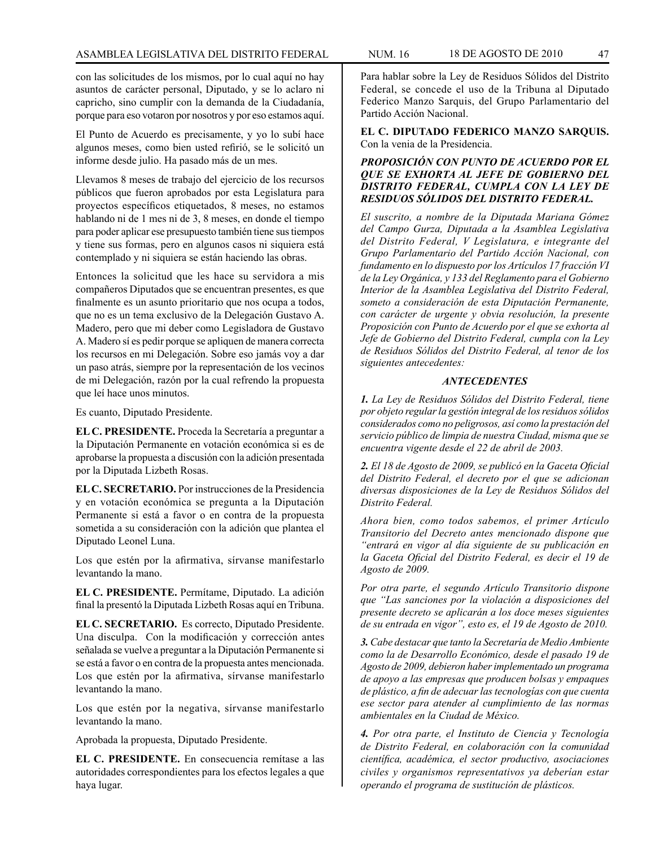con las solicitudes de los mismos, por lo cual aquí no hay asuntos de carácter personal, Diputado, y se lo aclaro ni capricho, sino cumplir con la demanda de la Ciudadanía, porque para eso votaron por nosotros y por eso estamos aquí.

El Punto de Acuerdo es precisamente, y yo lo subí hace algunos meses, como bien usted refirió, se le solicitó un informe desde julio. Ha pasado más de un mes.

Llevamos 8 meses de trabajo del ejercicio de los recursos públicos que fueron aprobados por esta Legislatura para proyectos específicos etiquetados, 8 meses, no estamos hablando ni de 1 mes ni de 3, 8 meses, en donde el tiempo para poder aplicar ese presupuesto también tiene sus tiempos y tiene sus formas, pero en algunos casos ni siquiera está contemplado y ni siquiera se están haciendo las obras.

Entonces la solicitud que les hace su servidora a mis compañeros Diputados que se encuentran presentes, es que finalmente es un asunto prioritario que nos ocupa a todos, que no es un tema exclusivo de la Delegación Gustavo A. Madero, pero que mi deber como Legisladora de Gustavo A. Madero sí es pedir porque se apliquen de manera correcta los recursos en mi Delegación. Sobre eso jamás voy a dar un paso atrás, siempre por la representación de los vecinos de mi Delegación, razón por la cual refrendo la propuesta que leí hace unos minutos.

Es cuanto, Diputado Presidente.

**EL C. PRESIDENTE.** Proceda la Secretaría a preguntar a la Diputación Permanente en votación económica si es de aprobarse la propuesta a discusión con la adición presentada por la Diputada Lizbeth Rosas.

**EL C. SECRETARIO.** Por instrucciones de la Presidencia y en votación económica se pregunta a la Diputación Permanente si está a favor o en contra de la propuesta sometida a su consideración con la adición que plantea el Diputado Leonel Luna.

Los que estén por la afirmativa, sírvanse manifestarlo levantando la mano.

**EL C. PRESIDENTE.** Permítame, Diputado. La adición final la presentó la Diputada Lizbeth Rosas aquí en Tribuna.

**EL C. SECRETARIO.** Es correcto, Diputado Presidente. Una disculpa. Con la modificación y corrección antes señalada se vuelve a preguntar a la Diputación Permanente si se está a favor o en contra de la propuesta antes mencionada. Los que estén por la afirmativa, sírvanse manifestarlo levantando la mano.

Los que estén por la negativa, sírvanse manifestarlo levantando la mano.

Aprobada la propuesta, Diputado Presidente.

**EL C. PRESIDENTE.** En consecuencia remítase a las autoridades correspondientes para los efectos legales a que haya lugar.

Para hablar sobre la Ley de Residuos Sólidos del Distrito Federal, se concede el uso de la Tribuna al Diputado Federico Manzo Sarquis, del Grupo Parlamentario del Partido Acción Nacional.

**EL C. DIPUTADO FEDERICO MANZO SARQUIS.** Con la venia de la Presidencia.

### *PROPOSICIÓN CON PUNTO DE ACUERDO POR EL QUE SE EXHORTA AL JEFE DE GOBIERNO DEL DISTRITO FEDERAL, CUMPLA CON LA LEY DE RESIDUOS SÓLIDOS DEL DISTRITO FEDERAL.*

*El suscrito, a nombre de la Diputada Mariana Gómez del Campo Gurza, Diputada a la Asamblea Legislativa del Distrito Federal, V Legislatura, e integrante del Grupo Parlamentario del Partido Acción Nacional, con fundamento en lo dispuesto por los Artículos 17 fracción VI de la Ley Orgánica, y 133 del Reglamento para el Gobierno Interior de la Asamblea Legislativa del Distrito Federal, someto a consideración de esta Diputación Permanente, con carácter de urgente y obvia resolución, la presente Proposición con Punto de Acuerdo por el que se exhorta al Jefe de Gobierno del Distrito Federal, cumpla con la Ley de Residuos Sólidos del Distrito Federal, al tenor de los siguientes antecedentes:*

#### *ANTECEDENTES*

*1. La Ley de Residuos Sólidos del Distrito Federal, tiene por objeto regular la gestión integral de los residuos sólidos considerados como no peligrosos, así como la prestación del servicio público de limpia de nuestra Ciudad, misma que se encuentra vigente desde el 22 de abril de 2003.*

*2. El 18 de Agosto de 2009, se publicó en la Gaceta Oficial del Distrito Federal, el decreto por el que se adicionan diversas disposiciones de la Ley de Residuos Sólidos del Distrito Federal.* 

*Ahora bien, como todos sabemos, el primer Artículo Transitorio del Decreto antes mencionado dispone que "entrará en vigor al día siguiente de su publicación en la Gaceta Oficial del Distrito Federal, es decir el 19 de Agosto de 2009.*

*Por otra parte, el segundo Artículo Transitorio dispone que "Las sanciones por la violación a disposiciones del presente decreto se aplicarán a los doce meses siguientes de su entrada en vigor", esto es, el 19 de Agosto de 2010.*

*3. Cabe destacar que tanto la Secretaría de Medio Ambiente como la de Desarrollo Económico, desde el pasado 19 de Agosto de 2009, debieron haber implementado un programa de apoyo a las empresas que producen bolsas y empaques de plástico, a fin de adecuar las tecnologías con que cuenta ese sector para atender al cumplimiento de las normas ambientales en la Ciudad de México.*

*4. Por otra parte, el Instituto de Ciencia y Tecnología de Distrito Federal, en colaboración con la comunidad científica, académica, el sector productivo, asociaciones civiles y organismos representativos ya deberían estar operando el programa de sustitución de plásticos.*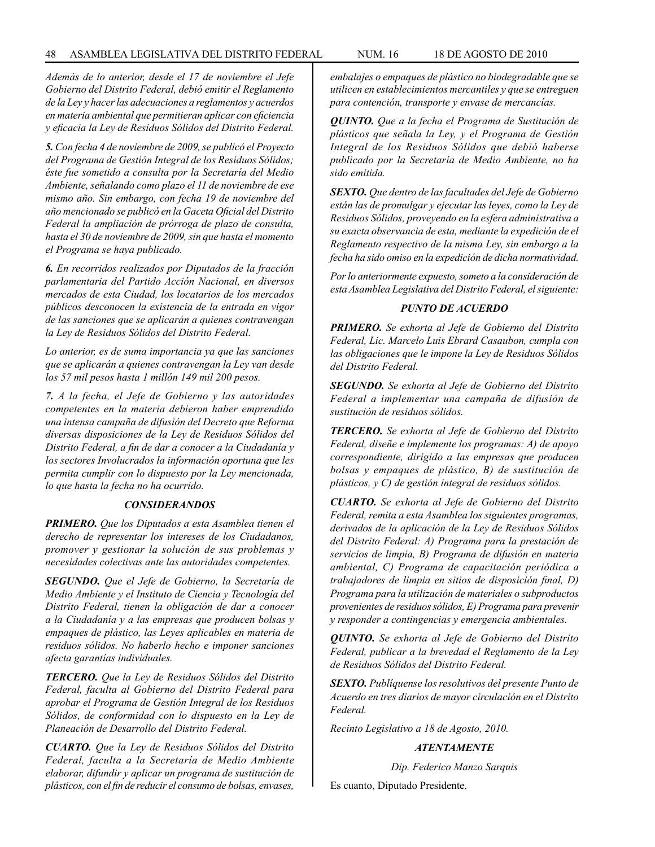*Además de lo anterior, desde el 17 de noviembre el Jefe Gobierno del Distrito Federal, debió emitir el Reglamento de la Ley y hacer las adecuaciones a reglamentos y acuerdos en materia ambiental que permitieran aplicar con eficiencia y eficacia la Ley de Residuos Sólidos del Distrito Federal.*

*5. Con fecha 4 de noviembre de 2009, se publicó el Proyecto del Programa de Gestión Integral de los Residuos Sólidos; éste fue sometido a consulta por la Secretaría del Medio Ambiente, señalando como plazo el 11 de noviembre de ese mismo año. Sin embargo, con fecha 19 de noviembre del año mencionado se publicó en la Gaceta Oficial del Distrito Federal la ampliación de prórroga de plazo de consulta, hasta el 30 de noviembre de 2009, sin que hasta el momento el Programa se haya publicado.*

*6. En recorridos realizados por Diputados de la fracción parlamentaria del Partido Acción Nacional, en diversos mercados de esta Ciudad, los locatarios de los mercados públicos desconocen la existencia de la entrada en vigor de las sanciones que se aplicarán a quienes contravengan la Ley de Residuos Sólidos del Distrito Federal.*

*Lo anterior, es de suma importancia ya que las sanciones que se aplicarán a quienes contravengan la Ley van desde los 57 mil pesos hasta 1 millón 149 mil 200 pesos.*

*7. A la fecha, el Jefe de Gobierno y las autoridades competentes en la materia debieron haber emprendido una intensa campaña de difusión del Decreto que Reforma diversas disposiciones de la Ley de Residuos Sólidos del Distrito Federal, a fin de dar a conocer a la Ciudadanía y los sectores Involucrados la información oportuna que les permita cumplir con lo dispuesto por la Ley mencionada, lo que hasta la fecha no ha ocurrido.*

#### *CONSIDERANDOS*

*PRIMERO. Que los Diputados a esta Asamblea tienen el derecho de representar los intereses de los Ciudadanos, promover y gestionar la solución de sus problemas y necesidades colectivas ante las autoridades competentes.*

*SEGUNDO. Que el Jefe de Gobierno, la Secretaría de Medio Ambiente y el Instituto de Ciencia y Tecnología del Distrito Federal, tienen la obligación de dar a conocer a la Ciudadanía y a las empresas que producen bolsas y empaques de plástico, las Leyes aplicables en materia de residuos sólidos. No haberlo hecho e imponer sanciones afecta garantías individuales.*

*TERCERO. Que la Ley de Residuos Sólidos del Distrito Federal, faculta al Gobierno del Distrito Federal para aprobar el Programa de Gestión Integral de los Residuos Sólidos, de conformidad con lo dispuesto en la Ley de Planeación de Desarrollo del Distrito Federal.*

*CUARTO. Que la Ley de Residuos Sólidos del Distrito Federal, faculta a la Secretaría de Medio Ambiente elaborar, difundir y aplicar un programa de sustitución de plásticos, con el fin de reducir el consumo de bolsas, envases,* 

*embalajes o empaques de plástico no biodegradable que se utilicen en establecimientos mercantiles y que se entreguen para contención, transporte y envase de mercancías.*

*QUINTO. Que a la fecha el Programa de Sustitución de plásticos que señala la Ley, y el Programa de Gestión Integral de los Residuos Sólidos que debió haberse publicado por la Secretaría de Medio Ambiente, no ha sido emitida.*

*SEXTO. Que dentro de las facultades del Jefe de Gobierno están las de promulgar y ejecutar las leyes, como la Ley de Residuos Sólidos, proveyendo en la esfera administrativa a su exacta observancia de esta, mediante la expedición de el Reglamento respectivo de la misma Ley, sin embargo a la fecha ha sido omiso en la expedición de dicha normatividad.*

*Por lo anteriormente expuesto, someto a la consideración de esta Asamblea Legislativa del Distrito Federal, el siguiente:*

### *PUNTO DE ACUERDO*

*PRIMERO. Se exhorta al Jefe de Gobierno del Distrito Federal, Lic. Marcelo Luis Ebrard Casaubon, cumpla con las obligaciones que le impone la Ley de Residuos Sólidos del Distrito Federal.*

*SEGUNDO. Se exhorta al Jefe de Gobierno del Distrito Federal a implementar una campaña de difusión de sustitución de residuos sólidos.*

*TERCERO. Se exhorta al Jefe de Gobierno del Distrito Federal, diseñe e implemente los programas: A) de apoyo correspondiente, dirigido a las empresas que producen bolsas y empaques de plástico, B) de sustitución de plásticos, y C) de gestión integral de residuos sólidos.*

*CUARTO. Se exhorta al Jefe de Gobierno del Distrito Federal, remita a esta Asamblea los siguientes programas, derivados de la aplicación de la Ley de Residuos Sólidos del Distrito Federal: A) Programa para la prestación de servicios de limpia, B) Programa de difusión en materia ambiental, C) Programa de capacitación periódica a trabajadores de limpia en sitios de disposición final, D) Programa para la utilización de materiales o subproductos provenientes de residuos sólidos, E) Programa para prevenir y responder a contingencias y emergencia ambientales.* 

*QUINTO. Se exhorta al Jefe de Gobierno del Distrito Federal, publicar a la brevedad el Reglamento de la Ley de Residuos Sólidos del Distrito Federal.*

*SEXTO. Publíquense los resolutivos del presente Punto de Acuerdo en tres diarios de mayor circulación en el Distrito Federal.*

*Recinto Legislativo a 18 de Agosto, 2010.*

#### *ATENTAMENTE*

*Dip. Federico Manzo Sarquis*

Es cuanto, Diputado Presidente.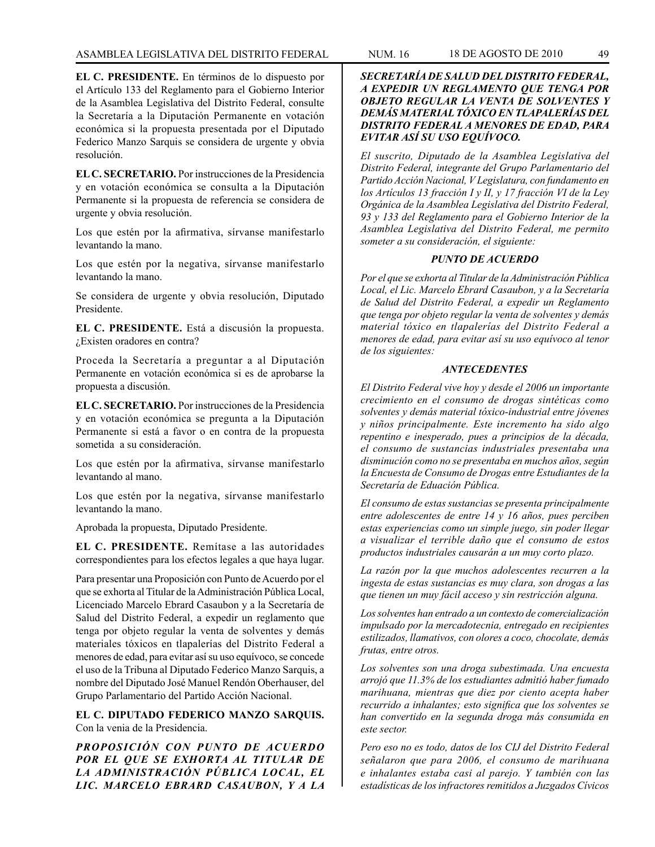**EL C. PRESIDENTE.** En términos de lo dispuesto por el Artículo 133 del Reglamento para el Gobierno Interior de la Asamblea Legislativa del Distrito Federal, consulte la Secretaría a la Diputación Permanente en votación económica si la propuesta presentada por el Diputado Federico Manzo Sarquis se considera de urgente y obvia resolución.

**EL C. SECRETARIO.** Por instrucciones de la Presidencia y en votación económica se consulta a la Diputación Permanente si la propuesta de referencia se considera de urgente y obvia resolución.

Los que estén por la afirmativa, sírvanse manifestarlo levantando la mano.

Los que estén por la negativa, sírvanse manifestarlo levantando la mano.

Se considera de urgente y obvia resolución, Diputado Presidente.

**EL C. PRESIDENTE.** Está a discusión la propuesta. ¿Existen oradores en contra?

Proceda la Secretaría a preguntar a al Diputación Permanente en votación económica si es de aprobarse la propuesta a discusión.

**EL C. SECRETARIO.** Por instrucciones de la Presidencia y en votación económica se pregunta a la Diputación Permanente si está a favor o en contra de la propuesta sometida a su consideración.

Los que estén por la afirmativa, sírvanse manifestarlo levantando al mano.

Los que estén por la negativa, sírvanse manifestarlo levantando la mano.

Aprobada la propuesta, Diputado Presidente.

**EL C. PRESIDENTE.** Remítase a las autoridades correspondientes para los efectos legales a que haya lugar.

Para presentar una Proposición con Punto de Acuerdo por el que se exhorta al Titular de la Administración Pública Local, Licenciado Marcelo Ebrard Casaubon y a la Secretaría de Salud del Distrito Federal, a expedir un reglamento que tenga por objeto regular la venta de solventes y demás materiales tóxicos en tlapalerías del Distrito Federal a menores de edad, para evitar así su uso equívoco, se concede el uso de la Tribuna al Diputado Federico Manzo Sarquis, a nombre del Diputado José Manuel Rendón Oberhauser, del Grupo Parlamentario del Partido Acción Nacional.

**EL C. DIPUTADO FEDERICO MANZO SARQUIS.** Con la venia de la Presidencia.

*PROPOSICIÓN CON PUNTO DE ACUERDO POR EL QUE SE EXHORTA AL TITULAR DE LA ADMINISTRACIÓN PÚBLICA LOCAL, EL LIC. MARCELO EBRARD CASAUBON, Y A LA* 

### *SECRETARÍA DE SALUD DEL DISTRITO FEDERAL, A EXPEDIR UN REGLAMENTO QUE TENGA POR OBJETO REGULAR LA VENTA DE SOLVENTES Y DEMÁS MATERIAL TÓXICO EN TLAPALERÍAS DEL DISTRITO FEDERAL A MENORES DE EDAD, PARA EVITAR ASÍ SU USO EQUÍVOCO.*

*El suscrito, Diputado de la Asamblea Legislativa del Distrito Federal, integrante del Grupo Parlamentario del Partido Acción Nacional, V Legislatura, con fundamento en los Artículos 13 fracción I y II, y 17 fracción VI de la Ley Orgánica de la Asamblea Legislativa del Distrito Federal, 93 y 133 del Reglamento para el Gobierno Interior de la Asamblea Legislativa del Distrito Federal, me permito someter a su consideración, el siguiente:*

#### *PUNTO DE ACUERDO*

*Por el que se exhorta al Titular de la Administración Pública Local, el Lic. Marcelo Ebrard Casaubon, y a la Secretaría de Salud del Distrito Federal, a expedir un Reglamento que tenga por objeto regular la venta de solventes y demás material tóxico en tlapalerías del Distrito Federal a menores de edad, para evitar así su uso equívoco al tenor de los siguientes:*

#### *ANTECEDENTES*

*El Distrito Federal vive hoy y desde el 2006 un importante crecimiento en el consumo de drogas sintéticas como solventes y demás material tóxico-industrial entre jóvenes y niños principalmente. Este incremento ha sido algo repentino e inesperado, pues a principios de la década, el consumo de sustancias industriales presentaba una disminución como no se presentaba en muchos años, según la Encuesta de Consumo de Drogas entre Estudiantes de la Secretaría de Eduación Pública.*

*El consumo de estas sustancias se presenta principalmente entre adolescentes de entre 14 y 16 años, pues perciben estas experiencias como un simple juego, sin poder llegar a visualizar el terrible daño que el consumo de estos productos industriales causarán a un muy corto plazo.*

*La razón por la que muchos adolescentes recurren a la ingesta de estas sustancias es muy clara, son drogas a las que tienen un muy fácil acceso y sin restricción alguna.*

*Los solventes han entrado a un contexto de comercialización impulsado por la mercadotecnia, entregado en recipientes estilizados, llamativos, con olores a coco, chocolate, demás frutas, entre otros.*

*Los solventes son una droga subestimada. Una encuesta arrojó que 11.3% de los estudiantes admitió haber fumado marihuana, mientras que diez por ciento acepta haber recurrido a inhalantes; esto significa que los solventes se han convertido en la segunda droga más consumida en este sector.*

*Pero eso no es todo, datos de los CIJ del Distrito Federal señalaron que para 2006, el consumo de marihuana e inhalantes estaba casi al parejo. Y también con las estadísticas de los infractores remitidos a Juzgados Cívicos*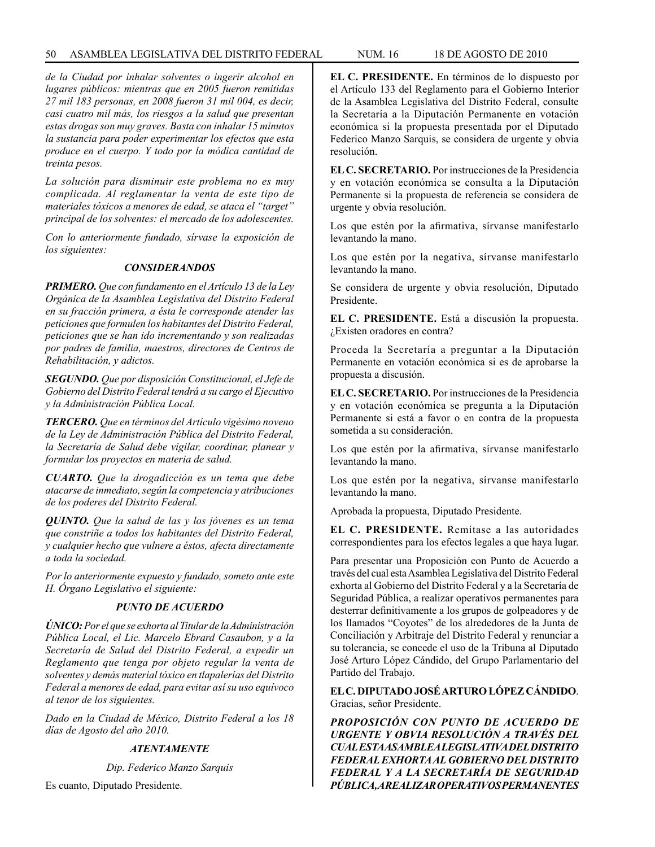### 50 ASAMBLEA LEGISLATIVA DEL DISTRITO FEDERAL NUM. 16 18 de AGOSTO de 2010

*de la Ciudad por inhalar solventes o ingerir alcohol en lugares públicos: mientras que en 2005 fueron remitidas 27 mil 183 personas, en 2008 fueron 31 mil 004, es decir, casi cuatro mil más, los riesgos a la salud que presentan estas drogas son muy graves. Basta con inhalar 15 minutos la sustancia para poder experimentar los efectos que esta produce en el cuerpo. Y todo por la módica cantidad de treinta pesos.*

*La solución para disminuir este problema no es muy complicada. Al reglamentar la venta de este tipo de materiales tóxicos a menores de edad, se ataca el "target" principal de los solventes: el mercado de los adolescentes.* 

*Con lo anteriormente fundado, sírvase la exposición de los siguientes:*

### *CONSIDERANDOS*

*PRIMERO. Que con fundamento en el Artículo 13 de la Ley Orgánica de la Asamblea Legislativa del Distrito Federal en su fracción primera, a ésta le corresponde atender las peticiones que formulen los habitantes del Distrito Federal, peticiones que se han ido incrementando y son realizadas por padres de familia, maestros, directores de Centros de Rehabilitación, y adictos.*

*SEGUNDO. Que por disposición Constitucional, el Jefe de Gobierno del Distrito Federal tendrá a su cargo el Ejecutivo y la Administración Pública Local.*

*TERCERO. Que en términos del Artículo vigésimo noveno de la Ley de Administración Pública del Distrito Federal, la Secretaría de Salud debe vigilar, coordinar, planear y formular los proyectos en materia de salud.*

*CUARTO. Que la drogadicción es un tema que debe atacarse de inmediato, según la competencia y atribuciones de los poderes del Distrito Federal.* 

*QUINTO. Que la salud de las y los jóvenes es un tema que constriñe a todos los habitantes del Distrito Federal, y cualquier hecho que vulnere a éstos, afecta directamente a toda la sociedad.*

*Por lo anteriormente expuesto y fundado, someto ante este H. Órgano Legislativo el siguiente:*

### *PUNTO DE ACUERDO*

*ÚNICO: Por el que se exhorta al Titular de la Administración Pública Local, el Lic. Marcelo Ebrard Casaubon, y a la Secretaría de Salud del Distrito Federal, a expedir un Reglamento que tenga por objeto regular la venta de solventes y demás material tóxico en tlapalerías del Distrito Federal a menores de edad, para evitar así su uso equívoco al tenor de los siguientes.*

*Dado en la Ciudad de México, Distrito Federal a los 18 días de Agosto del año 2010.*

### *ATENTAMENTE*

*Dip. Federico Manzo Sarquis*

Es cuanto, Diputado Presidente.

**EL C. PRESIDENTE.** En términos de lo dispuesto por el Artículo 133 del Reglamento para el Gobierno Interior de la Asamblea Legislativa del Distrito Federal, consulte la Secretaría a la Diputación Permanente en votación económica si la propuesta presentada por el Diputado Federico Manzo Sarquis, se considera de urgente y obvia resolución.

**EL C. SECRETARIO.** Por instrucciones de la Presidencia y en votación económica se consulta a la Diputación Permanente si la propuesta de referencia se considera de urgente y obvia resolución.

Los que estén por la afirmativa, sírvanse manifestarlo levantando la mano.

Los que estén por la negativa, sírvanse manifestarlo levantando la mano.

Se considera de urgente y obvia resolución, Diputado Presidente.

**EL C. PRESIDENTE.** Está a discusión la propuesta. ¿Existen oradores en contra?

Proceda la Secretaría a preguntar a la Diputación Permanente en votación económica si es de aprobarse la propuesta a discusión.

**EL C. SECRETARIO.** Por instrucciones de la Presidencia y en votación económica se pregunta a la Diputación Permanente si está a favor o en contra de la propuesta sometida a su consideración.

Los que estén por la afirmativa, sírvanse manifestarlo levantando la mano.

Los que estén por la negativa, sírvanse manifestarlo levantando la mano.

Aprobada la propuesta, Diputado Presidente.

**EL C. PRESIDENTE.** Remítase a las autoridades correspondientes para los efectos legales a que haya lugar.

Para presentar una Proposición con Punto de Acuerdo a través del cual esta Asamblea Legislativa del Distrito Federal exhorta al Gobierno del Distrito Federal y a la Secretaría de Seguridad Pública, a realizar operativos permanentes para desterrar definitivamente a los grupos de golpeadores y de los llamados "Coyotes" de los alrededores de la Junta de Conciliación y Arbitraje del Distrito Federal y renunciar a su tolerancia, se concede el uso de la Tribuna al Diputado José Arturo López Cándido, del Grupo Parlamentario del Partido del Trabajo.

## **EL C. DIPUTADO JOSÉ ARTURO LÓPEZ CÁNDIDO**. Gracias, señor Presidente.

*PROPOSICIÓN CON PUNTO DE ACUERDO DE URGENTE Y OBVIA RESOLUCIÓN A TRAVÉS DEL CUAL ESTA ASAMBLEA LEGISLATIVA DEL DISTRITO FEDERAL EXHORTA AL GOBIERNO DEL DISTRITO FEDERAL Y A LA SECRETARÍA DE SEGURIDAD PÚBLICA, A REALIZAR OPERATIVOS PERMANENTES*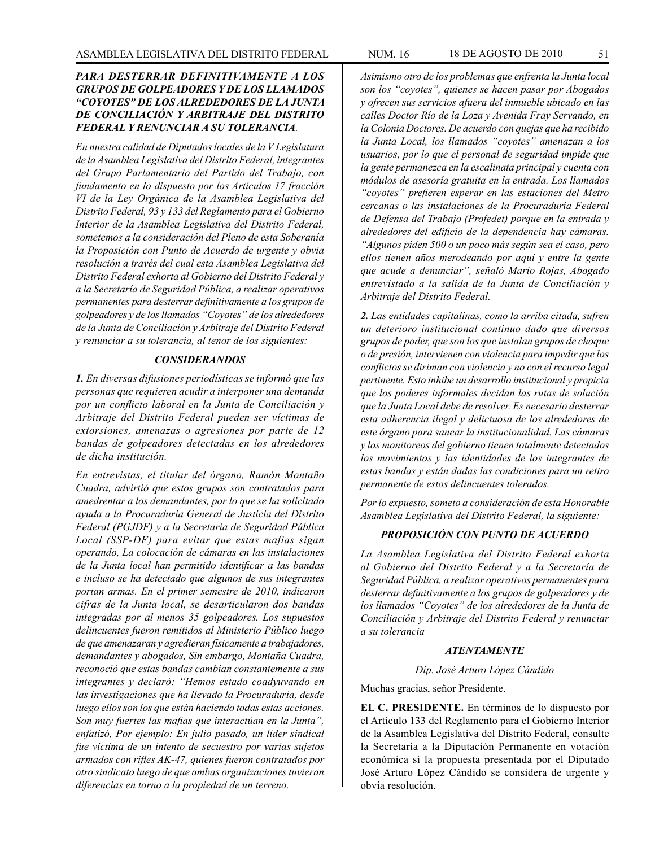## *PARA DESTERRAR DEFINITIVAMENTE A LOS GRUPOS DE GOLPEADORES Y DE LOS LLAMADOS "COYOTES" DE LOS ALREDEDORES DE LA JUNTA DE CONCILIACIÓN Y ARBITRAJE DEL DISTRITO FEDERAL Y RENUNCIAR A SU TOLERANCIA.*

*En nuestra calidad de Diputados locales de la V Legislatura de la Asamblea Legislativa del Distrito Federal, integrantes del Grupo Parlamentario del Partido del Trabajo, con fundamento en lo dispuesto por los Artículos 17 fracción VI de la Ley Orgánica de la Asamblea Legislativa del Distrito Federal, 93 y 133 del Reglamento para el Gobierno Interior de la Asamblea Legislativa del Distrito Federal, sometemos a la consideración del Pleno de esta Soberanía la Proposición con Punto de Acuerdo de urgente y obvia resolución a través del cual esta Asamblea Legislativa del Distrito Federal exhorta al Gobierno del Distrito Federal y a la Secretaría de Seguridad Pública, a realizar operativos permanentes para desterrar definitivamente a los grupos de golpeadores y de los llamados "Coyotes" de los alrededores de la Junta de Conciliación y Arbitraje del Distrito Federal y renunciar a su tolerancia, al tenor de los siguientes:*

#### *CONSIDERANDOS*

*1. En diversas difusiones periodísticas se informó que las personas que requieren acudir a interponer una demanda por un conflicto laboral en la Junta de Conciliación y Arbitraje del Distrito Federal pueden ser víctimas de extorsiones, amenazas o agresiones por parte de 12 bandas de golpeadores detectadas en los alrededores de dicha institución.*

*En entrevistas, el titular del órgano, Ramón Montaño Cuadra, advirtió que estos grupos son contratados para amedrentar a los demandantes, por lo que se ha solicitado ayuda a la Procuraduría General de Justicia del Distrito Federal (PGJDF) y a la Secretaría de Seguridad Pública Local (SSP-DF) para evitar que estas mafias sigan operando, La colocación de cámaras en las instalaciones de la Junta local han permitido identificar a las bandas e incluso se ha detectado que algunos de sus integrantes portan armas. En el primer semestre de 2010, indicaron cifras de la Junta local, se desarticularon dos bandas integradas por al menos 35 golpeadores. Los supuestos delincuentes fueron remitidos al Ministerio Público luego de que amenazaran y agredieran físicamente a trabajadores, demandantes y abogados, Sin embargo, Montaña Cuadra, reconoció que estas bandas cambian constantemente a sus integrantes y declaró: "Hemos estado coadyuvando en las investigaciones que ha llevado la Procuraduría, desde luego ellos son los que están haciendo todas estas acciones. Son muy fuertes las mafias que interactúan en la Junta", enfatizó, Por ejemplo: En julio pasado, un líder sindical fue víctima de un intento de secuestro por varías sujetos armados con rifles AK-47, quienes fueron contratados por otro sindicato luego de que ambas organizaciones tuvieran diferencias en torno a la propiedad de un terreno.*

*Asimismo otro de los problemas que enfrenta la Junta local son los "coyotes", quienes se hacen pasar por Abogados y ofrecen sus servicios afuera del inmueble ubicado en las calles Doctor Río de la Loza y Avenida Fray Servando, en la Colonia Doctores. De acuerdo con quejas que ha recibido la Junta Local, los llamados "coyotes" amenazan a los usuarios, por lo que el personal de seguridad impide que la gente permanezca en la escalinata principal y cuenta con módulos de asesoría gratuita en la entrada. Los llamados "coyotes" prefieren esperar en las estaciones del Metro cercanas o las instalaciones de la Procuraduría Federal de Defensa del Trabajo (Profedet) porque en la entrada y alrededores del edificio de la dependencia hay cámaras. "Algunos piden 500 o un poco más según sea el caso, pero ellos tienen años merodeando por aquí y entre la gente que acude a denunciar", señaló Mario Rojas, Abogado entrevistado a la salida de la Junta de Conciliación y Arbitraje del Distrito Federal.*

*2. Las entidades capitalinas, como la arriba citada, sufren un deterioro institucional continuo dado que diversos grupos de poder, que son los que instalan grupos de choque o de presión, intervienen con violencia para impedir que los conflictos se diriman con violencia y no con el recurso legal pertinente. Esto inhibe un desarrollo institucional y propicia que los poderes informales decidan las rutas de solución que la Junta Local debe de resolver. Es necesario desterrar esta adherencia ilegal y delictuosa de los alrededores de este órgano para sanear la institucionalidad. Las cámaras y los monitoreos del gobierno tienen totalmente detectados los movimientos y las identidades de los integrantes de estas bandas y están dadas las condiciones para un retiro permanente de estos delincuentes tolerados.*

*Por lo expuesto, someto a consideración de esta Honorable Asamblea Legislativa del Distrito Federal, la siguiente:*

### *PROPOSICIÓN CON PUNTO DE ACUERDO*

*La Asamblea Legislativa del Distrito Federal exhorta al Gobierno del Distrito Federal y a la Secretaría de Seguridad Pública, a realizar operativos permanentes para desterrar definitivamente a los grupos de golpeadores y de los llamados "Coyotes" de los alrededores de la Junta de Conciliación y Arbitraje del Distrito Federal y renunciar a su tolerancia*

#### *ATENTAMENTE*

*Dip. José Arturo López Cándido*

Muchas gracias, señor Presidente.

**EL C. PRESIDENTE.** En términos de lo dispuesto por el Artículo 133 del Reglamento para el Gobierno Interior de la Asamblea Legislativa del Distrito Federal, consulte la Secretaría a la Diputación Permanente en votación económica si la propuesta presentada por el Diputado José Arturo López Cándido se considera de urgente y obvia resolución.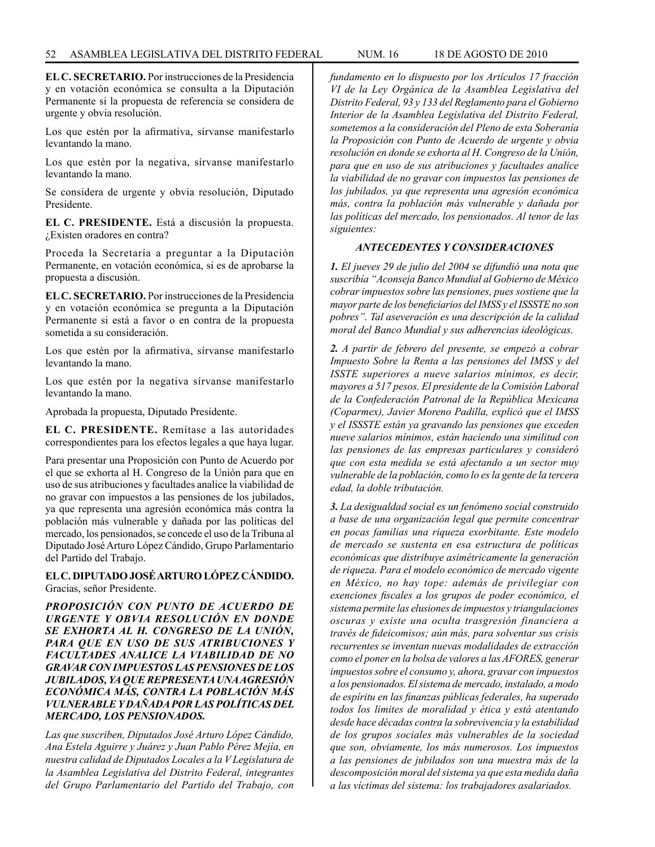**EL C. SECRETARIO.** Por instrucciones de la Presidencia y en votación económica se consulta a la Diputación Permanente si la propuesta de referencia se considera de urgente y obvia resolución.

Los que estén por la afirmativa, sírvanse manifestarlo levantando la mano.

Los que estén por la negativa, sírvanse manifestarlo levantando la mano.

Se considera de urgente y obvia resolución, Diputado Presidente.

**EL C. PRESIDENTE.** Está a discusión la propuesta. ¿Existen oradores en contra?

Proceda la Secretaría a preguntar a la Diputación Permanente, en votación económica, si es de aprobarse la propuesta a discusión.

**EL C. SECRETARIO.** Por instrucciones de la Presidencia y en votación económica se pregunta a la Diputación Permanente si está a favor o en contra de la propuesta sometida a su consideración.

Los que estén por la afirmativa, sírvanse manifestarlo levantando la mano.

Los que estén por la negativa sírvanse manifestarlo levantando la mano.

Aprobada la propuesta, Diputado Presidente.

**EL C. PRESIDENTE.** Remítase a las autoridades correspondientes para los efectos legales a que haya lugar.

Para presentar una Proposición con Punto de Acuerdo por el que se exhorta al H. Congreso de la Unión para que en uso de sus atribuciones y facultades analice la viabilidad de no gravar con impuestos a las pensiones de los jubilados, ya que representa una agresión económica más contra la población más vulnerable y dañada por las políticas del mercado, los pensionados, se concede el uso de la Tribuna al Diputado José Arturo López Cándido, Grupo Parlamentario del Partido del Trabajo.

**EL C. DIPUTADO JOSÉ ARTURO LÓPEZ CÁNDIDO.**  Gracias, señor Presidente.

*PROPOSICIÓN CON PUNTO DE ACUERDO DE URGENTE Y OBVIA RESOLUCIÓN EN DONDE SE EXHORTA AL H. CONGRESO DE LA UNIÓN, PARA QUE EN USO DE SUS ATRIBUCIONES Y FACULTADES ANALICE LA VIABILIDAD DE NO GRAVAR CON IMPUESTOS LAS PENSIONES DE LOS JUBILADOS, YA QUE REPRESENTA UNA AGRESIÓN ECONÓMICA MÁS, CONTRA LA POBLACIÓN MÁS VULNERABLE Y DAÑADA POR LAS POLÍTICAS DEL MERCADO, LOS PENSIONADOS.* 

*Las que suscriben, Diputados José Arturo López Cándido, Ana Estela Aguirre y Juárez y Juan Pablo Pérez Mejía, en nuestra calidad de Diputados Locales a la V Legislatura de la Asamblea Legislativa del Distrito Federal, integrantes del Grupo Parlamentario del Partido del Trabajo, con* 

*fundamento en lo dispuesto por los Artículos 17 fracción VI de la Ley Orgánica de la Asamblea Legislativa del Distrito Federal, 93 y 133 del Reglamento para el Gobierno Interior de la Asamblea Legislativa del Distrito Federal, sometemos a la consideración del Pleno de esta Soberanía la Proposición con Punto de Acuerdo de urgente y obvia resolución en donde se exhorta al H. Congreso de la Unión, para que en uso de sus atribuciones y facultades analice la viabilidad de no gravar con impuestos las pensiones de los jubilados, ya que representa una agresión económica más, contra la población más vulnerable y dañada por las políticas del mercado, los pensionados. Al tenor de las siguientes:*

## *ANTECEDENTES Y CONSIDERACIONES*

*1. El jueves 29 de julio del 2004 se difundió una nota que suscribía "Aconseja Banco Mundial al Gobierno de México cobrar impuestos sobre las pensiones, pues sostiene que la mayor parte de los beneficiarios del IMSS y el ISSSTE no son pobres". Tal aseveración es una descripción de la calidad moral del Banco Mundial y sus adherencias ideológicas.*

*2. A partir de febrero del presente, se empezó a cobrar Impuesto Sobre la Renta a las pensiones del IMSS y del ISSTE superiores a nueve salarios mínimos, es decir, mayores a 517 pesos. El presidente de la Comisión Laboral de la Confederación Patronal de la República Mexicana (Coparmex), Javier Moreno Padilla, explicó que el IMSS y el ISSSTE están ya gravando las pensiones que exceden nueve salarios mínimos, están haciendo una similitud con las pensiones de las empresas particulares y consideró que con esta medida se está afectando a un sector muy vulnerable de la población, como lo es la gente de la tercera edad, la doble tributación.* 

*3. La desigualdad social es un fenómeno social construido a base de una organización legal que permite concentrar en pocas familias una riqueza exorbitante. Este modelo de mercado se sustenta en esa estructura de políticas económicas que distribuye asimétricamente la generación de riqueza. Para el modelo económico de mercado vigente en México, no hay tope: además de privilegiar con exenciones fiscales a los grupos de poder económico, el sistema permite las elusiones de impuestos y triangulaciones oscuras y existe una oculta trasgresión financiera a través de fideicomisos; aún más, para solventar sus crisis recurrentes se inventan nuevas modalidades de extracción como el poner en la bolsa de valores a las AFORES, generar impuestos sobre el consumo y, ahora, gravar con impuestos a los pensionados. El sistema de mercado, instalado, a modo de espíritu en las finanzas públicas federales, ha superado todos los limites de moralidad y ética y está atentando desde hace décadas contra la sobrevivencia y la estabilidad de los grupos sociales más vulnerables de la sociedad que son, obviamente, los más numerosos. Los impuestos a las pensiones de jubilados son una muestra más de la descomposición moral del sistema ya que esta medida daña a las víctimas del sistema: los trabajadores asalariados.*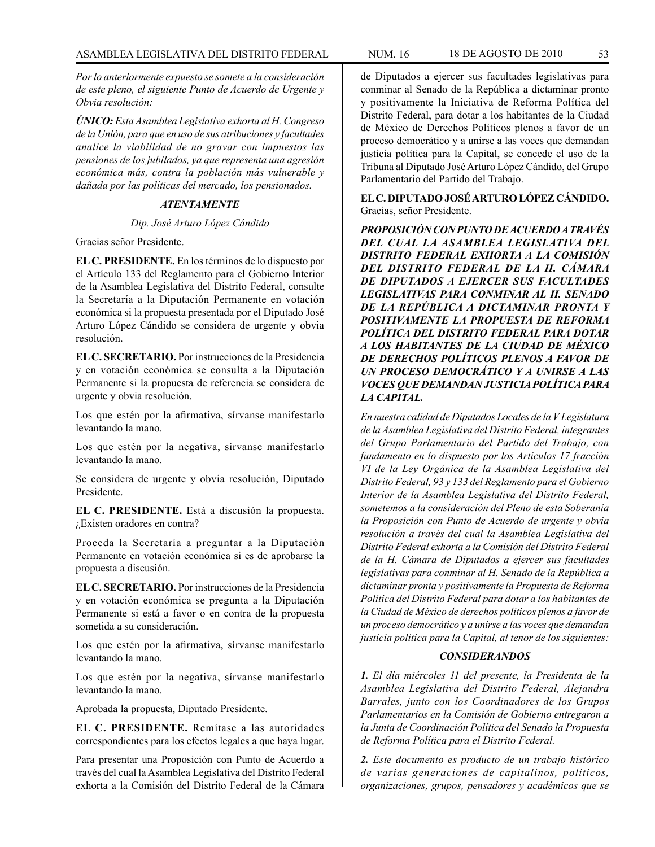*Por lo anteriormente expuesto se somete a la consideración de este pleno, el siguiente Punto de Acuerdo de Urgente y Obvia resolución:*

*ÚNICO: Esta Asamblea Legislativa exhorta al H. Congreso de la Unión, para que en uso de sus atribuciones y facultades analice la viabilidad de no gravar con impuestos las pensiones de los jubilados, ya que representa una agresión económica más, contra la población más vulnerable y dañada por las políticas del mercado, los pensionados.*

# *ATENTAMENTE*

## *Dip. José Arturo López Cándido*

Gracias señor Presidente.

**EL C. PRESIDENTE.** En los términos de lo dispuesto por el Artículo 133 del Reglamento para el Gobierno Interior de la Asamblea Legislativa del Distrito Federal, consulte la Secretaría a la Diputación Permanente en votación económica si la propuesta presentada por el Diputado José Arturo López Cándido se considera de urgente y obvia resolución.

**EL C. SECRETARIO.** Por instrucciones de la Presidencia y en votación económica se consulta a la Diputación Permanente si la propuesta de referencia se considera de urgente y obvia resolución.

Los que estén por la afirmativa, sírvanse manifestarlo levantando la mano.

Los que estén por la negativa, sírvanse manifestarlo levantando la mano.

Se considera de urgente y obvia resolución, Diputado Presidente.

**EL C. PRESIDENTE.** Está a discusión la propuesta. ¿Existen oradores en contra?

Proceda la Secretaría a preguntar a la Diputación Permanente en votación económica si es de aprobarse la propuesta a discusión.

**EL C. SECRETARIO.** Por instrucciones de la Presidencia y en votación económica se pregunta a la Diputación Permanente si está a favor o en contra de la propuesta sometida a su consideración.

Los que estén por la afirmativa, sírvanse manifestarlo levantando la mano.

Los que estén por la negativa, sírvanse manifestarlo levantando la mano.

Aprobada la propuesta, Diputado Presidente.

**EL C. PRESIDENTE.** Remítase a las autoridades correspondientes para los efectos legales a que haya lugar.

Para presentar una Proposición con Punto de Acuerdo a través del cual la Asamblea Legislativa del Distrito Federal exhorta a la Comisión del Distrito Federal de la Cámara de Diputados a ejercer sus facultades legislativas para conminar al Senado de la República a dictaminar pronto y positivamente la Iniciativa de Reforma Política del Distrito Federal, para dotar a los habitantes de la Ciudad de México de Derechos Políticos plenos a favor de un proceso democrático y a unirse a las voces que demandan justicia política para la Capital, se concede el uso de la Tribuna al Diputado José Arturo López Cándido, del Grupo Parlamentario del Partido del Trabajo.

**EL C. DIPUTADO JOSÉ ARTURO LÓPEZ CÁNDIDO.** Gracias, señor Presidente.

*PROPOSICIÓN CON PUNTO DE ACUERDO A TRAVÉS DEL CUAL LA ASAMBLEA LEGISLATIVA DEL DISTRITO FEDERAL EXHORTA A LA COMISIÓN DEL DISTRITO FEDERAL DE LA H. CÁMARA DE DIPUTADOS A EJERCER SUS FACULTADES LEGISLATIVAS PARA CONMINAR AL H. SENADO DE LA REPÚBLICA A DICTAMINAR PRONTA Y POSITIVAMENTE LA PROPUESTA DE REFORMA POLÍTICA DEL DISTRITO FEDERAL PARA DOTAR A LOS HABITANTES DE LA CIUDAD DE MÉXICO DE DERECHOS POLÍTICOS PLENOS A FAVOR DE UN PROCESO DEMOCRÁTICO Y A UNIRSE A LAS VOCES QUE DEMANDAN JUSTICIA POLÍTICA PARA LA CAPITAL.*

*En nuestra calidad de Diputados Locales de la V Legislatura de la Asamblea Legislativa del Distrito Federal, integrantes del Grupo Parlamentario del Partido del Trabajo, con fundamento en lo dispuesto por los Artículos 17 fracción VI de la Ley Orgánica de la Asamblea Legislativa del Distrito Federal, 93 y 133 del Reglamento para el Gobierno Interior de la Asamblea Legislativa del Distrito Federal, sometemos a la consideración del Pleno de esta Soberanía la Proposición con Punto de Acuerdo de urgente y obvia resolución a través del cual la Asamblea Legislativa del Distrito Federal exhorta a la Comisión del Distrito Federal de la H. Cámara de Diputados a ejercer sus facultades legislativas para conminar al H. Senado de la República a dictaminar pronta y positivamente la Propuesta de Reforma Política del Distrito Federal para dotar a los habitantes de la Ciudad de México de derechos políticos plenos a favor de un proceso democrático y a unirse a las voces que demandan justicia política para la Capital, al tenor de los siguientes:*

#### *CONSIDERANDOS*

*1. El día miércoles 11 del presente, la Presidenta de la Asamblea Legislativa del Distrito Federal, Alejandra Barrales, junto con los Coordinadores de los Grupos Parlamentarios en la Comisión de Gobierno entregaron a la Junta de Coordinación Política del Senado la Propuesta de Reforma Política para el Distrito Federal.*

*2. Este documento es producto de un trabajo histórico de varias generaciones de capitalinos, políticos, organizaciones, grupos, pensadores y académicos que se*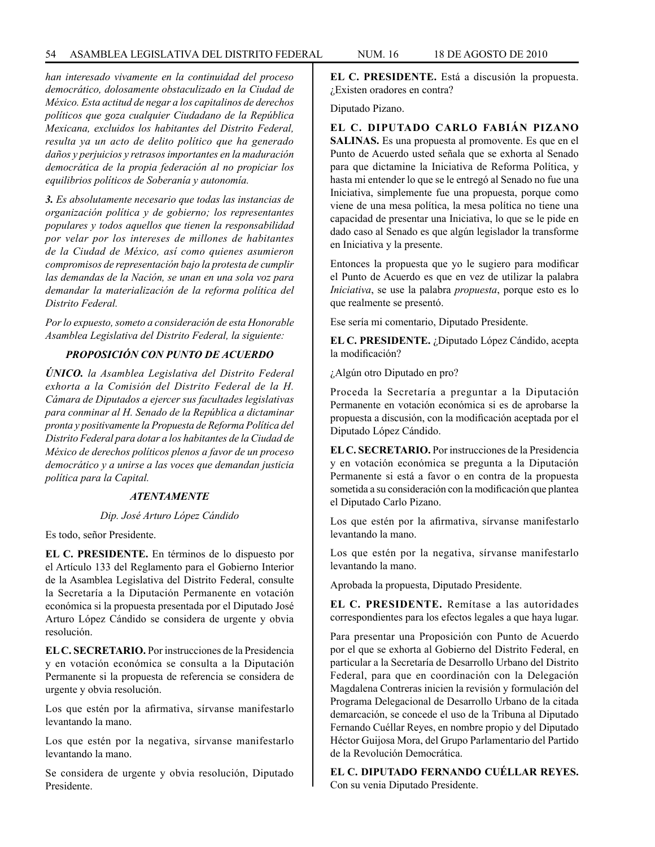*han interesado vivamente en la continuidad del proceso democrático, dolosamente obstaculizado en la Ciudad de México. Esta actitud de negar a los capitalinos de derechos políticos que goza cualquier Ciudadano de la República Mexicana, excluidos los habitantes del Distrito Federal, resulta ya un acto de delito político que ha generado daños y perjuicios y retrasos importantes en la maduración democrática de la propia federación al no propiciar los equilibrios políticos de Soberanía y autonomía.*

*3. Es absolutamente necesario que todas las instancias de organización política y de gobierno; los representantes populares y todos aquellos que tienen la responsabilidad por velar por los intereses de millones de habitantes de la Ciudad de México, así como quienes asumieron compromisos de representación bajo la protesta de cumplir las demandas de la Nación, se unan en una sola voz para demandar la materialización de la reforma política del Distrito Federal.*

*Por lo expuesto, someto a consideración de esta Honorable Asamblea Legislativa del Distrito Federal, la siguiente:*

# *PROPOSICIÓN CON PUNTO DE ACUERDO*

*ÚNICO. la Asamblea Legislativa del Distrito Federal exhorta a la Comisión del Distrito Federal de la H. Cámara de Diputados a ejercer sus facultades legislativas para conminar al H. Senado de la República a dictaminar pronta y positivamente la Propuesta de Reforma Política del Distrito Federal para dotar a los habitantes de la Ciudad de México de derechos políticos plenos a favor de un proceso democrático y a unirse a las voces que demandan justicia política para la Capital.*

#### *ATENTAMENTE*

#### *Dip. José Arturo López Cándido*

Es todo, señor Presidente.

**EL C. PRESIDENTE.** En términos de lo dispuesto por el Artículo 133 del Reglamento para el Gobierno Interior de la Asamblea Legislativa del Distrito Federal, consulte la Secretaría a la Diputación Permanente en votación económica si la propuesta presentada por el Diputado José Arturo López Cándido se considera de urgente y obvia resolución.

**EL C. SECRETARIO.** Por instrucciones de la Presidencia y en votación económica se consulta a la Diputación Permanente si la propuesta de referencia se considera de urgente y obvia resolución.

Los que estén por la afirmativa, sírvanse manifestarlo levantando la mano.

Los que estén por la negativa, sírvanse manifestarlo levantando la mano.

Se considera de urgente y obvia resolución, Diputado Presidente.

**EL C. PRESIDENTE.** Está a discusión la propuesta. ¿Existen oradores en contra?

Diputado Pizano.

**EL C. DIPUTADO CARLO FABIÁN PIZANO SALINAS.** Es una propuesta al promovente. Es que en el Punto de Acuerdo usted señala que se exhorta al Senado para que dictamine la Iniciativa de Reforma Política, y hasta mi entender lo que se le entregó al Senado no fue una Iniciativa, simplemente fue una propuesta, porque como viene de una mesa política, la mesa política no tiene una capacidad de presentar una Iniciativa, lo que se le pide en dado caso al Senado es que algún legislador la transforme en Iniciativa y la presente.

Entonces la propuesta que yo le sugiero para modificar el Punto de Acuerdo es que en vez de utilizar la palabra *Iniciativa*, se use la palabra *propuesta*, porque esto es lo que realmente se presentó.

Ese sería mi comentario, Diputado Presidente.

**EL C. PRESIDENTE.** ¿Diputado López Cándido, acepta la modificación?

¿Algún otro Diputado en pro?

Proceda la Secretaría a preguntar a la Diputación Permanente en votación económica si es de aprobarse la propuesta a discusión, con la modificación aceptada por el Diputado López Cándido.

**EL C. SECRETARIO.** Por instrucciones de la Presidencia y en votación económica se pregunta a la Diputación Permanente si está a favor o en contra de la propuesta sometida a su consideración con la modificación que plantea el Diputado Carlo Pizano.

Los que estén por la afirmativa, sírvanse manifestarlo levantando la mano.

Los que estén por la negativa, sírvanse manifestarlo levantando la mano.

Aprobada la propuesta, Diputado Presidente.

**EL C. PRESIDENTE.** Remítase a las autoridades correspondientes para los efectos legales a que haya lugar.

Para presentar una Proposición con Punto de Acuerdo por el que se exhorta al Gobierno del Distrito Federal, en particular a la Secretaría de Desarrollo Urbano del Distrito Federal, para que en coordinación con la Delegación Magdalena Contreras inicien la revisión y formulación del Programa Delegacional de Desarrollo Urbano de la citada demarcación, se concede el uso de la Tribuna al Diputado Fernando Cuéllar Reyes, en nombre propio y del Diputado Héctor Guijosa Mora, del Grupo Parlamentario del Partido de la Revolución Democrática.

**EL C. DIPUTADO FERNANDO CUÉLLAR REYES.** Con su venia Diputado Presidente.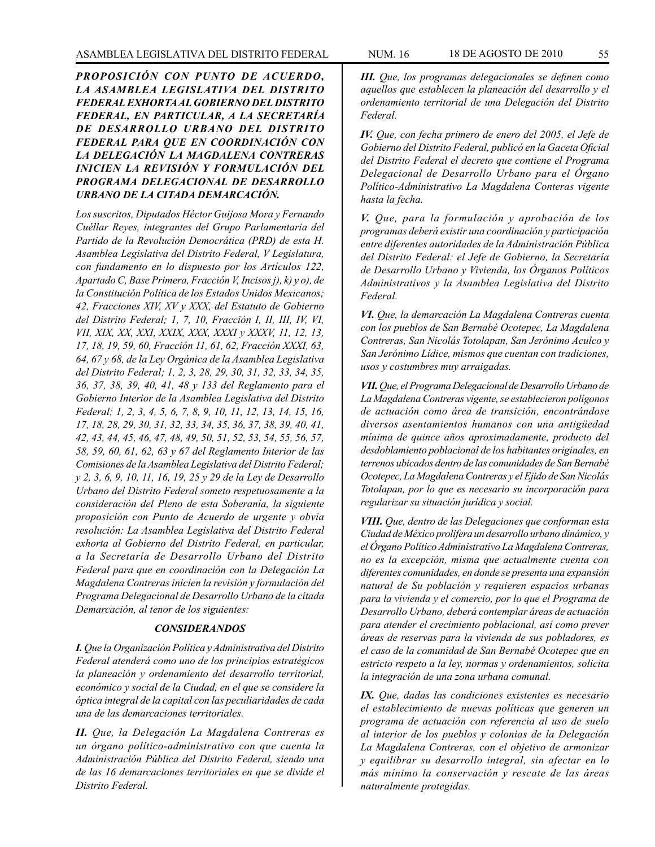*PROPOSICIÓN CON PUNTO DE ACUERDO, LA ASAMBLEA LEGISLATIVA DEL DISTRITO FEDERAL EXHORTA AL GOBIERNO DEL DISTRITO FEDERAL, EN PARTICULAR, A LA SECRETARÍA DE DESARROLLO URBANO DEL DISTRITO FEDERAL PARA QUE EN COORDINACIÓN CON LA DELEGACIÓN LA MAGDALENA CONTRERAS INICIEN LA REVISIÓN Y FORMULACIÓN DEL PROGRAMA DELEGACIONAL DE DESARROLLO URBANO DE LA CITADA DEMARCACIÓN.*

*Los suscritos, Diputados Héctor Guijosa Mora y Fernando Cuéllar Reyes, integrantes del Grupo Parlamentaria del Partido de la Revolución Democrática (PRD) de esta H. Asamblea Legislativa del Distrito Federal, V Legislatura, con fundamento en lo dispuesto por los Artículos 122, Apartado C, Base Primera, Fracción V, Incisos j), k) y o), de la Constitución Política de los Estados Unidos Mexicanos; 42, Fracciones XIV, XV y XXX, del Estatuto de Gobierno del Distrito Federal; 1, 7, 10, Fracción I, II, III, IV, VI, VII, XIX, XX, XXI, XXIX, XXX, XXXI y XXXV, 11, 12, 13, 17, 18, 19, 59, 60, Fracción 11, 61, 62, Fracción XXXI, 63, 64, 67 y 68, de la Ley Orgánica de la Asamblea Legislativa del Distrito Federal; 1, 2, 3, 28, 29, 30, 31, 32, 33, 34, 35, 36, 37, 38, 39, 40, 41, 48 y 133 del Reglamento para el Gobierno Interior de la Asamblea Legislativa del Distrito Federal; 1, 2, 3, 4, 5, 6, 7, 8, 9, 10, 11, 12, 13, 14, 15, 16, 17, 18, 28, 29, 30, 31, 32, 33, 34, 35, 36, 37, 38, 39, 40, 41, 42, 43, 44, 45, 46, 47, 48, 49, 50, 51, 52, 53, 54, 55, 56, 57, 58, 59, 60, 61, 62, 63 y 67 del Reglamento Interior de las Comisiones de la Asamblea Legislativa del Distrito Federal; y 2, 3, 6, 9, 10, 11, 16, 19, 25 y 29 de la Ley de Desarrollo Urbano del Distrito Federal someto respetuosamente a la consideración del Pleno de esta Soberanía, la siguiente proposición con Punto de Acuerdo de urgente y obvia resolución: La Asamblea Legislativa del Distrito Federal exhorta al Gobierno del Distrito Federal, en particular, a la Secretaría de Desarrollo Urbano del Distrito Federal para que en coordinación con la Delegación La Magdalena Contreras inicien la revisión y formulación del Programa Delegacional de Desarrollo Urbano de la citada Demarcación, al tenor de los siguientes:*

## *CONSIDERANDOS*

*I. Que la Organización Política y Administrativa del Distrito Federal atenderá como uno de los principios estratégicos la planeación y ordenamiento del desarrollo territorial, económico y social de la Ciudad, en el que se considere la óptica integral de la capital con las peculiaridades de cada una de las demarcaciones territoriales.*

*II. Que, la Delegación La Magdalena Contreras es un órgano político-administrativo con que cuenta la Administración Pública del Distrito Federal, siendo una de las 16 demarcaciones territoriales en que se divide el Distrito Federal.*

*III. Que, los programas delegacionales se definen como aquellos que establecen la planeación del desarrollo y el ordenamiento territorial de una Delegación del Distrito Federal.*

*IV. Que, con fecha primero de enero del 2005, el Jefe de Gobierno del Distrito Federal, publicó en la Gaceta Oficial del Distrito Federal el decreto que contiene el Programa Delegacional de Desarrollo Urbano para el Órgano Político-Administrativo La Magdalena Conteras vigente hasta la fecha.*

*V. Que, para la formulación y aprobación de los programas deberá existir una coordinación y participación entre diferentes autoridades de la Administración Pública del Distrito Federal: el Jefe de Gobierno, la Secretaría de Desarrollo Urbano y Vivienda, los Órganos Políticos Administrativos y la Asamblea Legislativa del Distrito Federal.*

*VI. Que, la demarcación La Magdalena Contreras cuenta con los pueblos de San Bernabé Ocotepec, La Magdalena Contreras, San Nicolás Totolapan, San Jerónimo Aculco y San Jerónimo Lídice, mismos que cuentan con tradiciones, usos y costumbres muy arraigadas.*

*VII. Que, el Programa Delegacional de Desarrollo Urbano de La Magdalena Contreras vigente, se establecieron polígonos de actuación como área de transición, encontrándose diversos asentamientos humanos con una antigüedad mínima de quince años aproximadamente, producto del desdoblamiento poblacional de los habitantes originales, en terrenos ubicados dentro de las comunidades de San Bernabé Ocotepec, La Magdalena Contreras y el Ejido de San Nicolás Totolapan, por lo que es necesario su incorporación para regularizar su situación jurídica y social.*

*VIII. Que, dentro de las Delegaciones que conforman esta Ciudad de México prolifera un desarrollo urbano dinámico, y el Órgano Político Administrativo La Magdalena Contreras, no es la excepción, misma que actualmente cuenta con diferentes comunidades, en donde se presenta una expansión natural de Su población y requieren espacios urbanas para la vivienda y el comercio, por lo que el Programa de Desarrollo Urbano, deberá contemplar áreas de actuación para atender el crecimiento poblacional, así como prever áreas de reservas para la vivienda de sus pobladores, es el caso de la comunidad de San Bernabé Ocotepec que en estricto respeto a la ley, normas y ordenamientos, solicita la integración de una zona urbana comunal.*

*IX. Que, dadas las condiciones existentes es necesario el establecimiento de nuevas políticas que generen un programa de actuación con referencia al uso de suelo al interior de los pueblos y colonias de la Delegación La Magdalena Contreras, con el objetivo de armonizar y equilibrar su desarrollo integral, sin afectar en lo más mínimo la conservación y rescate de las áreas naturalmente protegidas.*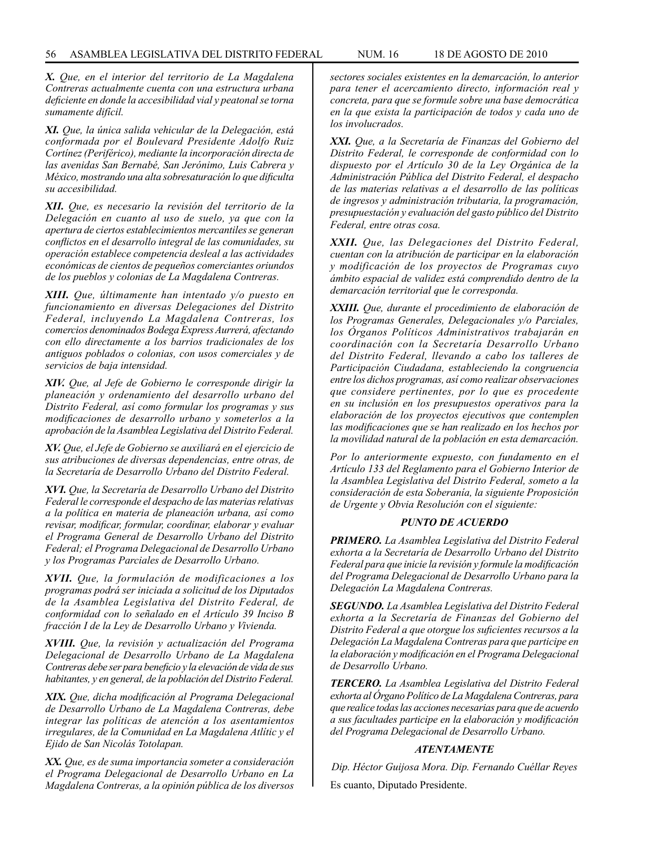*X. Que, en el interior del territorio de La Magdalena Contreras actualmente cuenta con una estructura urbana deficiente en donde la accesibilidad vial y peatonal se torna sumamente difícil.*

*XI. Que, la única salida vehicular de la Delegación, está conformada por el Boulevard Presidente Adolfo Ruiz Cortínez (Periférico), mediante la incorporación directa de las avenidas San Bernabé, San Jerónimo, Luis Cabrera y México, mostrando una alta sobresaturación lo que dificulta su accesibilidad.*

*XII. Que, es necesario la revisión del territorio de la Delegación en cuanto al uso de suelo, ya que con la apertura de ciertos establecimientos mercantiles se generan conflictos en el desarrollo integral de las comunidades, su operación establece competencia desleal a las actividades económicas de cientos de pequeños comerciantes oriundos de los pueblos y colonias de La Magdalena Contreras.*

*XIII. Que, últimamente han intentado y/o puesto en funcionamiento en diversas Delegaciones del Distrito Federal, incluyendo La Magdalena Contreras, los comercios denominados Bodega Express Aurrerá, afectando con ello directamente a los barrios tradicionales de los antiguos poblados o colonias, con usos comerciales y de servicios de baja intensidad.*

*XIV. Que, al Jefe de Gobierno le corresponde dirigir la planeación y ordenamiento del desarrollo urbano del Distrito Federal, así como formular los programas y sus modificaciones de desarrollo urbano y someterlos a la aprobación de la Asamblea Legislativa del Distrito Federal.*

*XV. Que, el Jefe de Gobierno se auxiliará en el ejercicio de sus atribuciones de diversas dependencias, entre otras, de la Secretaría de Desarrollo Urbano del Distrito Federal.*

*XVI. Que, la Secretaría de Desarrollo Urbano del Distrito Federal le corresponde el despacho de las materias relativas a la política en materia de planeación urbana, así como revisar, modificar, formular, coordinar, elaborar y evaluar el Programa General de Desarrollo Urbano del Distrito Federal; el Programa Delegacional de Desarrollo Urbano y los Programas Parciales de Desarrollo Urbano.*

*XVII. Que, la formulación de modificaciones a los programas podrá ser iniciada a solicitud de los Diputados de la Asamblea Legislativa del Distrito Federal, de conformidad con lo señalado en el Artículo 39 Inciso B fracción I de la Ley de Desarrollo Urbano y Vivienda.*

*XVIII. Que, la revisión y actualización del Programa Delegacional de Desarrollo Urbano de La Magdalena Contreras debe ser para beneficio y la elevación de vida de sus habitantes, y en general, de la población del Distrito Federal.*

*XIX. Que, dicha modificación al Programa Delegacional de Desarrollo Urbano de La Magdalena Contreras, debe integrar las políticas de atención a los asentamientos irregulares, de la Comunidad en La Magdalena Atlític y el Ejido de San Nicolás Totolapan.*

*XX. Que, es de suma importancia someter a consideración el Programa Delegacional de Desarrollo Urbano en La Magdalena Contreras, a la opinión pública de los diversos* 

*sectores sociales existentes en la demarcación, lo anterior para tener el acercamiento directo, información real y concreta, para que se formule sobre una base democrática en la que exista la participación de todos y cada uno de los involucrados.*

*XXI. Que, a la Secretaría de Finanzas del Gobierno del Distrito Federal, le corresponde de conformidad con lo dispuesto por el Artículo 30 de la Ley Orgánica de la Administración Pública del Distrito Federal, el despacho de las materias relativas a el desarrollo de las políticas de ingresos y administración tributaria, la programación, presupuestación y evaluación del gasto público del Distrito Federal, entre otras cosa.*

*XXII. Que, las Delegaciones del Distrito Federal, cuentan con la atribución de participar en la elaboración y modificación de los proyectos de Programas cuyo ámbito espacial de validez está comprendido dentro de la demarcación territorial que le corresponda.*

*XXIII. Que, durante el procedimiento de elaboración de los Programas Generales, Delegacionales y/o Parciales, los Órganos Políticos Administrativos trabajarán en coordinación con la Secretaría Desarrollo Urbano del Distrito Federal, llevando a cabo los talleres de Participación Ciudadana, estableciendo la congruencia entre los dichos programas, así como realizar observaciones que considere pertinentes, por lo que es procedente en su inclusión en los presupuestos operativos para la elaboración de los proyectos ejecutivos que contemplen las modificaciones que se han realizado en los hechos por la movilidad natural de la población en esta demarcación.*

*Por lo anteriormente expuesto, con fundamento en el Artículo 133 del Reglamento para el Gobierno Interior de la Asamblea Legislativa del Distrito Federal, someto a la consideración de esta Soberanía, la siguiente Proposición de Urgente y Obvia Resolución con el siguiente:*

#### *PUNTO DE ACUERDO*

*PRIMERO. La Asamblea Legislativa del Distrito Federal exhorta a la Secretaría de Desarrollo Urbano del Distrito Federal para que inicie la revisión y formule la modificación del Programa Delegacional de Desarrollo Urbano para la Delegación La Magdalena Contreras.*

*SEGUNDO. La Asamblea Legislativa del Distrito Federal exhorta a la Secretaría de Finanzas del Gobierno del Distrito Federal a que otorgue los suficientes recursos a la Delegación La Magdalena Contreras para que participe en la elaboración y modificación en el Programa Delegacional de Desarrollo Urbano.*

*TERCERO. La Asamblea Legislativa del Distrito Federal exhorta al Órgano Político de La Magdalena Contreras, para que realice todas las acciones necesarias para que de acuerdo a sus facultades participe en la elaboración y modificación del Programa Delegacional de Desarrollo Urbano.*

#### *ATENTAMENTE*

*Dip. Héctor Guijosa Mora. Dip. Fernando Cuéllar Reyes* Es cuanto, Diputado Presidente.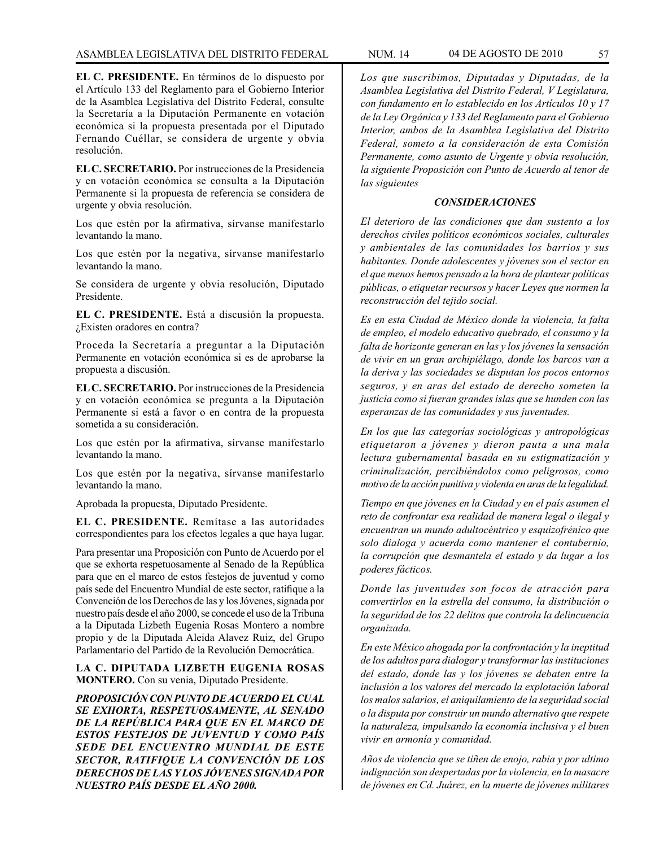**EL C. PRESIDENTE.** En términos de lo dispuesto por el Artículo 133 del Reglamento para el Gobierno Interior de la Asamblea Legislativa del Distrito Federal, consulte la Secretaría a la Diputación Permanente en votación económica si la propuesta presentada por el Diputado Fernando Cuéllar, se considera de urgente y obvia resolución.

**EL C. SECRETARIO.** Por instrucciones de la Presidencia y en votación económica se consulta a la Diputación Permanente si la propuesta de referencia se considera de urgente y obvia resolución.

Los que estén por la afirmativa, sírvanse manifestarlo levantando la mano.

Los que estén por la negativa, sírvanse manifestarlo levantando la mano.

Se considera de urgente y obvia resolución, Diputado Presidente.

**EL C. PRESIDENTE.** Está a discusión la propuesta. ¿Existen oradores en contra?

Proceda la Secretaría a preguntar a la Diputación Permanente en votación económica si es de aprobarse la propuesta a discusión.

**EL C. SECRETARIO.** Por instrucciones de la Presidencia y en votación económica se pregunta a la Diputación Permanente si está a favor o en contra de la propuesta sometida a su consideración.

Los que estén por la afirmativa, sírvanse manifestarlo levantando la mano.

Los que estén por la negativa, sírvanse manifestarlo levantando la mano.

Aprobada la propuesta, Diputado Presidente.

**EL C. PRESIDENTE.** Remítase a las autoridades correspondientes para los efectos legales a que haya lugar.

Para presentar una Proposición con Punto de Acuerdo por el que se exhorta respetuosamente al Senado de la República para que en el marco de estos festejos de juventud y como país sede del Encuentro Mundial de este sector, ratifique a la Convención de los Derechos de las y los Jóvenes, signada por nuestro país desde el año 2000, se concede el uso de la Tribuna a la Diputada Lizbeth Eugenia Rosas Montero a nombre propio y de la Diputada Aleida Alavez Ruiz, del Grupo Parlamentario del Partido de la Revolución Democrática.

**LA C. DIPUTADA LIZBETH EUGENIA ROSAS MONTERO.** Con su venia, Diputado Presidente.

*PROPOSICIÓN CON PUNTO DE ACUERDO EL CUAL SE EXHORTA, RESPETUOSAMENTE, AL SENADO DE LA REPÚBLICA PARA QUE EN EL MARCO DE ESTOS FESTEJOS DE JUVENTUD Y COMO PAÍS SEDE DEL ENCUENTRO MUNDIAL DE ESTE SECTOR, RATIFIQUE LA CONVENCIÓN DE LOS DERECHOS DE LAS Y LOS JÓVENES SIGNADA POR NUESTRO PAÍS DESDE EL AÑO 2000.*

*Los que suscribimos, Diputadas y Diputadas, de la Asamblea Legislativa del Distrito Federal, V Legislatura, con fundamento en lo establecido en los Artículos 10 y 17 de la Ley Orgánica y 133 del Reglamento para el Gobierno Interior, ambos de la Asamblea Legislativa del Distrito Federal, someto a la consideración de esta Comisión Permanente, como asunto de Urgente y obvia resolución, la siguiente Proposición con Punto de Acuerdo al tenor de las siguientes*

### *CONSIDERACIONES*

*El deterioro de las condiciones que dan sustento a los derechos civiles políticos económicos sociales, culturales y ambientales de las comunidades los barrios y sus habitantes. Donde adolescentes y jóvenes son el sector en el que menos hemos pensado a la hora de plantear políticas públicas, o etiquetar recursos y hacer Leyes que normen la reconstrucción del tejido social.*

*Es en esta Ciudad de México donde la violencia, la falta de empleo, el modelo educativo quebrado, el consumo y la falta de horizonte generan en las y los jóvenes la sensación de vivir en un gran archipiélago, donde los barcos van a la deriva y las sociedades se disputan los pocos entornos seguros, y en aras del estado de derecho someten la justicia como si fueran grandes islas que se hunden con las esperanzas de las comunidades y sus juventudes.*

*En los que las categorías sociológicas y antropológicas etiquetaron a jóvenes y dieron pauta a una mala lectura gubernamental basada en su estigmatización y criminalización, percibiéndolos como peligrosos, como motivo de la acción punitiva y violenta en aras de la legalidad.*

*Tiempo en que jóvenes en la Ciudad y en el país asumen el reto de confrontar esa realidad de manera legal o ilegal y encuentran un mundo adultocéntrico y esquizofrénico que solo dialoga y acuerda como mantener el contubernio, la corrupción que desmantela el estado y da lugar a los poderes fácticos.*

*Donde las juventudes son focos de atracción para convertirlos en la estrella del consumo, la distribución o la seguridad de los 22 delitos que controla la delincuencia organizada.*

*En este México ahogada por la confrontación y la ineptitud de los adultos para dialogar y transformar las instituciones del estado, donde las y los jóvenes se debaten entre la inclusión a los valores del mercado la explotación laboral los malos salarios, el aniquilamiento de la seguridad social o la disputa por construir un mundo alternativo que respete la naturaleza, impulsando la economía inclusiva y el buen vivir en armonía y comunidad.*

*Años de violencia que se tiñen de enojo, rabia y por ultimo indignación son despertadas por la violencia, en la masacre de jóvenes en Cd. Juárez, en la muerte de jóvenes militares*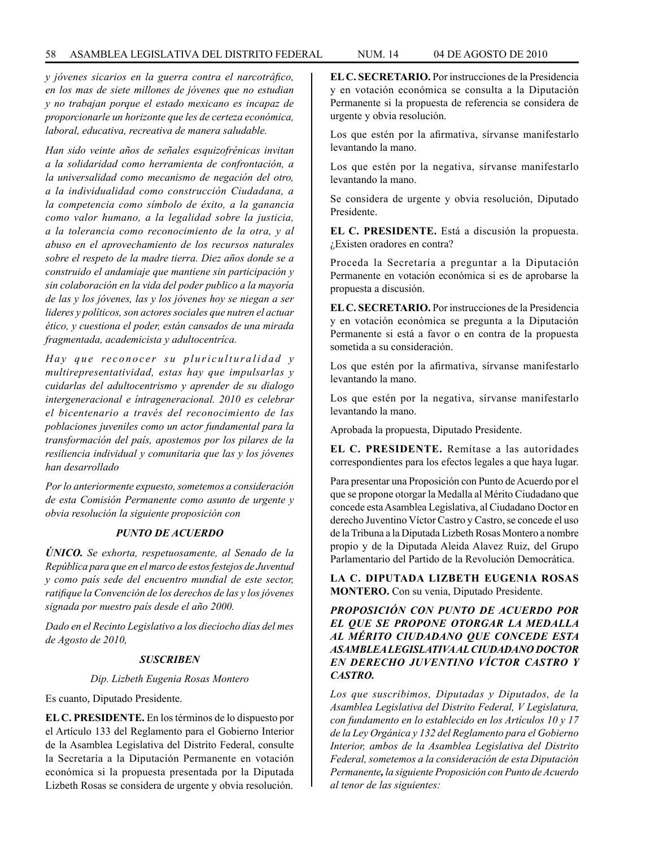*y jóvenes sicarios en la guerra contra el narcotráfico, en los mas de siete millones de jóvenes que no estudian y no trabajan porque el estado mexicano es incapaz de proporcionarle un horizonte que les de certeza económica, laboral, educativa, recreativa de manera saludable.*

*Han sido veinte años de señales esquizofrénicas invitan a la solidaridad como herramienta de confrontación, a la universalidad como mecanismo de negación del otro, a la individualidad como construcción Ciudadana, a la competencia como símbolo de éxito, a la ganancia como valor humano, a la legalidad sobre la justicia, a la tolerancia como reconocimiento de la otra, y al abuso en el aprovechamiento de los recursos naturales sobre el respeto de la madre tierra. Diez años donde se a construido el andamiaje que mantiene sin participación y sin colaboración en la vida del poder publico a la mayoría de las y los jóvenes, las y los jóvenes hoy se niegan a ser lideres y políticos, son actores sociales que nutren el actuar ético, y cuestiona el poder, están cansados de una mirada fragmentada, academicista y adultocentríca.*

Hay que reconocer su pluriculturalidad y *multirepresentatividad, estas hay que impulsarlas y cuidarlas del adultocentrismo y aprender de su dialogo intergeneracional e íntrageneracional. 2010 es celebrar el bicentenario a través del reconocimiento de las poblaciones juveniles como un actor fundamental para la transformación del país, apostemos por los pilares de la resiliencia individual y comunitaria que las y los jóvenes han desarrollado*

*Por lo anteriormente expuesto, sometemos a consideración de esta Comisión Permanente como asunto de urgente y obvia resolución la siguiente proposición con*

#### *PUNTO DE ACUERDO*

*ÚNICO. Se exhorta, respetuosamente, al Senado de la República para que en el marco de estos festejos de Juventud y como país sede del encuentro mundial de este sector, ratifique la Convención de los derechos de las y los jóvenes signada por nuestro país desde el año 2000.*

*Dado en el Recinto Legislativo a los dieciocho días del mes de Agosto de 2010,*

## *SUSCRIBEN*

#### *Dip. Lizbeth Eugenia Rosas Montero*

Es cuanto, Diputado Presidente.

**EL C. PRESIDENTE.** En los términos de lo dispuesto por el Artículo 133 del Reglamento para el Gobierno Interior de la Asamblea Legislativa del Distrito Federal, consulte la Secretaría a la Diputación Permanente en votación económica si la propuesta presentada por la Diputada Lizbeth Rosas se considera de urgente y obvia resolución.

**EL C. SECRETARIO.** Por instrucciones de la Presidencia y en votación económica se consulta a la Diputación Permanente si la propuesta de referencia se considera de urgente y obvia resolución.

Los que estén por la afirmativa, sírvanse manifestarlo levantando la mano.

Los que estén por la negativa, sírvanse manifestarlo levantando la mano.

Se considera de urgente y obvia resolución, Diputado Presidente.

**EL C. PRESIDENTE.** Está a discusión la propuesta. ¿Existen oradores en contra?

Proceda la Secretaría a preguntar a la Diputación Permanente en votación económica si es de aprobarse la propuesta a discusión.

**EL C. SECRETARIO.** Por instrucciones de la Presidencia y en votación económica se pregunta a la Diputación Permanente si está a favor o en contra de la propuesta sometida a su consideración.

Los que estén por la afirmativa, sírvanse manifestarlo levantando la mano.

Los que estén por la negativa, sírvanse manifestarlo levantando la mano.

Aprobada la propuesta, Diputado Presidente.

**EL C. PRESIDENTE.** Remítase a las autoridades correspondientes para los efectos legales a que haya lugar.

Para presentar una Proposición con Punto de Acuerdo por el que se propone otorgar la Medalla al Mérito Ciudadano que concede esta Asamblea Legislativa, al Ciudadano Doctor en derecho Juventino Víctor Castro y Castro, se concede el uso de la Tribuna a la Diputada Lizbeth Rosas Montero a nombre propio y de la Diputada Aleida Alavez Ruiz, del Grupo Parlamentario del Partido de la Revolución Democrática.

**LA C. DIPUTADA LIZBETH EUGENIA ROSAS MONTERO.** Con su venia, Diputado Presidente.

## *PROPOSICIÓN CON PUNTO DE ACUERDO POR EL QUE SE PROPONE OTORGAR LA MEDALLA AL MÉRITO CIUDADANO QUE CONCEDE ESTA ASAMBLEA LEGISLATIVA AL CIUDADANO DOCTOR EN DERECHO JUVENTINO VÍCTOR CASTRO Y CASTRO.*

*Los que suscribimos, Diputadas y Diputados, de la Asamblea Legislativa del Distrito Federal, V Legislatura, con fundamento en lo establecido en los Artículos 10 y 17 de la Ley Orgánica y 132 del Reglamento para el Gobierno Interior, ambos de la Asamblea Legislativa del Distrito Federal, sometemos a la consideración de esta Diputación Permanente, la siguiente Proposición con Punto de Acuerdo al tenor de las siguientes:*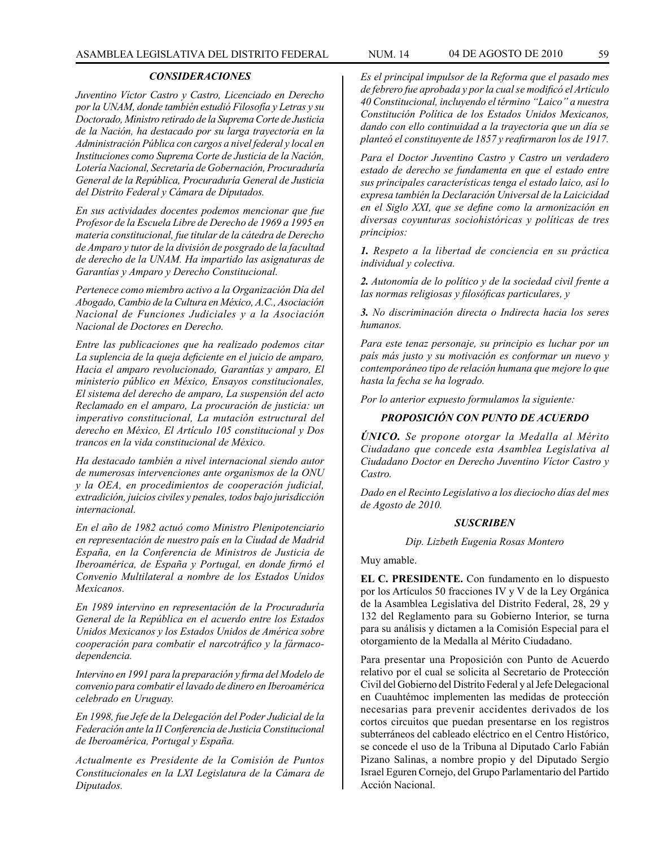### *CONSIDERACIONES*

*Juventino Víctor Castro y Castro, Licenciado en Derecho por la UNAM, donde también estudió Filosofía y Letras y su Doctorado, Ministro retirado de la Suprema Corte de Justicia de la Nación, ha destacado por su larga trayectoria en la Administración Pública con cargos a nivel federal y local en Instituciones como Suprema Corte de Justicia de la Nación, LoteríaNacional, Secretaría de Gobernación, Procuraduría General de la República, Procuraduría General de Justicia del Distrito Federal y Cámara de Diputados.*

*En sus actividades docentes podemos mencionar que fue Profesor de la Escuela Libre de Derecho de 1969 a 1995 en materia constitucional, fue titular de la cátedra de Derecho de Amparo y tutor de la división de posgrado de la facultad de derecho de la UNAM. Ha impartido las asignaturas de Garantías y Amparo y Derecho Constitucional.*

*Pertenece como miembro activo a la Organización Día del Abogado, Cambio de la Cultura en México, A.C., Asociación Nacional de Funciones Judiciales y a la Asociación Nacional de Doctores en Derecho.*

*Entre las publicaciones que ha realizado podemos citar La suplencia de la queja deficiente en el juicio de amparo, Hacia el amparo revolucionado, Garantías y amparo, El ministerio público en México, Ensayos constitucionales, El sistema del derecho de amparo, La suspensión del acto Reclamado en el amparo, La procuración de justicia: un imperativo constitucional, La mutación estructural del derecho en México, El Artículo 105 constitucional y Dos trancos en la vida constitucional de México.*

*Ha destacado también a nivel internacional siendo autor de numerosas intervenciones ante organismos de la ONU y la OEA, en procedimientos de cooperación judicial, extradición, juicios civiles y penales, todos bajo jurisdicción internacional.*

*En el año de 1982 actuó como Ministro Plenipotenciario en representación de nuestro país en la Ciudad de Madrid España, en la Conferencia de Ministros de Justicia de Iberoamérica, de España y Portugal, en donde firmó el Convenio Multilateral a nombre de los Estados Unidos Mexicanos.*

*En 1989 intervino en representación de la Procuraduría General de la República en el acuerdo entre los Estados Unidos Mexicanos y los Estados Unidos de América sobre cooperación para combatir el narcotráfico y la fármacodependencia.* 

*Intervino en 1991 para la preparación y firma del Modelo de convenio para combatir el lavado de dinero en Iberoamérica celebrado en Uruguay.*

*En 1998, fue Jefe de la Delegación del Poder Judicial de la Federación ante la II Conferencia de Justicia Constitucional de Iberoamérica, Portugal y España.*

*Actualmente es Presidente de la Comisión de Puntos Constitucionales en la LXI Legislatura de la Cámara de Diputados.*

*Es el principal impulsor de la Reforma que el pasado mes de febrero fue aprobada y por la cual se modificó el Artículo 40 Constitucional, incluyendo el término "Laico" a nuestra Constitución Política de los Estados Unidos Mexicanos, dando con ello continuidad a la trayectoria que un día se planteó el constituyente de 1857 y reafirmaron los de 1917.*

*Para el Doctor Juventino Castro y Castro un verdadero estado de derecho se fundamenta en que el estado entre sus principales características tenga el estado laico, así lo expresa también la Declaración Universal de la Laicicidad en el Siglo XXI, que se define como la armonización en diversas coyunturas sociohistóricas y políticas de tres principios:*

*1. Respeto a la libertad de conciencia en su práctica individual y colectiva.*

*2. Autonomía de lo político y de la sociedad civil frente a las normas religiosas y filosóficas particulares, y*

*3. No discriminación directa o Indirecta hacia los seres humanos.*

*Para este tenaz personaje, su principio es luchar por un país más justo y su motivación es conformar un nuevo y contemporáneo tipo de relación humana que mejore lo que hasta la fecha se ha logrado.*

*Por lo anterior expuesto formulamos la siguiente:*

# *PROPOSICIÓN CON PUNTO DE ACUERDO*

*ÚNICO. Se propone otorgar la Medalla al Mérito Ciudadano que concede esta Asamblea Legislativa al Ciudadano Doctor en Derecho Juventino Víctor Castro y Castro.*

*Dado en el Recinto Legislativo a los dieciocho días del mes de Agosto de 2010.*

#### *SUSCRIBEN*

#### *Dip. Lizbeth Eugenia Rosas Montero*

Muy amable.

**EL C. PRESIDENTE.** Con fundamento en lo dispuesto por los Artículos 50 fracciones IV y V de la Ley Orgánica de la Asamblea Legislativa del Distrito Federal, 28, 29 y 132 del Reglamento para su Gobierno Interior, se turna para su análisis y dictamen a la Comisión Especial para el otorgamiento de la Medalla al Mérito Ciudadano.

Para presentar una Proposición con Punto de Acuerdo relativo por el cual se solicita al Secretario de Protección Civil del Gobierno del Distrito Federal y al Jefe Delegacional en Cuauhtémoc implementen las medidas de protección necesarias para prevenir accidentes derivados de los cortos circuitos que puedan presentarse en los registros subterráneos del cableado eléctrico en el Centro Histórico, se concede el uso de la Tribuna al Diputado Carlo Fabián Pizano Salinas, a nombre propio y del Diputado Sergio Israel Eguren Cornejo, del Grupo Parlamentario del Partido Acción Nacional.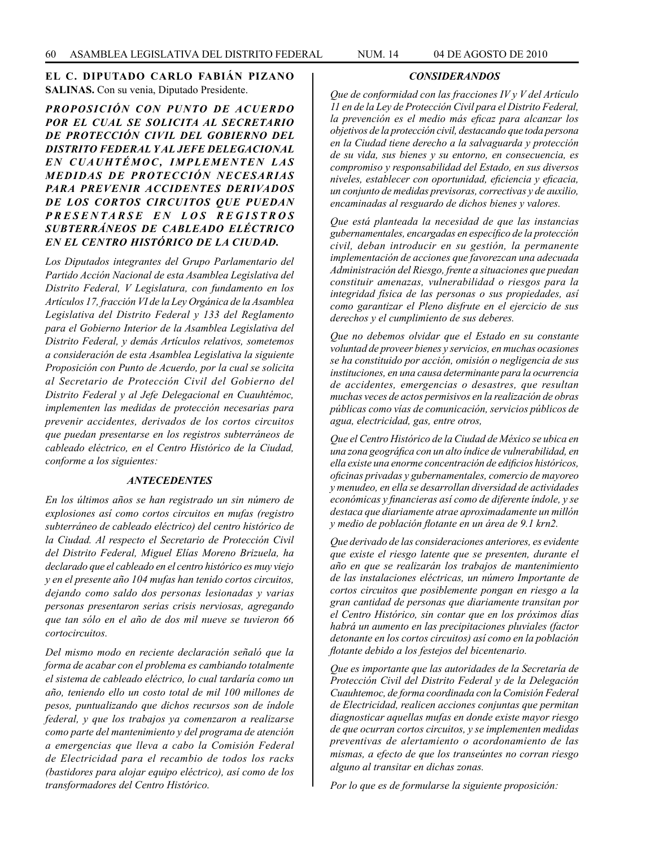## **EL C. DIPUTADO CARLO FABIÁN PIZANO SALINAS.** Con su venia, Diputado Presidente.

*PROPOSICIÓN CON PUNTO DE ACUERDO POR EL CUAL SE SOLICITA AL SECRETARIO DE PROTECCIÓN CIVIL DEL GOBIERNO DEL DISTRITO FEDERAL Y AL JEFE DELEGACIONAL*  EN CUAUHTÉMOC, IMPLEMENTEN LAS *MEDIDAS DE PROTECCIÓN NECESARIAS PARA PREVENIR ACCIDENTES DERIVADOS DE LOS CORTOS CIRCUITOS QUE PUEDAN PRESENTARSE EN LOS REGISTROS SUBTERRÁNEOS DE CABLEADO ELÉCTRICO EN EL CENTRO HISTÓRICO DE LA CIUDAD.*

*Los Diputados integrantes del Grupo Parlamentario del Partido Acción Nacional de esta Asamblea Legislativa del Distrito Federal, V Legislatura, con fundamento en los Artículos 17, fracción VI de la Ley Orgánica de la Asamblea Legislativa del Distrito Federal y 133 del Reglamento para el Gobierno Interior de la Asamblea Legislativa del Distrito Federal, y demás Artículos relativos, sometemos a consideración de esta Asamblea Legislativa la siguiente Proposición con Punto de Acuerdo, por la cual se solicita al Secretario de Protección Civil del Gobierno del Distrito Federal y al Jefe Delegacional en Cuauhtémoc, implementen las medidas de protección necesarias para prevenir accidentes, derivados de los cortos circuitos que puedan presentarse en los registros subterráneos de cableado eléctrico, en el Centro Histórico de la Ciudad, conforme a los siguientes:*

#### *ANTECEDENTES*

*En los últimos años se han registrado un sin número de explosiones así como cortos circuitos en mufas (registro subterráneo de cableado eléctrico) del centro histórico de la Ciudad. Al respecto el Secretario de Protección Civil del Distrito Federal, Miguel Elías Moreno Brizuela, ha declarado que el cableado en el centro histórico es muy viejo y en el presente año 104 mufas han tenido cortos circuitos, dejando como saldo dos personas lesionadas y varias personas presentaron serias crisis nerviosas, agregando que tan sólo en el año de dos mil nueve se tuvieron 66 cortocircuitos.*

*Del mismo modo en reciente declaración señaló que la forma de acabar con el problema es cambiando totalmente el sistema de cableado eléctrico, lo cual tardaría como un año, teniendo ello un costo total de mil 100 millones de pesos, puntualizando que dichos recursos son de índole federal, y que los trabajos ya comenzaron a realizarse como parte del mantenimiento y del programa de atención a emergencias que lleva a cabo la Comisión Federal de Electricidad para el recambio de todos los racks (bastidores para alojar equipo eléctrico), así como de los transformadores del Centro Histórico.*

#### *CONSIDERANDOS*

*Que de conformidad con las fracciones IV y V del Artículo 11 en de la Ley de Protección Civil para el Distrito Federal, la prevención es el medio más eficaz para alcanzar los objetivos de la protección civil, destacando que toda persona en la Ciudad tiene derecho a la salvaguarda y protección de su vida, sus bienes y su entorno, en consecuencia, es compromiso y responsabilidad del Estado, en sus diversos niveles, establecer con oportunidad, eficiencia y eficacia, un conjunto de medidas previsoras, correctivas y de auxilio, encaminadas al resguardo de dichos bienes y valores.*

*Que está planteada la necesidad de que las instancias gubernamentales, encargadas en específico de la protección civil, deban introducir en su gestión, la permanente implementación de acciones que favorezcan una adecuada Administración del Riesgo, frente a situaciones que puedan constituir amenazas, vulnerabilidad o riesgos para la integridad física de las personas o sus propiedades, así como garantizar el Pleno disfrute en el ejercicio de sus derechos y el cumplimiento de sus deberes.*

*Que no debemos olvidar que el Estado en su constante voluntad de proveer bienes y servicios, en muchas ocasiones se ha constituido por acción, omisión o negligencia de sus instituciones, en una causa determinante para la ocurrencia de accidentes, emergencias o desastres, que resultan muchas veces de actos permisivos en la realización de obras públicas como vías de comunicación, servicios públicos de agua, electricidad, gas, entre otros,*

*Que el Centro Histórico de la Ciudad de México se ubica en una zona geográfica con un alto índice de vulnerabilidad, en ella existe una enorme concentración de edificios históricos, oficinas privadas y gubernamentales, comercio de mayoreo y menudeo, en ella se desarrollan diversidad de actividades económicas y financieras así como de diferente índole, y se destaca que diariamente atrae aproximadamente un millón y medio de población flotante en un área de 9.1 krn2.*

*Que derivado de las consideraciones anteriores, es evidente que existe el riesgo latente que se presenten, durante el año en que se realizarán los trabajos de mantenimiento de las instalaciones eléctricas, un número Importante de cortos circuitos que posiblemente pongan en riesgo a la gran cantidad de personas que diariamente transitan por el Centro Histórico, sin contar que en los próximos días habrá un aumento en las precipitaciones pluviales (factor detonante en los cortos circuitos) así como en la población flotante debido a los festejos del bicentenario.*

*Que es importante que las autoridades de la Secretaría de Protección Civil del Distrito Federal y de la Delegación Cuauhtemoc, de forma coordinada con la Comisión Federal de Electricidad, realicen acciones conjuntas que permitan diagnosticar aquellas mufas en donde existe mayor riesgo de que ocurran cortos circuitos, y se implementen medidas preventivas de alertamiento o acordonamiento de las mismas, a efecto de que los transeúntes no corran riesgo alguno al transitar en dichas zonas.*

*Por lo que es de formularse la siguiente proposición:*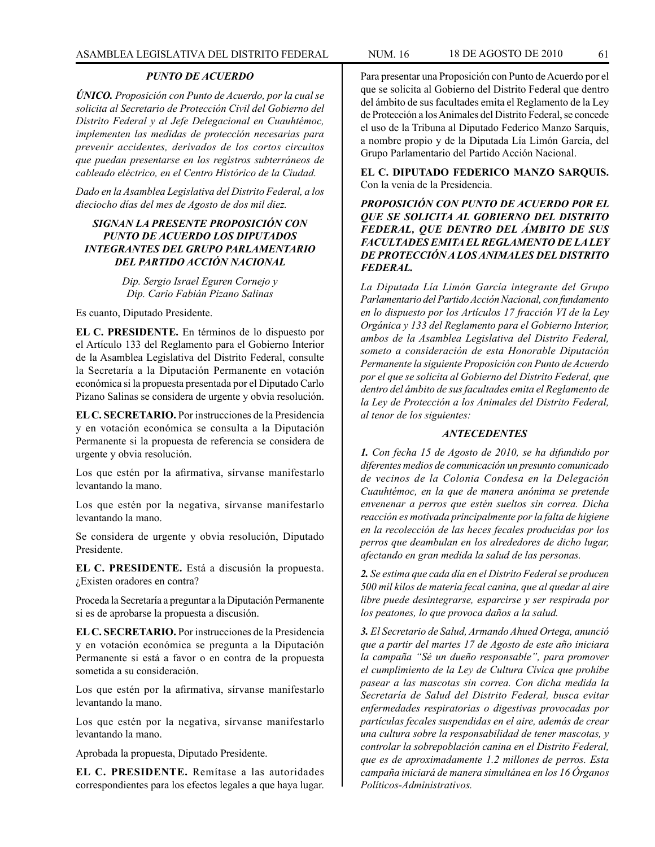### *PUNTO DE ACUERDO*

*ÚNICO. Proposición con Punto de Acuerdo, por la cual se solicita al Secretario de Protección Civil del Gobierno del Distrito Federal y al Jefe Delegacional en Cuauhtémoc, implementen las medidas de protección necesarias para prevenir accidentes, derivados de los cortos circuitos que puedan presentarse en los registros subterráneos de cableado eléctrico, en el Centro Histórico de la Ciudad.*

*Dado en la Asamblea Legislativa del Distrito Federal, a los dieciocho días del mes de Agosto de dos mil diez.*

## *SIGNAN LA PRESENTE PROPOSICIÓN CON PUNTO DE ACUERDO LOS DIPUTADOS INTEGRANTES DEL GRUPO PARLAMENTARIO DEL PARTIDO ACCIÓN NACIONAL*

*Dip. Sergio Israel Eguren Cornejo y Dip. Cario Fabián Pizano Salinas*

Es cuanto, Diputado Presidente.

**EL C. PRESIDENTE.** En términos de lo dispuesto por el Artículo 133 del Reglamento para el Gobierno Interior de la Asamblea Legislativa del Distrito Federal, consulte la Secretaría a la Diputación Permanente en votación económica si la propuesta presentada por el Diputado Carlo Pizano Salinas se considera de urgente y obvia resolución.

**EL C. SECRETARIO.** Por instrucciones de la Presidencia y en votación económica se consulta a la Diputación Permanente si la propuesta de referencia se considera de urgente y obvia resolución.

Los que estén por la afirmativa, sírvanse manifestarlo levantando la mano.

Los que estén por la negativa, sírvanse manifestarlo levantando la mano.

Se considera de urgente y obvia resolución, Diputado Presidente.

**EL C. PRESIDENTE.** Está a discusión la propuesta. ¿Existen oradores en contra?

Proceda la Secretaría a preguntar a la Diputación Permanente si es de aprobarse la propuesta a discusión.

**EL C. SECRETARIO.** Por instrucciones de la Presidencia y en votación económica se pregunta a la Diputación Permanente si está a favor o en contra de la propuesta sometida a su consideración.

Los que estén por la afirmativa, sírvanse manifestarlo levantando la mano.

Los que estén por la negativa, sírvanse manifestarlo levantando la mano.

Aprobada la propuesta, Diputado Presidente.

**EL C. PRESIDENTE.** Remítase a las autoridades correspondientes para los efectos legales a que haya lugar. Para presentar una Proposición con Punto de Acuerdo por el que se solicita al Gobierno del Distrito Federal que dentro del ámbito de sus facultades emita el Reglamento de la Ley de Protección a los Animales del Distrito Federal, se concede el uso de la Tribuna al Diputado Federico Manzo Sarquis, a nombre propio y de la Diputada Lía Limón García, del Grupo Parlamentario del Partido Acción Nacional.

**EL C. DIPUTADO FEDERICO MANZO SARQUIS.** Con la venia de la Presidencia.

*PROPOSICIÓN CON PUNTO DE ACUERDO POR EL QUE SE SOLICITA AL GOBIERNO DEL DISTRITO FEDERAL, QUE DENTRO DEL ÁMBITO DE SUS FACULTADES EMITA EL REGLAMENTO DE LA LEY DE PROTECCIÓN A LOS ANIMALES DEL DISTRITO FEDERAL.*

*La Diputada Lía Limón García integrante del Grupo Parlamentario del Partido Acción Nacional, con fundamento en lo dispuesto por los Artículos 17 fracción VI de la Ley Orgánica y 133 del Reglamento para el Gobierno Interior, ambos de la Asamblea Legislativa del Distrito Federal, someto a consideración de esta Honorable Diputación Permanente la siguiente Proposición con Punto de Acuerdo por el que se solicita al Gobierno del Distrito Federal, que dentro del ámbito de sus facultades emita el Reglamento de la Ley de Protección a los Animales del Distrito Federal, al tenor de los siguientes:*

#### *ANTECEDENTES*

*1. Con fecha 15 de Agosto de 2010, se ha difundido por diferentes medios de comunicación un presunto comunicado de vecinos de la Colonia Condesa en la Delegación Cuauhtémoc, en la que de manera anónima se pretende envenenar a perros que estén sueltos sin correa. Dicha reacción es motivada principalmente por la falta de higiene en la recolección de las heces fecales producidas por los perros que deambulan en los alrededores de dicho lugar, afectando en gran medida la salud de las personas.*

*2. Se estima que cada día en el Distrito Federal se producen 500 mil kilos de materia fecal canina, que al quedar al aire libre puede desintegrarse, esparcirse y ser respirada por los peatones, lo que provoca daños a la salud.*

*3. El Secretario de Salud, Armando Ahued Ortega, anunció que a partir del martes 17 de Agosto de este año iniciara la campaña "Sé un dueño responsable", para promover el cumplimiento de la Ley de Cultura Cívica que prohíbe pasear a las mascotas sin correa. Con dicha medida la Secretaría de Salud del Distrito Federal, busca evitar enfermedades respiratorias o digestivas provocadas por partículas fecales suspendidas en el aire, además de crear una cultura sobre la responsabilidad de tener mascotas, y controlar la sobrepoblación canina en el Distrito Federal, que es de aproximadamente 1.2 millones de perros. Esta campaña iniciará de manera simultánea en los 16 Órganos Políticos-Administrativos.*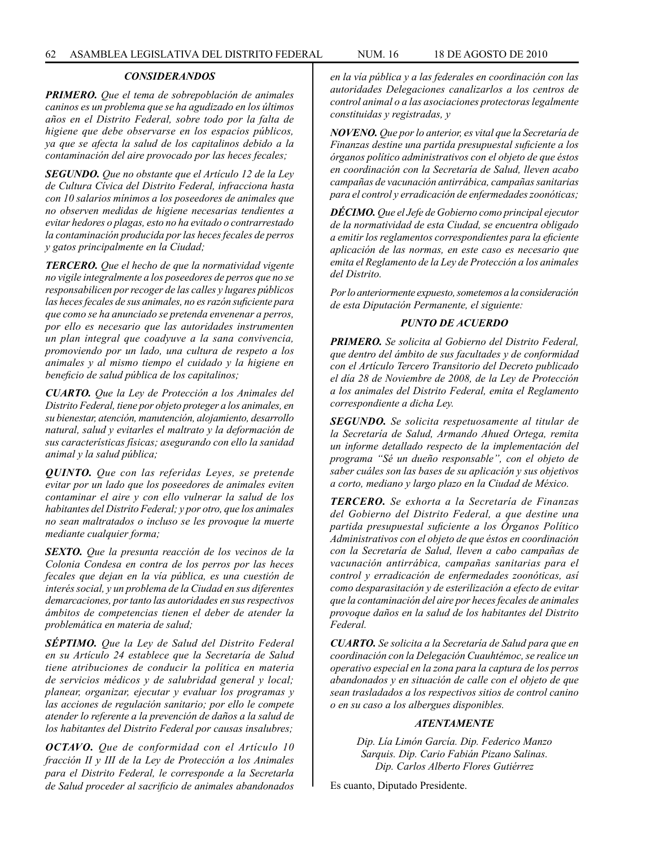#### *CONSIDERANDOS*

*PRIMERO. Que el tema de sobrepoblación de animales caninos es un problema que se ha agudizado en los últimos años en el Distrito Federal, sobre todo por la falta de higiene que debe observarse en los espacios públicos, ya que se afecta la salud de los capitalinos debido a la contaminación del aire provocado por las heces fecales;*

*SEGUNDO. Que no obstante que el Artículo 12 de la Ley de Cultura Cívica del Distrito Federal, infracciona hasta con 10 salarios mínimos a los poseedores de animales que no observen medidas de higiene necesarias tendientes a evitar hedores o plagas, esto no ha evitado o contrarrestado la contaminación producida por las heces fecales de perros y gatos principalmente en la Ciudad;*

*TERCERO. Que el hecho de que la normatividad vigente no vigile integralmente a los poseedores de perros que no se responsabilicen por recoger de las calles y lugares públicos las heces fecales de sus animales, no es razón suficiente para que como se ha anunciado se pretenda envenenar a perros, por ello es necesario que las autoridades instrumenten un plan integral que coadyuve a la sana convivencia, promoviendo por un lado, una cultura de respeto a los animales y al mismo tiempo el cuidado y la higiene en beneficio de salud pública de los capitalinos;*

*CUARTO. Que la Ley de Protección a los Animales del Distrito Federal, tiene por objeto proteger a los animales, en su bienestar, atención, manutención, alojamiento, desarrollo natural, salud y evitarles el maltrato y la deformación de sus características físicas; asegurando con ello la sanidad animal y la salud pública;*

*QUINTO. Que con las referidas Leyes, se pretende evitar por un lado que los poseedores de animales eviten contaminar el aire y con ello vulnerar la salud de los habitantes del Distrito Federal; y por otro, que los animales no sean maltratados o incluso se les provoque la muerte mediante cualquier forma;*

*SEXTO. Que la presunta reacción de los vecinos de la Colonia Condesa en contra de los perros por las heces fecales que dejan en la vía pública, es una cuestión de interés social, y un problema de la Ciudad en sus diferentes demarcaciones, por tanto las autoridades en sus respectivos ámbitos de competencias tienen el deber de atender la problemática en materia de salud;*

*SÉPTIMO. Que la Ley de Salud del Distrito Federal en su Artículo 24 establece que la Secretaría de Salud tiene atribuciones de conducir la política en materia de servicios médicos y de salubridad general y local; planear, organizar, ejecutar y evaluar los programas y las acciones de regulación sanitario; por ello le compete atender lo referente a la prevención de daños a la salud de los habitantes del Distrito Federal por causas insalubres;*

*OCTAVO. Que de conformidad con el Artículo 10 fracción II y III de la Ley de Protección a los Animales para el Distrito Federal, le corresponde a la Secretarla de Salud proceder al sacrificio de animales abandonados*  *en la vía pública y a las federales en coordinación con las autoridades Delegaciones canalizarlos a los centros de control animal o a las asociaciones protectoras legalmente constituidas y registradas, y*

*NOVENO. Que por lo anterior, es vital que la Secretaría de Finanzas destine una partida presupuestal suficiente a los órganos político administrativos con el objeto de que éstos en coordinación con la Secretaría de Salud, lleven acabo campañas de vacunación antirrábica, campañas sanitarias para el control y erradicación de enfermedades zoonóticas;*

*DÉCIMO. Que el Jefe de Gobierno como principal ejecutor de la normatividad de esta Ciudad, se encuentra obligado a emitir los reglamentos correspondientes para la eficiente aplicación de las normas, en este caso es necesario que emita el Reglamento de la Ley de Protección a los animales del Distrito.*

*Por lo anteriormente expuesto, sometemos a la consideración de esta Diputación Permanente, el siguiente:*

### *PUNTO DE ACUERDO*

*PRIMERO. Se solicita al Gobierno del Distrito Federal, que dentro del ámbito de sus facultades y de conformidad con el Artículo Tercero Transitorio del Decreto publicado el día 28 de Noviembre de 2008, de la Ley de Protección a los animales del Distrito Federal, emita el Reglamento correspondiente a dicha Ley.*

*SEGUNDO. Se solicita respetuosamente al titular de la Secretaría de Salud, Armando Ahued Ortega, remita un informe detallado respecto de la implementación del programa "Sé un dueño responsable", con el objeto de saber cuáles son las bases de su aplicación y sus objetivos a corto, mediano y largo plazo en la Ciudad de México.*

*TERCERO. Se exhorta a la Secretaría de Finanzas del Gobierno del Distrito Federal, a que destine una partida presupuestal suficiente a los Órganos Político Administrativos con el objeto de que éstos en coordinación con la Secretaría de Salud, lleven a cabo campañas de vacunación antirrábica, campañas sanitarias para el control y erradicación de enfermedades zoonóticas, así como desparasitación y de esterilización a efecto de evitar que la contaminación del aire por heces fecales de animales provoque daños en la salud de los habitantes del Distrito Federal.*

*CUARTO. Se solicita a la Secretaría de Salud para que en coordinación con la Delegación Cuauhtémoc, se realice un operativo especial en la zona para la captura de los perros abandonados y en situación de calle con el objeto de que sean trasladados a los respectivos sitios de control canino o en su caso a los albergues disponibles.*

### *ATENTAMENTE*

*Dip. Lía Limón García. Dip. Federico Manzo Sarquis. Dip. Cario Fabián Pizano Salinas. Dip. Carlos Alberto Flores Gutiérrez*

Es cuanto, Diputado Presidente.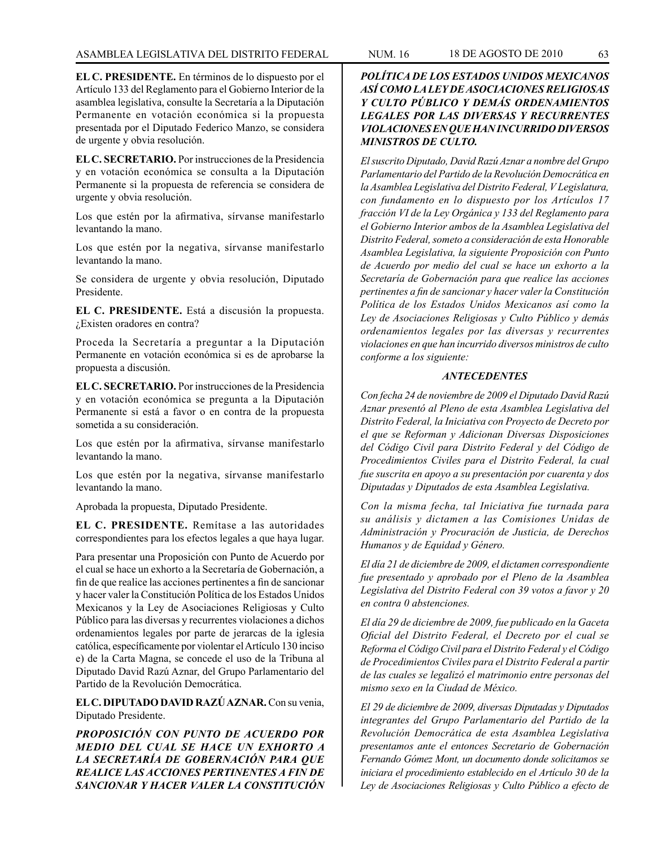**EL C. PRESIDENTE.** En términos de lo dispuesto por el Artículo 133 del Reglamento para el Gobierno Interior de la asamblea legislativa, consulte la Secretaría a la Diputación Permanente en votación económica si la propuesta presentada por el Diputado Federico Manzo, se considera de urgente y obvia resolución.

**EL C. SECRETARIO.** Por instrucciones de la Presidencia y en votación económica se consulta a la Diputación Permanente si la propuesta de referencia se considera de urgente y obvia resolución.

Los que estén por la afirmativa, sírvanse manifestarlo levantando la mano.

Los que estén por la negativa, sírvanse manifestarlo levantando la mano.

Se considera de urgente y obvia resolución, Diputado Presidente.

**EL C. PRESIDENTE.** Está a discusión la propuesta. ¿Existen oradores en contra?

Proceda la Secretaría a preguntar a la Diputación Permanente en votación económica si es de aprobarse la propuesta a discusión.

**EL C. SECRETARIO.** Por instrucciones de la Presidencia y en votación económica se pregunta a la Diputación Permanente si está a favor o en contra de la propuesta sometida a su consideración.

Los que estén por la afirmativa, sírvanse manifestarlo levantando la mano.

Los que estén por la negativa, sírvanse manifestarlo levantando la mano.

Aprobada la propuesta, Diputado Presidente.

**EL C. PRESIDENTE.** Remítase a las autoridades correspondientes para los efectos legales a que haya lugar.

Para presentar una Proposición con Punto de Acuerdo por el cual se hace un exhorto a la Secretaría de Gobernación, a fin de que realice las acciones pertinentes a fin de sancionar y hacer valer la Constitución Política de los Estados Unidos Mexicanos y la Ley de Asociaciones Religiosas y Culto Público para las diversas y recurrentes violaciones a dichos ordenamientos legales por parte de jerarcas de la iglesia católica, específicamente por violentar el Artículo 130 inciso e) de la Carta Magna, se concede el uso de la Tribuna al Diputado David Razú Aznar, del Grupo Parlamentario del Partido de la Revolución Democrática.

**EL C. DIPUTADO DAVID RAZÚ AZNAR.** Con su venia, Diputado Presidente.

*PROPOSICIÓN CON PUNTO DE ACUERDO POR MEDIO DEL CUAL SE HACE UN EXHORTO A LA SECRETARÍA DE GOBERNACIÓN PARA QUE REALICE LAS ACCIONES PERTINENTES A FIN DE SANCIONAR Y HACER VALER LA CONSTITUCIÓN* 

## *POLÍTICA DE LOS ESTADOS UNIDOS MEXICANOS ASÍ COMO LA LEY DE ASOCIACIONES RELIGIOSAS Y CULTO PÚBLICO Y DEMÁS ORDENAMIENTOS LEGALES POR LAS DIVERSAS Y RECURRENTES VIOLACIONES EN QUE HAN INCURRIDO DIVERSOS MINISTROS DE CULTO.*

*El suscrito Diputado, David Razú Aznar a nombre del Grupo Parlamentario del Partido de la Revolución Democrática en la Asamblea Legislativa del Distrito Federal, V Legislatura, con fundamento en lo dispuesto por los Artículos 17 fracción VI de la Ley Orgánica y 133 del Reglamento para el Gobierno Interior ambos de la Asamblea Legislativa del Distrito Federal, someto a consideración de esta Honorable Asamblea Legislativa, la siguiente Proposición con Punto de Acuerdo por medio del cual se hace un exhorto a la Secretaría de Gobernación para que realice las acciones pertinentes a fin de sancionar y hacer valer la Constitución Política de los Estados Unidos Mexicanos así como la Ley de Asociaciones Religiosas y Culto Público y demás ordenamientos legales por las diversas y recurrentes violaciones en que han incurrido diversos ministros de culto conforme a los siguiente:*

### *ANTECEDENTES*

*Con fecha 24 de noviembre de 2009 el Diputado David Razú Aznar presentó al Pleno de esta Asamblea Legislativa del Distrito Federal, la Iniciativa con Proyecto de Decreto por el que se Reforman y Adicionan Diversas Disposiciones del Código Civil para Distrito Federal y del Código de Procedimientos Civiles para el Distrito Federal, la cual fue suscrita en apoyo a su presentación por cuarenta y dos Diputadas y Diputados de esta Asamblea Legislativa.*

*Con la misma fecha, tal Iniciativa fue turnada para su análisis y dictamen a las Comisiones Unidas de Administración y Procuración de Justicia, de Derechos Humanos y de Equidad y Género.*

*El día 21 de diciembre de 2009, el dictamen correspondiente fue presentado y aprobado por el Pleno de la Asamblea Legislativa del Distrito Federal con 39 votos a favor y 20 en contra 0 abstenciones.*

*El día 29 de diciembre de 2009, fue publicado en la Gaceta Oficial del Distrito Federal, el Decreto por el cual se Reforma el Código Civil para el Distrito Federal y el Código de Procedimientos Civiles para el Distrito Federal a partir de las cuales se legalizó el matrimonio entre personas del mismo sexo en la Ciudad de México.*

*El 29 de diciembre de 2009, diversas Diputadas y Diputados integrantes del Grupo Parlamentario del Partido de la Revolución Democrática de esta Asamblea Legislativa presentamos ante el entonces Secretario de Gobernación Fernando Gómez Mont, un documento donde solicitamos se iniciara el procedimiento establecido en el Artículo 30 de la Ley de Asociaciones Religiosas y Culto Público a efecto de*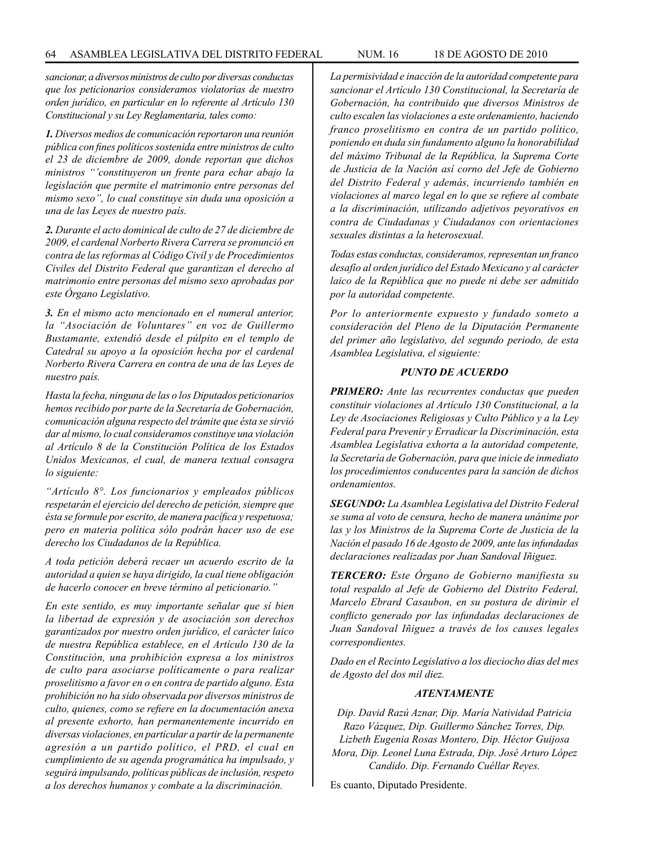*sancionar, a diversos ministros de culto por diversas conductas que los peticionarios consideramos violatorias de nuestro orden jurídico, en particular en lo referente al Artículo 130 Constitucional y su Ley Reglamentaria, tales como:*

*1. Diversos medios de comunicación reportaron una reunión pública con fines políticos sostenida entre ministros de culto el 23 de diciembre de 2009, donde reportan que dichos ministros "'constituyeron un frente para echar abajo la legislación que permite el matrimonio entre personas del mismo sexo", lo cual constituye sin duda una oposición a una de las Leyes de nuestro país.*

*2. Durante el acto dominical de culto de 27 de diciembre de 2009, el cardenal Norberto Rivera Carrera se pronunció en contra de las reformas al Código Civil y de Procedimientos Civiles del Distrito Federal que garantizan el derecho al matrimonio entre personas del mismo sexo aprobadas por este Órgano Legislativo.*

*3. En el mismo acto mencionado en el numeral anterior, la "Asociación de Voluntares" en voz de Guillermo Bustamante, extendió desde el púlpito en el templo de Catedral su apoyo a la oposición hecha por el cardenal Norberto Rivera Carrera en contra de una de las Leyes de nuestro país.*

*Hasta la fecha, ninguna de las o los Diputados peticionarios hemos recibido por parte de la Secretaría de Gobernación, comunicación alguna respecto del trámite que ésta se sirvió dar al mismo, lo cual consideramos constituye una violación al Artículo 8 de la Constitución Política de los Estados Unidos Mexicanos, el cual, de manera textual consagra lo siguiente:*

*"Artículo 8°. Los funcionarios y empleados públicos respetarán el ejercicio del derecho de petición, siempre que ésta se formule por escrito, de manera pacífica y respetuosa; pero en materia política sólo podrán hacer uso de ese derecho los Ciudadanos de la República.*

*A toda petición deberá recaer un acuerdo escrito de la autoridad a quien se haya dirigido, la cual tiene obligación de hacerlo conocer en breve término al peticionario."*

*En este sentido, es muy importante señalar que sí bien la libertad de expresión y de asociación son derechos garantizados por nuestro orden jurídico, el carácter laico de nuestra República establece, en el Artículo 130 de la Constitución, una prohibición expresa a los ministros de culto para asociarse políticamente o para realizar proselitismo a favor en o en contra de partido alguno. Esta prohibición no ha sido observada por diversos ministros de culto, quienes, como se refiere en la documentación anexa al presente exhorto, han permanentemente incurrido en diversas violaciones, en particular a partir de la permanente agresión a un partido político, el PRD, el cual en cumplimiento de su agenda programática ha impulsado, y seguirá impulsando, políticas públicas de inclusión, respeto a los derechos humanos y combate a la discriminación.*

*La permisividad e inacción de la autoridad competente para sancionar el Artículo 130 Constitucional, la Secretaría de Gobernación, ha contribuido que diversos Ministros de culto escalen las violaciones a este ordenamiento, haciendo franco proselitismo en contra de un partido político, poniendo en duda sin fundamento alguno la honorabilidad del máximo Tribunal de la República, la Suprema Corte de Justicia de la Nación así corno del Jefe de Gobierno del Distrito Federal y además, incurriendo también en violaciones al marco legal en lo que se refiere al combate a la discriminación, utilizando adjetivos peyorativos en contra de Ciudadanas y Ciudadanos con orientaciones sexuales distintas a la heterosexual.*

*Todas estas conductas, consideramos, representan un franco desafío al orden jurídico del Estado Mexicano y al carácter laico de la República que no puede ni debe ser admitido por la autoridad competente.*

*Por lo anteriormente expuesto y fundado someto a consideración del Pleno de la Diputación Permanente del primer año legislativo, del segundo periodo, de esta Asamblea Legislativa, el siguiente:*

#### *PUNTO DE ACUERDO*

*PRIMERO: Ante las recurrentes conductas que pueden constituir violaciones al Artículo 130 Constitucional, a la Ley de Asociaciones Religiosas y Culto Público y a la Ley Federal para Prevenir y Erradicar la Discriminación, esta Asamblea Legislativa exhorta a la autoridad competente, la Secretaría de Gobernación, para que inicie de inmediato los procedimientos conducentes para la sanción de dichos ordenamientos.*

*SEGUNDO: La Asamblea Legislativa del Distrito Federal se suma al voto de censura, hecho de manera unánime por las y los Ministros de la Suprema Corte de Justicia de la Nación el pasado 16 de Agosto de 2009, ante las infundadas declaraciones realizadas por Juan Sandoval Iñiguez.*

*TERCERO: Este Órgano de Gobierno manifiesta su total respaldo al Jefe de Gobierno del Distrito Federal, Marcelo Ebrard Casaubon, en su postura de dirimir el conflicto generado por las infundadas declaraciones de Juan Sandoval Iñiguez a través de los causes legales correspondientes.*

*Dado en el Recinto Legislativo a los dieciocho días del mes de Agosto del dos mil diez.*

#### *ATENTAMENTE*

*Dip. David Razú Aznar, Dip. María Natividad Patricia Razo Vázquez, Dip. Guillermo Sánchez Torres, Dip. Lizbeth Eugenia Rosas Montero, Dip. Héctor Guijosa Mora, Dip. Leonel Luna Estrada, Dip. José Arturo López Candido. Dip. Fernando Cuéllar Reyes.*

Es cuanto, Diputado Presidente.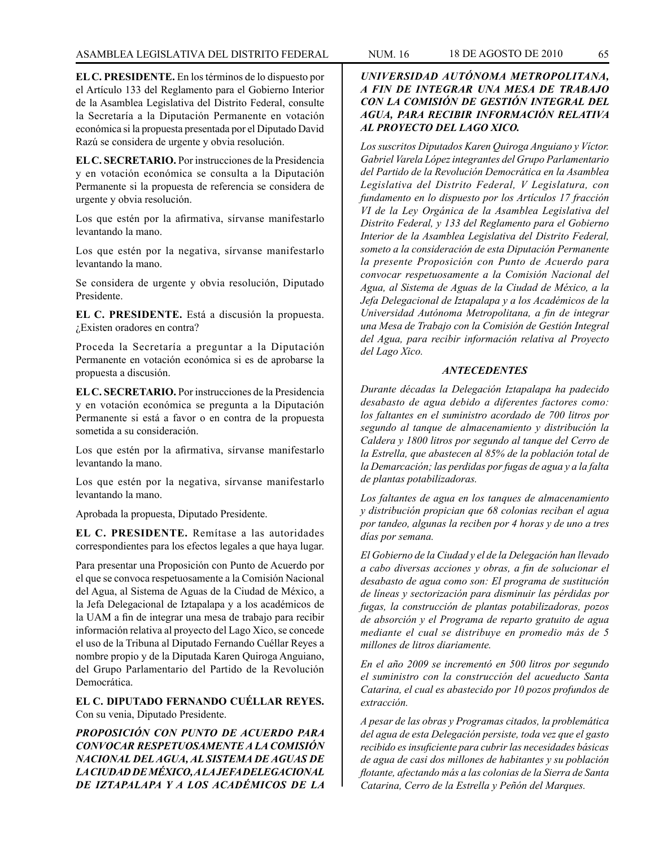**EL C. PRESIDENTE.** En los términos de lo dispuesto por el Artículo 133 del Reglamento para el Gobierno Interior de la Asamblea Legislativa del Distrito Federal, consulte la Secretaría a la Diputación Permanente en votación económica si la propuesta presentada por el Diputado David Razú se considera de urgente y obvia resolución.

**EL C. SECRETARIO.** Por instrucciones de la Presidencia y en votación económica se consulta a la Diputación Permanente si la propuesta de referencia se considera de urgente y obvia resolución.

Los que estén por la afirmativa, sírvanse manifestarlo levantando la mano.

Los que estén por la negativa, sírvanse manifestarlo levantando la mano.

Se considera de urgente y obvia resolución, Diputado Presidente.

**EL C. PRESIDENTE.** Está a discusión la propuesta. ¿Existen oradores en contra?

Proceda la Secretaría a preguntar a la Diputación Permanente en votación económica si es de aprobarse la propuesta a discusión.

**EL C. SECRETARIO.** Por instrucciones de la Presidencia y en votación económica se pregunta a la Diputación Permanente si está a favor o en contra de la propuesta sometida a su consideración.

Los que estén por la afirmativa, sírvanse manifestarlo levantando la mano.

Los que estén por la negativa, sírvanse manifestarlo levantando la mano.

Aprobada la propuesta, Diputado Presidente.

**EL C. PRESIDENTE.** Remítase a las autoridades correspondientes para los efectos legales a que haya lugar.

Para presentar una Proposición con Punto de Acuerdo por el que se convoca respetuosamente a la Comisión Nacional del Agua, al Sistema de Aguas de la Ciudad de México, a la Jefa Delegacional de Iztapalapa y a los académicos de la UAM a fin de integrar una mesa de trabajo para recibir información relativa al proyecto del Lago Xico, se concede el uso de la Tribuna al Diputado Fernando Cuéllar Reyes a nombre propio y de la Diputada Karen Quiroga Anguiano, del Grupo Parlamentario del Partido de la Revolución Democrática.

**EL C. DIPUTADO FERNANDO CUÉLLAR REYES.** Con su venia, Diputado Presidente.

*PROPOSICIÓN CON PUNTO DE ACUERDO PARA CONVOCAR RESPETUOSAMENTE A LA COMISIÓN NACIONAL DEL AGUA, AL SISTEMA DE AGUAS DE LA CIUDAD DE MÉXICO, A LA JEFA DELEGACIONAL DE IZTAPALAPA Y A LOS ACADÉMICOS DE LA* 

# *UNIVERSIDAD AUTÓNOMA METROPOLITANA, A FIN DE INTEGRAR UNA MESA DE TRABAJO CON LA COMISIÓN DE GESTIÓN INTEGRAL DEL AGUA, PARA RECIBIR INFORMACIÓN RELATIVA AL PROYECTO DEL LAGO XICO.*

*Los suscritos Diputados Karen Quiroga Anguiano y Víctor. Gabriel Varela López integrantes del Grupo Parlamentario del Partido de la Revolución Democrática en la Asamblea Legislativa del Distrito Federal, V Legislatura, con fundamento en lo dispuesto por los Artículos 17 fracción VI de la Ley Orgánica de la Asamblea Legislativa del Distrito Federal, y 133 del Reglamento para el Gobierno Interior de la Asamblea Legislativa del Distrito Federal, someto a la consideración de esta Diputación Permanente la presente Proposición con Punto de Acuerdo para convocar respetuosamente a la Comisión Nacional del Agua, al Sistema de Aguas de la Ciudad de México, a la Jefa Delegacional de Iztapalapa y a los Académicos de la Universidad Autónoma Metropolitana, a fin de integrar una Mesa de Trabajo con la Comisión de Gestión Integral del Agua, para recibir información relativa al Proyecto del Lago Xico.*

## *ANTECEDENTES*

*Durante décadas la Delegación Iztapalapa ha padecido desabasto de agua debido a diferentes factores como: los faltantes en el suministro acordado de 700 litros por segundo al tanque de almacenamiento y distribución la Caldera y 1800 litros por segundo al tanque del Cerro de la Estrella, que abastecen al 85% de la población total de la Demarcación; las perdidas por fugas de agua y a la falta de plantas potabilizadoras.*

*Los faltantes de agua en los tanques de almacenamiento y distribución propician que 68 colonias reciban el agua por tandeo, algunas la reciben por 4 horas y de uno a tres días por semana.*

*El Gobierno de la Ciudad y el de la Delegación han llevado a cabo diversas acciones y obras, a fin de solucionar el desabasto de agua como son: El programa de sustitución de líneas y sectorización para disminuir las pérdidas por fugas, la construcción de plantas potabilizadoras, pozos de absorción y el Programa de reparto gratuito de agua mediante el cual se distribuye en promedio más de 5 millones de litros diariamente.*

*En el año 2009 se incrementó en 500 litros por segundo el suministro con la construcción del acueducto Santa Catarina, el cual es abastecido por 10 pozos profundos de extracción.*

*A pesar de las obras y Programas citados, la problemática del agua de esta Delegación persiste, toda vez que el gasto recibido es insuficiente para cubrir las necesidades básicas de agua de casi dos millones de habitantes y su población flotante, afectando más a las colonias de la Sierra de Santa Catarina, Cerro de la Estrella y Peñón del Marques.*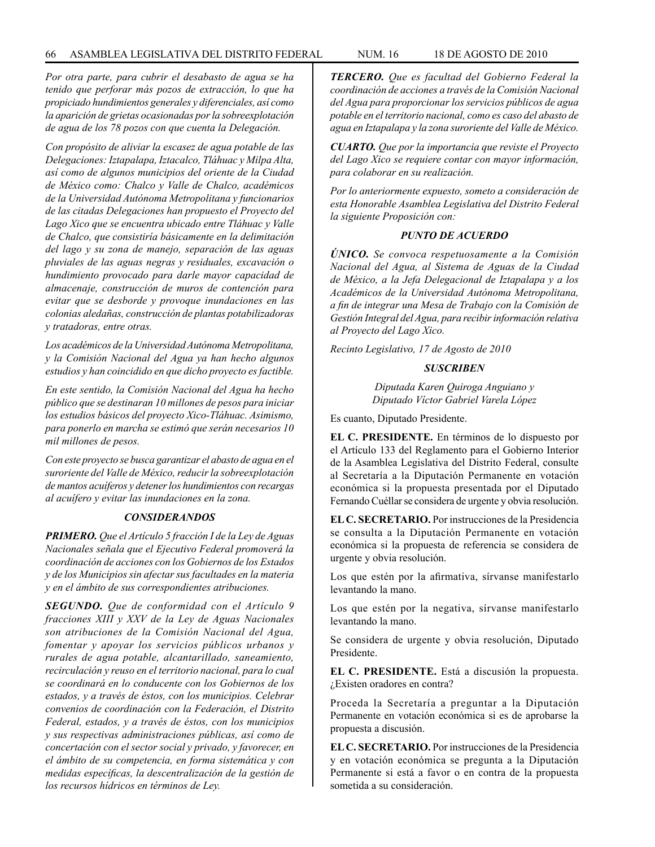*Por otra parte, para cubrir el desabasto de agua se ha tenido que perforar más pozos de extracción, lo que ha propiciado hundimientos generales y diferenciales, así como la aparición de grietas ocasionadas por la sobreexplotación de agua de los 78 pozos con que cuenta la Delegación.*

*Con propósito de aliviar la escasez de agua potable de las Delegaciones: Iztapalapa, Iztacalco, Tláhuac y Milpa Alta, así como de algunos municipios del oriente de la Ciudad de México como: Chalco y Valle de Chalco, académicos de la Universidad Autónoma Metropolitana y funcionarios de las citadas Delegaciones han propuesto el Proyecto del Lago Xico que se encuentra ubicado entre Tláhuac y Valle de Chalco, que consistiría básicamente en la delimitación del lago y su zona de manejo, separación de las aguas pluviales de las aguas negras y residuales, excavación o hundimiento provocado para darle mayor capacidad de almacenaje, construcción de muros de contención para evitar que se desborde y provoque inundaciones en las colonias aledañas, construcción de plantas potabilizadoras y tratadoras, entre otras.*

*Los académicos de la Universidad Autónoma Metropolitana, y la Comisión Nacional del Agua ya han hecho algunos estudios y han coincidido en que dicho proyecto es factible.*

*En este sentido, la Comisión Nacional del Agua ha hecho público que se destinaran 10 millones de pesos para iniciar los estudios básicos del proyecto Xico-Tláhuac. Asimismo, para ponerlo en marcha se estimó que serán necesarios 10 mil millones de pesos.*

*Con este proyecto se busca garantizar el abasto de agua en el suroriente del Valle de México, reducir la sobreexplotación de mantos acuíferos y detener los hundimientos con recargas al acuífero y evitar las inundaciones en la zona.*

#### *CONSIDERANDOS*

*PRIMERO. Que el Artículo 5 fracción I de la Ley de Aguas Nacionales señala que el Ejecutivo Federal promoverá la coordinación de acciones con los Gobiernos de los Estados y de los Municipios sin afectar sus facultades en la materia y en el ámbito de sus correspondientes atribuciones.*

*SEGUNDO. Que de conformidad con el Artículo 9 fracciones XIII y XXV de la Ley de Aguas Nacionales son atribuciones de la Comisión Nacional del Agua, fomentar y apoyar los servicios públicos urbanos y rurales de agua potable, alcantarillado, saneamiento, recirculación y reuso en el territorio nacional, para lo cual se coordinará en lo conducente con los Gobiernos de los estados, y a través de éstos, con los municipios. Celebrar convenios de coordinación con la Federación, el Distrito Federal, estados, y a través de éstos, con los municipios y sus respectivas administraciones públicas, así como de concertación con el sector social y privado, y favorecer, en el ámbito de su competencia, en forma sistemática y con medidas específicas, la descentralización de la gestión de los recursos hídricos en términos de Ley.*

*TERCERO. Que es facultad del Gobierno Federal la coordinación de acciones a través de la Comisión Nacional del Agua para proporcionar los servicios públicos de agua potable en el territorio nacional, como es caso del abasto de agua en Iztapalapa y la zona suroriente del Valle de México.*

*CUARTO. Que por la importancia que reviste el Proyecto del Lago Xico se requiere contar con mayor información, para colaborar en su realización.*

*Por lo anteriormente expuesto, someto a consideración de esta Honorable Asamblea Legislativa del Distrito Federal la siguiente Proposición con:*

### *PUNTO DE ACUERDO*

*ÚNICO. Se convoca respetuosamente a la Comisión Nacional del Agua, al Sistema de Aguas de la Ciudad de México, a la Jefa Delegacional de Iztapalapa y a los Académicos de la Universidad Autónoma Metropolitana, a fin de integrar una Mesa de Trabajo con la Comisión de Gestión Integral del Agua, para recibir información relativa al Proyecto del Lago Xico.*

*Recinto Legislativo, 17 de Agosto de 2010*

#### *SUSCRIBEN*

*Diputada Karen Quiroga Anguiano y Diputado Víctor Gabriel Varela López*

Es cuanto, Diputado Presidente.

**EL C. PRESIDENTE.** En términos de lo dispuesto por el Artículo 133 del Reglamento para el Gobierno Interior de la Asamblea Legislativa del Distrito Federal, consulte al Secretaría a la Diputación Permanente en votación económica si la propuesta presentada por el Diputado Fernando Cuéllar se considera de urgente y obvia resolución.

**EL C. SECRETARIO.** Por instrucciones de la Presidencia se consulta a la Diputación Permanente en votación económica si la propuesta de referencia se considera de urgente y obvia resolución.

Los que estén por la afirmativa, sírvanse manifestarlo levantando la mano.

Los que estén por la negativa, sírvanse manifestarlo levantando la mano.

Se considera de urgente y obvia resolución, Diputado Presidente.

**EL C. PRESIDENTE.** Está a discusión la propuesta. ¿Existen oradores en contra?

Proceda la Secretaría a preguntar a la Diputación Permanente en votación económica si es de aprobarse la propuesta a discusión.

**EL C. SECRETARIO.** Por instrucciones de la Presidencia y en votación económica se pregunta a la Diputación Permanente si está a favor o en contra de la propuesta sometida a su consideración.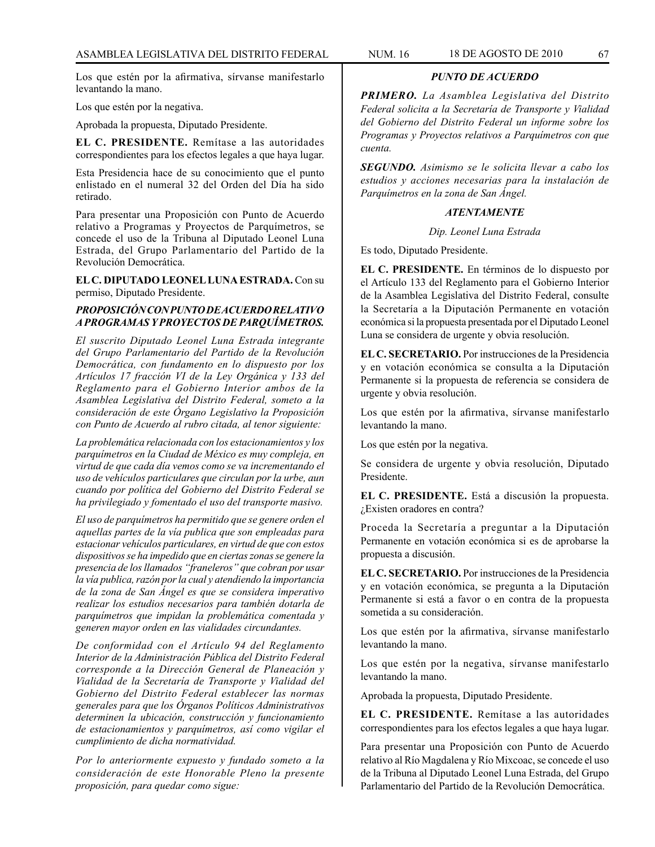Los que estén por la afirmativa, sírvanse manifestarlo levantando la mano.

Los que estén por la negativa.

Aprobada la propuesta, Diputado Presidente.

**EL C. PRESIDENTE.** Remítase a las autoridades correspondientes para los efectos legales a que haya lugar.

Esta Presidencia hace de su conocimiento que el punto enlistado en el numeral 32 del Orden del Día ha sido retirado.

Para presentar una Proposición con Punto de Acuerdo relativo a Programas y Proyectos de Parquímetros, se concede el uso de la Tribuna al Diputado Leonel Luna Estrada, del Grupo Parlamentario del Partido de la Revolución Democrática.

**EL C. DIPUTADO LEONEL LUNA ESTRADA.** Con su permiso, Diputado Presidente.

### *PROPOSICIÓN CON PUNTO DE ACUERDO RELATIVO A PROGRAMAS Y PROYECTOS DE PARQUÍMETROS.*

*El suscrito Diputado Leonel Luna Estrada integrante del Grupo Parlamentario del Partido de la Revolución Democrática, con fundamento en lo dispuesto por los Artículos 17 fracción VI de la Ley Orgánica y 133 del Reglamento para el Gobierno Interior ambos de la Asamblea Legislativa del Distrito Federal, someto a la consideración de este Órgano Legislativo la Proposición con Punto de Acuerdo al rubro citada, al tenor siguiente:* 

*La problemática relacionada con los estacionamientos y los parquímetros en la Ciudad de México es muy compleja, en virtud de que cada día vemos como se va incrementando el uso de vehículos particulares que circulan por la urbe, aun cuando por política del Gobierno del Distrito Federal se ha privilegiado y fomentado el uso del transporte masivo.*

*El uso de parquímetros ha permitido que se genere orden el aquellas partes de la vía publica que son empleadas para estacionar vehículos particulares, en virtud de que con estos dispositivos se ha impedido que en ciertas zonas se genere la presencia de los llamados "franeleros" que cobran por usar la vía publica, razón por la cual y atendiendo la importancia de la zona de San Ángel es que se considera imperativo realizar los estudios necesarios para también dotarla de parquímetros que impidan la problemática comentada y generen mayor orden en las vialidades circundantes.*

*De conformidad con el Artículo 94 del Reglamento Interior de la Administración Pública del Distrito Federal corresponde a la Dirección General de Planeación y Vialidad de la Secretaría de Transporte y Vialidad del Gobierno del Distrito Federal establecer las normas generales para que los Órganos Políticos Administrativos determinen la ubicación, construcción y funcionamiento de estacionamientos y parquímetros, así como vigilar el cumplimiento de dicha normatividad.*

*Por lo anteriormente expuesto y fundado someto a la consideración de este Honorable Pleno la presente proposición, para quedar como sigue:*

### *PUNTO DE ACUERDO*

*PRIMERO. La Asamblea Legislativa del Distrito Federal solicita a la Secretaría de Transporte y Vialidad del Gobierno del Distrito Federal un informe sobre los Programas y Proyectos relativos a Parquímetros con que cuenta.*

*SEGUNDO. Asimismo se le solicita llevar a cabo los estudios y acciones necesarias para la instalación de Parquímetros en la zona de San Ángel.*

### *ATENTAMENTE*

*Dip. Leonel Luna Estrada*

Es todo, Diputado Presidente.

**EL C. PRESIDENTE.** En términos de lo dispuesto por el Artículo 133 del Reglamento para el Gobierno Interior de la Asamblea Legislativa del Distrito Federal, consulte la Secretaría a la Diputación Permanente en votación económica si la propuesta presentada por el Diputado Leonel Luna se considera de urgente y obvia resolución.

**EL C. SECRETARIO.** Por instrucciones de la Presidencia y en votación económica se consulta a la Diputación Permanente si la propuesta de referencia se considera de urgente y obvia resolución.

Los que estén por la afirmativa, sírvanse manifestarlo levantando la mano.

Los que estén por la negativa.

Se considera de urgente y obvia resolución, Diputado Presidente.

**EL C. PRESIDENTE.** Está a discusión la propuesta. ¿Existen oradores en contra?

Proceda la Secretaría a preguntar a la Diputación Permanente en votación económica si es de aprobarse la propuesta a discusión.

**EL C. SECRETARIO.** Por instrucciones de la Presidencia y en votación económica, se pregunta a la Diputación Permanente si está a favor o en contra de la propuesta sometida a su consideración.

Los que estén por la afirmativa, sírvanse manifestarlo levantando la mano.

Los que estén por la negativa, sírvanse manifestarlo levantando la mano.

Aprobada la propuesta, Diputado Presidente.

**EL C. PRESIDENTE.** Remítase a las autoridades correspondientes para los efectos legales a que haya lugar.

Para presentar una Proposición con Punto de Acuerdo relativo al Río Magdalena y Río Mixcoac, se concede el uso de la Tribuna al Diputado Leonel Luna Estrada, del Grupo Parlamentario del Partido de la Revolución Democrática.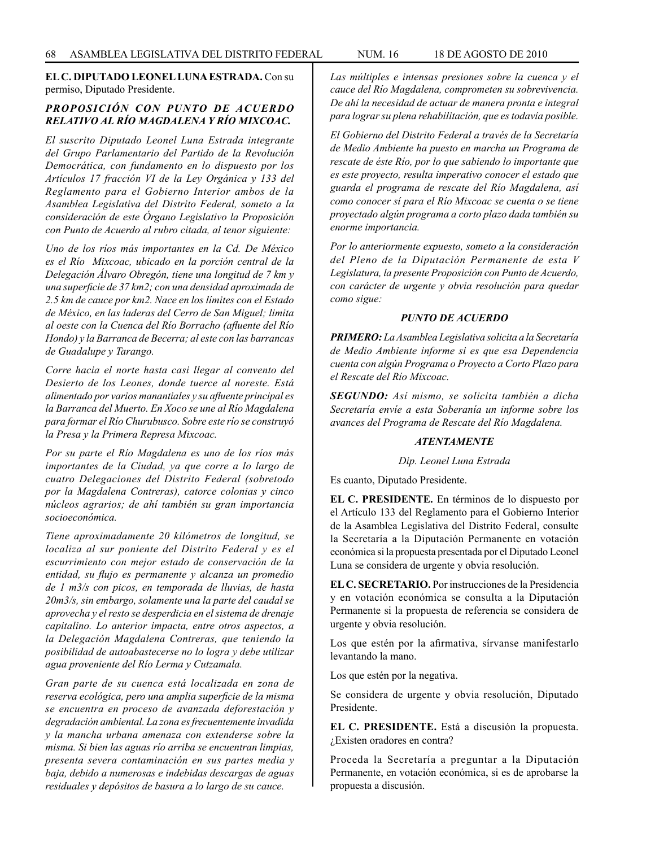**EL C. DIPUTADO LEONEL LUNA ESTRADA.** Con su permiso, Diputado Presidente.

## *PROPOSICIÓN CON PUNTO DE ACUERDO RELATIVO AL RÍO MAGDALENA Y RÍO MIXCOAC.*

*El suscrito Diputado Leonel Luna Estrada integrante del Grupo Parlamentario del Partido de la Revolución Democrática, con fundamento en lo dispuesto por los Artículos 17 fracción VI de la Ley Orgánica y 133 del Reglamento para el Gobierno Interior ambos de la Asamblea Legislativa del Distrito Federal, someto a la consideración de este Órgano Legislativo la Proposición con Punto de Acuerdo al rubro citada, al tenor siguiente:*

*Uno de los ríos más importantes en la Cd. De México es el Río Mixcoac, ubicado en la porción central de la Delegación Álvaro Obregón, tiene una longitud de 7 km y una superficie de 37 km2; con una densidad aproximada de 2.5 km de cauce por km2. Nace en los límites con el Estado de México, en las laderas del Cerro de San Miguel; limita al oeste con la Cuenca del Río Borracho (afluente del Río Hondo) y la Barranca de Becerra; al este con las barrancas de Guadalupe y Tarango.*

*Corre hacia el norte hasta casi llegar al convento del Desierto de los Leones, donde tuerce al noreste. Está alimentado por varios manantiales y su afluente principal es la Barranca del Muerto. En Xoco se une al Río Magdalena para formar el Río Churubusco. Sobre este río se construyó la Presa y la Primera Represa Mixcoac.*

*Por su parte el Río Magdalena es uno de los ríos más importantes de la Ciudad, ya que corre a lo largo de cuatro Delegaciones del Distrito Federal (sobretodo por la Magdalena Contreras), catorce colonias y cinco núcleos agrarios; de ahí también su gran importancia socioeconómica.*

*Tiene aproximadamente 20 kilómetros de longitud, se localiza al sur poniente del Distrito Federal y es el escurrimiento con mejor estado de conservación de la entidad, su flujo es permanente y alcanza un promedio de 1 m3/s con picos, en temporada de lluvias, de hasta 20m3/s, sin embargo, solamente una la parte del caudal se aprovecha y el resto se desperdicia en el sistema de drenaje capitalino. Lo anterior impacta, entre otros aspectos, a la Delegación Magdalena Contreras, que teniendo la posibilidad de autoabastecerse no lo logra y debe utilizar agua proveniente del Río Lerma y Cutzamala.*

*Gran parte de su cuenca está localizada en zona de reserva ecológica, pero una amplia superficie de la misma se encuentra en proceso de avanzada deforestación y degradación ambiental. La zona es frecuentemente invadida y la mancha urbana amenaza con extenderse sobre la misma. Si bien las aguas río arriba se encuentran limpias, presenta severa contaminación en sus partes media y baja, debido a numerosas e indebidas descargas de aguas residuales y depósitos de basura a lo largo de su cauce.*

*Las múltiples e intensas presiones sobre la cuenca y el cauce del Río Magdalena, comprometen su sobrevivencia. De ahí la necesidad de actuar de manera pronta e integral para lograr su plena rehabilitación, que es todavía posible.*

*El Gobierno del Distrito Federal a través de la Secretaría de Medio Ambiente ha puesto en marcha un Programa de rescate de éste Río, por lo que sabiendo lo importante que es este proyecto, resulta imperativo conocer el estado que guarda el programa de rescate del Río Magdalena, así como conocer sí para el Río Mixcoac se cuenta o se tiene proyectado algún programa a corto plazo dada también su enorme importancia.* 

*Por lo anteriormente expuesto, someto a la consideración del Pleno de la Diputación Permanente de esta V Legislatura, la presente Proposición con Punto de Acuerdo, con carácter de urgente y obvia resolución para quedar como sigue:*

### *PUNTO DE ACUERDO*

*PRIMERO: La Asamblea Legislativa solicita a la Secretaría de Medio Ambiente informe si es que esa Dependencia cuenta con algún Programa o Proyecto a Corto Plazo para el Rescate del Río Mixcoac.*

*SEGUNDO: Así mismo, se solicita también a dicha Secretaría envíe a esta Soberanía un informe sobre los avances del Programa de Rescate del Río Magdalena.*

## *ATENTAMENTE*

#### *Dip. Leonel Luna Estrada*

Es cuanto, Diputado Presidente.

**EL C. PRESIDENTE.** En términos de lo dispuesto por el Artículo 133 del Reglamento para el Gobierno Interior de la Asamblea Legislativa del Distrito Federal, consulte la Secretaría a la Diputación Permanente en votación económica si la propuesta presentada por el Diputado Leonel Luna se considera de urgente y obvia resolución.

**EL C. SECRETARIO.** Por instrucciones de la Presidencia y en votación económica se consulta a la Diputación Permanente si la propuesta de referencia se considera de urgente y obvia resolución.

Los que estén por la afirmativa, sírvanse manifestarlo levantando la mano.

Los que estén por la negativa.

Se considera de urgente y obvia resolución, Diputado Presidente.

**EL C. PRESIDENTE.** Está a discusión la propuesta. ¿Existen oradores en contra?

Proceda la Secretaría a preguntar a la Diputación Permanente, en votación económica, si es de aprobarse la propuesta a discusión.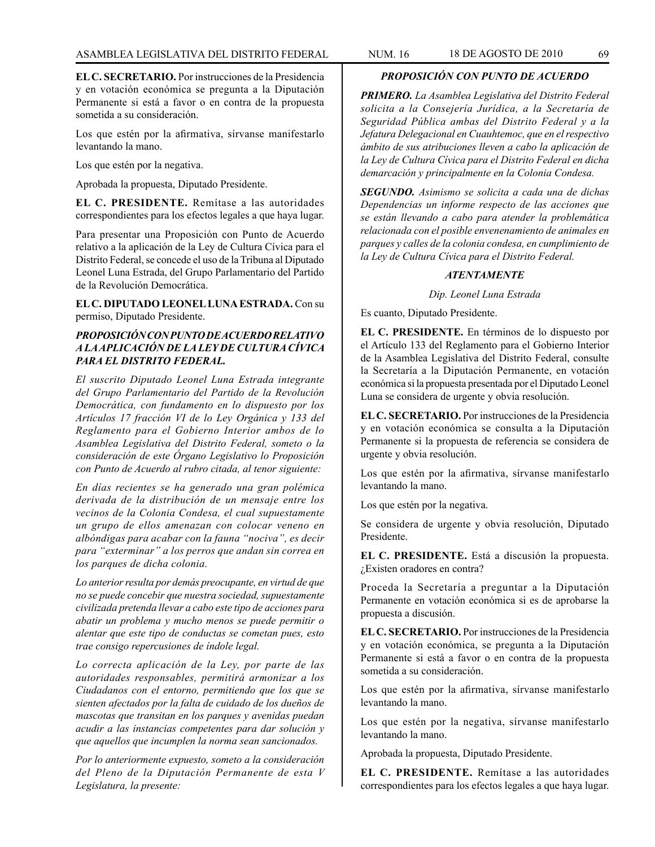**EL C. SECRETARIO.** Por instrucciones de la Presidencia y en votación económica se pregunta a la Diputación Permanente si está a favor o en contra de la propuesta sometida a su consideración.

Los que estén por la afirmativa, sírvanse manifestarlo levantando la mano.

Los que estén por la negativa.

Aprobada la propuesta, Diputado Presidente.

**EL C. PRESIDENTE.** Remítase a las autoridades correspondientes para los efectos legales a que haya lugar.

Para presentar una Proposición con Punto de Acuerdo relativo a la aplicación de la Ley de Cultura Cívica para el Distrito Federal, se concede el uso de la Tribuna al Diputado Leonel Luna Estrada, del Grupo Parlamentario del Partido de la Revolución Democrática.

**EL C. DIPUTADO LEONEL LUNA ESTRADA.** Con su permiso, Diputado Presidente.

## *PROPOSICIÓN CON PUNTO DE ACUERDO RELATIVO A LA APLICACIÓN DE LA LEY DE CULTURA CÍVICA PARA EL DISTRITO FEDERAL.*

*El suscrito Diputado Leonel Luna Estrada integrante del Grupo Parlamentario del Partido de la Revolución Democrática, con fundamento en lo dispuesto por los Artículos 17 fracción VI de lo Ley Orgánica y 133 del Reglamento para el Gobierno Interior ambos de lo Asamblea Legislativa del Distrito Federal, someto o la consideración de este Órgano Legislativo lo Proposición con Punto de Acuerdo al rubro citada, al tenor siguiente:*

*En días recientes se ha generado una gran polémica derivada de la distribución de un mensaje entre los vecinos de la Colonia Condesa, el cual supuestamente un grupo de ellos amenazan con colocar veneno en albóndigas para acabar con la fauna "nociva", es decir para "exterminar" a los perros que andan sin correa en los parques de dicha colonia.*

*Lo anterior resulta por demás preocupante, en virtud de que no se puede concebir que nuestra sociedad, supuestamente civilizada pretenda llevar a cabo este tipo de acciones para abatir un problema y mucho menos se puede permitir o alentar que este tipo de conductas se cometan pues, esto trae consigo repercusiones de índole legal.*

*Lo correcta aplicación de la Ley, por parte de las autoridades responsables, permitirá armonizar a los Ciudadanos con el entorno, permitiendo que los que se sienten afectados por la falta de cuidado de los dueños de mascotas que transitan en los parques y avenidas puedan acudir a las instancias competentes para dar solución y que aquellos que incumplen la norma sean sancionados.*

*Por lo anteriormente expuesto, someto a la consideración del Pleno de la Diputación Permanente de esta V Legislatura, la presente:*

## *PROPOSICIÓN CON PUNTO DE ACUERDO*

*PRIMERO. La Asamblea Legislativa del Distrito Federal solicita a la Consejería Jurídica, a la Secretaría de Seguridad Pública ambas del Distrito Federal y a la Jefatura Delegacional en Cuauhtemoc, que en el respectivo ámbito de sus atribuciones lleven a cabo la aplicación de la Ley de Cultura Cívica para el Distrito Federal en dicha demarcación y principalmente en la Colonia Condesa.*

*SEGUNDO. Asimismo se solicita a cada una de dichas Dependencias un informe respecto de las acciones que se están llevando a cabo para atender la problemática relacionada con el posible envenenamiento de animales en parques y calles de la colonia condesa, en cumplimiento de la Ley de Cultura Cívica para el Distrito Federal.*

#### *ATENTAMENTE*

*Dip. Leonel Luna Estrada*

Es cuanto, Diputado Presidente.

**EL C. PRESIDENTE.** En términos de lo dispuesto por el Artículo 133 del Reglamento para el Gobierno Interior de la Asamblea Legislativa del Distrito Federal, consulte la Secretaría a la Diputación Permanente, en votación económica si la propuesta presentada por el Diputado Leonel Luna se considera de urgente y obvia resolución.

**EL C. SECRETARIO.** Por instrucciones de la Presidencia y en votación económica se consulta a la Diputación Permanente si la propuesta de referencia se considera de urgente y obvia resolución.

Los que estén por la afirmativa, sírvanse manifestarlo levantando la mano.

Los que estén por la negativa.

Se considera de urgente y obvia resolución, Diputado Presidente.

**EL C. PRESIDENTE.** Está a discusión la propuesta. ¿Existen oradores en contra?

Proceda la Secretaría a preguntar a la Diputación Permanente en votación económica si es de aprobarse la propuesta a discusión.

**EL C. SECRETARIO.** Por instrucciones de la Presidencia y en votación económica, se pregunta a la Diputación Permanente si está a favor o en contra de la propuesta sometida a su consideración.

Los que estén por la afirmativa, sírvanse manifestarlo levantando la mano.

Los que estén por la negativa, sírvanse manifestarlo levantando la mano.

Aprobada la propuesta, Diputado Presidente.

**EL C. PRESIDENTE.** Remítase a las autoridades correspondientes para los efectos legales a que haya lugar.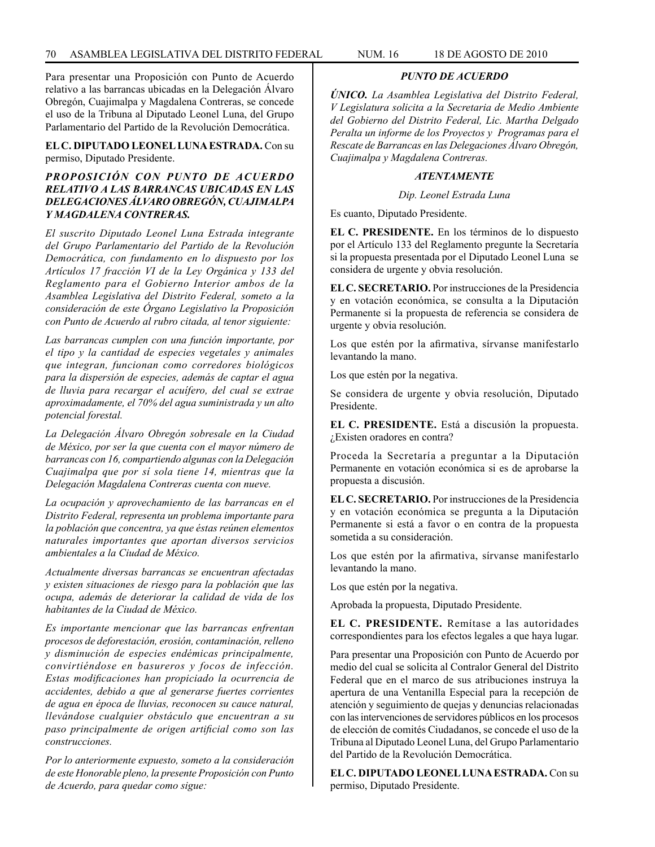Para presentar una Proposición con Punto de Acuerdo relativo a las barrancas ubicadas en la Delegación Álvaro Obregón, Cuajimalpa y Magdalena Contreras, se concede el uso de la Tribuna al Diputado Leonel Luna, del Grupo Parlamentario del Partido de la Revolución Democrática.

**EL C. DIPUTADO LEONEL LUNA ESTRADA.** Con su permiso, Diputado Presidente.

## *PROPOSICIÓN CON PUNTO DE ACUERDO RELATIVO A LAS BARRANCAS UBICADAS EN LAS DELEGACIONES ÁLVARO OBREGÓN, CUAJIMALPA Y MAGDALENA CONTRERAS.*

*El suscrito Diputado Leonel Luna Estrada integrante del Grupo Parlamentario del Partido de la Revolución Democrática, con fundamento en lo dispuesto por los Artículos 17 fracción VI de la Ley Orgánica y 133 del Reglamento para el Gobierno Interior ambos de la Asamblea Legislativa del Distrito Federal, someto a la consideración de este Órgano Legislativo la Proposición con Punto de Acuerdo al rubro citada, al tenor siguiente:*

*Las barrancas cumplen con una función importante, por el tipo y la cantidad de especies vegetales y animales que integran, funcionan como corredores biológicos para la dispersión de especies, además de captar el agua de lluvia para recargar el acuífero, del cual se extrae aproximadamente, el 70% del agua suministrada y un alto potencial forestal.*

*La Delegación Álvaro Obregón sobresale en la Ciudad de México, por ser la que cuenta con el mayor número de barrancas con 16, compartiendo algunas con la Delegación Cuajimalpa que por sí sola tiene 14, mientras que la Delegación Magdalena Contreras cuenta con nueve.*

*La ocupación y aprovechamiento de las barrancas en el Distrito Federal, representa un problema importante para la población que concentra, ya que éstas reúnen elementos naturales importantes que aportan diversos servicios ambientales a la Ciudad de México.*

*Actualmente diversas barrancas se encuentran afectadas y existen situaciones de riesgo para la población que las ocupa, además de deteriorar la calidad de vida de los habitantes de la Ciudad de México.*

*Es importante mencionar que las barrancas enfrentan procesos de deforestación, erosión, contaminación, relleno y disminución de especies endémicas principalmente, convirtiéndose en basureros y focos de infección. Estas modificaciones han propiciado la ocurrencia de accidentes, debido a que al generarse fuertes corrientes de agua en época de lluvias, reconocen su cauce natural, llevándose cualquier obstáculo que encuentran a su paso principalmente de origen artificial como son las construcciones.*

*Por lo anteriormente expuesto, someto a la consideración de este Honorable pleno, la presente Proposición con Punto de Acuerdo, para quedar como sigue:*

*PUNTO DE ACUERDO*

*ÚNICO. La Asamblea Legislativa del Distrito Federal, V Legislatura solicita a la Secretaria de Medio Ambiente del Gobierno del Distrito Federal, Lic. Martha Delgado Peralta un informe de los Proyectos y Programas para el Rescate de Barrancas en las Delegaciones Álvaro Obregón, Cuajimalpa y Magdalena Contreras.*

# *ATENTAMENTE*

*Dip. Leonel Estrada Luna*

Es cuanto, Diputado Presidente.

**EL C. PRESIDENTE.** En los términos de lo dispuesto por el Artículo 133 del Reglamento pregunte la Secretaría si la propuesta presentada por el Diputado Leonel Luna se considera de urgente y obvia resolución.

**EL C. SECRETARIO.** Por instrucciones de la Presidencia y en votación económica, se consulta a la Diputación Permanente si la propuesta de referencia se considera de urgente y obvia resolución.

Los que estén por la afirmativa, sírvanse manifestarlo levantando la mano.

Los que estén por la negativa.

Se considera de urgente y obvia resolución, Diputado Presidente.

**EL C. PRESIDENTE.** Está a discusión la propuesta. ¿Existen oradores en contra?

Proceda la Secretaría a preguntar a la Diputación Permanente en votación económica si es de aprobarse la propuesta a discusión.

**EL C. SECRETARIO.** Por instrucciones de la Presidencia y en votación económica se pregunta a la Diputación Permanente si está a favor o en contra de la propuesta sometida a su consideración.

Los que estén por la afirmativa, sírvanse manifestarlo levantando la mano.

Los que estén por la negativa.

Aprobada la propuesta, Diputado Presidente.

**EL C. PRESIDENTE.** Remítase a las autoridades correspondientes para los efectos legales a que haya lugar.

Para presentar una Proposición con Punto de Acuerdo por medio del cual se solicita al Contralor General del Distrito Federal que en el marco de sus atribuciones instruya la apertura de una Ventanilla Especial para la recepción de atención y seguimiento de quejas y denuncias relacionadas con las intervenciones de servidores públicos en los procesos de elección de comités Ciudadanos, se concede el uso de la Tribuna al Diputado Leonel Luna, del Grupo Parlamentario del Partido de la Revolución Democrática.

**EL C. DIPUTADO LEONEL LUNA ESTRADA.** Con su permiso, Diputado Presidente.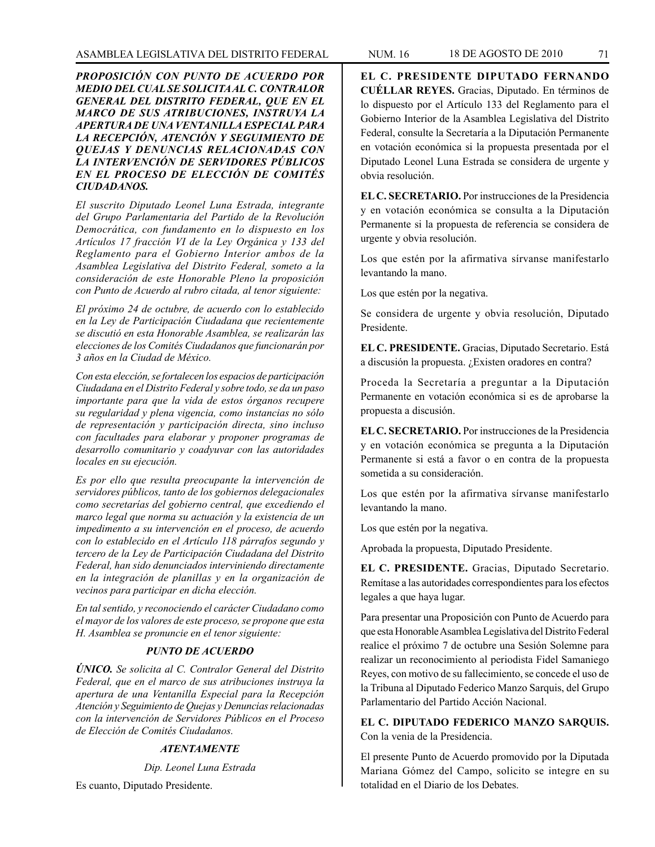### *PROPOSICIÓN CON PUNTO DE ACUERDO POR MEDIO DEL CUAL SE SOLICITA AL C. CONTRALOR GENERAL DEL DISTRITO FEDERAL, QUE EN EL MARCO DE SUS ATRIBUCIONES, INSTRUYA LA APERTURA DE UNA VENTANILLA ESPECIAL PARA LA RECEPCIÓN, ATENCIÓN Y SEGUIMIENTO DE QUEJAS Y DENUNCIAS RELACIONADAS CON LA INTERVENCIÓN DE SERVIDORES PÚBLICOS EN EL PROCESO DE ELECCIÓN DE COMITÉS CIUDADANOS.*

*El suscrito Diputado Leonel Luna Estrada, integrante del Grupo Parlamentaria del Partido de la Revolución Democrática, con fundamento en lo dispuesto en los Artículos 17 fracción VI de la Ley Orgánica y 133 del Reglamento para el Gobierno Interior ambos de la Asamblea Legislativa del Distrito Federal, someto a la consideración de este Honorable Pleno la proposición con Punto de Acuerdo al rubro citada, al tenor siguiente:*

*El próximo 24 de octubre, de acuerdo con lo establecido en la Ley de Participación Ciudadana que recientemente se discutió en esta Honorable Asamblea, se realizarán las elecciones de los Comités Ciudadanos que funcionarán por 3 años en la Ciudad de México.*

*Con esta elección, se fortalecen los espacios de participación Ciudadana en el Distrito Federal y sobre todo, se da un paso importante para que la vida de estos órganos recupere su regularidad y plena vigencia, como instancias no sólo de representación y participación directa, sino incluso con facultades para elaborar y proponer programas de desarrollo comunitario y coadyuvar con las autoridades locales en su ejecución.*

*Es por ello que resulta preocupante la intervención de servidores públicos, tanto de los gobiernos delegacionales como secretarías del gobierno central, que excediendo el marco legal que norma su actuación y la existencia de un impedimento a su intervención en el proceso, de acuerdo con lo establecido en el Artículo 118 párrafos segundo y tercero de la Ley de Participación Ciudadana del Distrito Federal, han sido denunciados interviniendo directamente en la integración de planillas y en la organización de vecinos para participar en dicha elección.*

*En tal sentido, y reconociendo el carácter Ciudadano como el mayor de los valores de este proceso, se propone que esta H. Asamblea se pronuncie en el tenor siguiente:*

## *PUNTO DE ACUERDO*

*ÚNICO. Se solicita al C. Contralor General del Distrito Federal, que en el marco de sus atribuciones instruya la apertura de una Ventanilla Especial para la Recepción Atención y Seguimiento de Quejas y Denuncias relacionadas con la intervención de Servidores Públicos en el Proceso de Elección de Comités Ciudadanos.*

### *ATENTAMENTE*

*Dip. Leonel Luna Estrada*

Es cuanto, Diputado Presidente.

**EL C. PRESIDENTE DIPUTADO FERNANDO CUÉLLAR REYES.** Gracias, Diputado. En términos de lo dispuesto por el Artículo 133 del Reglamento para el Gobierno Interior de la Asamblea Legislativa del Distrito Federal, consulte la Secretaría a la Diputación Permanente en votación económica si la propuesta presentada por el Diputado Leonel Luna Estrada se considera de urgente y obvia resolución.

**EL C. SECRETARIO.** Por instrucciones de la Presidencia y en votación económica se consulta a la Diputación Permanente si la propuesta de referencia se considera de urgente y obvia resolución.

Los que estén por la afirmativa sírvanse manifestarlo levantando la mano.

Los que estén por la negativa.

Se considera de urgente y obvia resolución, Diputado Presidente.

**EL C. PRESIDENTE.** Gracias, Diputado Secretario. Está a discusión la propuesta. ¿Existen oradores en contra?

Proceda la Secretaría a preguntar a la Diputación Permanente en votación económica si es de aprobarse la propuesta a discusión.

**EL C. SECRETARIO.** Por instrucciones de la Presidencia y en votación económica se pregunta a la Diputación Permanente si está a favor o en contra de la propuesta sometida a su consideración.

Los que estén por la afirmativa sírvanse manifestarlo levantando la mano.

Los que estén por la negativa.

Aprobada la propuesta, Diputado Presidente.

**EL C. PRESIDENTE.** Gracias, Diputado Secretario. Remítase a las autoridades correspondientes para los efectos legales a que haya lugar.

Para presentar una Proposición con Punto de Acuerdo para que esta Honorable Asamblea Legislativa del Distrito Federal realice el próximo 7 de octubre una Sesión Solemne para realizar un reconocimiento al periodista Fidel Samaniego Reyes, con motivo de su fallecimiento, se concede el uso de la Tribuna al Diputado Federico Manzo Sarquis, del Grupo Parlamentario del Partido Acción Nacional.

**EL C. DIPUTADO FEDERICO MANZO SARQUIS.** Con la venia de la Presidencia.

El presente Punto de Acuerdo promovido por la Diputada Mariana Gómez del Campo, solicito se integre en su totalidad en el Diario de los Debates.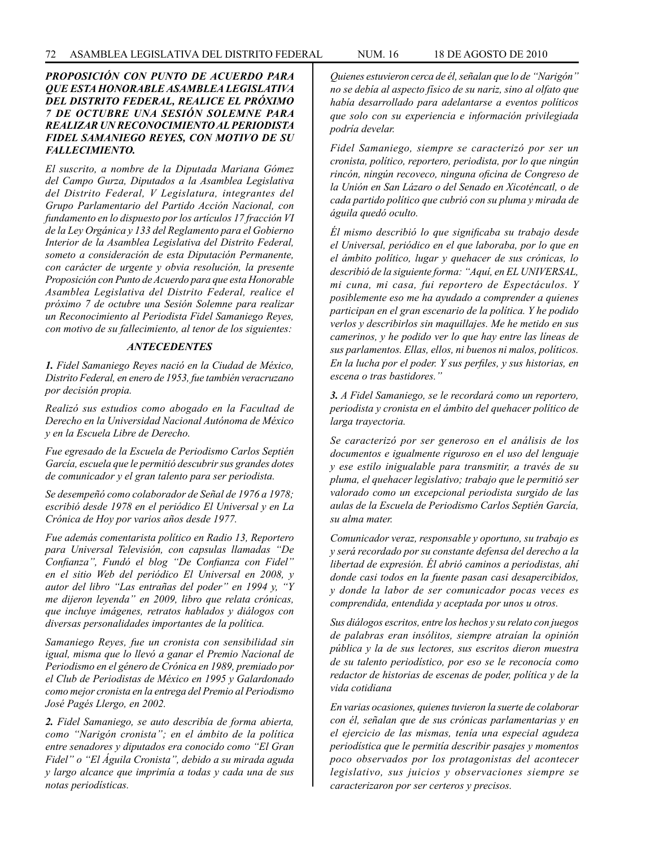### *PROPOSICIÓN CON PUNTO DE ACUERDO PARA QUE ESTA HONORABLE ASAMBLEA LEGISLATIVA DEL DISTRITO FEDERAL, REALICE EL PRÓXIMO 7 DE OCTUBRE UNA SESIÓN SOLEMNE PARA REALIZAR UN RECONOCIMIENTO AL PERIODISTA FIDEL SAMANIEGO REYES, CON MOTIVO DE SU FALLECIMIENTO.*

*El suscrito, a nombre de la Diputada Mariana Gómez del Campo Gurza, Diputados a la Asamblea Legislativa del Distrito Federal, V Legislatura, integrantes del Grupo Parlamentario del Partido Acción Nacional, con fundamento en lo dispuesto por los artículos 17 fracción VI de la Ley Orgánica y 133 del Reglamento para el Gobierno Interior de la Asamblea Legislativa del Distrito Federal, someto a consideración de esta Diputación Permanente, con carácter de urgente y obvia resolución, la presente Proposición con Punto de Acuerdo para que esta Honorable Asamblea Legislativa del Distrito Federal, realice el próximo 7 de octubre una Sesión Solemne para realizar un Reconocimiento al Periodista Fidel Samaniego Reyes, con motivo de su fallecimiento, al tenor de los siguientes:*

#### *ANTECEDENTES*

*1. Fidel Samaniego Reyes nació en la Ciudad de México, Distrito Federal, en enero de 1953, fue también veracruzano por decisión propia.*

*Realizó sus estudios como abogado en la Facultad de Derecho en la Universidad Nacional Autónoma de México y en la Escuela Libre de Derecho.* 

*Fue egresado de la Escuela de Periodismo Carlos Septién García, escuela que le permitió descubrir sus grandes dotes de comunicador y el gran talento para ser periodista.* 

*Se desempeñó como colaborador de Señal de 1976 a 1978; escribió desde 1978 en el periódico El Universal y en La Crónica de Hoy por varios años desde 1977.*

*Fue además comentarista político en Radio 13, Reportero para Universal Televisión, con capsulas llamadas "De Confianza", Fundó el blog "De Confianza con Fidel" en el sitio Web del periódico El Universal en 2008, y autor del libro "Las entrañas del poder" en 1994 y, "Y me dijeron leyenda" en 2009, libro que relata crónicas, que incluye imágenes, retratos hablados y diálogos con diversas personalidades importantes de la política.*

*Samaniego Reyes, fue un cronista con sensibilidad sin igual, misma que lo llevó a ganar el Premio Nacional de Periodismo en el género de Crónica en 1989, premiado por el Club de Periodistas de México en 1995 y Galardonado como mejor cronista en la entrega del Premio al Periodismo José Pagés Llergo, en 2002.*

*2. Fidel Samaniego, se auto describía de forma abierta, como "Narigón cronista"; en el ámbito de la política entre senadores y diputados era conocido como "El Gran Fidel" o "El Águila Cronista", debido a su mirada aguda y largo alcance que imprimía a todas y cada una de sus notas periodísticas.*

*Quienes estuvieron cerca de él, señalan que lo de "Narigón" no se debía al aspecto físico de su nariz, sino al olfato que había desarrollado para adelantarse a eventos políticos que solo con su experiencia e información privilegiada podría develar.*

*Fidel Samaniego, siempre se caracterizó por ser un cronista, político, reportero, periodista, por lo que ningún rincón, ningún recoveco, ninguna oficina de Congreso de la Unión en San Lázaro o del Senado en Xicoténcatl, o de cada partido político que cubrió con su pluma y mirada de águila quedó oculto.*

*Él mismo describió lo que significaba su trabajo desde el Universal, periódico en el que laboraba, por lo que en el ámbito político, lugar y quehacer de sus crónicas, lo describió de la siguiente forma: "Aquí, en EL UNIVERSAL, mi cuna, mi casa, fui reportero de Espectáculos. Y posiblemente eso me ha ayudado a comprender a quienes participan en el gran escenario de la política. Y he podido verlos y describirlos sin maquillajes. Me he metido en sus camerinos, y he podido ver lo que hay entre las líneas de sus parlamentos. Ellas, ellos, ni buenos ni malos, políticos. En la lucha por el poder. Y sus perfiles, y sus historias, en escena o tras bastidores."*

*3. A Fidel Samaniego, se le recordará como un reportero, periodista y cronista en el ámbito del quehacer político de larga trayectoria.*

*Se caracterizó por ser generoso en el análisis de los documentos e igualmente riguroso en el uso del lenguaje y ese estilo inigualable para transmitir, a través de su pluma, el quehacer legislativo; trabajo que le permitió ser valorado como un excepcional periodista surgido de las aulas de la Escuela de Periodismo Carlos Septién García, su alma mater.*

*Comunicador veraz, responsable y oportuno, su trabajo es y será recordado por su constante defensa del derecho a la libertad de expresión. Él abrió caminos a periodistas, ahí donde casi todos en la fuente pasan casi desapercibidos, y donde la labor de ser comunicador pocas veces es comprendida, entendida y aceptada por unos u otros.*

*Sus diálogos escritos, entre los hechos y su relato con juegos de palabras eran insólitos, siempre atraían la opinión pública y la de sus lectores, sus escritos dieron muestra de su talento periodístico, por eso se le reconocía como redactor de historias de escenas de poder, política y de la vida cotidiana*

*En varias ocasiones, quienes tuvieron la suerte de colaborar con él, señalan que de sus crónicas parlamentarias y en el ejercicio de las mismas, tenía una especial agudeza periodística que le permitía describir pasajes y momentos poco observados por los protagonistas del acontecer legislativo, sus juicios y observaciones siempre se caracterizaron por ser certeros y precisos.*